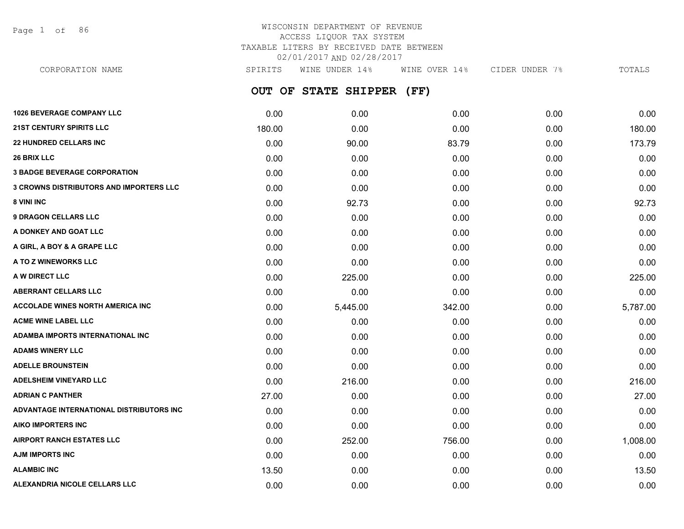Page 1 of 86

## WISCONSIN DEPARTMENT OF REVENUE ACCESS LIQUOR TAX SYSTEM TAXABLE LITERS BY RECEIVED DATE BETWEEN 02/01/2017 AND 02/28/2017

**OUT OF STATE SHIPPER (FF) 1026 BEVERAGE COMPANY LLC** 0.00 0.00 0.00 0.00 0.00 **21ST CENTURY SPIRITS LLC** 180.00 0.00 0.00 0.00 180.00 **22 HUNDRED CELLARS INC** 0.00 90.00 83.79 0.00 173.79 **26 BRIX LLC** 0.00 0.00 0.00 0.00 0.00 **3 BADGE BEVERAGE CORPORATION** 0.00 0.00 0.00 0.00 0.00 **3 CROWNS DISTRIBUTORS AND IMPORTERS LLC** 0.00 0.00 0.00 0.00 0.00 **8 VINI INC** 0.00 92.73 0.00 0.00 92.73 **9 DRAGON CELLARS LLC** 0.00 0.00 0.00 0.00 0.00 **A DONKEY AND GOAT LLC** 0.00 0.00 0.00 0.00 0.00 CORPORATION NAME SPIRITS WINE UNDER 14% WINE OVER 14% CIDER UNDER 7% TOTALS

| A DONKEY AND GOAT LLC                    | 0.00  | 0.00     | 0.00   | 0.00 | 0.00     |
|------------------------------------------|-------|----------|--------|------|----------|
| A GIRL, A BOY & A GRAPE LLC              | 0.00  | 0.00     | 0.00   | 0.00 | 0.00     |
| A TO Z WINEWORKS LLC                     | 0.00  | 0.00     | 0.00   | 0.00 | 0.00     |
| A W DIRECT LLC                           | 0.00  | 225.00   | 0.00   | 0.00 | 225.00   |
| <b>ABERRANT CELLARS LLC</b>              | 0.00  | 0.00     | 0.00   | 0.00 | 0.00     |
| <b>ACCOLADE WINES NORTH AMERICA INC.</b> | 0.00  | 5,445.00 | 342.00 | 0.00 | 5,787.00 |
| <b>ACME WINE LABEL LLC</b>               | 0.00  | 0.00     | 0.00   | 0.00 | 0.00     |
| ADAMBA IMPORTS INTERNATIONAL INC         | 0.00  | 0.00     | 0.00   | 0.00 | 0.00     |
| <b>ADAMS WINERY LLC</b>                  | 0.00  | 0.00     | 0.00   | 0.00 | 0.00     |
| <b>ADELLE BROUNSTEIN</b>                 | 0.00  | 0.00     | 0.00   | 0.00 | 0.00     |
| <b>ADELSHEIM VINEYARD LLC</b>            | 0.00  | 216.00   | 0.00   | 0.00 | 216.00   |
| <b>ADRIAN C PANTHER</b>                  | 27.00 | 0.00     | 0.00   | 0.00 | 27.00    |
| ADVANTAGE INTERNATIONAL DISTRIBUTORS INC | 0.00  | 0.00     | 0.00   | 0.00 | 0.00     |
| <b>AIKO IMPORTERS INC</b>                | 0.00  | 0.00     | 0.00   | 0.00 | 0.00     |
| <b>AIRPORT RANCH ESTATES LLC</b>         | 0.00  | 252.00   | 756.00 | 0.00 | 1,008.00 |
| <b>AJM IMPORTS INC</b>                   | 0.00  | 0.00     | 0.00   | 0.00 | 0.00     |
| <b>ALAMBIC INC</b>                       | 13.50 | 0.00     | 0.00   | 0.00 | 13.50    |
| <b>ALEXANDRIA NICOLE CELLARS LLC</b>     | 0.00  | 0.00     | 0.00   | 0.00 | 0.00     |
|                                          |       |          |        |      |          |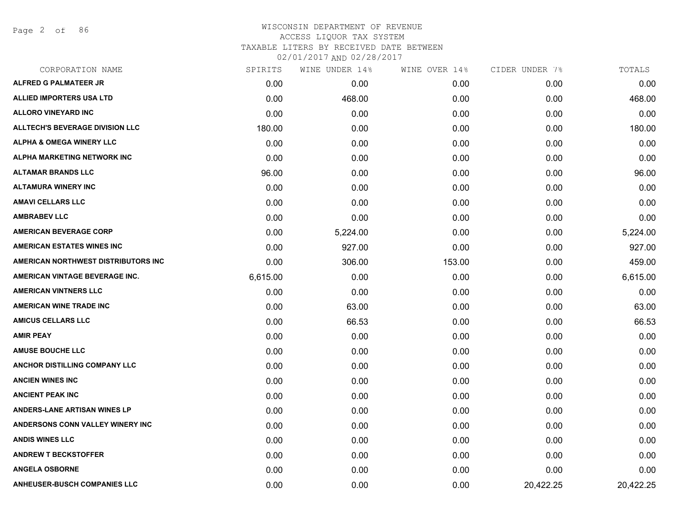Page 2 of 86

| CORPORATION NAME                       | SPIRITS  | WINE UNDER 14% | WINE OVER 14% | CIDER UNDER 7% | TOTALS    |
|----------------------------------------|----------|----------------|---------------|----------------|-----------|
| <b>ALFRED G PALMATEER JR</b>           | 0.00     | 0.00           | 0.00          | 0.00           | 0.00      |
| <b>ALLIED IMPORTERS USA LTD</b>        | 0.00     | 468.00         | 0.00          | 0.00           | 468.00    |
| <b>ALLORO VINEYARD INC</b>             | 0.00     | 0.00           | 0.00          | 0.00           | 0.00      |
| <b>ALLTECH'S BEVERAGE DIVISION LLC</b> | 180.00   | 0.00           | 0.00          | 0.00           | 180.00    |
| <b>ALPHA &amp; OMEGA WINERY LLC</b>    | 0.00     | 0.00           | 0.00          | 0.00           | 0.00      |
| ALPHA MARKETING NETWORK INC            | 0.00     | 0.00           | 0.00          | 0.00           | 0.00      |
| <b>ALTAMAR BRANDS LLC</b>              | 96.00    | 0.00           | 0.00          | 0.00           | 96.00     |
| <b>ALTAMURA WINERY INC</b>             | 0.00     | 0.00           | 0.00          | 0.00           | 0.00      |
| <b>AMAVI CELLARS LLC</b>               | 0.00     | 0.00           | 0.00          | 0.00           | 0.00      |
| <b>AMBRABEV LLC</b>                    | 0.00     | 0.00           | 0.00          | 0.00           | 0.00      |
| <b>AMERICAN BEVERAGE CORP</b>          | 0.00     | 5,224.00       | 0.00          | 0.00           | 5,224.00  |
| <b>AMERICAN ESTATES WINES INC</b>      | 0.00     | 927.00         | 0.00          | 0.00           | 927.00    |
| AMERICAN NORTHWEST DISTRIBUTORS INC    | 0.00     | 306.00         | 153.00        | 0.00           | 459.00    |
| AMERICAN VINTAGE BEVERAGE INC.         | 6,615.00 | 0.00           | 0.00          | 0.00           | 6,615.00  |
| <b>AMERICAN VINTNERS LLC</b>           | 0.00     | 0.00           | 0.00          | 0.00           | 0.00      |
| <b>AMERICAN WINE TRADE INC</b>         | 0.00     | 63.00          | 0.00          | 0.00           | 63.00     |
| <b>AMICUS CELLARS LLC</b>              | 0.00     | 66.53          | 0.00          | 0.00           | 66.53     |
| <b>AMIR PEAY</b>                       | 0.00     | 0.00           | 0.00          | 0.00           | 0.00      |
| <b>AMUSE BOUCHE LLC</b>                | 0.00     | 0.00           | 0.00          | 0.00           | 0.00      |
| <b>ANCHOR DISTILLING COMPANY LLC</b>   | 0.00     | 0.00           | 0.00          | 0.00           | 0.00      |
| <b>ANCIEN WINES INC</b>                | 0.00     | 0.00           | 0.00          | 0.00           | 0.00      |
| <b>ANCIENT PEAK INC</b>                | 0.00     | 0.00           | 0.00          | 0.00           | 0.00      |
| <b>ANDERS-LANE ARTISAN WINES LP</b>    | 0.00     | 0.00           | 0.00          | 0.00           | 0.00      |
| ANDERSONS CONN VALLEY WINERY INC       | 0.00     | 0.00           | 0.00          | 0.00           | 0.00      |
| <b>ANDIS WINES LLC</b>                 | 0.00     | 0.00           | 0.00          | 0.00           | 0.00      |
| <b>ANDREW T BECKSTOFFER</b>            | 0.00     | 0.00           | 0.00          | 0.00           | 0.00      |
| <b>ANGELA OSBORNE</b>                  | 0.00     | 0.00           | 0.00          | 0.00           | 0.00      |
| <b>ANHEUSER-BUSCH COMPANIES LLC</b>    | 0.00     | 0.00           | 0.00          | 20,422.25      | 20,422.25 |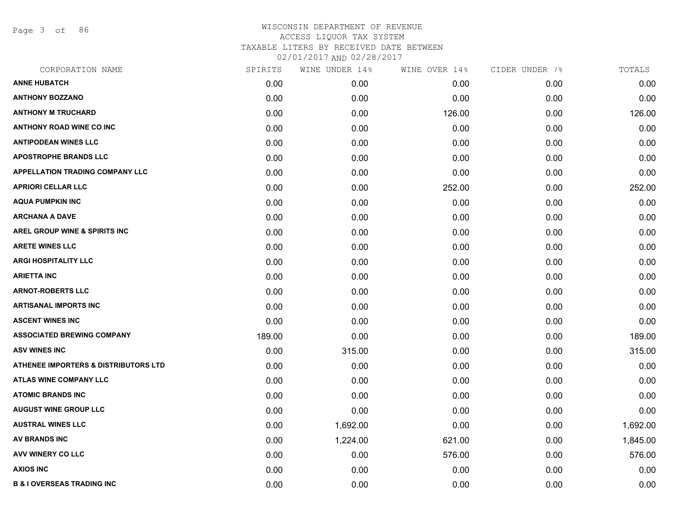Page 3 of 86

| CORPORATION NAME                                | SPIRITS | WINE UNDER 14% | WINE OVER 14% | CIDER UNDER 7% | TOTALS   |
|-------------------------------------------------|---------|----------------|---------------|----------------|----------|
| <b>ANNE HUBATCH</b>                             | 0.00    | 0.00           | 0.00          | 0.00           | 0.00     |
| <b>ANTHONY BOZZANO</b>                          | 0.00    | 0.00           | 0.00          | 0.00           | 0.00     |
| <b>ANTHONY M TRUCHARD</b>                       | 0.00    | 0.00           | 126.00        | 0.00           | 126.00   |
| <b>ANTHONY ROAD WINE CO INC</b>                 | 0.00    | 0.00           | 0.00          | 0.00           | 0.00     |
| <b>ANTIPODEAN WINES LLC</b>                     | 0.00    | 0.00           | 0.00          | 0.00           | 0.00     |
| <b>APOSTROPHE BRANDS LLC</b>                    | 0.00    | 0.00           | 0.00          | 0.00           | 0.00     |
| APPELLATION TRADING COMPANY LLC                 | 0.00    | 0.00           | 0.00          | 0.00           | 0.00     |
| <b>APRIORI CELLAR LLC</b>                       | 0.00    | 0.00           | 252.00        | 0.00           | 252.00   |
| <b>AQUA PUMPKIN INC</b>                         | 0.00    | 0.00           | 0.00          | 0.00           | 0.00     |
| <b>ARCHANA A DAVE</b>                           | 0.00    | 0.00           | 0.00          | 0.00           | 0.00     |
| AREL GROUP WINE & SPIRITS INC                   | 0.00    | 0.00           | 0.00          | 0.00           | 0.00     |
| <b>ARETE WINES LLC</b>                          | 0.00    | 0.00           | 0.00          | 0.00           | 0.00     |
| <b>ARGI HOSPITALITY LLC</b>                     | 0.00    | 0.00           | 0.00          | 0.00           | 0.00     |
| <b>ARIETTA INC</b>                              | 0.00    | 0.00           | 0.00          | 0.00           | 0.00     |
| <b>ARNOT-ROBERTS LLC</b>                        | 0.00    | 0.00           | 0.00          | 0.00           | 0.00     |
| <b>ARTISANAL IMPORTS INC</b>                    | 0.00    | 0.00           | 0.00          | 0.00           | 0.00     |
| <b>ASCENT WINES INC</b>                         | 0.00    | 0.00           | 0.00          | 0.00           | 0.00     |
| <b>ASSOCIATED BREWING COMPANY</b>               | 189.00  | 0.00           | 0.00          | 0.00           | 189.00   |
| <b>ASV WINES INC</b>                            | 0.00    | 315.00         | 0.00          | 0.00           | 315.00   |
| <b>ATHENEE IMPORTERS &amp; DISTRIBUTORS LTD</b> | 0.00    | 0.00           | 0.00          | 0.00           | 0.00     |
| <b>ATLAS WINE COMPANY LLC</b>                   | 0.00    | 0.00           | 0.00          | 0.00           | 0.00     |
| <b>ATOMIC BRANDS INC</b>                        | 0.00    | 0.00           | 0.00          | 0.00           | 0.00     |
| <b>AUGUST WINE GROUP LLC</b>                    | 0.00    | 0.00           | 0.00          | 0.00           | 0.00     |
| <b>AUSTRAL WINES LLC</b>                        | 0.00    | 1,692.00       | 0.00          | 0.00           | 1,692.00 |
| <b>AV BRANDS INC</b>                            | 0.00    | 1,224.00       | 621.00        | 0.00           | 1,845.00 |
| AVV WINERY CO LLC                               | 0.00    | 0.00           | 576.00        | 0.00           | 576.00   |
| <b>AXIOS INC</b>                                | 0.00    | 0.00           | 0.00          | 0.00           | 0.00     |
| <b>B &amp; I OVERSEAS TRADING INC</b>           | 0.00    | 0.00           | 0.00          | 0.00           | 0.00     |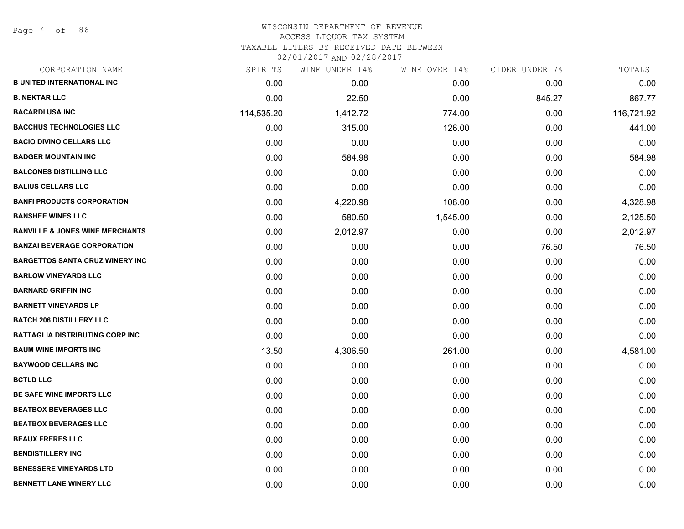Page 4 of 86

| CORPORATION NAME                           | SPIRITS    | WINE UNDER 14% | WINE OVER 14% | CIDER UNDER 7% | TOTALS     |
|--------------------------------------------|------------|----------------|---------------|----------------|------------|
| <b>B UNITED INTERNATIONAL INC</b>          | 0.00       | 0.00           | 0.00          | 0.00           | 0.00       |
| <b>B. NEKTAR LLC</b>                       | 0.00       | 22.50          | 0.00          | 845.27         | 867.77     |
| <b>BACARDI USA INC</b>                     | 114,535.20 | 1,412.72       | 774.00        | 0.00           | 116,721.92 |
| <b>BACCHUS TECHNOLOGIES LLC</b>            | 0.00       | 315.00         | 126.00        | 0.00           | 441.00     |
| <b>BACIO DIVINO CELLARS LLC</b>            | 0.00       | 0.00           | 0.00          | 0.00           | 0.00       |
| <b>BADGER MOUNTAIN INC</b>                 | 0.00       | 584.98         | 0.00          | 0.00           | 584.98     |
| <b>BALCONES DISTILLING LLC</b>             | 0.00       | 0.00           | 0.00          | 0.00           | 0.00       |
| <b>BALIUS CELLARS LLC</b>                  | 0.00       | 0.00           | 0.00          | 0.00           | 0.00       |
| <b>BANFI PRODUCTS CORPORATION</b>          | 0.00       | 4,220.98       | 108.00        | 0.00           | 4,328.98   |
| <b>BANSHEE WINES LLC</b>                   | 0.00       | 580.50         | 1,545.00      | 0.00           | 2,125.50   |
| <b>BANVILLE &amp; JONES WINE MERCHANTS</b> | 0.00       | 2,012.97       | 0.00          | 0.00           | 2,012.97   |
| <b>BANZAI BEVERAGE CORPORATION</b>         | 0.00       | 0.00           | 0.00          | 76.50          | 76.50      |
| <b>BARGETTOS SANTA CRUZ WINERY INC</b>     | 0.00       | 0.00           | 0.00          | 0.00           | 0.00       |
| <b>BARLOW VINEYARDS LLC</b>                | 0.00       | 0.00           | 0.00          | 0.00           | 0.00       |
| <b>BARNARD GRIFFIN INC</b>                 | 0.00       | 0.00           | 0.00          | 0.00           | 0.00       |
| <b>BARNETT VINEYARDS LP</b>                | 0.00       | 0.00           | 0.00          | 0.00           | 0.00       |
| <b>BATCH 206 DISTILLERY LLC</b>            | 0.00       | 0.00           | 0.00          | 0.00           | 0.00       |
| BATTAGLIA DISTRIBUTING CORP INC            | 0.00       | 0.00           | 0.00          | 0.00           | 0.00       |
| <b>BAUM WINE IMPORTS INC</b>               | 13.50      | 4,306.50       | 261.00        | 0.00           | 4,581.00   |
| <b>BAYWOOD CELLARS INC</b>                 | 0.00       | 0.00           | 0.00          | 0.00           | 0.00       |
| <b>BCTLD LLC</b>                           | 0.00       | 0.00           | 0.00          | 0.00           | 0.00       |
| BE SAFE WINE IMPORTS LLC                   | 0.00       | 0.00           | 0.00          | 0.00           | 0.00       |
| <b>BEATBOX BEVERAGES LLC</b>               | 0.00       | 0.00           | 0.00          | 0.00           | 0.00       |
| <b>BEATBOX BEVERAGES LLC</b>               | 0.00       | 0.00           | 0.00          | 0.00           | 0.00       |
| <b>BEAUX FRERES LLC</b>                    | 0.00       | 0.00           | 0.00          | 0.00           | 0.00       |
| <b>BENDISTILLERY INC</b>                   | 0.00       | 0.00           | 0.00          | 0.00           | 0.00       |
| <b>BENESSERE VINEYARDS LTD</b>             | 0.00       | 0.00           | 0.00          | 0.00           | 0.00       |
| <b>BENNETT LANE WINERY LLC</b>             | 0.00       | 0.00           | 0.00          | 0.00           | 0.00       |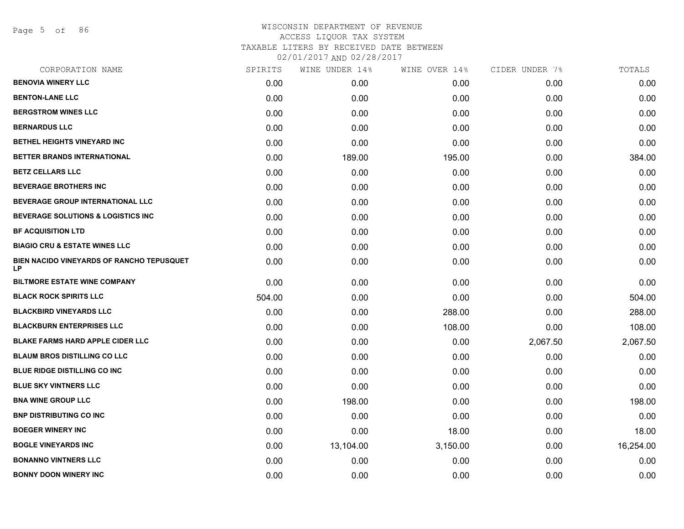Page 5 of 86

| CORPORATION NAME                                       | SPIRITS | WINE UNDER 14% | WINE OVER 14% | CIDER UNDER 7% | TOTALS    |
|--------------------------------------------------------|---------|----------------|---------------|----------------|-----------|
| <b>BENOVIA WINERY LLC</b>                              | 0.00    | 0.00           | 0.00          | 0.00           | 0.00      |
| <b>BENTON-LANE LLC</b>                                 | 0.00    | 0.00           | 0.00          | 0.00           | 0.00      |
| <b>BERGSTROM WINES LLC</b>                             | 0.00    | 0.00           | 0.00          | 0.00           | 0.00      |
| <b>BERNARDUS LLC</b>                                   | 0.00    | 0.00           | 0.00          | 0.00           | 0.00      |
| <b>BETHEL HEIGHTS VINEYARD INC</b>                     | 0.00    | 0.00           | 0.00          | 0.00           | 0.00      |
| BETTER BRANDS INTERNATIONAL                            | 0.00    | 189.00         | 195.00        | 0.00           | 384.00    |
| <b>BETZ CELLARS LLC</b>                                | 0.00    | 0.00           | 0.00          | 0.00           | 0.00      |
| <b>BEVERAGE BROTHERS INC</b>                           | 0.00    | 0.00           | 0.00          | 0.00           | 0.00      |
| BEVERAGE GROUP INTERNATIONAL LLC                       | 0.00    | 0.00           | 0.00          | 0.00           | 0.00      |
| <b>BEVERAGE SOLUTIONS &amp; LOGISTICS INC.</b>         | 0.00    | 0.00           | 0.00          | 0.00           | 0.00      |
| <b>BF ACQUISITION LTD</b>                              | 0.00    | 0.00           | 0.00          | 0.00           | 0.00      |
| <b>BIAGIO CRU &amp; ESTATE WINES LLC</b>               | 0.00    | 0.00           | 0.00          | 0.00           | 0.00      |
| BIEN NACIDO VINEYARDS OF RANCHO TEPUSQUET<br><b>LP</b> | 0.00    | 0.00           | 0.00          | 0.00           | 0.00      |
| <b>BILTMORE ESTATE WINE COMPANY</b>                    | 0.00    | 0.00           | 0.00          | 0.00           | 0.00      |
| <b>BLACK ROCK SPIRITS LLC</b>                          | 504.00  | 0.00           | 0.00          | 0.00           | 504.00    |
| <b>BLACKBIRD VINEYARDS LLC</b>                         | 0.00    | 0.00           | 288.00        | 0.00           | 288.00    |
| <b>BLACKBURN ENTERPRISES LLC</b>                       | 0.00    | 0.00           | 108.00        | 0.00           | 108.00    |
| <b>BLAKE FARMS HARD APPLE CIDER LLC</b>                | 0.00    | 0.00           | 0.00          | 2,067.50       | 2,067.50  |
| <b>BLAUM BROS DISTILLING CO LLC</b>                    | 0.00    | 0.00           | 0.00          | 0.00           | 0.00      |
| <b>BLUE RIDGE DISTILLING CO INC</b>                    | 0.00    | 0.00           | 0.00          | 0.00           | 0.00      |
| <b>BLUE SKY VINTNERS LLC</b>                           | 0.00    | 0.00           | 0.00          | 0.00           | 0.00      |
| <b>BNA WINE GROUP LLC</b>                              | 0.00    | 198.00         | 0.00          | 0.00           | 198.00    |
| <b>BNP DISTRIBUTING CO INC</b>                         | 0.00    | 0.00           | 0.00          | 0.00           | 0.00      |
| <b>BOEGER WINERY INC</b>                               | 0.00    | 0.00           | 18.00         | 0.00           | 18.00     |
| <b>BOGLE VINEYARDS INC</b>                             | 0.00    | 13,104.00      | 3,150.00      | 0.00           | 16,254.00 |
| <b>BONANNO VINTNERS LLC</b>                            | 0.00    | 0.00           | 0.00          | 0.00           | 0.00      |
| <b>BONNY DOON WINERY INC</b>                           | 0.00    | 0.00           | 0.00          | 0.00           | 0.00      |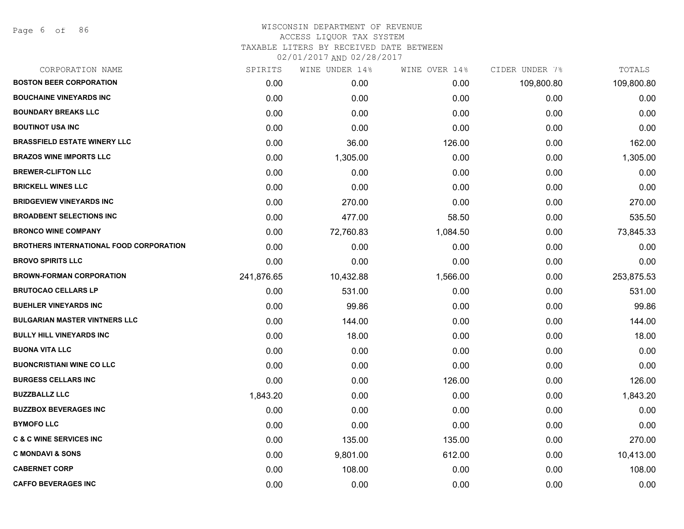| CORPORATION NAME                               | SPIRITS    | WINE UNDER 14% | WINE OVER 14% | CIDER UNDER 7% | TOTALS     |
|------------------------------------------------|------------|----------------|---------------|----------------|------------|
| <b>BOSTON BEER CORPORATION</b>                 | 0.00       | 0.00           | 0.00          | 109,800.80     | 109,800.80 |
| <b>BOUCHAINE VINEYARDS INC.</b>                | 0.00       | 0.00           | 0.00          | 0.00           | 0.00       |
| <b>BOUNDARY BREAKS LLC</b>                     | 0.00       | 0.00           | 0.00          | 0.00           | 0.00       |
| <b>BOUTINOT USA INC</b>                        | 0.00       | 0.00           | 0.00          | 0.00           | 0.00       |
| <b>BRASSFIELD ESTATE WINERY LLC</b>            | 0.00       | 36.00          | 126.00        | 0.00           | 162.00     |
| <b>BRAZOS WINE IMPORTS LLC</b>                 | 0.00       | 1,305.00       | 0.00          | 0.00           | 1,305.00   |
| <b>BREWER-CLIFTON LLC</b>                      | 0.00       | 0.00           | 0.00          | 0.00           | 0.00       |
| <b>BRICKELL WINES LLC</b>                      | 0.00       | 0.00           | 0.00          | 0.00           | 0.00       |
| <b>BRIDGEVIEW VINEYARDS INC</b>                | 0.00       | 270.00         | 0.00          | 0.00           | 270.00     |
| <b>BROADBENT SELECTIONS INC</b>                | 0.00       | 477.00         | 58.50         | 0.00           | 535.50     |
| <b>BRONCO WINE COMPANY</b>                     | 0.00       | 72,760.83      | 1,084.50      | 0.00           | 73,845.33  |
| <b>BROTHERS INTERNATIONAL FOOD CORPORATION</b> | 0.00       | 0.00           | 0.00          | 0.00           | 0.00       |
| <b>BROVO SPIRITS LLC</b>                       | 0.00       | 0.00           | 0.00          | 0.00           | 0.00       |
| <b>BROWN-FORMAN CORPORATION</b>                | 241,876.65 | 10,432.88      | 1,566.00      | 0.00           | 253,875.53 |
| <b>BRUTOCAO CELLARS LP</b>                     | 0.00       | 531.00         | 0.00          | 0.00           | 531.00     |
| <b>BUEHLER VINEYARDS INC</b>                   | 0.00       | 99.86          | 0.00          | 0.00           | 99.86      |
| <b>BULGARIAN MASTER VINTNERS LLC</b>           | 0.00       | 144.00         | 0.00          | 0.00           | 144.00     |
| <b>BULLY HILL VINEYARDS INC</b>                | 0.00       | 18.00          | 0.00          | 0.00           | 18.00      |
| <b>BUONA VITA LLC</b>                          | 0.00       | 0.00           | 0.00          | 0.00           | 0.00       |
| <b>BUONCRISTIANI WINE CO LLC</b>               | 0.00       | 0.00           | 0.00          | 0.00           | 0.00       |
| <b>BURGESS CELLARS INC</b>                     | 0.00       | 0.00           | 126.00        | 0.00           | 126.00     |
| <b>BUZZBALLZ LLC</b>                           | 1,843.20   | 0.00           | 0.00          | 0.00           | 1,843.20   |
| <b>BUZZBOX BEVERAGES INC</b>                   | 0.00       | 0.00           | 0.00          | 0.00           | 0.00       |
| <b>BYMOFO LLC</b>                              | 0.00       | 0.00           | 0.00          | 0.00           | 0.00       |
| <b>C &amp; C WINE SERVICES INC</b>             | 0.00       | 135.00         | 135.00        | 0.00           | 270.00     |
| <b>C MONDAVI &amp; SONS</b>                    | 0.00       | 9,801.00       | 612.00        | 0.00           | 10,413.00  |
| <b>CABERNET CORP</b>                           | 0.00       | 108.00         | 0.00          | 0.00           | 108.00     |
| <b>CAFFO BEVERAGES INC</b>                     | 0.00       | 0.00           | 0.00          | 0.00           | 0.00       |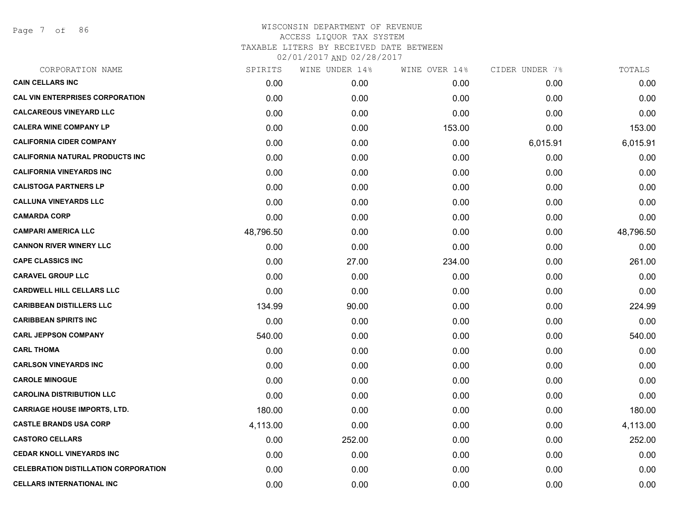Page 7 of 86

| CORPORATION NAME                            | SPIRITS   | WINE UNDER 14% | WINE OVER 14% | CIDER UNDER 7% | TOTALS    |
|---------------------------------------------|-----------|----------------|---------------|----------------|-----------|
| <b>CAIN CELLARS INC</b>                     | 0.00      | 0.00           | 0.00          | 0.00           | 0.00      |
| <b>CAL VIN ENTERPRISES CORPORATION</b>      | 0.00      | 0.00           | 0.00          | 0.00           | 0.00      |
| <b>CALCAREOUS VINEYARD LLC</b>              | 0.00      | 0.00           | 0.00          | 0.00           | 0.00      |
| <b>CALERA WINE COMPANY LP</b>               | 0.00      | 0.00           | 153.00        | 0.00           | 153.00    |
| <b>CALIFORNIA CIDER COMPANY</b>             | 0.00      | 0.00           | 0.00          | 6,015.91       | 6,015.91  |
| <b>CALIFORNIA NATURAL PRODUCTS INC</b>      | 0.00      | 0.00           | 0.00          | 0.00           | 0.00      |
| <b>CALIFORNIA VINEYARDS INC</b>             | 0.00      | 0.00           | 0.00          | 0.00           | 0.00      |
| <b>CALISTOGA PARTNERS LP</b>                | 0.00      | 0.00           | 0.00          | 0.00           | 0.00      |
| <b>CALLUNA VINEYARDS LLC</b>                | 0.00      | 0.00           | 0.00          | 0.00           | 0.00      |
| <b>CAMARDA CORP</b>                         | 0.00      | 0.00           | 0.00          | 0.00           | 0.00      |
| <b>CAMPARI AMERICA LLC</b>                  | 48,796.50 | 0.00           | 0.00          | 0.00           | 48,796.50 |
| <b>CANNON RIVER WINERY LLC</b>              | 0.00      | 0.00           | 0.00          | 0.00           | 0.00      |
| <b>CAPE CLASSICS INC</b>                    | 0.00      | 27.00          | 234.00        | 0.00           | 261.00    |
| <b>CARAVEL GROUP LLC</b>                    | 0.00      | 0.00           | 0.00          | 0.00           | 0.00      |
| <b>CARDWELL HILL CELLARS LLC</b>            | 0.00      | 0.00           | 0.00          | 0.00           | 0.00      |
| <b>CARIBBEAN DISTILLERS LLC</b>             | 134.99    | 90.00          | 0.00          | 0.00           | 224.99    |
| <b>CARIBBEAN SPIRITS INC</b>                | 0.00      | 0.00           | 0.00          | 0.00           | 0.00      |
| <b>CARL JEPPSON COMPANY</b>                 | 540.00    | 0.00           | 0.00          | 0.00           | 540.00    |
| <b>CARL THOMA</b>                           | 0.00      | 0.00           | 0.00          | 0.00           | 0.00      |
| <b>CARLSON VINEYARDS INC</b>                | 0.00      | 0.00           | 0.00          | 0.00           | 0.00      |
| <b>CAROLE MINOGUE</b>                       | 0.00      | 0.00           | 0.00          | 0.00           | 0.00      |
| <b>CAROLINA DISTRIBUTION LLC</b>            | 0.00      | 0.00           | 0.00          | 0.00           | 0.00      |
| <b>CARRIAGE HOUSE IMPORTS, LTD.</b>         | 180.00    | 0.00           | 0.00          | 0.00           | 180.00    |
| <b>CASTLE BRANDS USA CORP</b>               | 4,113.00  | 0.00           | 0.00          | 0.00           | 4,113.00  |
| <b>CASTORO CELLARS</b>                      | 0.00      | 252.00         | 0.00          | 0.00           | 252.00    |
| <b>CEDAR KNOLL VINEYARDS INC</b>            | 0.00      | 0.00           | 0.00          | 0.00           | 0.00      |
| <b>CELEBRATION DISTILLATION CORPORATION</b> | 0.00      | 0.00           | 0.00          | 0.00           | 0.00      |
| <b>CELLARS INTERNATIONAL INC</b>            | 0.00      | 0.00           | 0.00          | 0.00           | 0.00      |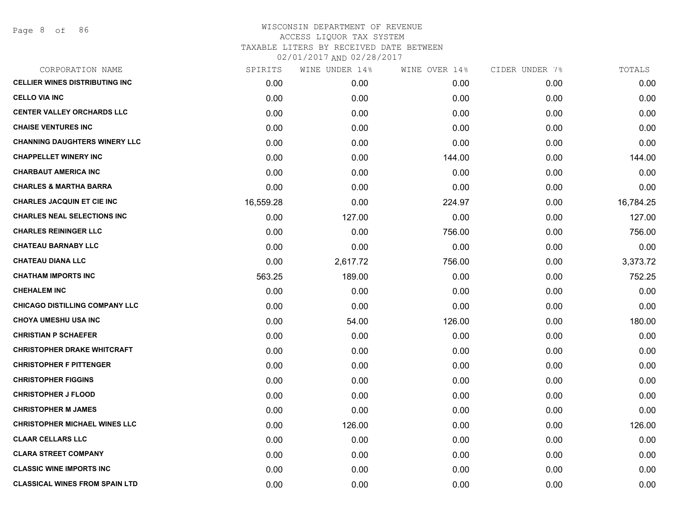| CORPORATION NAME                      | SPIRITS   | WINE UNDER 14% | WINE OVER 14% | CIDER UNDER 7% | TOTALS    |
|---------------------------------------|-----------|----------------|---------------|----------------|-----------|
| <b>CELLIER WINES DISTRIBUTING INC</b> | 0.00      | 0.00           | 0.00          | 0.00           | 0.00      |
| <b>CELLO VIA INC</b>                  | 0.00      | 0.00           | 0.00          | 0.00           | 0.00      |
| <b>CENTER VALLEY ORCHARDS LLC</b>     | 0.00      | 0.00           | 0.00          | 0.00           | 0.00      |
| <b>CHAISE VENTURES INC</b>            | 0.00      | 0.00           | 0.00          | 0.00           | 0.00      |
| <b>CHANNING DAUGHTERS WINERY LLC</b>  | 0.00      | 0.00           | 0.00          | 0.00           | 0.00      |
| <b>CHAPPELLET WINERY INC</b>          | 0.00      | 0.00           | 144.00        | 0.00           | 144.00    |
| <b>CHARBAUT AMERICA INC</b>           | 0.00      | 0.00           | 0.00          | 0.00           | 0.00      |
| <b>CHARLES &amp; MARTHA BARRA</b>     | 0.00      | 0.00           | 0.00          | 0.00           | 0.00      |
| <b>CHARLES JACQUIN ET CIE INC</b>     | 16,559.28 | 0.00           | 224.97        | 0.00           | 16,784.25 |
| <b>CHARLES NEAL SELECTIONS INC</b>    | 0.00      | 127.00         | 0.00          | 0.00           | 127.00    |
| <b>CHARLES REININGER LLC</b>          | 0.00      | 0.00           | 756.00        | 0.00           | 756.00    |
| <b>CHATEAU BARNABY LLC</b>            | 0.00      | 0.00           | 0.00          | 0.00           | 0.00      |
| <b>CHATEAU DIANA LLC</b>              | 0.00      | 2,617.72       | 756.00        | 0.00           | 3,373.72  |
| <b>CHATHAM IMPORTS INC</b>            | 563.25    | 189.00         | 0.00          | 0.00           | 752.25    |
| <b>CHEHALEM INC</b>                   | 0.00      | 0.00           | 0.00          | 0.00           | 0.00      |
| <b>CHICAGO DISTILLING COMPANY LLC</b> | 0.00      | 0.00           | 0.00          | 0.00           | 0.00      |
| CHOYA UMESHU USA INC                  | 0.00      | 54.00          | 126.00        | 0.00           | 180.00    |
| <b>CHRISTIAN P SCHAEFER</b>           | 0.00      | 0.00           | 0.00          | 0.00           | 0.00      |
| <b>CHRISTOPHER DRAKE WHITCRAFT</b>    | 0.00      | 0.00           | 0.00          | 0.00           | 0.00      |
| <b>CHRISTOPHER F PITTENGER</b>        | 0.00      | 0.00           | 0.00          | 0.00           | 0.00      |
| <b>CHRISTOPHER FIGGINS</b>            | 0.00      | 0.00           | 0.00          | 0.00           | 0.00      |
| <b>CHRISTOPHER J FLOOD</b>            | 0.00      | 0.00           | 0.00          | 0.00           | 0.00      |
| <b>CHRISTOPHER M JAMES</b>            | 0.00      | 0.00           | 0.00          | 0.00           | 0.00      |
| <b>CHRISTOPHER MICHAEL WINES LLC</b>  | 0.00      | 126.00         | 0.00          | 0.00           | 126.00    |
| <b>CLAAR CELLARS LLC</b>              | 0.00      | 0.00           | 0.00          | 0.00           | 0.00      |
| <b>CLARA STREET COMPANY</b>           | 0.00      | 0.00           | 0.00          | 0.00           | 0.00      |
| <b>CLASSIC WINE IMPORTS INC</b>       | 0.00      | 0.00           | 0.00          | 0.00           | 0.00      |
| <b>CLASSICAL WINES FROM SPAIN LTD</b> | 0.00      | 0.00           | 0.00          | 0.00           | 0.00      |
|                                       |           |                |               |                |           |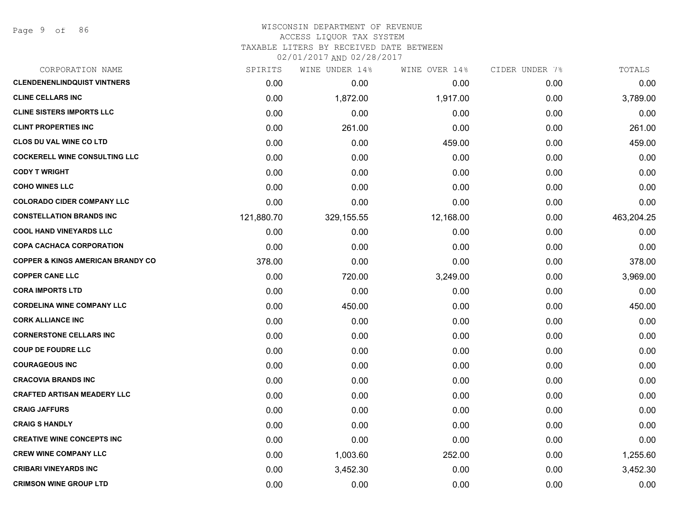## WISCONSIN DEPARTMENT OF REVENUE ACCESS LIQUOR TAX SYSTEM

TAXABLE LITERS BY RECEIVED DATE BETWEEN

| CORPORATION NAME                             | SPIRITS    | WINE UNDER 14% | WINE OVER 14% | CIDER UNDER 7% | TOTALS     |
|----------------------------------------------|------------|----------------|---------------|----------------|------------|
| <b>CLENDENENLINDQUIST VINTNERS</b>           | 0.00       | 0.00           | 0.00          | 0.00           | 0.00       |
| <b>CLINE CELLARS INC</b>                     | 0.00       | 1,872.00       | 1,917.00      | 0.00           | 3,789.00   |
| <b>CLINE SISTERS IMPORTS LLC</b>             | 0.00       | 0.00           | 0.00          | 0.00           | 0.00       |
| <b>CLINT PROPERTIES INC</b>                  | 0.00       | 261.00         | 0.00          | 0.00           | 261.00     |
| <b>CLOS DU VAL WINE CO LTD</b>               | 0.00       | 0.00           | 459.00        | 0.00           | 459.00     |
| <b>COCKERELL WINE CONSULTING LLC</b>         | 0.00       | 0.00           | 0.00          | 0.00           | 0.00       |
| <b>CODY T WRIGHT</b>                         | 0.00       | 0.00           | 0.00          | 0.00           | 0.00       |
| <b>COHO WINES LLC</b>                        | 0.00       | 0.00           | 0.00          | 0.00           | 0.00       |
| <b>COLORADO CIDER COMPANY LLC</b>            | 0.00       | 0.00           | 0.00          | 0.00           | 0.00       |
| <b>CONSTELLATION BRANDS INC</b>              | 121,880.70 | 329,155.55     | 12,168.00     | 0.00           | 463,204.25 |
| <b>COOL HAND VINEYARDS LLC</b>               | 0.00       | 0.00           | 0.00          | 0.00           | 0.00       |
| <b>COPA CACHACA CORPORATION</b>              | 0.00       | 0.00           | 0.00          | 0.00           | 0.00       |
| <b>COPPER &amp; KINGS AMERICAN BRANDY CO</b> | 378.00     | 0.00           | 0.00          | 0.00           | 378.00     |
| <b>COPPER CANE LLC</b>                       | 0.00       | 720.00         | 3,249.00      | 0.00           | 3,969.00   |
| <b>CORA IMPORTS LTD</b>                      | 0.00       | 0.00           | 0.00          | 0.00           | 0.00       |
| <b>CORDELINA WINE COMPANY LLC</b>            | 0.00       | 450.00         | 0.00          | 0.00           | 450.00     |
| <b>CORK ALLIANCE INC</b>                     | 0.00       | 0.00           | 0.00          | 0.00           | 0.00       |
| <b>CORNERSTONE CELLARS INC</b>               | 0.00       | 0.00           | 0.00          | 0.00           | 0.00       |
| <b>COUP DE FOUDRE LLC</b>                    | 0.00       | 0.00           | 0.00          | 0.00           | 0.00       |
| <b>COURAGEOUS INC</b>                        | 0.00       | 0.00           | 0.00          | 0.00           | 0.00       |
| <b>CRACOVIA BRANDS INC</b>                   | 0.00       | 0.00           | 0.00          | 0.00           | 0.00       |
| <b>CRAFTED ARTISAN MEADERY LLC</b>           | 0.00       | 0.00           | 0.00          | 0.00           | 0.00       |
| <b>CRAIG JAFFURS</b>                         | 0.00       | 0.00           | 0.00          | 0.00           | 0.00       |
| <b>CRAIG S HANDLY</b>                        | 0.00       | 0.00           | 0.00          | 0.00           | 0.00       |
| <b>CREATIVE WINE CONCEPTS INC</b>            | 0.00       | 0.00           | 0.00          | 0.00           | 0.00       |
| <b>CREW WINE COMPANY LLC</b>                 | 0.00       | 1,003.60       | 252.00        | 0.00           | 1,255.60   |
| <b>CRIBARI VINEYARDS INC</b>                 | 0.00       | 3,452.30       | 0.00          | 0.00           | 3,452.30   |
| <b>CRIMSON WINE GROUP LTD</b>                | 0.00       | 0.00           | 0.00          | 0.00           | 0.00       |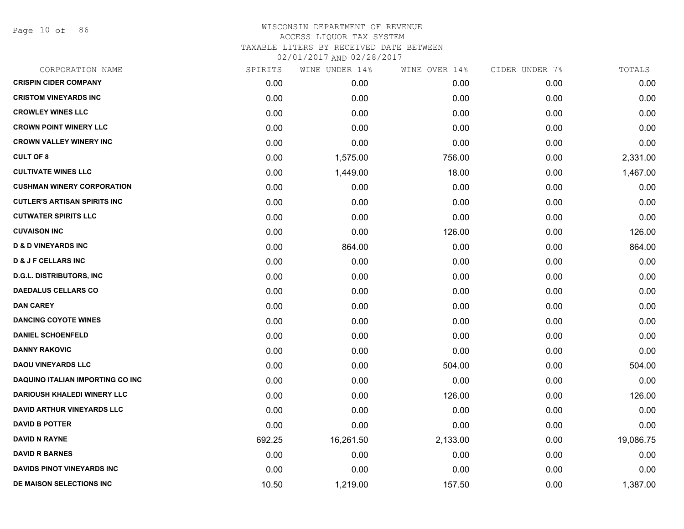Page 10 of 86

| CORPORATION NAME                        | SPIRITS | WINE UNDER 14% | WINE OVER 14% | CIDER UNDER 7% | TOTALS    |
|-----------------------------------------|---------|----------------|---------------|----------------|-----------|
| <b>CRISPIN CIDER COMPANY</b>            | 0.00    | 0.00           | 0.00          | 0.00           | 0.00      |
| <b>CRISTOM VINEYARDS INC</b>            | 0.00    | 0.00           | 0.00          | 0.00           | 0.00      |
| <b>CROWLEY WINES LLC</b>                | 0.00    | 0.00           | 0.00          | 0.00           | 0.00      |
| <b>CROWN POINT WINERY LLC</b>           | 0.00    | 0.00           | 0.00          | 0.00           | 0.00      |
| <b>CROWN VALLEY WINERY INC</b>          | 0.00    | 0.00           | 0.00          | 0.00           | 0.00      |
| <b>CULT OF 8</b>                        | 0.00    | 1,575.00       | 756.00        | 0.00           | 2,331.00  |
| <b>CULTIVATE WINES LLC</b>              | 0.00    | 1,449.00       | 18.00         | 0.00           | 1,467.00  |
| <b>CUSHMAN WINERY CORPORATION</b>       | 0.00    | 0.00           | 0.00          | 0.00           | 0.00      |
| <b>CUTLER'S ARTISAN SPIRITS INC</b>     | 0.00    | 0.00           | 0.00          | 0.00           | 0.00      |
| <b>CUTWATER SPIRITS LLC</b>             | 0.00    | 0.00           | 0.00          | 0.00           | 0.00      |
| <b>CUVAISON INC</b>                     | 0.00    | 0.00           | 126.00        | 0.00           | 126.00    |
| <b>D &amp; D VINEYARDS INC</b>          | 0.00    | 864.00         | 0.00          | 0.00           | 864.00    |
| <b>D &amp; J F CELLARS INC</b>          | 0.00    | 0.00           | 0.00          | 0.00           | 0.00      |
| <b>D.G.L. DISTRIBUTORS, INC</b>         | 0.00    | 0.00           | 0.00          | 0.00           | 0.00      |
| <b>DAEDALUS CELLARS CO</b>              | 0.00    | 0.00           | 0.00          | 0.00           | 0.00      |
| <b>DAN CAREY</b>                        | 0.00    | 0.00           | 0.00          | 0.00           | 0.00      |
| <b>DANCING COYOTE WINES</b>             | 0.00    | 0.00           | 0.00          | 0.00           | 0.00      |
| <b>DANIEL SCHOENFELD</b>                | 0.00    | 0.00           | 0.00          | 0.00           | 0.00      |
| <b>DANNY RAKOVIC</b>                    | 0.00    | 0.00           | 0.00          | 0.00           | 0.00      |
| <b>DAOU VINEYARDS LLC</b>               | 0.00    | 0.00           | 504.00        | 0.00           | 504.00    |
| <b>DAQUINO ITALIAN IMPORTING CO INC</b> | 0.00    | 0.00           | 0.00          | 0.00           | 0.00      |
| <b>DARIOUSH KHALEDI WINERY LLC</b>      | 0.00    | 0.00           | 126.00        | 0.00           | 126.00    |
| <b>DAVID ARTHUR VINEYARDS LLC</b>       | 0.00    | 0.00           | 0.00          | 0.00           | 0.00      |
| <b>DAVID B POTTER</b>                   | 0.00    | 0.00           | 0.00          | 0.00           | 0.00      |
| <b>DAVID N RAYNE</b>                    | 692.25  | 16,261.50      | 2,133.00      | 0.00           | 19,086.75 |
| <b>DAVID R BARNES</b>                   | 0.00    | 0.00           | 0.00          | 0.00           | 0.00      |
| <b>DAVIDS PINOT VINEYARDS INC</b>       | 0.00    | 0.00           | 0.00          | 0.00           | 0.00      |
| DE MAISON SELECTIONS INC                | 10.50   | 1,219.00       | 157.50        | 0.00           | 1,387.00  |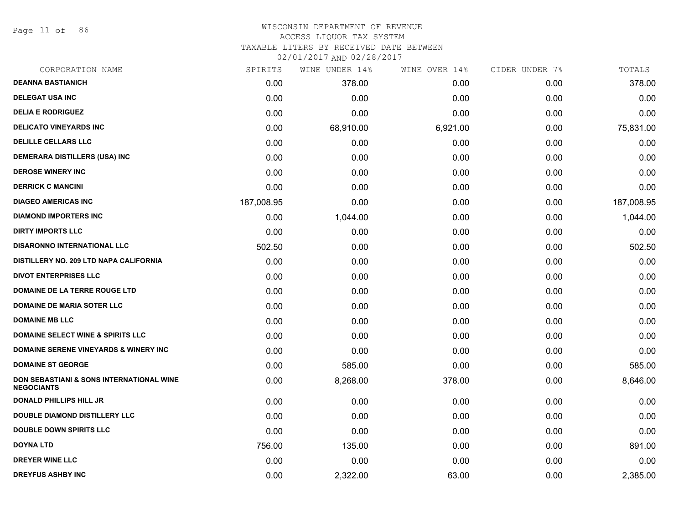Page 11 of 86

#### WISCONSIN DEPARTMENT OF REVENUE ACCESS LIQUOR TAX SYSTEM

TAXABLE LITERS BY RECEIVED DATE BETWEEN

| CORPORATION NAME                                                         | SPIRITS    | WINE UNDER 14% | WINE OVER 14% | CIDER UNDER 7% | TOTALS     |
|--------------------------------------------------------------------------|------------|----------------|---------------|----------------|------------|
| <b>DEANNA BASTIANICH</b>                                                 | 0.00       | 378.00         | 0.00          | 0.00           | 378.00     |
| <b>DELEGAT USA INC</b>                                                   | 0.00       | 0.00           | 0.00          | 0.00           | 0.00       |
| <b>DELIA E RODRIGUEZ</b>                                                 | 0.00       | 0.00           | 0.00          | 0.00           | 0.00       |
| <b>DELICATO VINEYARDS INC</b>                                            | 0.00       | 68,910.00      | 6,921.00      | 0.00           | 75,831.00  |
| <b>DELILLE CELLARS LLC</b>                                               | 0.00       | 0.00           | 0.00          | 0.00           | 0.00       |
| DEMERARA DISTILLERS (USA) INC                                            | 0.00       | 0.00           | 0.00          | 0.00           | 0.00       |
| <b>DEROSE WINERY INC</b>                                                 | 0.00       | 0.00           | 0.00          | 0.00           | 0.00       |
| <b>DERRICK C MANCINI</b>                                                 | 0.00       | 0.00           | 0.00          | 0.00           | 0.00       |
| <b>DIAGEO AMERICAS INC</b>                                               | 187,008.95 | 0.00           | 0.00          | 0.00           | 187,008.95 |
| <b>DIAMOND IMPORTERS INC</b>                                             | 0.00       | 1,044.00       | 0.00          | 0.00           | 1,044.00   |
| <b>DIRTY IMPORTS LLC</b>                                                 | 0.00       | 0.00           | 0.00          | 0.00           | 0.00       |
| <b>DISARONNO INTERNATIONAL LLC</b>                                       | 502.50     | 0.00           | 0.00          | 0.00           | 502.50     |
| DISTILLERY NO. 209 LTD NAPA CALIFORNIA                                   | 0.00       | 0.00           | 0.00          | 0.00           | 0.00       |
| <b>DIVOT ENTERPRISES LLC</b>                                             | 0.00       | 0.00           | 0.00          | 0.00           | 0.00       |
| DOMAINE DE LA TERRE ROUGE LTD                                            | 0.00       | 0.00           | 0.00          | 0.00           | 0.00       |
| <b>DOMAINE DE MARIA SOTER LLC</b>                                        | 0.00       | 0.00           | 0.00          | 0.00           | 0.00       |
| <b>DOMAINE MB LLC</b>                                                    | 0.00       | 0.00           | 0.00          | 0.00           | 0.00       |
| <b>DOMAINE SELECT WINE &amp; SPIRITS LLC</b>                             | 0.00       | 0.00           | 0.00          | 0.00           | 0.00       |
| DOMAINE SERENE VINEYARDS & WINERY INC                                    | 0.00       | 0.00           | 0.00          | 0.00           | 0.00       |
| <b>DOMAINE ST GEORGE</b>                                                 | 0.00       | 585.00         | 0.00          | 0.00           | 585.00     |
| <b>DON SEBASTIANI &amp; SONS INTERNATIONAL WINE</b><br><b>NEGOCIANTS</b> | 0.00       | 8,268.00       | 378.00        | 0.00           | 8,646.00   |
| <b>DONALD PHILLIPS HILL JR</b>                                           | 0.00       | 0.00           | 0.00          | 0.00           | 0.00       |
| <b>DOUBLE DIAMOND DISTILLERY LLC</b>                                     | 0.00       | 0.00           | 0.00          | 0.00           | 0.00       |
| <b>DOUBLE DOWN SPIRITS LLC</b>                                           | 0.00       | 0.00           | 0.00          | 0.00           | 0.00       |
| <b>DOYNA LTD</b>                                                         | 756.00     | 135.00         | 0.00          | 0.00           | 891.00     |
| <b>DREYER WINE LLC</b>                                                   | 0.00       | 0.00           | 0.00          | 0.00           | 0.00       |
| <b>DREYFUS ASHBY INC</b>                                                 | 0.00       | 2,322.00       | 63.00         | 0.00           | 2,385.00   |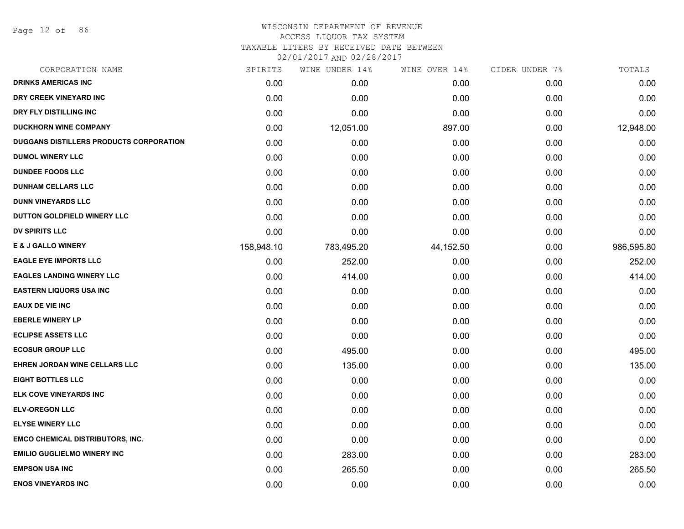Page 12 of 86

#### WISCONSIN DEPARTMENT OF REVENUE ACCESS LIQUOR TAX SYSTEM

TAXABLE LITERS BY RECEIVED DATE BETWEEN

| CORPORATION NAME                        | SPIRITS    | WINE UNDER 14% | WINE OVER 14% | CIDER UNDER 7% | TOTALS     |
|-----------------------------------------|------------|----------------|---------------|----------------|------------|
| <b>DRINKS AMERICAS INC</b>              | 0.00       | 0.00           | 0.00          | 0.00           | 0.00       |
| DRY CREEK VINEYARD INC                  | 0.00       | 0.00           | 0.00          | 0.00           | 0.00       |
| DRY FLY DISTILLING INC                  | 0.00       | 0.00           | 0.00          | 0.00           | 0.00       |
| <b>DUCKHORN WINE COMPANY</b>            | 0.00       | 12,051.00      | 897.00        | 0.00           | 12,948.00  |
| DUGGANS DISTILLERS PRODUCTS CORPORATION | 0.00       | 0.00           | 0.00          | 0.00           | 0.00       |
| <b>DUMOL WINERY LLC</b>                 | 0.00       | 0.00           | 0.00          | 0.00           | 0.00       |
| <b>DUNDEE FOODS LLC</b>                 | 0.00       | 0.00           | 0.00          | 0.00           | 0.00       |
| <b>DUNHAM CELLARS LLC</b>               | 0.00       | 0.00           | 0.00          | 0.00           | 0.00       |
| <b>DUNN VINEYARDS LLC</b>               | 0.00       | 0.00           | 0.00          | 0.00           | 0.00       |
| DUTTON GOLDFIELD WINERY LLC             | 0.00       | 0.00           | 0.00          | 0.00           | 0.00       |
| <b>DV SPIRITS LLC</b>                   | 0.00       | 0.00           | 0.00          | 0.00           | 0.00       |
| <b>E &amp; J GALLO WINERY</b>           | 158,948.10 | 783,495.20     | 44,152.50     | 0.00           | 986,595.80 |
| <b>EAGLE EYE IMPORTS LLC</b>            | 0.00       | 252.00         | 0.00          | 0.00           | 252.00     |
| <b>EAGLES LANDING WINERY LLC</b>        | 0.00       | 414.00         | 0.00          | 0.00           | 414.00     |
| <b>EASTERN LIQUORS USA INC</b>          | 0.00       | 0.00           | 0.00          | 0.00           | 0.00       |
| <b>EAUX DE VIE INC</b>                  | 0.00       | 0.00           | 0.00          | 0.00           | 0.00       |
| <b>EBERLE WINERY LP</b>                 | 0.00       | 0.00           | 0.00          | 0.00           | 0.00       |
| <b>ECLIPSE ASSETS LLC</b>               | 0.00       | 0.00           | 0.00          | 0.00           | 0.00       |
| <b>ECOSUR GROUP LLC</b>                 | 0.00       | 495.00         | 0.00          | 0.00           | 495.00     |
| <b>EHREN JORDAN WINE CELLARS LLC</b>    | 0.00       | 135.00         | 0.00          | 0.00           | 135.00     |
| <b>EIGHT BOTTLES LLC</b>                | 0.00       | 0.00           | 0.00          | 0.00           | 0.00       |
| ELK COVE VINEYARDS INC                  | 0.00       | 0.00           | 0.00          | 0.00           | 0.00       |
| <b>ELV-OREGON LLC</b>                   | 0.00       | 0.00           | 0.00          | 0.00           | 0.00       |
| <b>ELYSE WINERY LLC</b>                 | 0.00       | 0.00           | 0.00          | 0.00           | 0.00       |
| <b>EMCO CHEMICAL DISTRIBUTORS, INC.</b> | 0.00       | 0.00           | 0.00          | 0.00           | 0.00       |
| <b>EMILIO GUGLIELMO WINERY INC</b>      | 0.00       | 283.00         | 0.00          | 0.00           | 283.00     |
| <b>EMPSON USA INC</b>                   | 0.00       | 265.50         | 0.00          | 0.00           | 265.50     |
| <b>ENOS VINEYARDS INC</b>               | 0.00       | 0.00           | 0.00          | 0.00           | 0.00       |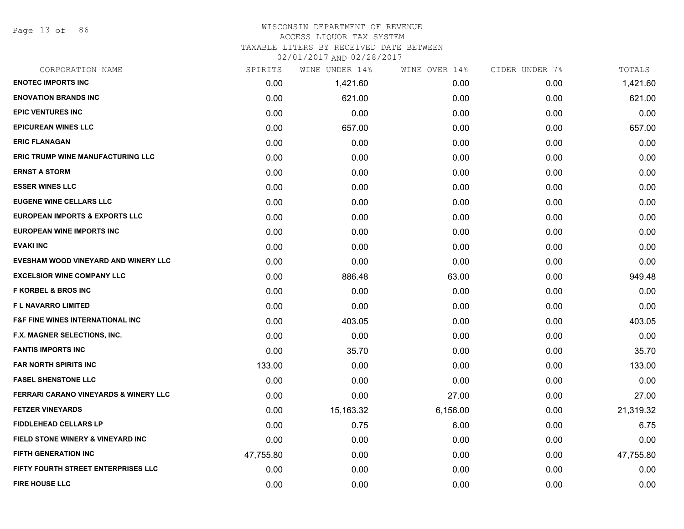Page 13 of 86

#### WISCONSIN DEPARTMENT OF REVENUE ACCESS LIQUOR TAX SYSTEM

TAXABLE LITERS BY RECEIVED DATE BETWEEN

| CORPORATION NAME                                 | SPIRITS   | WINE UNDER 14% | WINE OVER 14% | CIDER UNDER 7% | TOTALS    |
|--------------------------------------------------|-----------|----------------|---------------|----------------|-----------|
| <b>ENOTEC IMPORTS INC</b>                        | 0.00      | 1,421.60       | 0.00          | 0.00           | 1,421.60  |
| <b>ENOVATION BRANDS INC</b>                      | 0.00      | 621.00         | 0.00          | 0.00           | 621.00    |
| <b>EPIC VENTURES INC</b>                         | 0.00      | 0.00           | 0.00          | 0.00           | 0.00      |
| <b>EPICUREAN WINES LLC</b>                       | 0.00      | 657.00         | 0.00          | 0.00           | 657.00    |
| <b>ERIC FLANAGAN</b>                             | 0.00      | 0.00           | 0.00          | 0.00           | 0.00      |
| <b>ERIC TRUMP WINE MANUFACTURING LLC</b>         | 0.00      | 0.00           | 0.00          | 0.00           | 0.00      |
| <b>ERNST A STORM</b>                             | 0.00      | 0.00           | 0.00          | 0.00           | 0.00      |
| <b>ESSER WINES LLC</b>                           | 0.00      | 0.00           | 0.00          | 0.00           | 0.00      |
| <b>EUGENE WINE CELLARS LLC</b>                   | 0.00      | 0.00           | 0.00          | 0.00           | 0.00      |
| <b>EUROPEAN IMPORTS &amp; EXPORTS LLC</b>        | 0.00      | 0.00           | 0.00          | 0.00           | 0.00      |
| EUROPEAN WINE IMPORTS INC                        | 0.00      | 0.00           | 0.00          | 0.00           | 0.00      |
| <b>EVAKI INC</b>                                 | 0.00      | 0.00           | 0.00          | 0.00           | 0.00      |
| EVESHAM WOOD VINEYARD AND WINERY LLC             | 0.00      | 0.00           | 0.00          | 0.00           | 0.00      |
| <b>EXCELSIOR WINE COMPANY LLC</b>                | 0.00      | 886.48         | 63.00         | 0.00           | 949.48    |
| <b>F KORBEL &amp; BROS INC</b>                   | 0.00      | 0.00           | 0.00          | 0.00           | 0.00      |
| <b>FL NAVARRO LIMITED</b>                        | 0.00      | 0.00           | 0.00          | 0.00           | 0.00      |
| <b>F&amp;F FINE WINES INTERNATIONAL INC</b>      | 0.00      | 403.05         | 0.00          | 0.00           | 403.05    |
| F.X. MAGNER SELECTIONS, INC.                     | 0.00      | 0.00           | 0.00          | 0.00           | 0.00      |
| <b>FANTIS IMPORTS INC</b>                        | 0.00      | 35.70          | 0.00          | 0.00           | 35.70     |
| <b>FAR NORTH SPIRITS INC</b>                     | 133.00    | 0.00           | 0.00          | 0.00           | 133.00    |
| <b>FASEL SHENSTONE LLC</b>                       | 0.00      | 0.00           | 0.00          | 0.00           | 0.00      |
| <b>FERRARI CARANO VINEYARDS &amp; WINERY LLC</b> | 0.00      | 0.00           | 27.00         | 0.00           | 27.00     |
| <b>FETZER VINEYARDS</b>                          | 0.00      | 15,163.32      | 6,156.00      | 0.00           | 21,319.32 |
| <b>FIDDLEHEAD CELLARS LP</b>                     | 0.00      | 0.75           | 6.00          | 0.00           | 6.75      |
| FIELD STONE WINERY & VINEYARD INC                | 0.00      | 0.00           | 0.00          | 0.00           | 0.00      |
| <b>FIFTH GENERATION INC</b>                      | 47,755.80 | 0.00           | 0.00          | 0.00           | 47,755.80 |
| FIFTY FOURTH STREET ENTERPRISES LLC              | 0.00      | 0.00           | 0.00          | 0.00           | 0.00      |
| <b>FIRE HOUSE LLC</b>                            | 0.00      | 0.00           | 0.00          | 0.00           | 0.00      |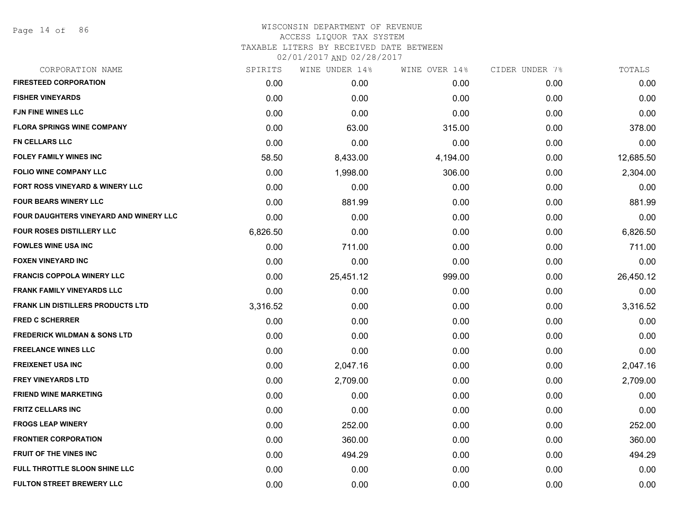Page 14 of 86

| CORPORATION NAME                         | SPIRITS  | WINE UNDER 14% | WINE OVER 14% | CIDER UNDER 7% | TOTALS    |
|------------------------------------------|----------|----------------|---------------|----------------|-----------|
| <b>FIRESTEED CORPORATION</b>             | 0.00     | 0.00           | 0.00          | 0.00           | 0.00      |
| <b>FISHER VINEYARDS</b>                  | 0.00     | 0.00           | 0.00          | 0.00           | 0.00      |
| <b>FJN FINE WINES LLC</b>                | 0.00     | 0.00           | 0.00          | 0.00           | 0.00      |
| <b>FLORA SPRINGS WINE COMPANY</b>        | 0.00     | 63.00          | 315.00        | 0.00           | 378.00    |
| <b>FN CELLARS LLC</b>                    | 0.00     | 0.00           | 0.00          | 0.00           | 0.00      |
| <b>FOLEY FAMILY WINES INC</b>            | 58.50    | 8,433.00       | 4,194.00      | 0.00           | 12,685.50 |
| <b>FOLIO WINE COMPANY LLC</b>            | 0.00     | 1,998.00       | 306.00        | 0.00           | 2,304.00  |
| FORT ROSS VINEYARD & WINERY LLC          | 0.00     | 0.00           | 0.00          | 0.00           | 0.00      |
| <b>FOUR BEARS WINERY LLC</b>             | 0.00     | 881.99         | 0.00          | 0.00           | 881.99    |
| FOUR DAUGHTERS VINEYARD AND WINERY LLC   | 0.00     | 0.00           | 0.00          | 0.00           | 0.00      |
| <b>FOUR ROSES DISTILLERY LLC</b>         | 6,826.50 | 0.00           | 0.00          | 0.00           | 6,826.50  |
| <b>FOWLES WINE USA INC</b>               | 0.00     | 711.00         | 0.00          | 0.00           | 711.00    |
| <b>FOXEN VINEYARD INC</b>                | 0.00     | 0.00           | 0.00          | 0.00           | 0.00      |
| <b>FRANCIS COPPOLA WINERY LLC</b>        | 0.00     | 25,451.12      | 999.00        | 0.00           | 26,450.12 |
| <b>FRANK FAMILY VINEYARDS LLC</b>        | 0.00     | 0.00           | 0.00          | 0.00           | 0.00      |
| <b>FRANK LIN DISTILLERS PRODUCTS LTD</b> | 3,316.52 | 0.00           | 0.00          | 0.00           | 3,316.52  |
| <b>FRED C SCHERRER</b>                   | 0.00     | 0.00           | 0.00          | 0.00           | 0.00      |
| <b>FREDERICK WILDMAN &amp; SONS LTD</b>  | 0.00     | 0.00           | 0.00          | 0.00           | 0.00      |
| <b>FREELANCE WINES LLC</b>               | 0.00     | 0.00           | 0.00          | 0.00           | 0.00      |
| <b>FREIXENET USA INC</b>                 | 0.00     | 2,047.16       | 0.00          | 0.00           | 2,047.16  |
| <b>FREY VINEYARDS LTD</b>                | 0.00     | 2,709.00       | 0.00          | 0.00           | 2,709.00  |
| <b>FRIEND WINE MARKETING</b>             | 0.00     | 0.00           | 0.00          | 0.00           | 0.00      |
| <b>FRITZ CELLARS INC</b>                 | 0.00     | 0.00           | 0.00          | 0.00           | 0.00      |
| <b>FROGS LEAP WINERY</b>                 | 0.00     | 252.00         | 0.00          | 0.00           | 252.00    |
| <b>FRONTIER CORPORATION</b>              | 0.00     | 360.00         | 0.00          | 0.00           | 360.00    |
| <b>FRUIT OF THE VINES INC</b>            | 0.00     | 494.29         | 0.00          | 0.00           | 494.29    |
| FULL THROTTLE SLOON SHINE LLC            | 0.00     | 0.00           | 0.00          | 0.00           | 0.00      |
| <b>FULTON STREET BREWERY LLC</b>         | 0.00     | 0.00           | 0.00          | 0.00           | 0.00      |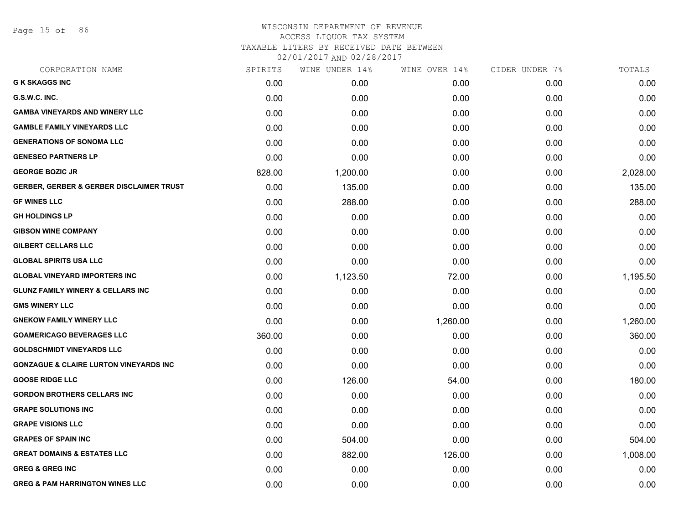Page 15 of 86

## WISCONSIN DEPARTMENT OF REVENUE ACCESS LIQUOR TAX SYSTEM TAXABLE LITERS BY RECEIVED DATE BETWEEN

| CORPORATION NAME                                    | SPIRITS | WINE UNDER 14% | WINE OVER 14% | CIDER UNDER 7% | TOTALS   |
|-----------------------------------------------------|---------|----------------|---------------|----------------|----------|
| <b>G K SKAGGS INC</b>                               | 0.00    | 0.00           | 0.00          | 0.00           | 0.00     |
| G.S.W.C. INC.                                       | 0.00    | 0.00           | 0.00          | 0.00           | 0.00     |
| <b>GAMBA VINEYARDS AND WINERY LLC</b>               | 0.00    | 0.00           | 0.00          | 0.00           | 0.00     |
| <b>GAMBLE FAMILY VINEYARDS LLC</b>                  | 0.00    | 0.00           | 0.00          | 0.00           | 0.00     |
| <b>GENERATIONS OF SONOMA LLC</b>                    | 0.00    | 0.00           | 0.00          | 0.00           | 0.00     |
| <b>GENESEO PARTNERS LP</b>                          | 0.00    | 0.00           | 0.00          | 0.00           | 0.00     |
| <b>GEORGE BOZIC JR</b>                              | 828.00  | 1,200.00       | 0.00          | 0.00           | 2,028.00 |
| <b>GERBER, GERBER &amp; GERBER DISCLAIMER TRUST</b> | 0.00    | 135.00         | 0.00          | 0.00           | 135.00   |
| <b>GF WINES LLC</b>                                 | 0.00    | 288.00         | 0.00          | 0.00           | 288.00   |
| <b>GH HOLDINGS LP</b>                               | 0.00    | 0.00           | 0.00          | 0.00           | 0.00     |
| <b>GIBSON WINE COMPANY</b>                          | 0.00    | 0.00           | 0.00          | 0.00           | 0.00     |
| <b>GILBERT CELLARS LLC</b>                          | 0.00    | 0.00           | 0.00          | 0.00           | 0.00     |
| <b>GLOBAL SPIRITS USA LLC</b>                       | 0.00    | 0.00           | 0.00          | 0.00           | 0.00     |
| <b>GLOBAL VINEYARD IMPORTERS INC</b>                | 0.00    | 1,123.50       | 72.00         | 0.00           | 1,195.50 |
| <b>GLUNZ FAMILY WINERY &amp; CELLARS INC</b>        | 0.00    | 0.00           | 0.00          | 0.00           | 0.00     |
| <b>GMS WINERY LLC</b>                               | 0.00    | 0.00           | 0.00          | 0.00           | 0.00     |
| <b>GNEKOW FAMILY WINERY LLC</b>                     | 0.00    | 0.00           | 1,260.00      | 0.00           | 1,260.00 |
| <b>GOAMERICAGO BEVERAGES LLC</b>                    | 360.00  | 0.00           | 0.00          | 0.00           | 360.00   |
| <b>GOLDSCHMIDT VINEYARDS LLC</b>                    | 0.00    | 0.00           | 0.00          | 0.00           | 0.00     |
| <b>GONZAGUE &amp; CLAIRE LURTON VINEYARDS INC</b>   | 0.00    | 0.00           | 0.00          | 0.00           | 0.00     |
| <b>GOOSE RIDGE LLC</b>                              | 0.00    | 126.00         | 54.00         | 0.00           | 180.00   |
| <b>GORDON BROTHERS CELLARS INC</b>                  | 0.00    | 0.00           | 0.00          | 0.00           | 0.00     |
| <b>GRAPE SOLUTIONS INC</b>                          | 0.00    | 0.00           | 0.00          | 0.00           | 0.00     |
| <b>GRAPE VISIONS LLC</b>                            | 0.00    | 0.00           | 0.00          | 0.00           | 0.00     |
| <b>GRAPES OF SPAIN INC</b>                          | 0.00    | 504.00         | 0.00          | 0.00           | 504.00   |
| <b>GREAT DOMAINS &amp; ESTATES LLC</b>              | 0.00    | 882.00         | 126.00        | 0.00           | 1,008.00 |
| <b>GREG &amp; GREG INC</b>                          | 0.00    | 0.00           | 0.00          | 0.00           | 0.00     |
| <b>GREG &amp; PAM HARRINGTON WINES LLC</b>          | 0.00    | 0.00           | 0.00          | 0.00           | 0.00     |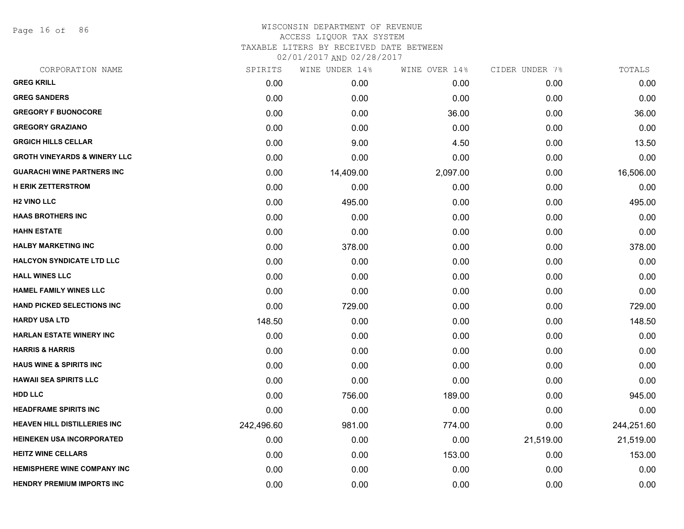Page 16 of 86

| CORPORATION NAME                        | SPIRITS    | WINE UNDER 14% | WINE OVER 14% | CIDER UNDER 7% | TOTALS     |
|-----------------------------------------|------------|----------------|---------------|----------------|------------|
| <b>GREG KRILL</b>                       | 0.00       | 0.00           | 0.00          | 0.00           | 0.00       |
| <b>GREG SANDERS</b>                     | 0.00       | 0.00           | 0.00          | 0.00           | 0.00       |
| <b>GREGORY F BUONOCORE</b>              | 0.00       | 0.00           | 36.00         | 0.00           | 36.00      |
| <b>GREGORY GRAZIANO</b>                 | 0.00       | 0.00           | 0.00          | 0.00           | 0.00       |
| <b>GRGICH HILLS CELLAR</b>              | 0.00       | 9.00           | 4.50          | 0.00           | 13.50      |
| <b>GROTH VINEYARDS &amp; WINERY LLC</b> | 0.00       | 0.00           | 0.00          | 0.00           | 0.00       |
| <b>GUARACHI WINE PARTNERS INC</b>       | 0.00       | 14,409.00      | 2,097.00      | 0.00           | 16,506.00  |
| <b>H ERIK ZETTERSTROM</b>               | 0.00       | 0.00           | 0.00          | 0.00           | 0.00       |
| <b>H2 VINO LLC</b>                      | 0.00       | 495.00         | 0.00          | 0.00           | 495.00     |
| <b>HAAS BROTHERS INC</b>                | 0.00       | 0.00           | 0.00          | 0.00           | 0.00       |
| <b>HAHN ESTATE</b>                      | 0.00       | 0.00           | 0.00          | 0.00           | 0.00       |
| <b>HALBY MARKETING INC</b>              | 0.00       | 378.00         | 0.00          | 0.00           | 378.00     |
| <b>HALCYON SYNDICATE LTD LLC</b>        | 0.00       | 0.00           | 0.00          | 0.00           | 0.00       |
| <b>HALL WINES LLC</b>                   | 0.00       | 0.00           | 0.00          | 0.00           | 0.00       |
| <b>HAMEL FAMILY WINES LLC</b>           | 0.00       | 0.00           | 0.00          | 0.00           | 0.00       |
| <b>HAND PICKED SELECTIONS INC</b>       | 0.00       | 729.00         | 0.00          | 0.00           | 729.00     |
| <b>HARDY USA LTD</b>                    | 148.50     | 0.00           | 0.00          | 0.00           | 148.50     |
| <b>HARLAN ESTATE WINERY INC</b>         | 0.00       | 0.00           | 0.00          | 0.00           | 0.00       |
| <b>HARRIS &amp; HARRIS</b>              | 0.00       | 0.00           | 0.00          | 0.00           | 0.00       |
| <b>HAUS WINE &amp; SPIRITS INC</b>      | 0.00       | 0.00           | 0.00          | 0.00           | 0.00       |
| <b>HAWAII SEA SPIRITS LLC</b>           | 0.00       | 0.00           | 0.00          | 0.00           | 0.00       |
| <b>HDD LLC</b>                          | 0.00       | 756.00         | 189.00        | 0.00           | 945.00     |
| <b>HEADFRAME SPIRITS INC</b>            | 0.00       | 0.00           | 0.00          | 0.00           | 0.00       |
| <b>HEAVEN HILL DISTILLERIES INC</b>     | 242,496.60 | 981.00         | 774.00        | 0.00           | 244,251.60 |
| <b>HEINEKEN USA INCORPORATED</b>        | 0.00       | 0.00           | 0.00          | 21,519.00      | 21,519.00  |
| <b>HEITZ WINE CELLARS</b>               | 0.00       | 0.00           | 153.00        | 0.00           | 153.00     |
| <b>HEMISPHERE WINE COMPANY INC</b>      | 0.00       | 0.00           | 0.00          | 0.00           | 0.00       |
| <b>HENDRY PREMIUM IMPORTS INC</b>       | 0.00       | 0.00           | 0.00          | 0.00           | 0.00       |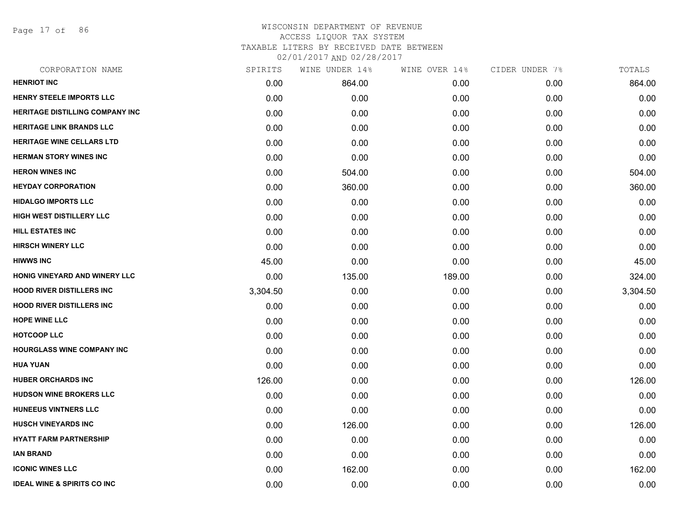Page 17 of 86

## WISCONSIN DEPARTMENT OF REVENUE ACCESS LIQUOR TAX SYSTEM TAXABLE LITERS BY RECEIVED DATE BETWEEN

| CORPORATION NAME                       | SPIRITS  | WINE UNDER 14% | WINE OVER 14% | CIDER UNDER 7% | TOTALS   |
|----------------------------------------|----------|----------------|---------------|----------------|----------|
| <b>HENRIOT INC</b>                     | 0.00     | 864.00         | 0.00          | 0.00           | 864.00   |
| HENRY STEELE IMPORTS LLC               | 0.00     | 0.00           | 0.00          | 0.00           | 0.00     |
| <b>HERITAGE DISTILLING COMPANY INC</b> | 0.00     | 0.00           | 0.00          | 0.00           | 0.00     |
| <b>HERITAGE LINK BRANDS LLC</b>        | 0.00     | 0.00           | 0.00          | 0.00           | 0.00     |
| HERITAGE WINE CELLARS LTD              | 0.00     | 0.00           | 0.00          | 0.00           | 0.00     |
| <b>HERMAN STORY WINES INC</b>          | 0.00     | 0.00           | 0.00          | 0.00           | 0.00     |
| <b>HERON WINES INC</b>                 | 0.00     | 504.00         | 0.00          | 0.00           | 504.00   |
| <b>HEYDAY CORPORATION</b>              | 0.00     | 360.00         | 0.00          | 0.00           | 360.00   |
| <b>HIDALGO IMPORTS LLC</b>             | 0.00     | 0.00           | 0.00          | 0.00           | 0.00     |
| HIGH WEST DISTILLERY LLC               | 0.00     | 0.00           | 0.00          | 0.00           | 0.00     |
| <b>HILL ESTATES INC</b>                | 0.00     | 0.00           | 0.00          | 0.00           | 0.00     |
| <b>HIRSCH WINERY LLC</b>               | 0.00     | 0.00           | 0.00          | 0.00           | 0.00     |
| <b>HIWWS INC</b>                       | 45.00    | 0.00           | 0.00          | 0.00           | 45.00    |
| HONIG VINEYARD AND WINERY LLC          | 0.00     | 135.00         | 189.00        | 0.00           | 324.00   |
| <b>HOOD RIVER DISTILLERS INC</b>       | 3,304.50 | 0.00           | 0.00          | 0.00           | 3,304.50 |
| <b>HOOD RIVER DISTILLERS INC</b>       | 0.00     | 0.00           | 0.00          | 0.00           | 0.00     |
| <b>HOPE WINE LLC</b>                   | 0.00     | 0.00           | 0.00          | 0.00           | 0.00     |
| <b>HOTCOOP LLC</b>                     | 0.00     | 0.00           | 0.00          | 0.00           | 0.00     |
| <b>HOURGLASS WINE COMPANY INC</b>      | 0.00     | 0.00           | 0.00          | 0.00           | 0.00     |
| <b>HUA YUAN</b>                        | 0.00     | 0.00           | 0.00          | 0.00           | 0.00     |
| <b>HUBER ORCHARDS INC</b>              | 126.00   | 0.00           | 0.00          | 0.00           | 126.00   |
| <b>HUDSON WINE BROKERS LLC</b>         | 0.00     | 0.00           | 0.00          | 0.00           | 0.00     |
| HUNEEUS VINTNERS LLC                   | 0.00     | 0.00           | 0.00          | 0.00           | 0.00     |
| <b>HUSCH VINEYARDS INC</b>             | 0.00     | 126.00         | 0.00          | 0.00           | 126.00   |
| <b>HYATT FARM PARTNERSHIP</b>          | 0.00     | 0.00           | 0.00          | 0.00           | 0.00     |
| <b>IAN BRAND</b>                       | 0.00     | 0.00           | 0.00          | 0.00           | 0.00     |
| <b>ICONIC WINES LLC</b>                | 0.00     | 162.00         | 0.00          | 0.00           | 162.00   |
| <b>IDEAL WINE &amp; SPIRITS CO INC</b> | 0.00     | 0.00           | 0.00          | 0.00           | 0.00     |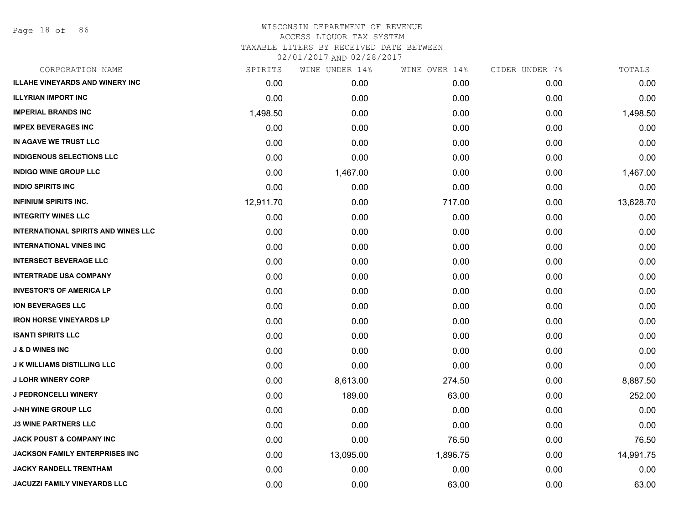Page 18 of 86

| CORPORATION NAME                           | SPIRITS   | WINE UNDER 14% | WINE OVER 14% | CIDER UNDER 7% | TOTALS    |
|--------------------------------------------|-----------|----------------|---------------|----------------|-----------|
| <b>ILLAHE VINEYARDS AND WINERY INC</b>     | 0.00      | 0.00           | 0.00          | 0.00           | 0.00      |
| <b>ILLYRIAN IMPORT INC</b>                 | 0.00      | 0.00           | 0.00          | 0.00           | 0.00      |
| <b>IMPERIAL BRANDS INC</b>                 | 1,498.50  | 0.00           | 0.00          | 0.00           | 1,498.50  |
| <b>IMPEX BEVERAGES INC</b>                 | 0.00      | 0.00           | 0.00          | 0.00           | 0.00      |
| IN AGAVE WE TRUST LLC                      | 0.00      | 0.00           | 0.00          | 0.00           | 0.00      |
| <b>INDIGENOUS SELECTIONS LLC</b>           | 0.00      | 0.00           | 0.00          | 0.00           | 0.00      |
| <b>INDIGO WINE GROUP LLC</b>               | 0.00      | 1,467.00       | 0.00          | 0.00           | 1,467.00  |
| <b>INDIO SPIRITS INC</b>                   | 0.00      | 0.00           | 0.00          | 0.00           | 0.00      |
| <b>INFINIUM SPIRITS INC.</b>               | 12,911.70 | 0.00           | 717.00        | 0.00           | 13,628.70 |
| <b>INTEGRITY WINES LLC</b>                 | 0.00      | 0.00           | 0.00          | 0.00           | 0.00      |
| <b>INTERNATIONAL SPIRITS AND WINES LLC</b> | 0.00      | 0.00           | 0.00          | 0.00           | 0.00      |
| <b>INTERNATIONAL VINES INC</b>             | 0.00      | 0.00           | 0.00          | 0.00           | 0.00      |
| <b>INTERSECT BEVERAGE LLC</b>              | 0.00      | 0.00           | 0.00          | 0.00           | 0.00      |
| <b>INTERTRADE USA COMPANY</b>              | 0.00      | 0.00           | 0.00          | 0.00           | 0.00      |
| <b>INVESTOR'S OF AMERICA LP</b>            | 0.00      | 0.00           | 0.00          | 0.00           | 0.00      |
| <b>ION BEVERAGES LLC</b>                   | 0.00      | 0.00           | 0.00          | 0.00           | 0.00      |
| <b>IRON HORSE VINEYARDS LP</b>             | 0.00      | 0.00           | 0.00          | 0.00           | 0.00      |
| <b>ISANTI SPIRITS LLC</b>                  | 0.00      | 0.00           | 0.00          | 0.00           | 0.00      |
| <b>J &amp; D WINES INC</b>                 | 0.00      | 0.00           | 0.00          | 0.00           | 0.00      |
| <b>J K WILLIAMS DISTILLING LLC</b>         | 0.00      | 0.00           | 0.00          | 0.00           | 0.00      |
| <b>J LOHR WINERY CORP</b>                  | 0.00      | 8,613.00       | 274.50        | 0.00           | 8,887.50  |
| <b>J PEDRONCELLI WINERY</b>                | 0.00      | 189.00         | 63.00         | 0.00           | 252.00    |
| <b>J-NH WINE GROUP LLC</b>                 | 0.00      | 0.00           | 0.00          | 0.00           | 0.00      |
| <b>J3 WINE PARTNERS LLC</b>                | 0.00      | 0.00           | 0.00          | 0.00           | 0.00      |
| <b>JACK POUST &amp; COMPANY INC</b>        | 0.00      | 0.00           | 76.50         | 0.00           | 76.50     |
| <b>JACKSON FAMILY ENTERPRISES INC</b>      | 0.00      | 13,095.00      | 1,896.75      | 0.00           | 14,991.75 |
| <b>JACKY RANDELL TRENTHAM</b>              | 0.00      | 0.00           | 0.00          | 0.00           | 0.00      |
| <b>JACUZZI FAMILY VINEYARDS LLC</b>        | 0.00      | 0.00           | 63.00         | 0.00           | 63.00     |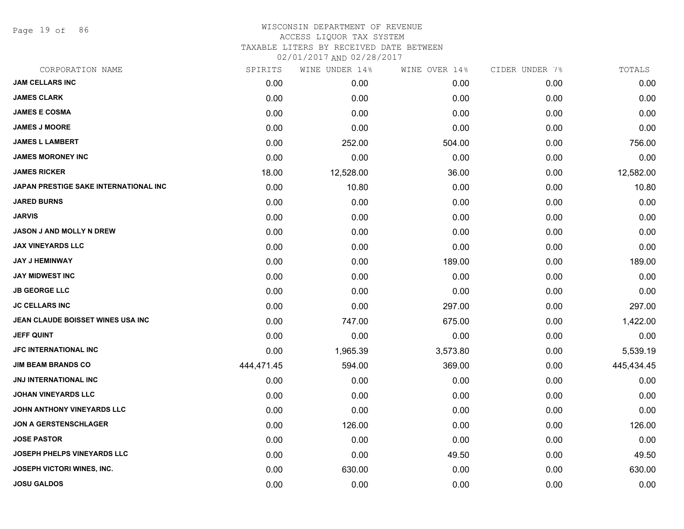Page 19 of 86

### WISCONSIN DEPARTMENT OF REVENUE ACCESS LIQUOR TAX SYSTEM TAXABLE LITERS BY RECEIVED DATE BETWEEN

| CORPORATION NAME                             | SPIRITS    | WINE UNDER 14% | WINE OVER 14% | CIDER UNDER 7% | TOTALS     |
|----------------------------------------------|------------|----------------|---------------|----------------|------------|
| <b>JAM CELLARS INC</b>                       | 0.00       | 0.00           | 0.00          | 0.00           | 0.00       |
| <b>JAMES CLARK</b>                           | 0.00       | 0.00           | 0.00          | 0.00           | 0.00       |
| <b>JAMES E COSMA</b>                         | 0.00       | 0.00           | 0.00          | 0.00           | 0.00       |
| <b>JAMES J MOORE</b>                         | 0.00       | 0.00           | 0.00          | 0.00           | 0.00       |
| <b>JAMES L LAMBERT</b>                       | 0.00       | 252.00         | 504.00        | 0.00           | 756.00     |
| <b>JAMES MORONEY INC</b>                     | 0.00       | 0.00           | 0.00          | 0.00           | 0.00       |
| <b>JAMES RICKER</b>                          | 18.00      | 12,528.00      | 36.00         | 0.00           | 12,582.00  |
| <b>JAPAN PRESTIGE SAKE INTERNATIONAL INC</b> | 0.00       | 10.80          | 0.00          | 0.00           | 10.80      |
| <b>JARED BURNS</b>                           | 0.00       | 0.00           | 0.00          | 0.00           | 0.00       |
| <b>JARVIS</b>                                | 0.00       | 0.00           | 0.00          | 0.00           | 0.00       |
| <b>JASON J AND MOLLY N DREW</b>              | 0.00       | 0.00           | 0.00          | 0.00           | 0.00       |
| <b>JAX VINEYARDS LLC</b>                     | 0.00       | 0.00           | 0.00          | 0.00           | 0.00       |
| <b>JAY J HEMINWAY</b>                        | 0.00       | 0.00           | 189.00        | 0.00           | 189.00     |
| <b>JAY MIDWEST INC</b>                       | 0.00       | 0.00           | 0.00          | 0.00           | 0.00       |
| <b>JB GEORGE LLC</b>                         | 0.00       | 0.00           | 0.00          | 0.00           | 0.00       |
| <b>JC CELLARS INC</b>                        | 0.00       | 0.00           | 297.00        | 0.00           | 297.00     |
| JEAN CLAUDE BOISSET WINES USA INC            | 0.00       | 747.00         | 675.00        | 0.00           | 1,422.00   |
| <b>JEFF QUINT</b>                            | 0.00       | 0.00           | 0.00          | 0.00           | 0.00       |
| <b>JFC INTERNATIONAL INC</b>                 | 0.00       | 1,965.39       | 3,573.80      | 0.00           | 5,539.19   |
| <b>JIM BEAM BRANDS CO</b>                    | 444,471.45 | 594.00         | 369.00        | 0.00           | 445,434.45 |
| <b>JNJ INTERNATIONAL INC</b>                 | 0.00       | 0.00           | 0.00          | 0.00           | 0.00       |
| <b>JOHAN VINEYARDS LLC</b>                   | 0.00       | 0.00           | 0.00          | 0.00           | 0.00       |
| JOHN ANTHONY VINEYARDS LLC                   | 0.00       | 0.00           | 0.00          | 0.00           | 0.00       |
| <b>JON A GERSTENSCHLAGER</b>                 | 0.00       | 126.00         | 0.00          | 0.00           | 126.00     |
| <b>JOSE PASTOR</b>                           | 0.00       | 0.00           | 0.00          | 0.00           | 0.00       |
| <b>JOSEPH PHELPS VINEYARDS LLC</b>           | 0.00       | 0.00           | 49.50         | 0.00           | 49.50      |
| JOSEPH VICTORI WINES, INC.                   | 0.00       | 630.00         | 0.00          | 0.00           | 630.00     |
| <b>JOSU GALDOS</b>                           | 0.00       | 0.00           | 0.00          | 0.00           | 0.00       |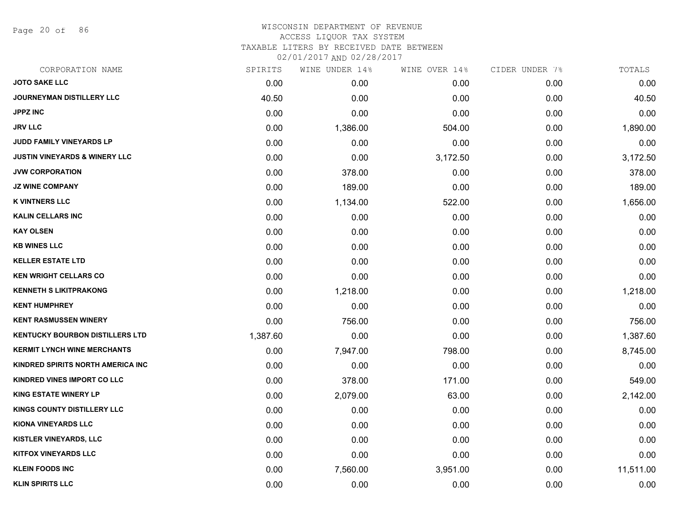Page 20 of 86

#### WISCONSIN DEPARTMENT OF REVENUE ACCESS LIQUOR TAX SYSTEM

TAXABLE LITERS BY RECEIVED DATE BETWEEN

| CORPORATION NAME                         | SPIRITS  | WINE UNDER 14% | WINE OVER 14% | CIDER UNDER 7% | TOTALS    |
|------------------------------------------|----------|----------------|---------------|----------------|-----------|
| <b>JOTO SAKE LLC</b>                     | 0.00     | 0.00           | 0.00          | 0.00           | 0.00      |
| <b>JOURNEYMAN DISTILLERY LLC</b>         | 40.50    | 0.00           | 0.00          | 0.00           | 40.50     |
| <b>JPPZ INC</b>                          | 0.00     | 0.00           | 0.00          | 0.00           | 0.00      |
| <b>JRV LLC</b>                           | 0.00     | 1,386.00       | 504.00        | 0.00           | 1,890.00  |
| JUDD FAMILY VINEYARDS LP                 | 0.00     | 0.00           | 0.00          | 0.00           | 0.00      |
| <b>JUSTIN VINEYARDS &amp; WINERY LLC</b> | 0.00     | 0.00           | 3,172.50      | 0.00           | 3,172.50  |
| <b>JVW CORPORATION</b>                   | 0.00     | 378.00         | 0.00          | 0.00           | 378.00    |
| <b>JZ WINE COMPANY</b>                   | 0.00     | 189.00         | 0.00          | 0.00           | 189.00    |
| <b>K VINTNERS LLC</b>                    | 0.00     | 1,134.00       | 522.00        | 0.00           | 1,656.00  |
| <b>KALIN CELLARS INC</b>                 | 0.00     | 0.00           | 0.00          | 0.00           | 0.00      |
| <b>KAY OLSEN</b>                         | 0.00     | 0.00           | 0.00          | 0.00           | 0.00      |
| <b>KB WINES LLC</b>                      | 0.00     | 0.00           | 0.00          | 0.00           | 0.00      |
| <b>KELLER ESTATE LTD</b>                 | 0.00     | 0.00           | 0.00          | 0.00           | 0.00      |
| <b>KEN WRIGHT CELLARS CO</b>             | 0.00     | 0.00           | 0.00          | 0.00           | 0.00      |
| <b>KENNETH S LIKITPRAKONG</b>            | 0.00     | 1,218.00       | 0.00          | 0.00           | 1,218.00  |
| <b>KENT HUMPHREY</b>                     | 0.00     | 0.00           | 0.00          | 0.00           | 0.00      |
| <b>KENT RASMUSSEN WINERY</b>             | 0.00     | 756.00         | 0.00          | 0.00           | 756.00    |
| <b>KENTUCKY BOURBON DISTILLERS LTD</b>   | 1,387.60 | 0.00           | 0.00          | 0.00           | 1,387.60  |
| <b>KERMIT LYNCH WINE MERCHANTS</b>       | 0.00     | 7,947.00       | 798.00        | 0.00           | 8,745.00  |
| KINDRED SPIRITS NORTH AMERICA INC        | 0.00     | 0.00           | 0.00          | 0.00           | 0.00      |
| KINDRED VINES IMPORT CO LLC              | 0.00     | 378.00         | 171.00        | 0.00           | 549.00    |
| <b>KING ESTATE WINERY LP</b>             | 0.00     | 2,079.00       | 63.00         | 0.00           | 2,142.00  |
| KINGS COUNTY DISTILLERY LLC              | 0.00     | 0.00           | 0.00          | 0.00           | 0.00      |
| <b>KIONA VINEYARDS LLC</b>               | 0.00     | 0.00           | 0.00          | 0.00           | 0.00      |
| KISTLER VINEYARDS, LLC                   | 0.00     | 0.00           | 0.00          | 0.00           | 0.00      |
| <b>KITFOX VINEYARDS LLC</b>              | 0.00     | 0.00           | 0.00          | 0.00           | 0.00      |
| <b>KLEIN FOODS INC</b>                   | 0.00     | 7,560.00       | 3,951.00      | 0.00           | 11,511.00 |
| <b>KLIN SPIRITS LLC</b>                  | 0.00     | 0.00           | 0.00          | 0.00           | 0.00      |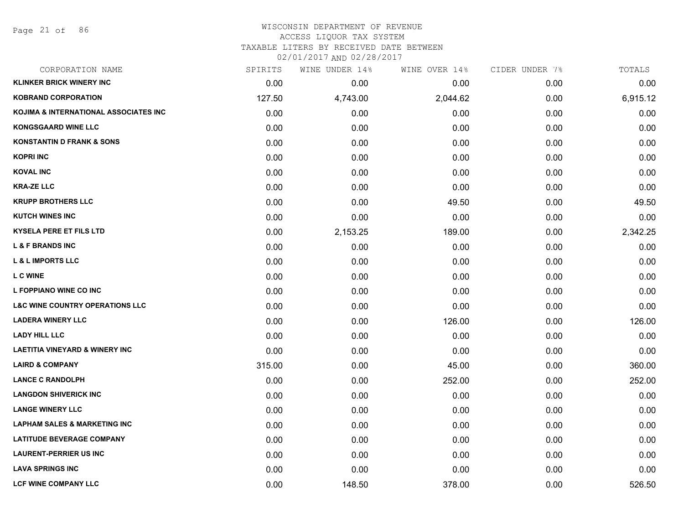Page 21 of 86

### WISCONSIN DEPARTMENT OF REVENUE ACCESS LIQUOR TAX SYSTEM TAXABLE LITERS BY RECEIVED DATE BETWEEN

| CORPORATION NAME                           | SPIRITS | WINE UNDER 14% | WINE OVER 14% | CIDER UNDER 7% | TOTALS   |
|--------------------------------------------|---------|----------------|---------------|----------------|----------|
| <b>KLINKER BRICK WINERY INC</b>            | 0.00    | 0.00           | 0.00          | 0.00           | 0.00     |
| <b>KOBRAND CORPORATION</b>                 | 127.50  | 4,743.00       | 2,044.62      | 0.00           | 6,915.12 |
| KOJIMA & INTERNATIONAL ASSOCIATES INC      | 0.00    | 0.00           | 0.00          | 0.00           | 0.00     |
| <b>KONGSGAARD WINE LLC</b>                 | 0.00    | 0.00           | 0.00          | 0.00           | 0.00     |
| <b>KONSTANTIN D FRANK &amp; SONS</b>       | 0.00    | 0.00           | 0.00          | 0.00           | 0.00     |
| <b>KOPRI INC</b>                           | 0.00    | 0.00           | 0.00          | 0.00           | 0.00     |
| <b>KOVAL INC</b>                           | 0.00    | 0.00           | 0.00          | 0.00           | 0.00     |
| <b>KRA-ZE LLC</b>                          | 0.00    | 0.00           | 0.00          | 0.00           | 0.00     |
| <b>KRUPP BROTHERS LLC</b>                  | 0.00    | 0.00           | 49.50         | 0.00           | 49.50    |
| <b>KUTCH WINES INC</b>                     | 0.00    | 0.00           | 0.00          | 0.00           | 0.00     |
| <b>KYSELA PERE ET FILS LTD</b>             | 0.00    | 2,153.25       | 189.00        | 0.00           | 2,342.25 |
| <b>L &amp; F BRANDS INC</b>                | 0.00    | 0.00           | 0.00          | 0.00           | 0.00     |
| <b>L &amp; L IMPORTS LLC</b>               | 0.00    | 0.00           | 0.00          | 0.00           | 0.00     |
| <b>L C WINE</b>                            | 0.00    | 0.00           | 0.00          | 0.00           | 0.00     |
| L FOPPIANO WINE CO INC                     | 0.00    | 0.00           | 0.00          | 0.00           | 0.00     |
| <b>L&amp;C WINE COUNTRY OPERATIONS LLC</b> | 0.00    | 0.00           | 0.00          | 0.00           | 0.00     |
| <b>LADERA WINERY LLC</b>                   | 0.00    | 0.00           | 126.00        | 0.00           | 126.00   |
| <b>LADY HILL LLC</b>                       | 0.00    | 0.00           | 0.00          | 0.00           | 0.00     |
| <b>LAETITIA VINEYARD &amp; WINERY INC</b>  | 0.00    | 0.00           | 0.00          | 0.00           | 0.00     |
| <b>LAIRD &amp; COMPANY</b>                 | 315.00  | 0.00           | 45.00         | 0.00           | 360.00   |
| <b>LANCE C RANDOLPH</b>                    | 0.00    | 0.00           | 252.00        | 0.00           | 252.00   |
| <b>LANGDON SHIVERICK INC</b>               | 0.00    | 0.00           | 0.00          | 0.00           | 0.00     |
| <b>LANGE WINERY LLC</b>                    | 0.00    | 0.00           | 0.00          | 0.00           | 0.00     |
| <b>LAPHAM SALES &amp; MARKETING INC</b>    | 0.00    | 0.00           | 0.00          | 0.00           | 0.00     |
| <b>LATITUDE BEVERAGE COMPANY</b>           | 0.00    | 0.00           | 0.00          | 0.00           | 0.00     |
| <b>LAURENT-PERRIER US INC</b>              | 0.00    | 0.00           | 0.00          | 0.00           | 0.00     |
| <b>LAVA SPRINGS INC</b>                    | 0.00    | 0.00           | 0.00          | 0.00           | 0.00     |
| <b>LCF WINE COMPANY LLC</b>                | 0.00    | 148.50         | 378.00        | 0.00           | 526.50   |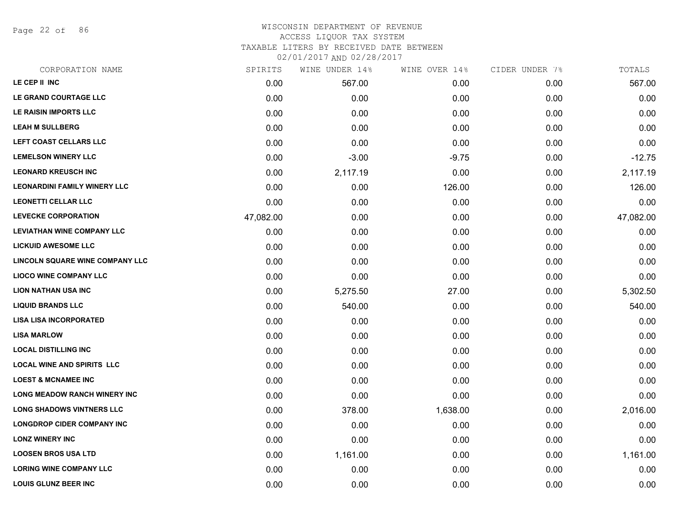Page 22 of 86

### WISCONSIN DEPARTMENT OF REVENUE ACCESS LIQUOR TAX SYSTEM TAXABLE LITERS BY RECEIVED DATE BETWEEN

| CORPORATION NAME                    | SPIRITS   | WINE UNDER 14% | WINE OVER 14% | CIDER UNDER 7% | TOTALS    |
|-------------------------------------|-----------|----------------|---------------|----------------|-----------|
| LE CEP II INC                       | 0.00      | 567.00         | 0.00          | 0.00           | 567.00    |
| LE GRAND COURTAGE LLC               | 0.00      | 0.00           | 0.00          | 0.00           | 0.00      |
| LE RAISIN IMPORTS LLC               | 0.00      | 0.00           | 0.00          | 0.00           | 0.00      |
| <b>LEAH M SULLBERG</b>              | 0.00      | 0.00           | 0.00          | 0.00           | 0.00      |
| LEFT COAST CELLARS LLC              | 0.00      | 0.00           | 0.00          | 0.00           | 0.00      |
| <b>LEMELSON WINERY LLC</b>          | 0.00      | $-3.00$        | $-9.75$       | 0.00           | $-12.75$  |
| <b>LEONARD KREUSCH INC</b>          | 0.00      | 2,117.19       | 0.00          | 0.00           | 2,117.19  |
| <b>LEONARDINI FAMILY WINERY LLC</b> | 0.00      | 0.00           | 126.00        | 0.00           | 126.00    |
| <b>LEONETTI CELLAR LLC</b>          | 0.00      | 0.00           | 0.00          | 0.00           | 0.00      |
| <b>LEVECKE CORPORATION</b>          | 47,082.00 | 0.00           | 0.00          | 0.00           | 47,082.00 |
| <b>LEVIATHAN WINE COMPANY LLC</b>   | 0.00      | 0.00           | 0.00          | 0.00           | 0.00      |
| <b>LICKUID AWESOME LLC</b>          | 0.00      | 0.00           | 0.00          | 0.00           | 0.00      |
| LINCOLN SQUARE WINE COMPANY LLC     | 0.00      | 0.00           | 0.00          | 0.00           | 0.00      |
| <b>LIOCO WINE COMPANY LLC</b>       | 0.00      | 0.00           | 0.00          | 0.00           | 0.00      |
| <b>LION NATHAN USA INC</b>          | 0.00      | 5,275.50       | 27.00         | 0.00           | 5,302.50  |
| <b>LIQUID BRANDS LLC</b>            | 0.00      | 540.00         | 0.00          | 0.00           | 540.00    |
| <b>LISA LISA INCORPORATED</b>       | 0.00      | 0.00           | 0.00          | 0.00           | 0.00      |
| <b>LISA MARLOW</b>                  | 0.00      | 0.00           | 0.00          | 0.00           | 0.00      |
| <b>LOCAL DISTILLING INC</b>         | 0.00      | 0.00           | 0.00          | 0.00           | 0.00      |
| <b>LOCAL WINE AND SPIRITS LLC</b>   | 0.00      | 0.00           | 0.00          | 0.00           | 0.00      |
| <b>LOEST &amp; MCNAMEE INC</b>      | 0.00      | 0.00           | 0.00          | 0.00           | 0.00      |
| <b>LONG MEADOW RANCH WINERY INC</b> | 0.00      | 0.00           | 0.00          | 0.00           | 0.00      |
| <b>LONG SHADOWS VINTNERS LLC</b>    | 0.00      | 378.00         | 1,638.00      | 0.00           | 2,016.00  |
| <b>LONGDROP CIDER COMPANY INC</b>   | 0.00      | 0.00           | 0.00          | 0.00           | 0.00      |
| <b>LONZ WINERY INC</b>              | 0.00      | 0.00           | 0.00          | 0.00           | 0.00      |
| <b>LOOSEN BROS USA LTD</b>          | 0.00      | 1,161.00       | 0.00          | 0.00           | 1,161.00  |
| <b>LORING WINE COMPANY LLC</b>      | 0.00      | 0.00           | 0.00          | 0.00           | 0.00      |
| <b>LOUIS GLUNZ BEER INC</b>         | 0.00      | 0.00           | 0.00          | 0.00           | 0.00      |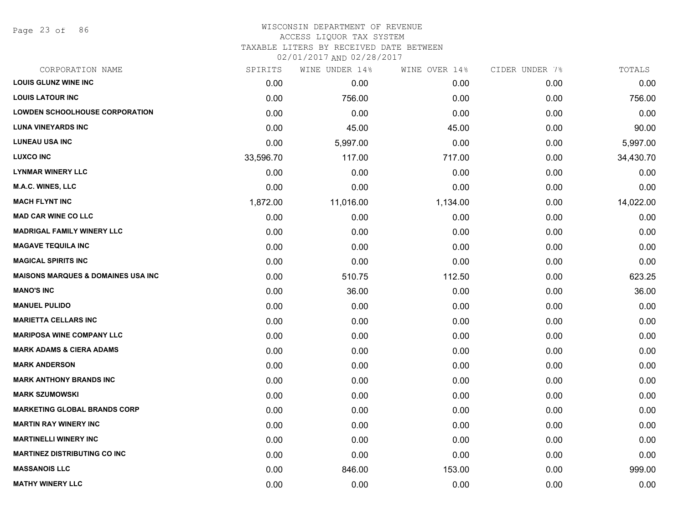Page 23 of 86

#### WISCONSIN DEPARTMENT OF REVENUE ACCESS LIQUOR TAX SYSTEM

TAXABLE LITERS BY RECEIVED DATE BETWEEN

| CORPORATION NAME                               | SPIRITS   | WINE UNDER 14% | WINE OVER 14% | CIDER UNDER 7% | TOTALS    |
|------------------------------------------------|-----------|----------------|---------------|----------------|-----------|
| <b>LOUIS GLUNZ WINE INC</b>                    | 0.00      | 0.00           | 0.00          | 0.00           | 0.00      |
| <b>LOUIS LATOUR INC</b>                        | 0.00      | 756.00         | 0.00          | 0.00           | 756.00    |
| <b>LOWDEN SCHOOLHOUSE CORPORATION</b>          | 0.00      | 0.00           | 0.00          | 0.00           | 0.00      |
| <b>LUNA VINEYARDS INC</b>                      | 0.00      | 45.00          | 45.00         | 0.00           | 90.00     |
| <b>LUNEAU USA INC</b>                          | 0.00      | 5,997.00       | 0.00          | 0.00           | 5,997.00  |
| <b>LUXCO INC</b>                               | 33,596.70 | 117.00         | 717.00        | 0.00           | 34,430.70 |
| <b>LYNMAR WINERY LLC</b>                       | 0.00      | 0.00           | 0.00          | 0.00           | 0.00      |
| <b>M.A.C. WINES, LLC</b>                       | 0.00      | 0.00           | 0.00          | 0.00           | 0.00      |
| <b>MACH FLYNT INC</b>                          | 1,872.00  | 11,016.00      | 1,134.00      | 0.00           | 14,022.00 |
| <b>MAD CAR WINE CO LLC</b>                     | 0.00      | 0.00           | 0.00          | 0.00           | 0.00      |
| <b>MADRIGAL FAMILY WINERY LLC</b>              | 0.00      | 0.00           | 0.00          | 0.00           | 0.00      |
| <b>MAGAVE TEQUILA INC</b>                      | 0.00      | 0.00           | 0.00          | 0.00           | 0.00      |
| <b>MAGICAL SPIRITS INC</b>                     | 0.00      | 0.00           | 0.00          | 0.00           | 0.00      |
| <b>MAISONS MARQUES &amp; DOMAINES USA INC.</b> | 0.00      | 510.75         | 112.50        | 0.00           | 623.25    |
| <b>MANO'S INC</b>                              | 0.00      | 36.00          | 0.00          | 0.00           | 36.00     |
| <b>MANUEL PULIDO</b>                           | 0.00      | 0.00           | 0.00          | 0.00           | 0.00      |
| <b>MARIETTA CELLARS INC</b>                    | 0.00      | 0.00           | 0.00          | 0.00           | 0.00      |
| <b>MARIPOSA WINE COMPANY LLC</b>               | 0.00      | 0.00           | 0.00          | 0.00           | 0.00      |
| <b>MARK ADAMS &amp; CIERA ADAMS</b>            | 0.00      | 0.00           | 0.00          | 0.00           | 0.00      |
| <b>MARK ANDERSON</b>                           | 0.00      | 0.00           | 0.00          | 0.00           | 0.00      |
| <b>MARK ANTHONY BRANDS INC</b>                 | 0.00      | 0.00           | 0.00          | 0.00           | 0.00      |
| <b>MARK SZUMOWSKI</b>                          | 0.00      | 0.00           | 0.00          | 0.00           | 0.00      |
| <b>MARKETING GLOBAL BRANDS CORP</b>            | 0.00      | 0.00           | 0.00          | 0.00           | 0.00      |
| <b>MARTIN RAY WINERY INC</b>                   | 0.00      | 0.00           | 0.00          | 0.00           | 0.00      |
| <b>MARTINELLI WINERY INC</b>                   | 0.00      | 0.00           | 0.00          | 0.00           | 0.00      |
| <b>MARTINEZ DISTRIBUTING CO INC</b>            | 0.00      | 0.00           | 0.00          | 0.00           | 0.00      |
| <b>MASSANOIS LLC</b>                           | 0.00      | 846.00         | 153.00        | 0.00           | 999.00    |
| <b>MATHY WINERY LLC</b>                        | 0.00      | 0.00           | 0.00          | 0.00           | 0.00      |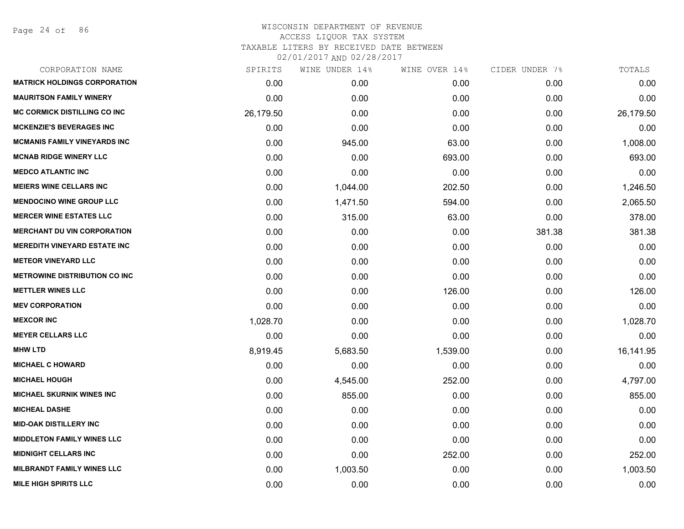Page 24 of 86

|           | WINE UNDER 14% | WINE OVER 14% | CIDER UNDER 7% | TOTALS    |
|-----------|----------------|---------------|----------------|-----------|
| 0.00      | 0.00           | 0.00          | 0.00           | 0.00      |
| 0.00      | 0.00           | 0.00          | 0.00           | 0.00      |
| 26,179.50 | 0.00           | 0.00          | 0.00           | 26,179.50 |
| 0.00      | 0.00           | 0.00          | 0.00           | 0.00      |
| 0.00      | 945.00         | 63.00         | 0.00           | 1,008.00  |
| 0.00      | 0.00           | 693.00        | 0.00           | 693.00    |
| 0.00      | 0.00           | 0.00          | 0.00           | 0.00      |
| 0.00      | 1,044.00       | 202.50        | 0.00           | 1,246.50  |
| 0.00      | 1,471.50       | 594.00        | 0.00           | 2,065.50  |
| 0.00      | 315.00         | 63.00         | 0.00           | 378.00    |
| 0.00      | 0.00           | 0.00          | 381.38         | 381.38    |
| 0.00      | 0.00           | 0.00          | 0.00           | 0.00      |
| 0.00      | 0.00           | 0.00          | 0.00           | 0.00      |
| 0.00      | 0.00           | 0.00          | 0.00           | 0.00      |
| 0.00      | 0.00           | 126.00        | 0.00           | 126.00    |
| 0.00      | 0.00           | 0.00          | 0.00           | 0.00      |
| 1,028.70  | 0.00           | 0.00          | 0.00           | 1,028.70  |
| 0.00      | 0.00           | 0.00          | 0.00           | 0.00      |
| 8,919.45  | 5,683.50       | 1,539.00      | 0.00           | 16,141.95 |
| 0.00      | 0.00           | 0.00          | 0.00           | 0.00      |
| 0.00      | 4,545.00       | 252.00        | 0.00           | 4,797.00  |
| 0.00      | 855.00         | 0.00          | 0.00           | 855.00    |
| 0.00      | 0.00           | 0.00          | 0.00           | 0.00      |
| 0.00      | 0.00           | 0.00          | 0.00           | 0.00      |
| 0.00      | 0.00           | 0.00          | 0.00           | 0.00      |
| 0.00      | 0.00           | 252.00        | 0.00           | 252.00    |
| 0.00      | 1,003.50       | 0.00          | 0.00           | 1,003.50  |
| 0.00      | 0.00           | 0.00          | 0.00           | 0.00      |
|           | SPIRITS        |               |                |           |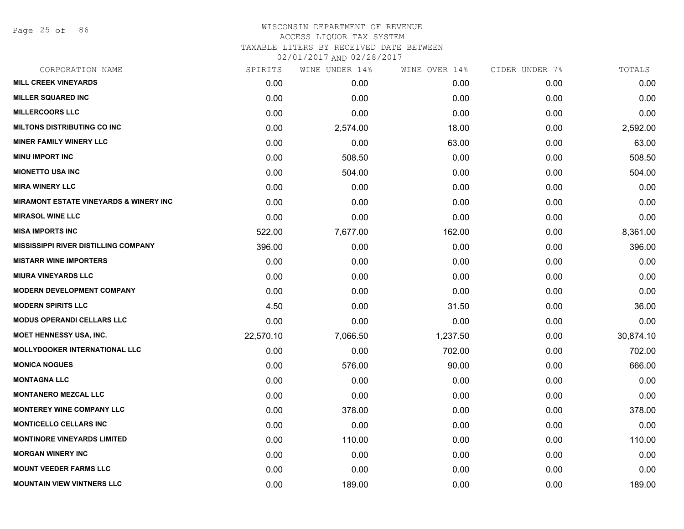Page 25 of 86

## WISCONSIN DEPARTMENT OF REVENUE ACCESS LIQUOR TAX SYSTEM TAXABLE LITERS BY RECEIVED DATE BETWEEN

| CORPORATION NAME                                  | SPIRITS   | WINE UNDER 14% | WINE OVER 14% | CIDER UNDER 7% | TOTALS    |
|---------------------------------------------------|-----------|----------------|---------------|----------------|-----------|
| <b>MILL CREEK VINEYARDS</b>                       | 0.00      | 0.00           | 0.00          | 0.00           | 0.00      |
| <b>MILLER SQUARED INC</b>                         | 0.00      | 0.00           | 0.00          | 0.00           | 0.00      |
| <b>MILLERCOORS LLC</b>                            | 0.00      | 0.00           | 0.00          | 0.00           | 0.00      |
| <b>MILTONS DISTRIBUTING CO INC</b>                | 0.00      | 2,574.00       | 18.00         | 0.00           | 2,592.00  |
| <b>MINER FAMILY WINERY LLC</b>                    | 0.00      | 0.00           | 63.00         | 0.00           | 63.00     |
| <b>MINU IMPORT INC</b>                            | 0.00      | 508.50         | 0.00          | 0.00           | 508.50    |
| <b>MIONETTO USA INC</b>                           | 0.00      | 504.00         | 0.00          | 0.00           | 504.00    |
| <b>MIRA WINERY LLC</b>                            | 0.00      | 0.00           | 0.00          | 0.00           | 0.00      |
| <b>MIRAMONT ESTATE VINEYARDS &amp; WINERY INC</b> | 0.00      | 0.00           | 0.00          | 0.00           | 0.00      |
| <b>MIRASOL WINE LLC</b>                           | 0.00      | 0.00           | 0.00          | 0.00           | 0.00      |
| <b>MISA IMPORTS INC</b>                           | 522.00    | 7,677.00       | 162.00        | 0.00           | 8,361.00  |
| <b>MISSISSIPPI RIVER DISTILLING COMPANY</b>       | 396.00    | 0.00           | 0.00          | 0.00           | 396.00    |
| <b>MISTARR WINE IMPORTERS</b>                     | 0.00      | 0.00           | 0.00          | 0.00           | 0.00      |
| <b>MIURA VINEYARDS LLC</b>                        | 0.00      | 0.00           | 0.00          | 0.00           | 0.00      |
| <b>MODERN DEVELOPMENT COMPANY</b>                 | 0.00      | 0.00           | 0.00          | 0.00           | 0.00      |
| <b>MODERN SPIRITS LLC</b>                         | 4.50      | 0.00           | 31.50         | 0.00           | 36.00     |
| <b>MODUS OPERANDI CELLARS LLC</b>                 | 0.00      | 0.00           | 0.00          | 0.00           | 0.00      |
| MOET HENNESSY USA, INC.                           | 22,570.10 | 7,066.50       | 1,237.50      | 0.00           | 30,874.10 |
| <b>MOLLYDOOKER INTERNATIONAL LLC</b>              | 0.00      | 0.00           | 702.00        | 0.00           | 702.00    |
| <b>MONICA NOGUES</b>                              | 0.00      | 576.00         | 90.00         | 0.00           | 666.00    |
| <b>MONTAGNA LLC</b>                               | 0.00      | 0.00           | 0.00          | 0.00           | 0.00      |
| <b>MONTANERO MEZCAL LLC</b>                       | 0.00      | 0.00           | 0.00          | 0.00           | 0.00      |
| <b>MONTEREY WINE COMPANY LLC</b>                  | 0.00      | 378.00         | 0.00          | 0.00           | 378.00    |
| <b>MONTICELLO CELLARS INC</b>                     | 0.00      | 0.00           | 0.00          | 0.00           | 0.00      |
| <b>MONTINORE VINEYARDS LIMITED</b>                | 0.00      | 110.00         | 0.00          | 0.00           | 110.00    |
| <b>MORGAN WINERY INC</b>                          | 0.00      | 0.00           | 0.00          | 0.00           | 0.00      |
| <b>MOUNT VEEDER FARMS LLC</b>                     | 0.00      | 0.00           | 0.00          | 0.00           | 0.00      |
| <b>MOUNTAIN VIEW VINTNERS LLC</b>                 | 0.00      | 189.00         | 0.00          | 0.00           | 189.00    |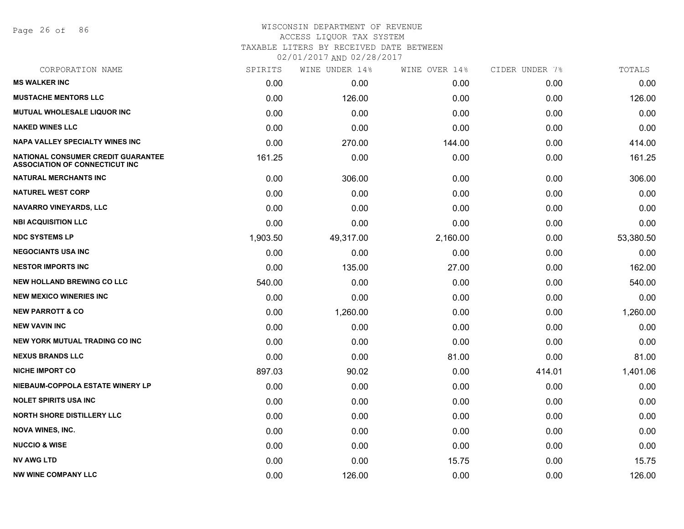Page 26 of 86

# WISCONSIN DEPARTMENT OF REVENUE ACCESS LIQUOR TAX SYSTEM TAXABLE LITERS BY RECEIVED DATE BETWEEN

| CORPORATION NAME                                                            | SPIRITS  | WINE UNDER 14% | WINE OVER 14% | CIDER UNDER 7% | TOTALS    |
|-----------------------------------------------------------------------------|----------|----------------|---------------|----------------|-----------|
| <b>MS WALKER INC</b>                                                        | 0.00     | 0.00           | 0.00          | 0.00           | 0.00      |
| <b>MUSTACHE MENTORS LLC</b>                                                 | 0.00     | 126.00         | 0.00          | 0.00           | 126.00    |
| MUTUAL WHOLESALE LIQUOR INC                                                 | 0.00     | 0.00           | 0.00          | 0.00           | 0.00      |
| <b>NAKED WINES LLC</b>                                                      | 0.00     | 0.00           | 0.00          | 0.00           | 0.00      |
| <b>NAPA VALLEY SPECIALTY WINES INC</b>                                      | 0.00     | 270.00         | 144.00        | 0.00           | 414.00    |
| NATIONAL CONSUMER CREDIT GUARANTEE<br><b>ASSOCIATION OF CONNECTICUT INC</b> | 161.25   | 0.00           | 0.00          | 0.00           | 161.25    |
| <b>NATURAL MERCHANTS INC</b>                                                | 0.00     | 306.00         | 0.00          | 0.00           | 306.00    |
| <b>NATUREL WEST CORP</b>                                                    | 0.00     | 0.00           | 0.00          | 0.00           | 0.00      |
| <b>NAVARRO VINEYARDS, LLC</b>                                               | 0.00     | 0.00           | 0.00          | 0.00           | 0.00      |
| <b>NBI ACQUISITION LLC</b>                                                  | 0.00     | 0.00           | 0.00          | 0.00           | 0.00      |
| <b>NDC SYSTEMS LP</b>                                                       | 1,903.50 | 49,317.00      | 2,160.00      | 0.00           | 53,380.50 |
| <b>NEGOCIANTS USA INC</b>                                                   | 0.00     | 0.00           | 0.00          | 0.00           | 0.00      |
| <b>NESTOR IMPORTS INC</b>                                                   | 0.00     | 135.00         | 27.00         | 0.00           | 162.00    |
| <b>NEW HOLLAND BREWING CO LLC</b>                                           | 540.00   | 0.00           | 0.00          | 0.00           | 540.00    |
| <b>NEW MEXICO WINERIES INC</b>                                              | 0.00     | 0.00           | 0.00          | 0.00           | 0.00      |
| <b>NEW PARROTT &amp; CO</b>                                                 | 0.00     | 1,260.00       | 0.00          | 0.00           | 1,260.00  |
| <b>NEW VAVIN INC</b>                                                        | 0.00     | 0.00           | 0.00          | 0.00           | 0.00      |
| NEW YORK MUTUAL TRADING CO INC                                              | 0.00     | 0.00           | 0.00          | 0.00           | 0.00      |
| <b>NEXUS BRANDS LLC</b>                                                     | 0.00     | 0.00           | 81.00         | 0.00           | 81.00     |
| <b>NICHE IMPORT CO</b>                                                      | 897.03   | 90.02          | 0.00          | 414.01         | 1,401.06  |
| NIEBAUM-COPPOLA ESTATE WINERY LP                                            | 0.00     | 0.00           | 0.00          | 0.00           | 0.00      |
| <b>NOLET SPIRITS USA INC</b>                                                | 0.00     | 0.00           | 0.00          | 0.00           | 0.00      |
| <b>NORTH SHORE DISTILLERY LLC</b>                                           | 0.00     | 0.00           | 0.00          | 0.00           | 0.00      |
| <b>NOVA WINES, INC.</b>                                                     | 0.00     | 0.00           | 0.00          | 0.00           | 0.00      |
| <b>NUCCIO &amp; WISE</b>                                                    | 0.00     | 0.00           | 0.00          | 0.00           | 0.00      |
| <b>NV AWG LTD</b>                                                           | 0.00     | 0.00           | 15.75         | 0.00           | 15.75     |
| <b>NW WINE COMPANY LLC</b>                                                  | 0.00     | 126.00         | 0.00          | 0.00           | 126.00    |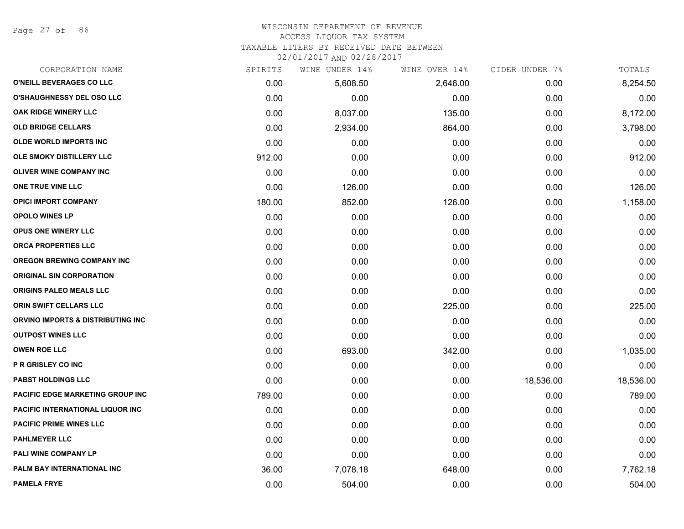Page 27 of 86

#### WISCONSIN DEPARTMENT OF REVENUE ACCESS LIQUOR TAX SYSTEM

TAXABLE LITERS BY RECEIVED DATE BETWEEN

| CORPORATION NAME                  | SPIRITS | WINE UNDER 14% | WINE OVER 14% | CIDER UNDER 7% | TOTALS    |
|-----------------------------------|---------|----------------|---------------|----------------|-----------|
| O'NEILL BEVERAGES CO LLC          | 0.00    | 5,608.50       | 2,646.00      | 0.00           | 8,254.50  |
| <b>O'SHAUGHNESSY DEL OSO LLC</b>  | 0.00    | 0.00           | 0.00          | 0.00           | 0.00      |
| OAK RIDGE WINERY LLC              | 0.00    | 8,037.00       | 135.00        | 0.00           | 8,172.00  |
| <b>OLD BRIDGE CELLARS</b>         | 0.00    | 2,934.00       | 864.00        | 0.00           | 3,798.00  |
| <b>OLDE WORLD IMPORTS INC</b>     | 0.00    | 0.00           | 0.00          | 0.00           | 0.00      |
| OLE SMOKY DISTILLERY LLC          | 912.00  | 0.00           | 0.00          | 0.00           | 912.00    |
| <b>OLIVER WINE COMPANY INC</b>    | 0.00    | 0.00           | 0.00          | 0.00           | 0.00      |
| ONE TRUE VINE LLC                 | 0.00    | 126.00         | 0.00          | 0.00           | 126.00    |
| <b>OPICI IMPORT COMPANY</b>       | 180.00  | 852.00         | 126.00        | 0.00           | 1,158.00  |
| <b>OPOLO WINES LP</b>             | 0.00    | 0.00           | 0.00          | 0.00           | 0.00      |
| <b>OPUS ONE WINERY LLC</b>        | 0.00    | 0.00           | 0.00          | 0.00           | 0.00      |
| ORCA PROPERTIES LLC               | 0.00    | 0.00           | 0.00          | 0.00           | 0.00      |
| <b>OREGON BREWING COMPANY INC</b> | 0.00    | 0.00           | 0.00          | 0.00           | 0.00      |
| <b>ORIGINAL SIN CORPORATION</b>   | 0.00    | 0.00           | 0.00          | 0.00           | 0.00      |
| <b>ORIGINS PALEO MEALS LLC</b>    | 0.00    | 0.00           | 0.00          | 0.00           | 0.00      |
| ORIN SWIFT CELLARS LLC            | 0.00    | 0.00           | 225.00        | 0.00           | 225.00    |
| ORVINO IMPORTS & DISTRIBUTING INC | 0.00    | 0.00           | 0.00          | 0.00           | 0.00      |
| <b>OUTPOST WINES LLC</b>          | 0.00    | 0.00           | 0.00          | 0.00           | 0.00      |
| <b>OWEN ROE LLC</b>               | 0.00    | 693.00         | 342.00        | 0.00           | 1,035.00  |
| <b>P R GRISLEY CO INC</b>         | 0.00    | 0.00           | 0.00          | 0.00           | 0.00      |
| <b>PABST HOLDINGS LLC</b>         | 0.00    | 0.00           | 0.00          | 18,536.00      | 18,536.00 |
| PACIFIC EDGE MARKETING GROUP INC  | 789.00  | 0.00           | 0.00          | 0.00           | 789.00    |
| PACIFIC INTERNATIONAL LIQUOR INC  | 0.00    | 0.00           | 0.00          | 0.00           | 0.00      |
| <b>PACIFIC PRIME WINES LLC</b>    | 0.00    | 0.00           | 0.00          | 0.00           | 0.00      |
| <b>PAHLMEYER LLC</b>              | 0.00    | 0.00           | 0.00          | 0.00           | 0.00      |
| PALI WINE COMPANY LP              | 0.00    | 0.00           | 0.00          | 0.00           | 0.00      |
| PALM BAY INTERNATIONAL INC        | 36.00   | 7,078.18       | 648.00        | 0.00           | 7,762.18  |
| <b>PAMELA FRYE</b>                | 0.00    | 504.00         | 0.00          | 0.00           | 504.00    |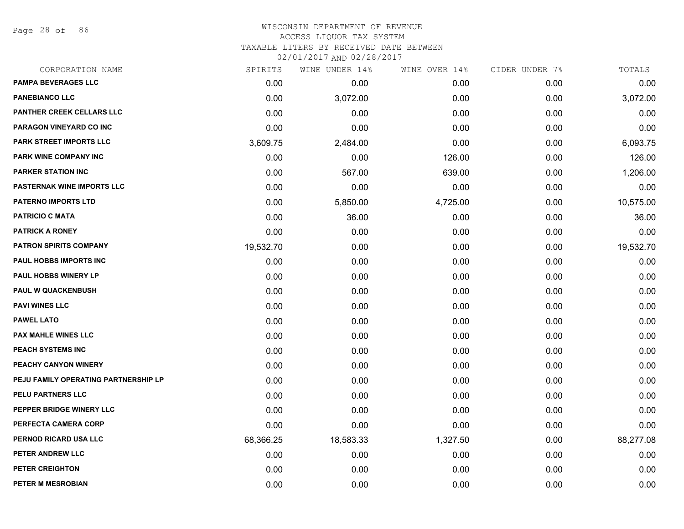Page 28 of 86

## WISCONSIN DEPARTMENT OF REVENUE ACCESS LIQUOR TAX SYSTEM TAXABLE LITERS BY RECEIVED DATE BETWEEN

| CORPORATION NAME                     | SPIRITS   | WINE UNDER 14% | WINE OVER 14% | CIDER UNDER 7% | TOTALS    |
|--------------------------------------|-----------|----------------|---------------|----------------|-----------|
| <b>PAMPA BEVERAGES LLC</b>           | 0.00      | 0.00           | 0.00          | 0.00           | 0.00      |
| <b>PANEBIANCO LLC</b>                | 0.00      | 3,072.00       | 0.00          | 0.00           | 3,072.00  |
| <b>PANTHER CREEK CELLARS LLC</b>     | 0.00      | 0.00           | 0.00          | 0.00           | 0.00      |
| <b>PARAGON VINEYARD CO INC</b>       | 0.00      | 0.00           | 0.00          | 0.00           | 0.00      |
| PARK STREET IMPORTS LLC              | 3,609.75  | 2,484.00       | 0.00          | 0.00           | 6,093.75  |
| PARK WINE COMPANY INC                | 0.00      | 0.00           | 126.00        | 0.00           | 126.00    |
| <b>PARKER STATION INC</b>            | 0.00      | 567.00         | 639.00        | 0.00           | 1,206.00  |
| <b>PASTERNAK WINE IMPORTS LLC</b>    | 0.00      | 0.00           | 0.00          | 0.00           | 0.00      |
| <b>PATERNO IMPORTS LTD</b>           | 0.00      | 5,850.00       | 4,725.00      | 0.00           | 10,575.00 |
| <b>PATRICIO C MATA</b>               | 0.00      | 36.00          | 0.00          | 0.00           | 36.00     |
| <b>PATRICK A RONEY</b>               | 0.00      | 0.00           | 0.00          | 0.00           | 0.00      |
| <b>PATRON SPIRITS COMPANY</b>        | 19,532.70 | 0.00           | 0.00          | 0.00           | 19,532.70 |
| PAUL HOBBS IMPORTS INC               | 0.00      | 0.00           | 0.00          | 0.00           | 0.00      |
| <b>PAUL HOBBS WINERY LP</b>          | 0.00      | 0.00           | 0.00          | 0.00           | 0.00      |
| <b>PAUL W QUACKENBUSH</b>            | 0.00      | 0.00           | 0.00          | 0.00           | 0.00      |
| <b>PAVI WINES LLC</b>                | 0.00      | 0.00           | 0.00          | 0.00           | 0.00      |
| <b>PAWEL LATO</b>                    | 0.00      | 0.00           | 0.00          | 0.00           | 0.00      |
| <b>PAX MAHLE WINES LLC</b>           | 0.00      | 0.00           | 0.00          | 0.00           | 0.00      |
| PEACH SYSTEMS INC                    | 0.00      | 0.00           | 0.00          | 0.00           | 0.00      |
| PEACHY CANYON WINERY                 | 0.00      | 0.00           | 0.00          | 0.00           | 0.00      |
| PEJU FAMILY OPERATING PARTNERSHIP LP | 0.00      | 0.00           | 0.00          | 0.00           | 0.00      |
| PELU PARTNERS LLC                    | 0.00      | 0.00           | 0.00          | 0.00           | 0.00      |
| PEPPER BRIDGE WINERY LLC             | 0.00      | 0.00           | 0.00          | 0.00           | 0.00      |
| PERFECTA CAMERA CORP                 | 0.00      | 0.00           | 0.00          | 0.00           | 0.00      |
| PERNOD RICARD USA LLC                | 68,366.25 | 18,583.33      | 1,327.50      | 0.00           | 88,277.08 |
| PETER ANDREW LLC                     | 0.00      | 0.00           | 0.00          | 0.00           | 0.00      |
| PETER CREIGHTON                      | 0.00      | 0.00           | 0.00          | 0.00           | 0.00      |
| PETER M MESROBIAN                    | 0.00      | 0.00           | 0.00          | 0.00           | 0.00      |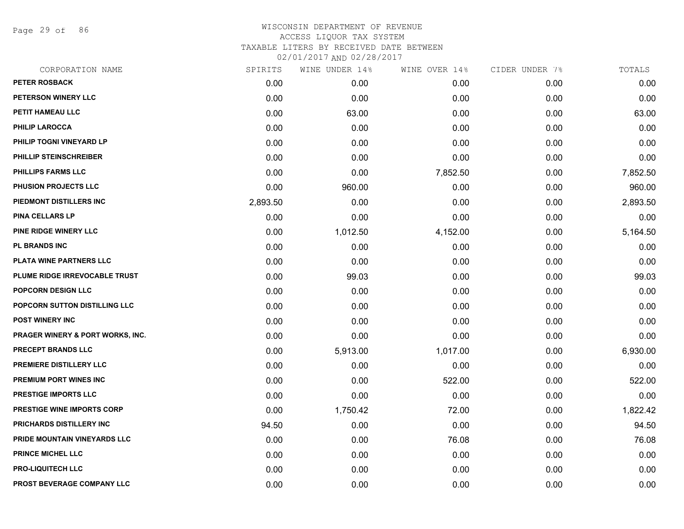Page 29 of 86

| CORPORATION NAME                            | SPIRITS  | WINE UNDER 14% | WINE OVER 14% | CIDER UNDER 7% | TOTALS   |
|---------------------------------------------|----------|----------------|---------------|----------------|----------|
| <b>PETER ROSBACK</b>                        | 0.00     | 0.00           | 0.00          | 0.00           | 0.00     |
| PETERSON WINERY LLC                         | 0.00     | 0.00           | 0.00          | 0.00           | 0.00     |
| PETIT HAMEAU LLC                            | 0.00     | 63.00          | 0.00          | 0.00           | 63.00    |
| <b>PHILIP LAROCCA</b>                       | 0.00     | 0.00           | 0.00          | 0.00           | 0.00     |
| PHILIP TOGNI VINEYARD LP                    | 0.00     | 0.00           | 0.00          | 0.00           | 0.00     |
| PHILLIP STEINSCHREIBER                      | 0.00     | 0.00           | 0.00          | 0.00           | 0.00     |
| <b>PHILLIPS FARMS LLC</b>                   | 0.00     | 0.00           | 7,852.50      | 0.00           | 7,852.50 |
| PHUSION PROJECTS LLC                        | 0.00     | 960.00         | 0.00          | 0.00           | 960.00   |
| PIEDMONT DISTILLERS INC                     | 2,893.50 | 0.00           | 0.00          | 0.00           | 2,893.50 |
| <b>PINA CELLARS LP</b>                      | 0.00     | 0.00           | 0.00          | 0.00           | 0.00     |
| PINE RIDGE WINERY LLC                       | 0.00     | 1,012.50       | 4,152.00      | 0.00           | 5,164.50 |
| <b>PL BRANDS INC</b>                        | 0.00     | 0.00           | 0.00          | 0.00           | 0.00     |
| PLATA WINE PARTNERS LLC                     | 0.00     | 0.00           | 0.00          | 0.00           | 0.00     |
| PLUME RIDGE IRREVOCABLE TRUST               | 0.00     | 99.03          | 0.00          | 0.00           | 99.03    |
| <b>POPCORN DESIGN LLC</b>                   | 0.00     | 0.00           | 0.00          | 0.00           | 0.00     |
| POPCORN SUTTON DISTILLING LLC               | 0.00     | 0.00           | 0.00          | 0.00           | 0.00     |
| <b>POST WINERY INC</b>                      | 0.00     | 0.00           | 0.00          | 0.00           | 0.00     |
| <b>PRAGER WINERY &amp; PORT WORKS, INC.</b> | 0.00     | 0.00           | 0.00          | 0.00           | 0.00     |
| PRECEPT BRANDS LLC                          | 0.00     | 5,913.00       | 1,017.00      | 0.00           | 6,930.00 |
| PREMIERE DISTILLERY LLC                     | 0.00     | 0.00           | 0.00          | 0.00           | 0.00     |
| PREMIUM PORT WINES INC                      | 0.00     | 0.00           | 522.00        | 0.00           | 522.00   |
| <b>PRESTIGE IMPORTS LLC</b>                 | 0.00     | 0.00           | 0.00          | 0.00           | 0.00     |
| <b>PRESTIGE WINE IMPORTS CORP</b>           | 0.00     | 1,750.42       | 72.00         | 0.00           | 1,822.42 |
| PRICHARDS DISTILLERY INC                    | 94.50    | 0.00           | 0.00          | 0.00           | 94.50    |
| PRIDE MOUNTAIN VINEYARDS LLC                | 0.00     | 0.00           | 76.08         | 0.00           | 76.08    |
| PRINCE MICHEL LLC                           | 0.00     | 0.00           | 0.00          | 0.00           | 0.00     |
| <b>PRO-LIQUITECH LLC</b>                    | 0.00     | 0.00           | 0.00          | 0.00           | 0.00     |
| PROST BEVERAGE COMPANY LLC                  | 0.00     | 0.00           | 0.00          | 0.00           | 0.00     |
|                                             |          |                |               |                |          |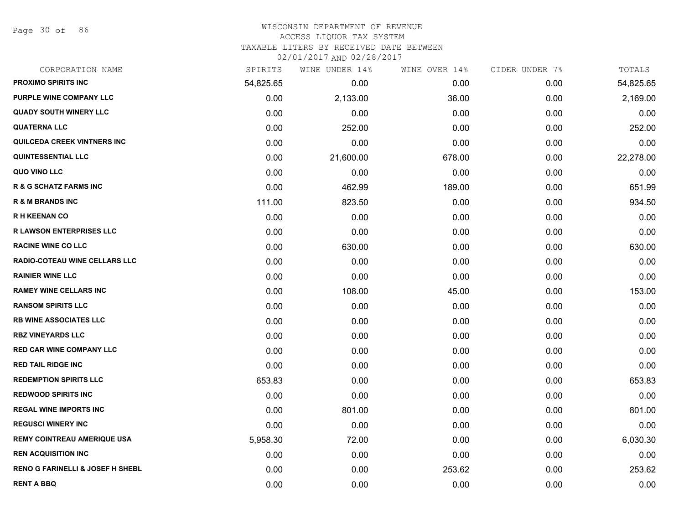Page 30 of 86

#### WISCONSIN DEPARTMENT OF REVENUE ACCESS LIQUOR TAX SYSTEM

TAXABLE LITERS BY RECEIVED DATE BETWEEN

| CORPORATION NAME                            | SPIRITS   | WINE UNDER 14% | WINE OVER 14% | CIDER UNDER 7% | TOTALS    |
|---------------------------------------------|-----------|----------------|---------------|----------------|-----------|
| <b>PROXIMO SPIRITS INC</b>                  | 54,825.65 | 0.00           | 0.00          | 0.00           | 54,825.65 |
| <b>PURPLE WINE COMPANY LLC</b>              | 0.00      | 2,133.00       | 36.00         | 0.00           | 2,169.00  |
| <b>QUADY SOUTH WINERY LLC</b>               | 0.00      | 0.00           | 0.00          | 0.00           | 0.00      |
| <b>QUATERNA LLC</b>                         | 0.00      | 252.00         | 0.00          | 0.00           | 252.00    |
| <b>QUILCEDA CREEK VINTNERS INC</b>          | 0.00      | 0.00           | 0.00          | 0.00           | 0.00      |
| <b>QUINTESSENTIAL LLC</b>                   | 0.00      | 21,600.00      | 678.00        | 0.00           | 22,278.00 |
| QUO VINO LLC                                | 0.00      | 0.00           | 0.00          | 0.00           | 0.00      |
| <b>R &amp; G SCHATZ FARMS INC</b>           | 0.00      | 462.99         | 189.00        | 0.00           | 651.99    |
| <b>R &amp; M BRANDS INC</b>                 | 111.00    | 823.50         | 0.00          | 0.00           | 934.50    |
| <b>RH KEENAN CO</b>                         | 0.00      | 0.00           | 0.00          | 0.00           | 0.00      |
| <b>R LAWSON ENTERPRISES LLC</b>             | 0.00      | 0.00           | 0.00          | 0.00           | 0.00      |
| <b>RACINE WINE CO LLC</b>                   | 0.00      | 630.00         | 0.00          | 0.00           | 630.00    |
| <b>RADIO-COTEAU WINE CELLARS LLC</b>        | 0.00      | 0.00           | 0.00          | 0.00           | 0.00      |
| <b>RAINIER WINE LLC</b>                     | 0.00      | 0.00           | 0.00          | 0.00           | 0.00      |
| <b>RAMEY WINE CELLARS INC</b>               | 0.00      | 108.00         | 45.00         | 0.00           | 153.00    |
| <b>RANSOM SPIRITS LLC</b>                   | 0.00      | 0.00           | 0.00          | 0.00           | 0.00      |
| <b>RB WINE ASSOCIATES LLC</b>               | 0.00      | 0.00           | 0.00          | 0.00           | 0.00      |
| <b>RBZ VINEYARDS LLC</b>                    | 0.00      | 0.00           | 0.00          | 0.00           | 0.00      |
| <b>RED CAR WINE COMPANY LLC</b>             | 0.00      | 0.00           | 0.00          | 0.00           | 0.00      |
| <b>RED TAIL RIDGE INC</b>                   | 0.00      | 0.00           | 0.00          | 0.00           | 0.00      |
| <b>REDEMPTION SPIRITS LLC</b>               | 653.83    | 0.00           | 0.00          | 0.00           | 653.83    |
| <b>REDWOOD SPIRITS INC</b>                  | 0.00      | 0.00           | 0.00          | 0.00           | 0.00      |
| <b>REGAL WINE IMPORTS INC</b>               | 0.00      | 801.00         | 0.00          | 0.00           | 801.00    |
| <b>REGUSCI WINERY INC</b>                   | 0.00      | 0.00           | 0.00          | 0.00           | 0.00      |
| <b>REMY COINTREAU AMERIQUE USA</b>          | 5,958.30  | 72.00          | 0.00          | 0.00           | 6,030.30  |
| <b>REN ACQUISITION INC</b>                  | 0.00      | 0.00           | 0.00          | 0.00           | 0.00      |
| <b>RENO G FARINELLI &amp; JOSEF H SHEBL</b> | 0.00      | 0.00           | 253.62        | 0.00           | 253.62    |
| <b>RENT A BBQ</b>                           | 0.00      | 0.00           | 0.00          | 0.00           | 0.00      |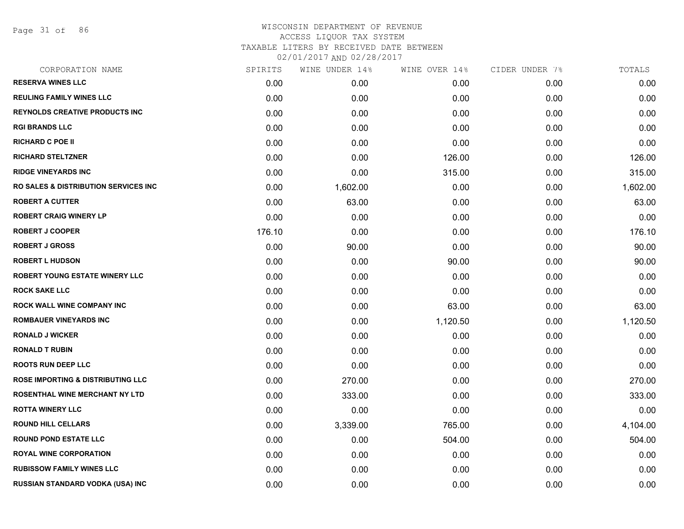Page 31 of 86

| CORPORATION NAME                                 | SPIRITS | WINE UNDER 14% | WINE OVER 14% | CIDER UNDER 7% | TOTALS   |
|--------------------------------------------------|---------|----------------|---------------|----------------|----------|
| <b>RESERVA WINES LLC</b>                         | 0.00    | 0.00           | 0.00          | 0.00           | 0.00     |
| <b>REULING FAMILY WINES LLC</b>                  | 0.00    | 0.00           | 0.00          | 0.00           | 0.00     |
| <b>REYNOLDS CREATIVE PRODUCTS INC</b>            | 0.00    | 0.00           | 0.00          | 0.00           | 0.00     |
| <b>RGI BRANDS LLC</b>                            | 0.00    | 0.00           | 0.00          | 0.00           | 0.00     |
| <b>RICHARD C POE II</b>                          | 0.00    | 0.00           | 0.00          | 0.00           | 0.00     |
| <b>RICHARD STELTZNER</b>                         | 0.00    | 0.00           | 126.00        | 0.00           | 126.00   |
| <b>RIDGE VINEYARDS INC</b>                       | 0.00    | 0.00           | 315.00        | 0.00           | 315.00   |
| <b>RO SALES &amp; DISTRIBUTION SERVICES INC.</b> | 0.00    | 1,602.00       | 0.00          | 0.00           | 1,602.00 |
| <b>ROBERT A CUTTER</b>                           | 0.00    | 63.00          | 0.00          | 0.00           | 63.00    |
| <b>ROBERT CRAIG WINERY LP</b>                    | 0.00    | 0.00           | 0.00          | 0.00           | 0.00     |
| <b>ROBERT J COOPER</b>                           | 176.10  | 0.00           | 0.00          | 0.00           | 176.10   |
| <b>ROBERT J GROSS</b>                            | 0.00    | 90.00          | 0.00          | 0.00           | 90.00    |
| <b>ROBERT L HUDSON</b>                           | 0.00    | 0.00           | 90.00         | 0.00           | 90.00    |
| <b>ROBERT YOUNG ESTATE WINERY LLC</b>            | 0.00    | 0.00           | 0.00          | 0.00           | 0.00     |
| <b>ROCK SAKE LLC</b>                             | 0.00    | 0.00           | 0.00          | 0.00           | 0.00     |
| <b>ROCK WALL WINE COMPANY INC</b>                | 0.00    | 0.00           | 63.00         | 0.00           | 63.00    |
| <b>ROMBAUER VINEYARDS INC</b>                    | 0.00    | 0.00           | 1,120.50      | 0.00           | 1,120.50 |
| <b>RONALD J WICKER</b>                           | 0.00    | 0.00           | 0.00          | 0.00           | 0.00     |
| <b>RONALD T RUBIN</b>                            | 0.00    | 0.00           | 0.00          | 0.00           | 0.00     |
| <b>ROOTS RUN DEEP LLC</b>                        | 0.00    | 0.00           | 0.00          | 0.00           | 0.00     |
| <b>ROSE IMPORTING &amp; DISTRIBUTING LLC</b>     | 0.00    | 270.00         | 0.00          | 0.00           | 270.00   |
| <b>ROSENTHAL WINE MERCHANT NY LTD</b>            | 0.00    | 333.00         | 0.00          | 0.00           | 333.00   |
| <b>ROTTA WINERY LLC</b>                          | 0.00    | 0.00           | 0.00          | 0.00           | 0.00     |
| <b>ROUND HILL CELLARS</b>                        | 0.00    | 3,339.00       | 765.00        | 0.00           | 4,104.00 |
| <b>ROUND POND ESTATE LLC</b>                     | 0.00    | 0.00           | 504.00        | 0.00           | 504.00   |
| <b>ROYAL WINE CORPORATION</b>                    | 0.00    | 0.00           | 0.00          | 0.00           | 0.00     |
| <b>RUBISSOW FAMILY WINES LLC</b>                 | 0.00    | 0.00           | 0.00          | 0.00           | 0.00     |
| RUSSIAN STANDARD VODKA (USA) INC                 | 0.00    | 0.00           | 0.00          | 0.00           | 0.00     |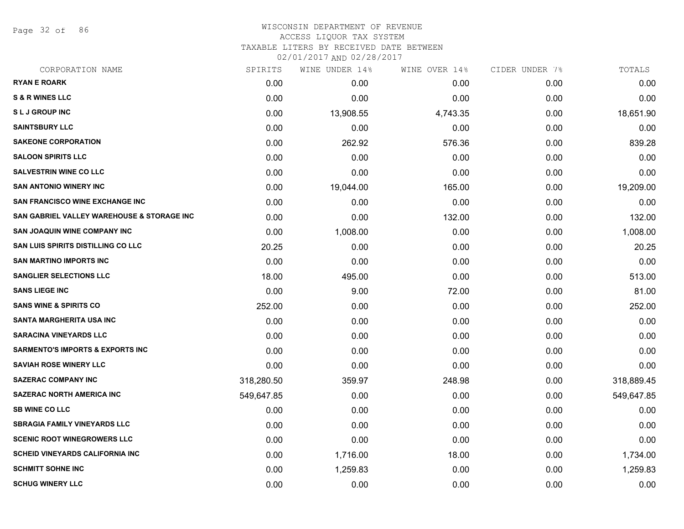Page 32 of 86

#### WISCONSIN DEPARTMENT OF REVENUE ACCESS LIQUOR TAX SYSTEM

TAXABLE LITERS BY RECEIVED DATE BETWEEN

| CORPORATION NAME                            | SPIRITS    | WINE UNDER 14% | WINE OVER 14% | CIDER UNDER 7% | TOTALS     |
|---------------------------------------------|------------|----------------|---------------|----------------|------------|
| <b>RYAN E ROARK</b>                         | 0.00       | 0.00           | 0.00          | 0.00           | 0.00       |
| <b>S &amp; R WINES LLC</b>                  | 0.00       | 0.00           | 0.00          | 0.00           | 0.00       |
| <b>SLJ GROUP INC</b>                        | 0.00       | 13,908.55      | 4,743.35      | 0.00           | 18,651.90  |
| <b>SAINTSBURY LLC</b>                       | 0.00       | 0.00           | 0.00          | 0.00           | 0.00       |
| <b>SAKEONE CORPORATION</b>                  | 0.00       | 262.92         | 576.36        | 0.00           | 839.28     |
| <b>SALOON SPIRITS LLC</b>                   | 0.00       | 0.00           | 0.00          | 0.00           | 0.00       |
| <b>SALVESTRIN WINE CO LLC</b>               | 0.00       | 0.00           | 0.00          | 0.00           | 0.00       |
| <b>SAN ANTONIO WINERY INC</b>               | 0.00       | 19,044.00      | 165.00        | 0.00           | 19,209.00  |
| <b>SAN FRANCISCO WINE EXCHANGE INC</b>      | 0.00       | 0.00           | 0.00          | 0.00           | 0.00       |
| SAN GABRIEL VALLEY WAREHOUSE & STORAGE INC  | 0.00       | 0.00           | 132.00        | 0.00           | 132.00     |
| <b>SAN JOAQUIN WINE COMPANY INC</b>         | 0.00       | 1,008.00       | 0.00          | 0.00           | 1,008.00   |
| SAN LUIS SPIRITS DISTILLING CO LLC          | 20.25      | 0.00           | 0.00          | 0.00           | 20.25      |
| <b>SAN MARTINO IMPORTS INC</b>              | 0.00       | 0.00           | 0.00          | 0.00           | 0.00       |
| <b>SANGLIER SELECTIONS LLC</b>              | 18.00      | 495.00         | 0.00          | 0.00           | 513.00     |
| <b>SANS LIEGE INC</b>                       | 0.00       | 9.00           | 72.00         | 0.00           | 81.00      |
| <b>SANS WINE &amp; SPIRITS CO</b>           | 252.00     | 0.00           | 0.00          | 0.00           | 252.00     |
| <b>SANTA MARGHERITA USA INC</b>             | 0.00       | 0.00           | 0.00          | 0.00           | 0.00       |
| <b>SARACINA VINEYARDS LLC</b>               | 0.00       | 0.00           | 0.00          | 0.00           | 0.00       |
| <b>SARMENTO'S IMPORTS &amp; EXPORTS INC</b> | 0.00       | 0.00           | 0.00          | 0.00           | 0.00       |
| <b>SAVIAH ROSE WINERY LLC</b>               | 0.00       | 0.00           | 0.00          | 0.00           | 0.00       |
| <b>SAZERAC COMPANY INC</b>                  | 318,280.50 | 359.97         | 248.98        | 0.00           | 318,889.45 |
| <b>SAZERAC NORTH AMERICA INC</b>            | 549,647.85 | 0.00           | 0.00          | 0.00           | 549,647.85 |
| <b>SB WINE CO LLC</b>                       | 0.00       | 0.00           | 0.00          | 0.00           | 0.00       |
| <b>SBRAGIA FAMILY VINEYARDS LLC</b>         | 0.00       | 0.00           | 0.00          | 0.00           | 0.00       |
| <b>SCENIC ROOT WINEGROWERS LLC</b>          | 0.00       | 0.00           | 0.00          | 0.00           | 0.00       |
| <b>SCHEID VINEYARDS CALIFORNIA INC</b>      | 0.00       | 1,716.00       | 18.00         | 0.00           | 1,734.00   |
| <b>SCHMITT SOHNE INC</b>                    | 0.00       | 1,259.83       | 0.00          | 0.00           | 1,259.83   |
| <b>SCHUG WINERY LLC</b>                     | 0.00       | 0.00           | 0.00          | 0.00           | 0.00       |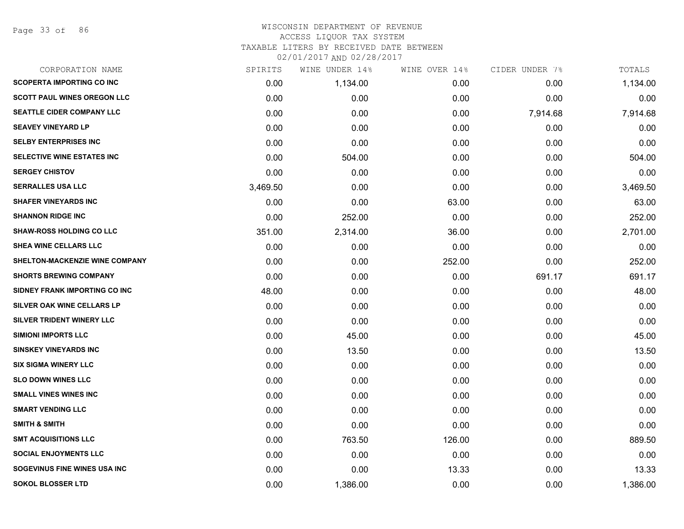Page 33 of 86

### WISCONSIN DEPARTMENT OF REVENUE ACCESS LIQUOR TAX SYSTEM TAXABLE LITERS BY RECEIVED DATE BETWEEN

| CORPORATION NAME                    | SPIRITS  | WINE UNDER 14% | WINE OVER 14% | CIDER UNDER 7% | TOTALS   |
|-------------------------------------|----------|----------------|---------------|----------------|----------|
| <b>SCOPERTA IMPORTING CO INC</b>    | 0.00     | 1,134.00       | 0.00          | 0.00           | 1,134.00 |
| <b>SCOTT PAUL WINES OREGON LLC</b>  | 0.00     | 0.00           | 0.00          | 0.00           | 0.00     |
| <b>SEATTLE CIDER COMPANY LLC</b>    | 0.00     | 0.00           | 0.00          | 7,914.68       | 7,914.68 |
| <b>SEAVEY VINEYARD LP</b>           | 0.00     | 0.00           | 0.00          | 0.00           | 0.00     |
| <b>SELBY ENTERPRISES INC</b>        | 0.00     | 0.00           | 0.00          | 0.00           | 0.00     |
| SELECTIVE WINE ESTATES INC          | 0.00     | 504.00         | 0.00          | 0.00           | 504.00   |
| <b>SERGEY CHISTOV</b>               | 0.00     | 0.00           | 0.00          | 0.00           | 0.00     |
| <b>SERRALLES USA LLC</b>            | 3,469.50 | 0.00           | 0.00          | 0.00           | 3,469.50 |
| <b>SHAFER VINEYARDS INC</b>         | 0.00     | 0.00           | 63.00         | 0.00           | 63.00    |
| <b>SHANNON RIDGE INC</b>            | 0.00     | 252.00         | 0.00          | 0.00           | 252.00   |
| <b>SHAW-ROSS HOLDING CO LLC</b>     | 351.00   | 2,314.00       | 36.00         | 0.00           | 2,701.00 |
| SHEA WINE CELLARS LLC               | 0.00     | 0.00           | 0.00          | 0.00           | 0.00     |
| SHELTON-MACKENZIE WINE COMPANY      | 0.00     | 0.00           | 252.00        | 0.00           | 252.00   |
| <b>SHORTS BREWING COMPANY</b>       | 0.00     | 0.00           | 0.00          | 691.17         | 691.17   |
| SIDNEY FRANK IMPORTING CO INC       | 48.00    | 0.00           | 0.00          | 0.00           | 48.00    |
| <b>SILVER OAK WINE CELLARS LP</b>   | 0.00     | 0.00           | 0.00          | 0.00           | 0.00     |
| SILVER TRIDENT WINERY LLC           | 0.00     | 0.00           | 0.00          | 0.00           | 0.00     |
| <b>SIMIONI IMPORTS LLC</b>          | 0.00     | 45.00          | 0.00          | 0.00           | 45.00    |
| <b>SINSKEY VINEYARDS INC</b>        | 0.00     | 13.50          | 0.00          | 0.00           | 13.50    |
| <b>SIX SIGMA WINERY LLC</b>         | 0.00     | 0.00           | 0.00          | 0.00           | 0.00     |
| <b>SLO DOWN WINES LLC</b>           | 0.00     | 0.00           | 0.00          | 0.00           | 0.00     |
| <b>SMALL VINES WINES INC</b>        | 0.00     | 0.00           | 0.00          | 0.00           | 0.00     |
| <b>SMART VENDING LLC</b>            | 0.00     | 0.00           | 0.00          | 0.00           | 0.00     |
| <b>SMITH &amp; SMITH</b>            | 0.00     | 0.00           | 0.00          | 0.00           | 0.00     |
| <b>SMT ACQUISITIONS LLC</b>         | 0.00     | 763.50         | 126.00        | 0.00           | 889.50   |
| <b>SOCIAL ENJOYMENTS LLC</b>        | 0.00     | 0.00           | 0.00          | 0.00           | 0.00     |
| <b>SOGEVINUS FINE WINES USA INC</b> | 0.00     | 0.00           | 13.33         | 0.00           | 13.33    |
| <b>SOKOL BLOSSER LTD</b>            | 0.00     | 1,386.00       | 0.00          | 0.00           | 1,386.00 |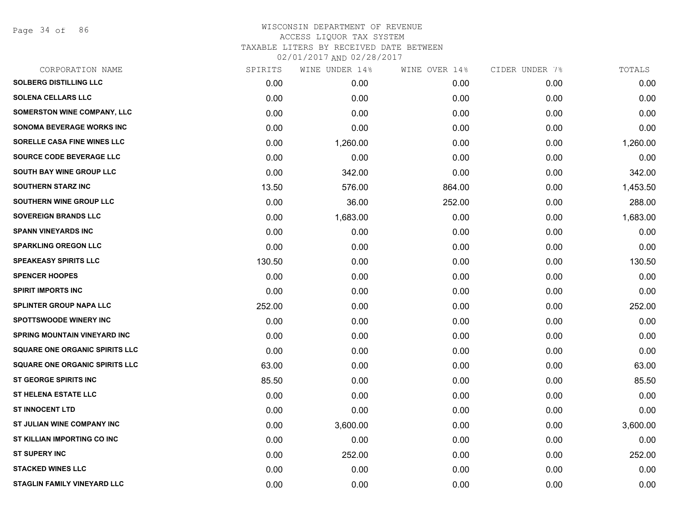Page 34 of 86

| CORPORATION NAME                      | SPIRITS | WINE UNDER 14% | WINE OVER 14% | CIDER UNDER 7% | TOTALS   |
|---------------------------------------|---------|----------------|---------------|----------------|----------|
| <b>SOLBERG DISTILLING LLC</b>         | 0.00    | 0.00           | 0.00          | 0.00           | 0.00     |
| <b>SOLENA CELLARS LLC</b>             | 0.00    | 0.00           | 0.00          | 0.00           | 0.00     |
| SOMERSTON WINE COMPANY, LLC           | 0.00    | 0.00           | 0.00          | 0.00           | 0.00     |
| <b>SONOMA BEVERAGE WORKS INC</b>      | 0.00    | 0.00           | 0.00          | 0.00           | 0.00     |
| SORELLE CASA FINE WINES LLC           | 0.00    | 1,260.00       | 0.00          | 0.00           | 1,260.00 |
| SOURCE CODE BEVERAGE LLC              | 0.00    | 0.00           | 0.00          | 0.00           | 0.00     |
| <b>SOUTH BAY WINE GROUP LLC</b>       | 0.00    | 342.00         | 0.00          | 0.00           | 342.00   |
| <b>SOUTHERN STARZ INC</b>             | 13.50   | 576.00         | 864.00        | 0.00           | 1,453.50 |
| SOUTHERN WINE GROUP LLC               | 0.00    | 36.00          | 252.00        | 0.00           | 288.00   |
| <b>SOVEREIGN BRANDS LLC</b>           | 0.00    | 1,683.00       | 0.00          | 0.00           | 1,683.00 |
| <b>SPANN VINEYARDS INC</b>            | 0.00    | 0.00           | 0.00          | 0.00           | 0.00     |
| <b>SPARKLING OREGON LLC</b>           | 0.00    | 0.00           | 0.00          | 0.00           | 0.00     |
| <b>SPEAKEASY SPIRITS LLC</b>          | 130.50  | 0.00           | 0.00          | 0.00           | 130.50   |
| <b>SPENCER HOOPES</b>                 | 0.00    | 0.00           | 0.00          | 0.00           | 0.00     |
| <b>SPIRIT IMPORTS INC</b>             | 0.00    | 0.00           | 0.00          | 0.00           | 0.00     |
| <b>SPLINTER GROUP NAPA LLC</b>        | 252.00  | 0.00           | 0.00          | 0.00           | 252.00   |
| <b>SPOTTSWOODE WINERY INC</b>         | 0.00    | 0.00           | 0.00          | 0.00           | 0.00     |
| <b>SPRING MOUNTAIN VINEYARD INC</b>   | 0.00    | 0.00           | 0.00          | 0.00           | 0.00     |
| <b>SQUARE ONE ORGANIC SPIRITS LLC</b> | 0.00    | 0.00           | 0.00          | 0.00           | 0.00     |
| <b>SQUARE ONE ORGANIC SPIRITS LLC</b> | 63.00   | 0.00           | 0.00          | 0.00           | 63.00    |
| <b>ST GEORGE SPIRITS INC</b>          | 85.50   | 0.00           | 0.00          | 0.00           | 85.50    |
| <b>ST HELENA ESTATE LLC</b>           | 0.00    | 0.00           | 0.00          | 0.00           | 0.00     |
| <b>ST INNOCENT LTD</b>                | 0.00    | 0.00           | 0.00          | 0.00           | 0.00     |
| <b>ST JULIAN WINE COMPANY INC</b>     | 0.00    | 3,600.00       | 0.00          | 0.00           | 3,600.00 |
| ST KILLIAN IMPORTING CO INC           | 0.00    | 0.00           | 0.00          | 0.00           | 0.00     |
| <b>ST SUPERY INC</b>                  | 0.00    | 252.00         | 0.00          | 0.00           | 252.00   |
| <b>STACKED WINES LLC</b>              | 0.00    | 0.00           | 0.00          | 0.00           | 0.00     |
| <b>STAGLIN FAMILY VINEYARD LLC</b>    | 0.00    | 0.00           | 0.00          | 0.00           | 0.00     |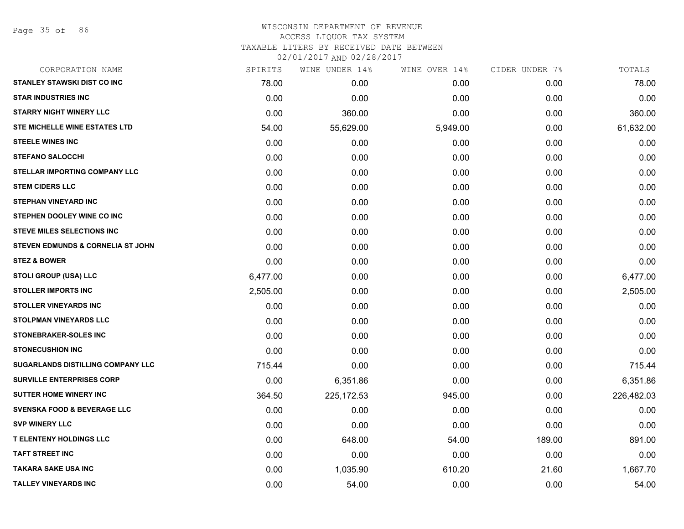| CORPORATION NAME                         | SPIRITS  | WINE UNDER 14% | WINE OVER 14% | CIDER UNDER 7% | TOTALS     |
|------------------------------------------|----------|----------------|---------------|----------------|------------|
| <b>STANLEY STAWSKI DIST CO INC</b>       | 78.00    | 0.00           | 0.00          | 0.00           | 78.00      |
| <b>STAR INDUSTRIES INC</b>               | 0.00     | 0.00           | 0.00          | 0.00           | 0.00       |
| <b>STARRY NIGHT WINERY LLC</b>           | 0.00     | 360.00         | 0.00          | 0.00           | 360.00     |
| <b>STE MICHELLE WINE ESTATES LTD</b>     | 54.00    | 55,629.00      | 5,949.00      | 0.00           | 61,632.00  |
| <b>STEELE WINES INC</b>                  | 0.00     | 0.00           | 0.00          | 0.00           | 0.00       |
| <b>STEFANO SALOCCHI</b>                  | 0.00     | 0.00           | 0.00          | 0.00           | 0.00       |
| STELLAR IMPORTING COMPANY LLC            | 0.00     | 0.00           | 0.00          | 0.00           | 0.00       |
| <b>STEM CIDERS LLC</b>                   | 0.00     | 0.00           | 0.00          | 0.00           | 0.00       |
| <b>STEPHAN VINEYARD INC</b>              | 0.00     | 0.00           | 0.00          | 0.00           | 0.00       |
| STEPHEN DOOLEY WINE CO INC               | 0.00     | 0.00           | 0.00          | 0.00           | 0.00       |
| <b>STEVE MILES SELECTIONS INC</b>        | 0.00     | 0.00           | 0.00          | 0.00           | 0.00       |
| STEVEN EDMUNDS & CORNELIA ST JOHN        | 0.00     | 0.00           | 0.00          | 0.00           | 0.00       |
| <b>STEZ &amp; BOWER</b>                  | 0.00     | 0.00           | 0.00          | 0.00           | 0.00       |
| <b>STOLI GROUP (USA) LLC</b>             | 6,477.00 | 0.00           | 0.00          | 0.00           | 6,477.00   |
| <b>STOLLER IMPORTS INC</b>               | 2,505.00 | 0.00           | 0.00          | 0.00           | 2,505.00   |
| <b>STOLLER VINEYARDS INC</b>             | 0.00     | 0.00           | 0.00          | 0.00           | 0.00       |
| <b>STOLPMAN VINEYARDS LLC</b>            | 0.00     | 0.00           | 0.00          | 0.00           | 0.00       |
| STONEBRAKER-SOLES INC                    | 0.00     | 0.00           | 0.00          | 0.00           | 0.00       |
| <b>STONECUSHION INC</b>                  | 0.00     | 0.00           | 0.00          | 0.00           | 0.00       |
| <b>SUGARLANDS DISTILLING COMPANY LLC</b> | 715.44   | 0.00           | 0.00          | 0.00           | 715.44     |
| <b>SURVILLE ENTERPRISES CORP</b>         | 0.00     | 6,351.86       | 0.00          | 0.00           | 6,351.86   |
| <b>SUTTER HOME WINERY INC</b>            | 364.50   | 225, 172.53    | 945.00        | 0.00           | 226,482.03 |
| <b>SVENSKA FOOD &amp; BEVERAGE LLC</b>   | 0.00     | 0.00           | 0.00          | 0.00           | 0.00       |
| <b>SVP WINERY LLC</b>                    | 0.00     | 0.00           | 0.00          | 0.00           | 0.00       |
| <b>T ELENTENY HOLDINGS LLC</b>           | 0.00     | 648.00         | 54.00         | 189.00         | 891.00     |
| <b>TAFT STREET INC</b>                   | 0.00     | 0.00           | 0.00          | 0.00           | 0.00       |
| <b>TAKARA SAKE USA INC</b>               | 0.00     | 1,035.90       | 610.20        | 21.60          | 1,667.70   |
| <b>TALLEY VINEYARDS INC</b>              | 0.00     | 54.00          | 0.00          | 0.00           | 54.00      |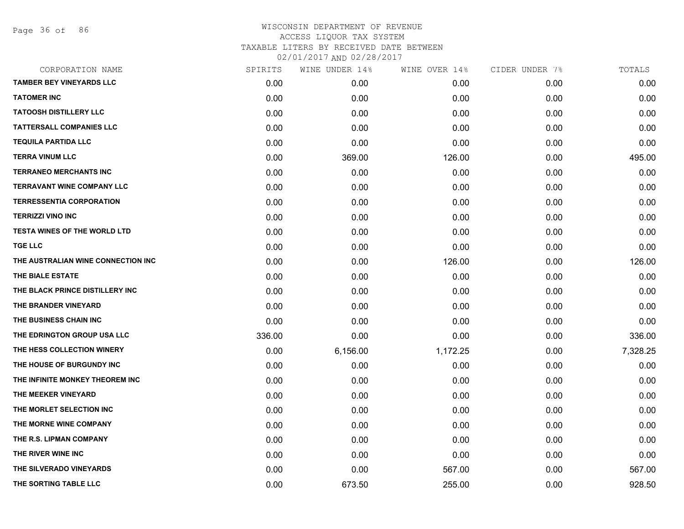Page 36 of 86

| CORPORATION NAME                    | SPIRITS | WINE UNDER 14% | WINE OVER 14% | CIDER UNDER 7% | TOTALS   |
|-------------------------------------|---------|----------------|---------------|----------------|----------|
| <b>TAMBER BEY VINEYARDS LLC</b>     | 0.00    | 0.00           | 0.00          | 0.00           | 0.00     |
| <b>TATOMER INC</b>                  | 0.00    | 0.00           | 0.00          | 0.00           | 0.00     |
| <b>TATOOSH DISTILLERY LLC</b>       | 0.00    | 0.00           | 0.00          | 0.00           | 0.00     |
| <b>TATTERSALL COMPANIES LLC</b>     | 0.00    | 0.00           | 0.00          | 0.00           | 0.00     |
| <b>TEQUILA PARTIDA LLC</b>          | 0.00    | 0.00           | 0.00          | 0.00           | 0.00     |
| <b>TERRA VINUM LLC</b>              | 0.00    | 369.00         | 126.00        | 0.00           | 495.00   |
| <b>TERRANEO MERCHANTS INC</b>       | 0.00    | 0.00           | 0.00          | 0.00           | 0.00     |
| <b>TERRAVANT WINE COMPANY LLC</b>   | 0.00    | 0.00           | 0.00          | 0.00           | 0.00     |
| <b>TERRESSENTIA CORPORATION</b>     | 0.00    | 0.00           | 0.00          | 0.00           | 0.00     |
| <b>TERRIZZI VINO INC</b>            | 0.00    | 0.00           | 0.00          | 0.00           | 0.00     |
| <b>TESTA WINES OF THE WORLD LTD</b> | 0.00    | 0.00           | 0.00          | 0.00           | 0.00     |
| <b>TGE LLC</b>                      | 0.00    | 0.00           | 0.00          | 0.00           | 0.00     |
| THE AUSTRALIAN WINE CONNECTION INC  | 0.00    | 0.00           | 126.00        | 0.00           | 126.00   |
| THE BIALE ESTATE                    | 0.00    | 0.00           | 0.00          | 0.00           | 0.00     |
| THE BLACK PRINCE DISTILLERY INC     | 0.00    | 0.00           | 0.00          | 0.00           | 0.00     |
| THE BRANDER VINEYARD                | 0.00    | 0.00           | 0.00          | 0.00           | 0.00     |
| THE BUSINESS CHAIN INC              | 0.00    | 0.00           | 0.00          | 0.00           | 0.00     |
| THE EDRINGTON GROUP USA LLC         | 336.00  | 0.00           | 0.00          | 0.00           | 336.00   |
| THE HESS COLLECTION WINERY          | 0.00    | 6,156.00       | 1,172.25      | 0.00           | 7,328.25 |
| THE HOUSE OF BURGUNDY INC           | 0.00    | 0.00           | 0.00          | 0.00           | 0.00     |
| THE INFINITE MONKEY THEOREM INC     | 0.00    | 0.00           | 0.00          | 0.00           | 0.00     |
| THE MEEKER VINEYARD                 | 0.00    | 0.00           | 0.00          | 0.00           | 0.00     |
| THE MORLET SELECTION INC            | 0.00    | 0.00           | 0.00          | 0.00           | 0.00     |
| THE MORNE WINE COMPANY              | 0.00    | 0.00           | 0.00          | 0.00           | 0.00     |
| THE R.S. LIPMAN COMPANY             | 0.00    | 0.00           | 0.00          | 0.00           | 0.00     |
| THE RIVER WINE INC                  | 0.00    | 0.00           | 0.00          | 0.00           | 0.00     |
| THE SILVERADO VINEYARDS             | 0.00    | 0.00           | 567.00        | 0.00           | 567.00   |
| THE SORTING TABLE LLC               | 0.00    | 673.50         | 255.00        | 0.00           | 928.50   |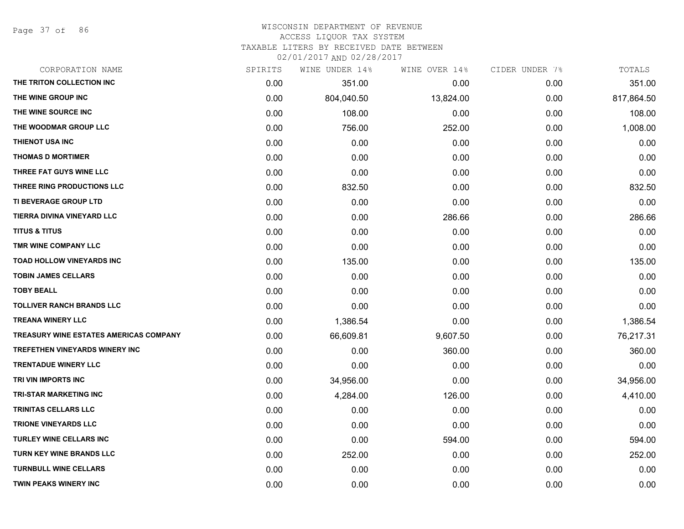Page 37 of 86

#### WISCONSIN DEPARTMENT OF REVENUE ACCESS LIQUOR TAX SYSTEM

TAXABLE LITERS BY RECEIVED DATE BETWEEN

| CORPORATION NAME                              | SPIRITS | WINE UNDER 14% | WINE OVER 14% | CIDER UNDER 7% | TOTALS     |
|-----------------------------------------------|---------|----------------|---------------|----------------|------------|
| THE TRITON COLLECTION INC                     | 0.00    | 351.00         | 0.00          | 0.00           | 351.00     |
| THE WINE GROUP INC                            | 0.00    | 804,040.50     | 13,824.00     | 0.00           | 817,864.50 |
| THE WINE SOURCE INC                           | 0.00    | 108.00         | 0.00          | 0.00           | 108.00     |
| THE WOODMAR GROUP LLC                         | 0.00    | 756.00         | 252.00        | 0.00           | 1,008.00   |
| <b>THIENOT USA INC</b>                        | 0.00    | 0.00           | 0.00          | 0.00           | 0.00       |
| <b>THOMAS D MORTIMER</b>                      | 0.00    | 0.00           | 0.00          | 0.00           | 0.00       |
| THREE FAT GUYS WINE LLC                       | 0.00    | 0.00           | 0.00          | 0.00           | 0.00       |
| THREE RING PRODUCTIONS LLC                    | 0.00    | 832.50         | 0.00          | 0.00           | 832.50     |
| <b>TI BEVERAGE GROUP LTD</b>                  | 0.00    | 0.00           | 0.00          | 0.00           | 0.00       |
| TIERRA DIVINA VINEYARD LLC                    | 0.00    | 0.00           | 286.66        | 0.00           | 286.66     |
| <b>TITUS &amp; TITUS</b>                      | 0.00    | 0.00           | 0.00          | 0.00           | 0.00       |
| TMR WINE COMPANY LLC                          | 0.00    | 0.00           | 0.00          | 0.00           | 0.00       |
| <b>TOAD HOLLOW VINEYARDS INC</b>              | 0.00    | 135.00         | 0.00          | 0.00           | 135.00     |
| <b>TOBIN JAMES CELLARS</b>                    | 0.00    | 0.00           | 0.00          | 0.00           | 0.00       |
| <b>TOBY BEALL</b>                             | 0.00    | 0.00           | 0.00          | 0.00           | 0.00       |
| <b>TOLLIVER RANCH BRANDS LLC</b>              | 0.00    | 0.00           | 0.00          | 0.00           | 0.00       |
| <b>TREANA WINERY LLC</b>                      | 0.00    | 1,386.54       | 0.00          | 0.00           | 1,386.54   |
| <b>TREASURY WINE ESTATES AMERICAS COMPANY</b> | 0.00    | 66,609.81      | 9,607.50      | 0.00           | 76,217.31  |
| TREFETHEN VINEYARDS WINERY INC                | 0.00    | 0.00           | 360.00        | 0.00           | 360.00     |
| <b>TRENTADUE WINERY LLC</b>                   | 0.00    | 0.00           | 0.00          | 0.00           | 0.00       |
| TRI VIN IMPORTS INC                           | 0.00    | 34,956.00      | 0.00          | 0.00           | 34,956.00  |
| <b>TRI-STAR MARKETING INC</b>                 | 0.00    | 4,284.00       | 126.00        | 0.00           | 4,410.00   |
| TRINITAS CELLARS LLC                          | 0.00    | 0.00           | 0.00          | 0.00           | 0.00       |
| <b>TRIONE VINEYARDS LLC</b>                   | 0.00    | 0.00           | 0.00          | 0.00           | 0.00       |
| <b>TURLEY WINE CELLARS INC</b>                | 0.00    | 0.00           | 594.00        | 0.00           | 594.00     |
| <b>TURN KEY WINE BRANDS LLC</b>               | 0.00    | 252.00         | 0.00          | 0.00           | 252.00     |
| <b>TURNBULL WINE CELLARS</b>                  | 0.00    | 0.00           | 0.00          | 0.00           | 0.00       |
| <b>TWIN PEAKS WINERY INC</b>                  | 0.00    | 0.00           | 0.00          | 0.00           | 0.00       |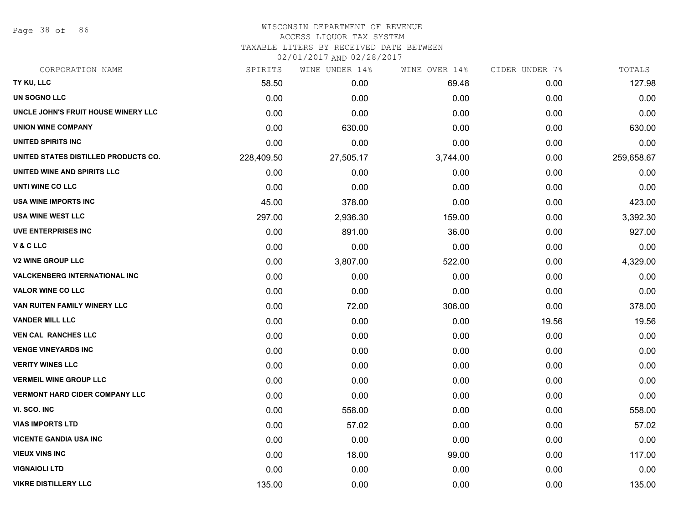Page 38 of 86

#### WISCONSIN DEPARTMENT OF REVENUE ACCESS LIQUOR TAX SYSTEM

# TAXABLE LITERS BY RECEIVED DATE BETWEEN

| CORPORATION NAME                      | SPIRITS    | WINE UNDER 14% | WINE OVER 14% | CIDER UNDER 7% | TOTALS     |
|---------------------------------------|------------|----------------|---------------|----------------|------------|
| TY KU, LLC                            | 58.50      | 0.00           | 69.48         | 0.00           | 127.98     |
| UN SOGNO LLC                          | 0.00       | 0.00           | 0.00          | 0.00           | 0.00       |
| UNCLE JOHN'S FRUIT HOUSE WINERY LLC   | 0.00       | 0.00           | 0.00          | 0.00           | 0.00       |
| <b>UNION WINE COMPANY</b>             | 0.00       | 630.00         | 0.00          | 0.00           | 630.00     |
| UNITED SPIRITS INC                    | 0.00       | 0.00           | 0.00          | 0.00           | 0.00       |
| UNITED STATES DISTILLED PRODUCTS CO.  | 228,409.50 | 27,505.17      | 3,744.00      | 0.00           | 259,658.67 |
| UNITED WINE AND SPIRITS LLC           | 0.00       | 0.00           | 0.00          | 0.00           | 0.00       |
| UNTI WINE CO LLC                      | 0.00       | 0.00           | 0.00          | 0.00           | 0.00       |
| USA WINE IMPORTS INC                  | 45.00      | 378.00         | 0.00          | 0.00           | 423.00     |
| <b>USA WINE WEST LLC</b>              | 297.00     | 2,936.30       | 159.00        | 0.00           | 3,392.30   |
| <b>UVE ENTERPRISES INC</b>            | 0.00       | 891.00         | 36.00         | 0.00           | 927.00     |
| V & C LLC                             | 0.00       | 0.00           | 0.00          | 0.00           | 0.00       |
| <b>V2 WINE GROUP LLC</b>              | 0.00       | 3,807.00       | 522.00        | 0.00           | 4,329.00   |
| <b>VALCKENBERG INTERNATIONAL INC</b>  | 0.00       | 0.00           | 0.00          | 0.00           | 0.00       |
| <b>VALOR WINE CO LLC</b>              | 0.00       | 0.00           | 0.00          | 0.00           | 0.00       |
| VAN RUITEN FAMILY WINERY LLC          | 0.00       | 72.00          | 306.00        | 0.00           | 378.00     |
| <b>VANDER MILL LLC</b>                | 0.00       | 0.00           | 0.00          | 19.56          | 19.56      |
| <b>VEN CAL RANCHES LLC</b>            | 0.00       | 0.00           | 0.00          | 0.00           | 0.00       |
| <b>VENGE VINEYARDS INC</b>            | 0.00       | 0.00           | 0.00          | 0.00           | 0.00       |
| <b>VERITY WINES LLC</b>               | 0.00       | 0.00           | 0.00          | 0.00           | 0.00       |
| <b>VERMEIL WINE GROUP LLC</b>         | 0.00       | 0.00           | 0.00          | 0.00           | 0.00       |
| <b>VERMONT HARD CIDER COMPANY LLC</b> | 0.00       | 0.00           | 0.00          | 0.00           | 0.00       |
| VI. SCO. INC                          | 0.00       | 558.00         | 0.00          | 0.00           | 558.00     |
| <b>VIAS IMPORTS LTD</b>               | 0.00       | 57.02          | 0.00          | 0.00           | 57.02      |
| <b>VICENTE GANDIA USA INC</b>         | 0.00       | 0.00           | 0.00          | 0.00           | 0.00       |
| <b>VIEUX VINS INC</b>                 | 0.00       | 18.00          | 99.00         | 0.00           | 117.00     |
| <b>VIGNAIOLI LTD</b>                  | 0.00       | 0.00           | 0.00          | 0.00           | 0.00       |
| <b>VIKRE DISTILLERY LLC</b>           | 135.00     | 0.00           | 0.00          | 0.00           | 135.00     |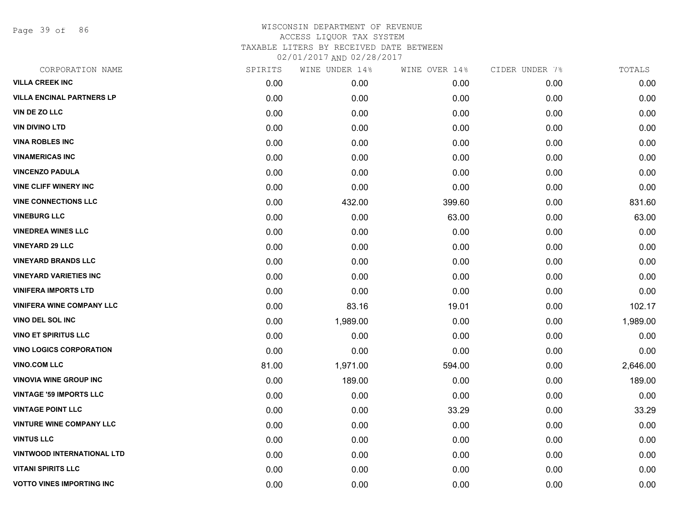Page 39 of 86

| CORPORATION NAME                  | SPIRITS | WINE UNDER 14% | WINE OVER 14% | CIDER UNDER 7% | TOTALS   |
|-----------------------------------|---------|----------------|---------------|----------------|----------|
| <b>VILLA CREEK INC</b>            | 0.00    | 0.00           | 0.00          | 0.00           | 0.00     |
| <b>VILLA ENCINAL PARTNERS LP</b>  | 0.00    | 0.00           | 0.00          | 0.00           | 0.00     |
| VIN DE ZO LLC                     | 0.00    | 0.00           | 0.00          | 0.00           | 0.00     |
| <b>VIN DIVINO LTD</b>             | 0.00    | 0.00           | 0.00          | 0.00           | 0.00     |
| <b>VINA ROBLES INC</b>            | 0.00    | 0.00           | 0.00          | 0.00           | 0.00     |
| <b>VINAMERICAS INC</b>            | 0.00    | 0.00           | 0.00          | 0.00           | 0.00     |
| <b>VINCENZO PADULA</b>            | 0.00    | 0.00           | 0.00          | 0.00           | 0.00     |
| <b>VINE CLIFF WINERY INC</b>      | 0.00    | 0.00           | 0.00          | 0.00           | 0.00     |
| <b>VINE CONNECTIONS LLC</b>       | 0.00    | 432.00         | 399.60        | 0.00           | 831.60   |
| <b>VINEBURG LLC</b>               | 0.00    | 0.00           | 63.00         | 0.00           | 63.00    |
| <b>VINEDREA WINES LLC</b>         | 0.00    | 0.00           | 0.00          | 0.00           | 0.00     |
| <b>VINEYARD 29 LLC</b>            | 0.00    | 0.00           | 0.00          | 0.00           | 0.00     |
| <b>VINEYARD BRANDS LLC</b>        | 0.00    | 0.00           | 0.00          | 0.00           | 0.00     |
| <b>VINEYARD VARIETIES INC</b>     | 0.00    | 0.00           | 0.00          | 0.00           | 0.00     |
| <b>VINIFERA IMPORTS LTD</b>       | 0.00    | 0.00           | 0.00          | 0.00           | 0.00     |
| <b>VINIFERA WINE COMPANY LLC</b>  | 0.00    | 83.16          | 19.01         | 0.00           | 102.17   |
| <b>VINO DEL SOL INC</b>           | 0.00    | 1,989.00       | 0.00          | 0.00           | 1,989.00 |
| <b>VINO ET SPIRITUS LLC</b>       | 0.00    | 0.00           | 0.00          | 0.00           | 0.00     |
| <b>VINO LOGICS CORPORATION</b>    | 0.00    | 0.00           | 0.00          | 0.00           | 0.00     |
| <b>VINO.COM LLC</b>               | 81.00   | 1,971.00       | 594.00        | 0.00           | 2,646.00 |
| <b>VINOVIA WINE GROUP INC</b>     | 0.00    | 189.00         | 0.00          | 0.00           | 189.00   |
| <b>VINTAGE '59 IMPORTS LLC</b>    | 0.00    | 0.00           | 0.00          | 0.00           | 0.00     |
| <b>VINTAGE POINT LLC</b>          | 0.00    | 0.00           | 33.29         | 0.00           | 33.29    |
| <b>VINTURE WINE COMPANY LLC</b>   | 0.00    | 0.00           | 0.00          | 0.00           | 0.00     |
| <b>VINTUS LLC</b>                 | 0.00    | 0.00           | 0.00          | 0.00           | 0.00     |
| <b>VINTWOOD INTERNATIONAL LTD</b> | 0.00    | 0.00           | 0.00          | 0.00           | 0.00     |
| <b>VITANI SPIRITS LLC</b>         | 0.00    | 0.00           | 0.00          | 0.00           | 0.00     |
| <b>VOTTO VINES IMPORTING INC</b>  | 0.00    | 0.00           | 0.00          | 0.00           | 0.00     |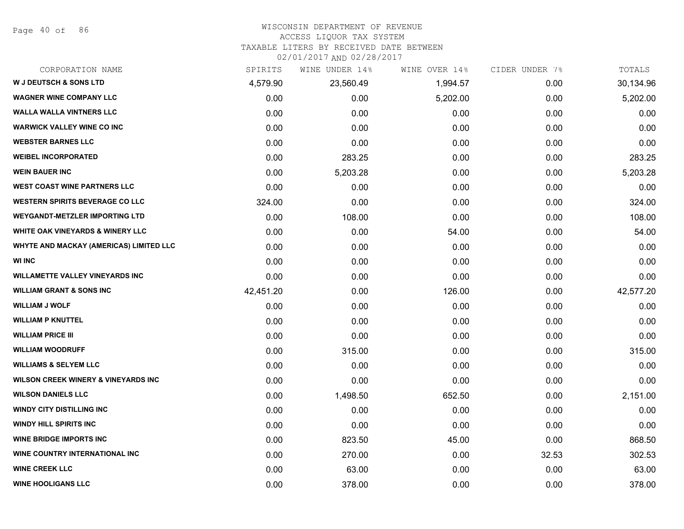Page 40 of 86

#### WISCONSIN DEPARTMENT OF REVENUE

#### ACCESS LIQUOR TAX SYSTEM

TAXABLE LITERS BY RECEIVED DATE BETWEEN

| CORPORATION NAME                               | SPIRITS   | WINE UNDER 14% | WINE OVER 14% | CIDER UNDER 7% | TOTALS    |
|------------------------------------------------|-----------|----------------|---------------|----------------|-----------|
| <b>W J DEUTSCH &amp; SONS LTD</b>              | 4,579.90  | 23,560.49      | 1,994.57      | 0.00           | 30,134.96 |
| <b>WAGNER WINE COMPANY LLC</b>                 | 0.00      | 0.00           | 5,202.00      | 0.00           | 5,202.00  |
| <b>WALLA WALLA VINTNERS LLC</b>                | 0.00      | 0.00           | 0.00          | 0.00           | 0.00      |
| <b>WARWICK VALLEY WINE CO INC</b>              | 0.00      | 0.00           | 0.00          | 0.00           | 0.00      |
| <b>WEBSTER BARNES LLC</b>                      | 0.00      | 0.00           | 0.00          | 0.00           | 0.00      |
| <b>WEIBEL INCORPORATED</b>                     | 0.00      | 283.25         | 0.00          | 0.00           | 283.25    |
| <b>WEIN BAUER INC</b>                          | 0.00      | 5,203.28       | 0.00          | 0.00           | 5,203.28  |
| <b>WEST COAST WINE PARTNERS LLC</b>            | 0.00      | 0.00           | 0.00          | 0.00           | 0.00      |
| <b>WESTERN SPIRITS BEVERAGE CO LLC</b>         | 324.00    | 0.00           | 0.00          | 0.00           | 324.00    |
| <b>WEYGANDT-METZLER IMPORTING LTD</b>          | 0.00      | 108.00         | 0.00          | 0.00           | 108.00    |
| <b>WHITE OAK VINEYARDS &amp; WINERY LLC</b>    | 0.00      | 0.00           | 54.00         | 0.00           | 54.00     |
| WHYTE AND MACKAY (AMERICAS) LIMITED LLC        | 0.00      | 0.00           | 0.00          | 0.00           | 0.00      |
| <b>WI INC</b>                                  | 0.00      | 0.00           | 0.00          | 0.00           | 0.00      |
| <b>WILLAMETTE VALLEY VINEYARDS INC</b>         | 0.00      | 0.00           | 0.00          | 0.00           | 0.00      |
| <b>WILLIAM GRANT &amp; SONS INC</b>            | 42,451.20 | 0.00           | 126.00        | 0.00           | 42,577.20 |
| <b>WILLIAM J WOLF</b>                          | 0.00      | 0.00           | 0.00          | 0.00           | 0.00      |
| <b>WILLIAM P KNUTTEL</b>                       | 0.00      | 0.00           | 0.00          | 0.00           | 0.00      |
| <b>WILLIAM PRICE III</b>                       | 0.00      | 0.00           | 0.00          | 0.00           | 0.00      |
| <b>WILLIAM WOODRUFF</b>                        | 0.00      | 315.00         | 0.00          | 0.00           | 315.00    |
| <b>WILLIAMS &amp; SELYEM LLC</b>               | 0.00      | 0.00           | 0.00          | 0.00           | 0.00      |
| <b>WILSON CREEK WINERY &amp; VINEYARDS INC</b> | 0.00      | 0.00           | 0.00          | 0.00           | 0.00      |
| <b>WILSON DANIELS LLC</b>                      | 0.00      | 1,498.50       | 652.50        | 0.00           | 2,151.00  |
| <b>WINDY CITY DISTILLING INC</b>               | 0.00      | 0.00           | 0.00          | 0.00           | 0.00      |
| <b>WINDY HILL SPIRITS INC</b>                  | 0.00      | 0.00           | 0.00          | 0.00           | 0.00      |
| <b>WINE BRIDGE IMPORTS INC</b>                 | 0.00      | 823.50         | 45.00         | 0.00           | 868.50    |
| WINE COUNTRY INTERNATIONAL INC                 | 0.00      | 270.00         | 0.00          | 32.53          | 302.53    |
| <b>WINE CREEK LLC</b>                          | 0.00      | 63.00          | 0.00          | 0.00           | 63.00     |
| <b>WINE HOOLIGANS LLC</b>                      | 0.00      | 378.00         | 0.00          | 0.00           | 378.00    |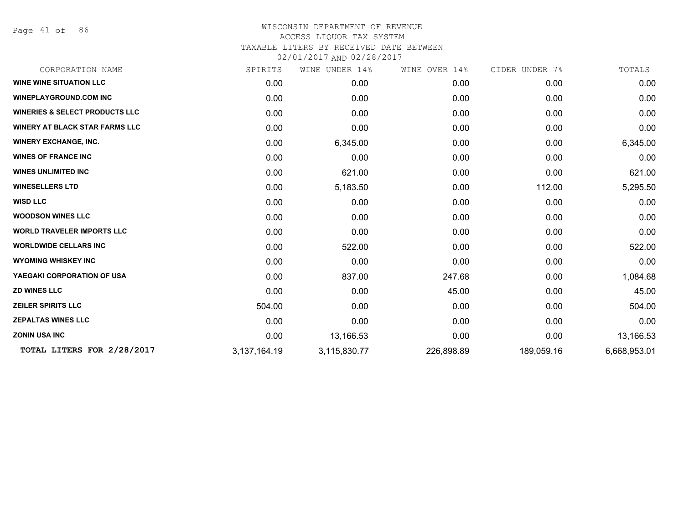Page 41 of 86

# WISCONSIN DEPARTMENT OF REVENUE ACCESS LIQUOR TAX SYSTEM TAXABLE LITERS BY RECEIVED DATE BETWEEN

| CORPORATION NAME                          | SPIRITS         | WINE UNDER 14% | WINE OVER 14% | CIDER UNDER 7% | TOTALS       |
|-------------------------------------------|-----------------|----------------|---------------|----------------|--------------|
| <b>WINE WINE SITUATION LLC</b>            | 0.00            | 0.00           | 0.00          | 0.00           | 0.00         |
| <b>WINEPLAYGROUND.COM INC</b>             | 0.00            | 0.00           | 0.00          | 0.00           | 0.00         |
| <b>WINERIES &amp; SELECT PRODUCTS LLC</b> | 0.00            | 0.00           | 0.00          | 0.00           | 0.00         |
| <b>WINERY AT BLACK STAR FARMS LLC</b>     | 0.00            | 0.00           | 0.00          | 0.00           | 0.00         |
| <b>WINERY EXCHANGE, INC.</b>              | 0.00            | 6,345.00       | 0.00          | 0.00           | 6,345.00     |
| <b>WINES OF FRANCE INC</b>                | 0.00            | 0.00           | 0.00          | 0.00           | 0.00         |
| <b>WINES UNLIMITED INC</b>                | 0.00            | 621.00         | 0.00          | 0.00           | 621.00       |
| <b>WINESELLERS LTD</b>                    | 0.00            | 5,183.50       | 0.00          | 112.00         | 5,295.50     |
| <b>WISD LLC</b>                           | 0.00            | 0.00           | 0.00          | 0.00           | 0.00         |
| <b>WOODSON WINES LLC</b>                  | 0.00            | 0.00           | 0.00          | 0.00           | 0.00         |
| <b>WORLD TRAVELER IMPORTS LLC</b>         | 0.00            | 0.00           | 0.00          | 0.00           | 0.00         |
| <b>WORLDWIDE CELLARS INC</b>              | 0.00            | 522.00         | 0.00          | 0.00           | 522.00       |
| <b>WYOMING WHISKEY INC</b>                | 0.00            | 0.00           | 0.00          | 0.00           | 0.00         |
| YAEGAKI CORPORATION OF USA                | 0.00            | 837.00         | 247.68        | 0.00           | 1,084.68     |
| <b>ZD WINES LLC</b>                       | 0.00            | 0.00           | 45.00         | 0.00           | 45.00        |
| <b>ZEILER SPIRITS LLC</b>                 | 504.00          | 0.00           | 0.00          | 0.00           | 504.00       |
| <b>ZEPALTAS WINES LLC</b>                 | 0.00            | 0.00           | 0.00          | 0.00           | 0.00         |
| <b>ZONIN USA INC</b>                      | 0.00            | 13,166.53      | 0.00          | 0.00           | 13,166.53    |
| TOTAL LITERS FOR 2/28/2017                | 3, 137, 164. 19 | 3,115,830.77   | 226,898.89    | 189,059.16     | 6,668,953.01 |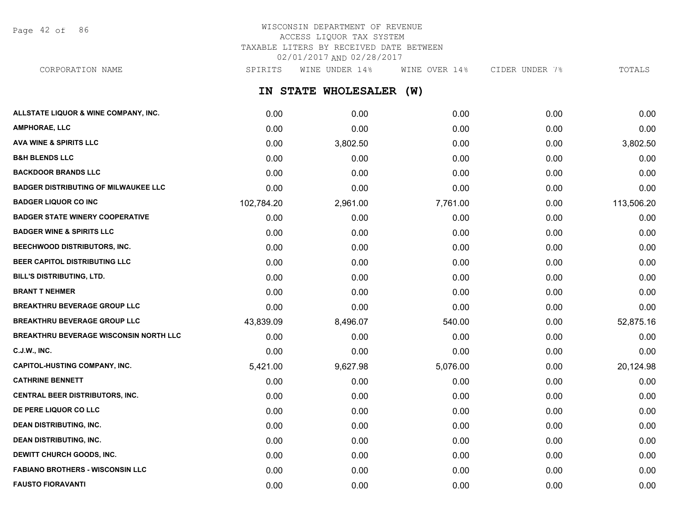Page 42 of 86

# WISCONSIN DEPARTMENT OF REVENUE ACCESS LIQUOR TAX SYSTEM TAXABLE LITERS BY RECEIVED DATE BETWEEN 02/01/2017 AND 02/28/2017

**IN STATE WHOLESALER (W) ALLSTATE LIQUOR & WINE COMPANY, INC.** 0.00 0.00 0.00 0.00 0.00 **AMPHORAE, LLC** 0.00 0.00 0.00 0.00 0.00 CORPORATION NAME SPIRITS WINE UNDER 14% WINE OVER 14% CIDER UNDER 7% TOTALS

| AVA WINE & SPIRITS LLC                        | 0.00       | 3,802.50 | 0.00     | 0.00 | 3,802.50   |
|-----------------------------------------------|------------|----------|----------|------|------------|
| <b>B&amp;H BLENDS LLC</b>                     | 0.00       | 0.00     | 0.00     | 0.00 | 0.00       |
| <b>BACKDOOR BRANDS LLC</b>                    | 0.00       | 0.00     | 0.00     | 0.00 | 0.00       |
| <b>BADGER DISTRIBUTING OF MILWAUKEE LLC</b>   | 0.00       | 0.00     | 0.00     | 0.00 | 0.00       |
| <b>BADGER LIQUOR CO INC</b>                   | 102,784.20 | 2,961.00 | 7,761.00 | 0.00 | 113,506.20 |
| <b>BADGER STATE WINERY COOPERATIVE</b>        | 0.00       | 0.00     | 0.00     | 0.00 | 0.00       |
| <b>BADGER WINE &amp; SPIRITS LLC</b>          | 0.00       | 0.00     | 0.00     | 0.00 | 0.00       |
| BEECHWOOD DISTRIBUTORS, INC.                  | 0.00       | 0.00     | 0.00     | 0.00 | 0.00       |
| BEER CAPITOL DISTRIBUTING LLC                 | 0.00       | 0.00     | 0.00     | 0.00 | 0.00       |
| <b>BILL'S DISTRIBUTING, LTD.</b>              | 0.00       | 0.00     | 0.00     | 0.00 | 0.00       |
| <b>BRANT T NEHMER</b>                         | 0.00       | 0.00     | 0.00     | 0.00 | 0.00       |
| <b>BREAKTHRU BEVERAGE GROUP LLC</b>           | 0.00       | 0.00     | 0.00     | 0.00 | 0.00       |
| <b>BREAKTHRU BEVERAGE GROUP LLC</b>           | 43,839.09  | 8,496.07 | 540.00   | 0.00 | 52,875.16  |
| <b>BREAKTHRU BEVERAGE WISCONSIN NORTH LLC</b> | 0.00       | 0.00     | 0.00     | 0.00 | 0.00       |
| <b>C.J.W., INC.</b>                           | 0.00       | 0.00     | 0.00     | 0.00 | 0.00       |
| <b>CAPITOL-HUSTING COMPANY, INC.</b>          | 5,421.00   | 9,627.98 | 5,076.00 | 0.00 | 20,124.98  |
| <b>CATHRINE BENNETT</b>                       | 0.00       | 0.00     | 0.00     | 0.00 | 0.00       |
| <b>CENTRAL BEER DISTRIBUTORS, INC.</b>        | 0.00       | 0.00     | 0.00     | 0.00 | 0.00       |
| DE PERE LIQUOR CO LLC                         | 0.00       | 0.00     | 0.00     | 0.00 | 0.00       |
| <b>DEAN DISTRIBUTING, INC.</b>                | 0.00       | 0.00     | 0.00     | 0.00 | 0.00       |
| <b>DEAN DISTRIBUTING, INC.</b>                | 0.00       | 0.00     | 0.00     | 0.00 | 0.00       |
| DEWITT CHURCH GOODS, INC.                     | 0.00       | 0.00     | 0.00     | 0.00 | 0.00       |
| <b>FABIANO BROTHERS - WISCONSIN LLC</b>       | 0.00       | 0.00     | 0.00     | 0.00 | 0.00       |
| <b>FAUSTO FIORAVANTI</b>                      | 0.00       | 0.00     | 0.00     | 0.00 | 0.00       |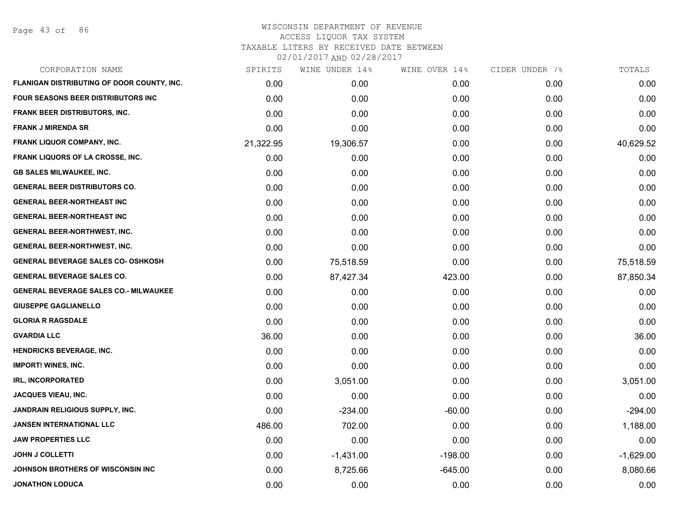Page 43 of 86

| CORPORATION NAME                             | SPIRITS   | WINE UNDER 14% | WINE OVER 14% | CIDER UNDER 7% | TOTALS      |
|----------------------------------------------|-----------|----------------|---------------|----------------|-------------|
| FLANIGAN DISTRIBUTING OF DOOR COUNTY, INC.   | 0.00      | 0.00           | 0.00          | 0.00           | 0.00        |
| <b>FOUR SEASONS BEER DISTRIBUTORS INC</b>    | 0.00      | 0.00           | 0.00          | 0.00           | 0.00        |
| FRANK BEER DISTRIBUTORS, INC.                | 0.00      | 0.00           | 0.00          | 0.00           | 0.00        |
| <b>FRANK J MIRENDA SR</b>                    | 0.00      | 0.00           | 0.00          | 0.00           | 0.00        |
| <b>FRANK LIQUOR COMPANY, INC.</b>            | 21,322.95 | 19,306.57      | 0.00          | 0.00           | 40,629.52   |
| <b>FRANK LIQUORS OF LA CROSSE, INC.</b>      | 0.00      | 0.00           | 0.00          | 0.00           | 0.00        |
| <b>GB SALES MILWAUKEE, INC.</b>              | 0.00      | 0.00           | 0.00          | 0.00           | 0.00        |
| <b>GENERAL BEER DISTRIBUTORS CO.</b>         | 0.00      | 0.00           | 0.00          | 0.00           | 0.00        |
| <b>GENERAL BEER-NORTHEAST INC</b>            | 0.00      | 0.00           | 0.00          | 0.00           | 0.00        |
| <b>GENERAL BEER-NORTHEAST INC</b>            | 0.00      | 0.00           | 0.00          | 0.00           | 0.00        |
| <b>GENERAL BEER-NORTHWEST, INC.</b>          | 0.00      | 0.00           | 0.00          | 0.00           | 0.00        |
| <b>GENERAL BEER-NORTHWEST, INC.</b>          | 0.00      | 0.00           | 0.00          | 0.00           | 0.00        |
| <b>GENERAL BEVERAGE SALES CO- OSHKOSH</b>    | 0.00      | 75,518.59      | 0.00          | 0.00           | 75,518.59   |
| <b>GENERAL BEVERAGE SALES CO.</b>            | 0.00      | 87,427.34      | 423.00        | 0.00           | 87,850.34   |
| <b>GENERAL BEVERAGE SALES CO.- MILWAUKEE</b> | 0.00      | 0.00           | 0.00          | 0.00           | 0.00        |
| <b>GIUSEPPE GAGLIANELLO</b>                  | 0.00      | 0.00           | 0.00          | 0.00           | 0.00        |
| <b>GLORIA R RAGSDALE</b>                     | 0.00      | 0.00           | 0.00          | 0.00           | 0.00        |
| <b>GVARDIA LLC</b>                           | 36.00     | 0.00           | 0.00          | 0.00           | 36.00       |
| <b>HENDRICKS BEVERAGE, INC.</b>              | 0.00      | 0.00           | 0.00          | 0.00           | 0.00        |
| <b>IMPORT! WINES, INC.</b>                   | 0.00      | 0.00           | 0.00          | 0.00           | 0.00        |
| <b>IRL, INCORPORATED</b>                     | 0.00      | 3,051.00       | 0.00          | 0.00           | 3,051.00    |
| JACQUES VIEAU, INC.                          | 0.00      | 0.00           | 0.00          | 0.00           | 0.00        |
| JANDRAIN RELIGIOUS SUPPLY, INC.              | 0.00      | $-234.00$      | $-60.00$      | 0.00           | $-294.00$   |
| JANSEN INTERNATIONAL LLC                     | 486.00    | 702.00         | 0.00          | 0.00           | 1,188.00    |
| <b>JAW PROPERTIES LLC</b>                    | 0.00      | 0.00           | 0.00          | 0.00           | 0.00        |
| <b>JOHN J COLLETTI</b>                       | 0.00      | $-1,431.00$    | $-198.00$     | 0.00           | $-1,629.00$ |
| JOHNSON BROTHERS OF WISCONSIN INC            | 0.00      | 8,725.66       | $-645.00$     | 0.00           | 8,080.66    |
| <b>JONATHON LODUCA</b>                       | 0.00      | 0.00           | 0.00          | 0.00           | 0.00        |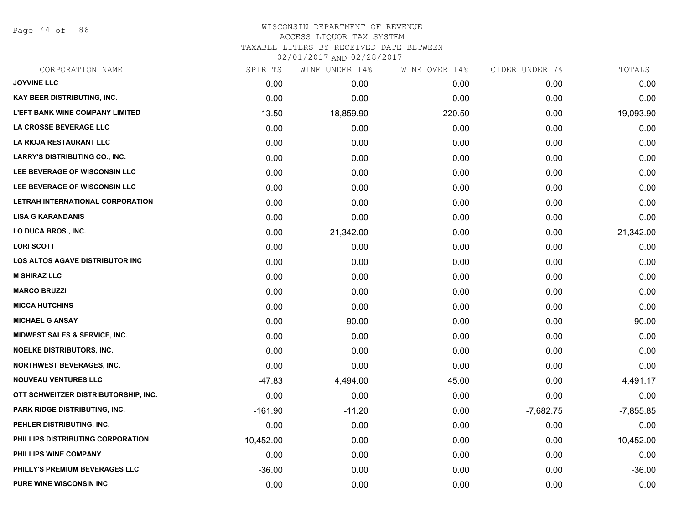Page 44 of 86

# WISCONSIN DEPARTMENT OF REVENUE ACCESS LIQUOR TAX SYSTEM TAXABLE LITERS BY RECEIVED DATE BETWEEN

| CORPORATION NAME                       | SPIRITS   | WINE UNDER 14% | WINE OVER 14% | CIDER UNDER 7% | TOTALS      |
|----------------------------------------|-----------|----------------|---------------|----------------|-------------|
| <b>JOYVINE LLC</b>                     | 0.00      | 0.00           | 0.00          | 0.00           | 0.00        |
| KAY BEER DISTRIBUTING, INC.            | 0.00      | 0.00           | 0.00          | 0.00           | 0.00        |
| <b>L'EFT BANK WINE COMPANY LIMITED</b> | 13.50     | 18,859.90      | 220.50        | 0.00           | 19,093.90   |
| LA CROSSE BEVERAGE LLC                 | 0.00      | 0.00           | 0.00          | 0.00           | 0.00        |
| LA RIOJA RESTAURANT LLC                | 0.00      | 0.00           | 0.00          | 0.00           | 0.00        |
| <b>LARRY'S DISTRIBUTING CO., INC.</b>  | 0.00      | 0.00           | 0.00          | 0.00           | 0.00        |
| LEE BEVERAGE OF WISCONSIN LLC          | 0.00      | 0.00           | 0.00          | 0.00           | 0.00        |
| LEE BEVERAGE OF WISCONSIN LLC          | 0.00      | 0.00           | 0.00          | 0.00           | 0.00        |
| LETRAH INTERNATIONAL CORPORATION       | 0.00      | 0.00           | 0.00          | 0.00           | 0.00        |
| <b>LISA G KARANDANIS</b>               | 0.00      | 0.00           | 0.00          | 0.00           | 0.00        |
| LO DUCA BROS., INC.                    | 0.00      | 21,342.00      | 0.00          | 0.00           | 21,342.00   |
| <b>LORI SCOTT</b>                      | 0.00      | 0.00           | 0.00          | 0.00           | 0.00        |
| LOS ALTOS AGAVE DISTRIBUTOR INC        | 0.00      | 0.00           | 0.00          | 0.00           | 0.00        |
| <b>M SHIRAZ LLC</b>                    | 0.00      | 0.00           | 0.00          | 0.00           | 0.00        |
| <b>MARCO BRUZZI</b>                    | 0.00      | 0.00           | 0.00          | 0.00           | 0.00        |
| <b>MICCA HUTCHINS</b>                  | 0.00      | 0.00           | 0.00          | 0.00           | 0.00        |
| <b>MICHAEL G ANSAY</b>                 | 0.00      | 90.00          | 0.00          | 0.00           | 90.00       |
| MIDWEST SALES & SERVICE, INC.          | 0.00      | 0.00           | 0.00          | 0.00           | 0.00        |
| <b>NOELKE DISTRIBUTORS, INC.</b>       | 0.00      | 0.00           | 0.00          | 0.00           | 0.00        |
| <b>NORTHWEST BEVERAGES, INC.</b>       | 0.00      | 0.00           | 0.00          | 0.00           | 0.00        |
| <b>NOUVEAU VENTURES LLC</b>            | $-47.83$  | 4,494.00       | 45.00         | 0.00           | 4,491.17    |
| OTT SCHWEITZER DISTRIBUTORSHIP, INC.   | 0.00      | 0.00           | 0.00          | 0.00           | 0.00        |
| <b>PARK RIDGE DISTRIBUTING, INC.</b>   | $-161.90$ | $-11.20$       | 0.00          | $-7,682.75$    | $-7,855.85$ |
| PEHLER DISTRIBUTING, INC.              | 0.00      | 0.00           | 0.00          | 0.00           | 0.00        |
| PHILLIPS DISTRIBUTING CORPORATION      | 10,452.00 | 0.00           | 0.00          | 0.00           | 10,452.00   |
| PHILLIPS WINE COMPANY                  | 0.00      | 0.00           | 0.00          | 0.00           | 0.00        |
| PHILLY'S PREMIUM BEVERAGES LLC         | $-36.00$  | 0.00           | 0.00          | 0.00           | $-36.00$    |
| <b>PURE WINE WISCONSIN INC</b>         | 0.00      | 0.00           | 0.00          | 0.00           | 0.00        |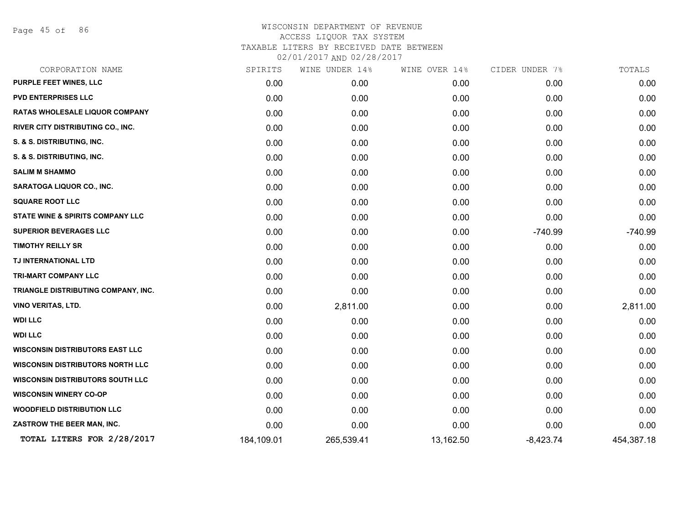Page 45 of 86

|            | WINE UNDER 14% | WINE OVER 14% | CIDER UNDER 7% | TOTALS     |
|------------|----------------|---------------|----------------|------------|
| 0.00       | 0.00           | 0.00          | 0.00           | 0.00       |
| 0.00       | 0.00           | 0.00          | 0.00           | 0.00       |
| 0.00       | 0.00           | 0.00          | 0.00           | 0.00       |
| 0.00       | 0.00           | 0.00          | 0.00           | 0.00       |
| 0.00       | 0.00           | 0.00          | 0.00           | 0.00       |
| 0.00       | 0.00           | 0.00          | 0.00           | 0.00       |
| 0.00       | 0.00           | 0.00          | 0.00           | 0.00       |
| 0.00       | 0.00           | 0.00          | 0.00           | 0.00       |
| 0.00       | 0.00           | 0.00          | 0.00           | 0.00       |
| 0.00       | 0.00           | 0.00          | 0.00           | 0.00       |
| 0.00       | 0.00           | 0.00          | $-740.99$      | $-740.99$  |
| 0.00       | 0.00           | 0.00          | 0.00           | 0.00       |
| 0.00       | 0.00           | 0.00          | 0.00           | 0.00       |
| 0.00       | 0.00           | 0.00          | 0.00           | 0.00       |
| 0.00       | 0.00           | 0.00          | 0.00           | 0.00       |
| 0.00       | 2,811.00       | 0.00          | 0.00           | 2,811.00   |
| 0.00       | 0.00           | 0.00          | 0.00           | 0.00       |
| 0.00       | 0.00           | 0.00          | 0.00           | 0.00       |
| 0.00       | 0.00           | 0.00          | 0.00           | 0.00       |
| 0.00       | 0.00           | 0.00          | 0.00           | 0.00       |
| 0.00       | 0.00           | 0.00          | 0.00           | 0.00       |
| 0.00       | 0.00           | 0.00          | 0.00           | 0.00       |
| 0.00       | 0.00           | 0.00          | 0.00           | 0.00       |
| 0.00       | 0.00           | 0.00          | 0.00           | 0.00       |
| 184,109.01 | 265,539.41     | 13,162.50     | $-8,423.74$    | 454,387.18 |
|            | SPIRITS        |               |                |            |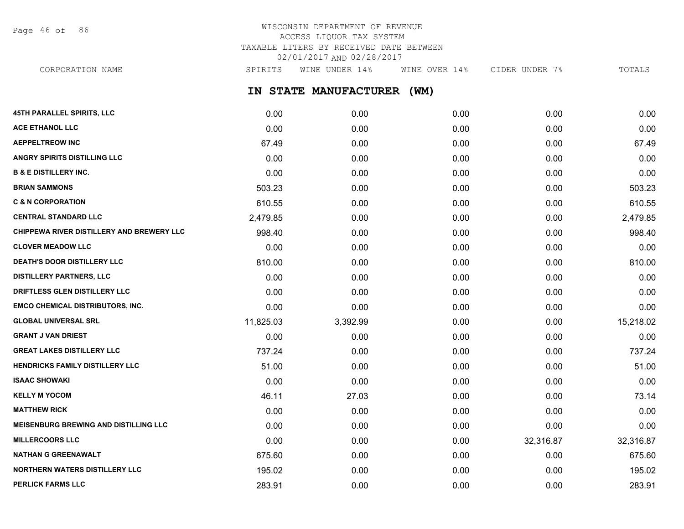Page 46 of 86

# WISCONSIN DEPARTMENT OF REVENUE ACCESS LIQUOR TAX SYSTEM TAXABLE LITERS BY RECEIVED DATE BETWEEN 02/01/2017 AND 02/28/2017

CORPORATION NAME SPIRITS WINE UNDER 14% WINE OVER 14% CIDER UNDER 7% TOTALS

**IN STATE MANUFACTURER (WM)**

| 45TH PARALLEL SPIRITS, LLC                   | 0.00      | 0.00     | 0.00 | 0.00      | 0.00      |
|----------------------------------------------|-----------|----------|------|-----------|-----------|
| <b>ACE ETHANOL LLC</b>                       | 0.00      | 0.00     | 0.00 | 0.00      | 0.00      |
| <b>AEPPELTREOW INC</b>                       | 67.49     | 0.00     | 0.00 | 0.00      | 67.49     |
| <b>ANGRY SPIRITS DISTILLING LLC</b>          | 0.00      | 0.00     | 0.00 | 0.00      | 0.00      |
| <b>B &amp; E DISTILLERY INC.</b>             | 0.00      | 0.00     | 0.00 | 0.00      | 0.00      |
| <b>BRIAN SAMMONS</b>                         | 503.23    | 0.00     | 0.00 | 0.00      | 503.23    |
| <b>C &amp; N CORPORATION</b>                 | 610.55    | 0.00     | 0.00 | 0.00      | 610.55    |
| <b>CENTRAL STANDARD LLC</b>                  | 2,479.85  | 0.00     | 0.00 | 0.00      | 2,479.85  |
| CHIPPEWA RIVER DISTILLERY AND BREWERY LLC    | 998.40    | 0.00     | 0.00 | 0.00      | 998.40    |
| <b>CLOVER MEADOW LLC</b>                     | 0.00      | 0.00     | 0.00 | 0.00      | 0.00      |
| DEATH'S DOOR DISTILLERY LLC                  | 810.00    | 0.00     | 0.00 | 0.00      | 810.00    |
| <b>DISTILLERY PARTNERS, LLC</b>              | 0.00      | 0.00     | 0.00 | 0.00      | 0.00      |
| DRIFTLESS GLEN DISTILLERY LLC                | 0.00      | 0.00     | 0.00 | 0.00      | 0.00      |
| <b>EMCO CHEMICAL DISTRIBUTORS, INC.</b>      | 0.00      | 0.00     | 0.00 | 0.00      | 0.00      |
| <b>GLOBAL UNIVERSAL SRL</b>                  | 11,825.03 | 3,392.99 | 0.00 | 0.00      | 15,218.02 |
| <b>GRANT J VAN DRIEST</b>                    | 0.00      | 0.00     | 0.00 | 0.00      | 0.00      |
| <b>GREAT LAKES DISTILLERY LLC</b>            | 737.24    | 0.00     | 0.00 | 0.00      | 737.24    |
| HENDRICKS FAMILY DISTILLERY LLC              | 51.00     | 0.00     | 0.00 | 0.00      | 51.00     |
| <b>ISAAC SHOWAKI</b>                         | 0.00      | 0.00     | 0.00 | 0.00      | 0.00      |
| <b>KELLY M YOCOM</b>                         | 46.11     | 27.03    | 0.00 | 0.00      | 73.14     |
| <b>MATTHEW RICK</b>                          | 0.00      | 0.00     | 0.00 | 0.00      | 0.00      |
| <b>MEISENBURG BREWING AND DISTILLING LLC</b> | 0.00      | 0.00     | 0.00 | 0.00      | 0.00      |
| <b>MILLERCOORS LLC</b>                       | 0.00      | 0.00     | 0.00 | 32,316.87 | 32,316.87 |
| <b>NATHAN G GREENAWALT</b>                   | 675.60    | 0.00     | 0.00 | 0.00      | 675.60    |
| <b>NORTHERN WATERS DISTILLERY LLC</b>        | 195.02    | 0.00     | 0.00 | 0.00      | 195.02    |
| <b>PERLICK FARMS LLC</b>                     | 283.91    | 0.00     | 0.00 | 0.00      | 283.91    |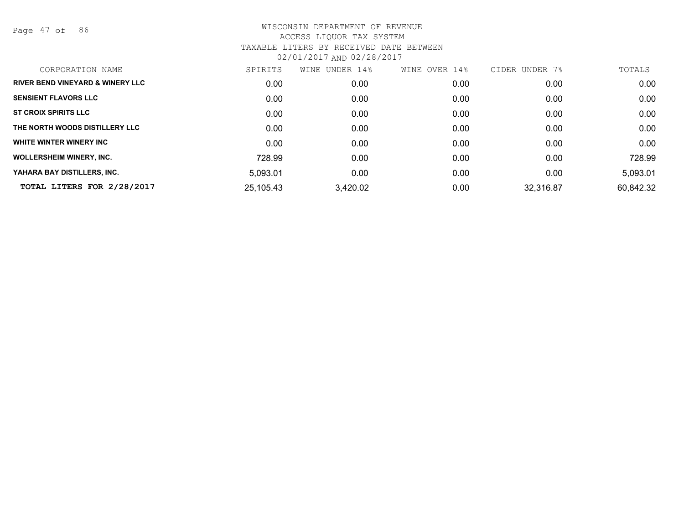Page 47 of 86

| <b>RIVER BEND VINEYARD &amp; WINERY LLC</b><br>0.00<br>0.00<br>0.00<br>0.00<br><b>SENSIENT FLAVORS LLC</b><br>0.00<br>0.00<br>0.00<br>0.00<br><b>ST CROIX SPIRITS LLC</b><br>0.00<br>0.00<br>0.00<br>0.00<br>THE NORTH WOODS DISTILLERY LLC<br>0.00<br>0.00<br>0.00<br>0.00<br>WHITE WINTER WINERY INC<br>0.00<br>0.00<br>0.00<br>0.00<br><b>WOLLERSHEIM WINERY, INC.</b><br>728.99<br>0.00<br>0.00<br>0.00<br>YAHARA BAY DISTILLERS, INC.<br>5,093.01<br>0.00<br>0.00<br>0.00<br>TOTAL LITERS FOR 2/28/2017<br>25,105.43<br>32,316.87<br>3,420.02<br>0.00 | CORPORATION NAME | SPIRITS | WINE UNDER 14% | WINE OVER 14% | CIDER UNDER 7% | TOTALS    |
|------------------------------------------------------------------------------------------------------------------------------------------------------------------------------------------------------------------------------------------------------------------------------------------------------------------------------------------------------------------------------------------------------------------------------------------------------------------------------------------------------------------------------------------------------------|------------------|---------|----------------|---------------|----------------|-----------|
|                                                                                                                                                                                                                                                                                                                                                                                                                                                                                                                                                            |                  |         |                |               |                | 0.00      |
|                                                                                                                                                                                                                                                                                                                                                                                                                                                                                                                                                            |                  |         |                |               |                | 0.00      |
|                                                                                                                                                                                                                                                                                                                                                                                                                                                                                                                                                            |                  |         |                |               |                | 0.00      |
|                                                                                                                                                                                                                                                                                                                                                                                                                                                                                                                                                            |                  |         |                |               |                | 0.00      |
|                                                                                                                                                                                                                                                                                                                                                                                                                                                                                                                                                            |                  |         |                |               |                | 0.00      |
|                                                                                                                                                                                                                                                                                                                                                                                                                                                                                                                                                            |                  |         |                |               |                | 728.99    |
|                                                                                                                                                                                                                                                                                                                                                                                                                                                                                                                                                            |                  |         |                |               |                | 5,093.01  |
|                                                                                                                                                                                                                                                                                                                                                                                                                                                                                                                                                            |                  |         |                |               |                | 60,842.32 |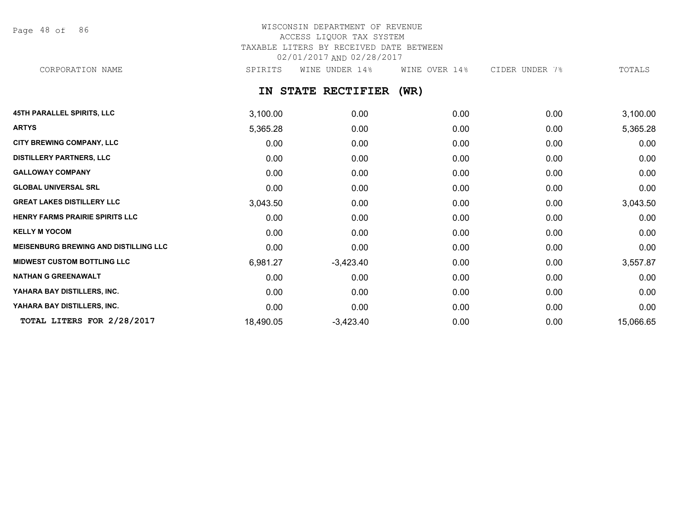Page 48 of 86

# WISCONSIN DEPARTMENT OF REVENUE ACCESS LIQUOR TAX SYSTEM TAXABLE LITERS BY RECEIVED DATE BETWEEN 02/01/2017 AND 02/28/2017 CORPORATION NAME SPIRITS WINE UNDER 14% WINE OVER 14% CIDER UNDER 7% TOTALS

# **IN STATE RECTIFIER (WR)**

| <b>45TH PARALLEL SPIRITS, LLC</b>            | 3,100.00  | 0.00        | 0.00 | 0.00 | 3,100.00  |
|----------------------------------------------|-----------|-------------|------|------|-----------|
| <b>ARTYS</b>                                 | 5,365.28  | 0.00        | 0.00 | 0.00 | 5,365.28  |
| <b>CITY BREWING COMPANY, LLC</b>             | 0.00      | 0.00        | 0.00 | 0.00 | 0.00      |
| <b>DISTILLERY PARTNERS, LLC</b>              | 0.00      | 0.00        | 0.00 | 0.00 | 0.00      |
| <b>GALLOWAY COMPANY</b>                      | 0.00      | 0.00        | 0.00 | 0.00 | 0.00      |
| <b>GLOBAL UNIVERSAL SRL</b>                  | 0.00      | 0.00        | 0.00 | 0.00 | 0.00      |
| <b>GREAT LAKES DISTILLERY LLC</b>            | 3,043.50  | 0.00        | 0.00 | 0.00 | 3,043.50  |
| <b>HENRY FARMS PRAIRIE SPIRITS LLC</b>       | 0.00      | 0.00        | 0.00 | 0.00 | 0.00      |
| <b>KELLY M YOCOM</b>                         | 0.00      | 0.00        | 0.00 | 0.00 | 0.00      |
| <b>MEISENBURG BREWING AND DISTILLING LLC</b> | 0.00      | 0.00        | 0.00 | 0.00 | 0.00      |
| <b>MIDWEST CUSTOM BOTTLING LLC</b>           | 6,981.27  | $-3,423.40$ | 0.00 | 0.00 | 3,557.87  |
| <b>NATHAN G GREENAWALT</b>                   | 0.00      | 0.00        | 0.00 | 0.00 | 0.00      |
| YAHARA BAY DISTILLERS, INC.                  | 0.00      | 0.00        | 0.00 | 0.00 | 0.00      |
| YAHARA BAY DISTILLERS, INC.                  | 0.00      | 0.00        | 0.00 | 0.00 | 0.00      |
| TOTAL LITERS FOR 2/28/2017                   | 18,490.05 | $-3,423.40$ | 0.00 | 0.00 | 15,066.65 |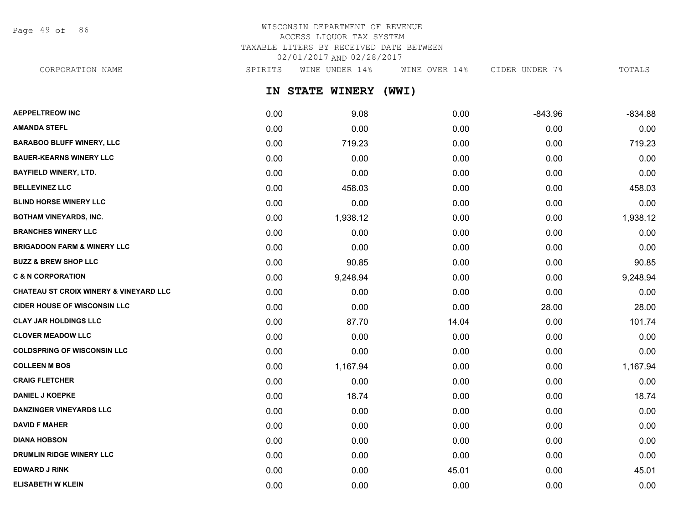Page 49 of 86

# WISCONSIN DEPARTMENT OF REVENUE ACCESS LIQUOR TAX SYSTEM TAXABLE LITERS BY RECEIVED DATE BETWEEN 02/01/2017 AND 02/28/2017

**IN STATE WINERY (WWI) AEPPELTREOW INC** 0.00 9.08 0.00 -843.96 -834.88 **AMANDA STEFL** 0.00 0.00 0.00 0.00 0.00 CORPORATION NAME SPIRITS WINE UNDER 14% WINE OVER 14% CIDER UNDER 7% TOTALS

|                                                   | v.vv | v.vv     | v.vv  | v.vv  | v.vv     |
|---------------------------------------------------|------|----------|-------|-------|----------|
| <b>BARABOO BLUFF WINERY, LLC</b>                  | 0.00 | 719.23   | 0.00  | 0.00  | 719.23   |
| <b>BAUER-KEARNS WINERY LLC</b>                    | 0.00 | 0.00     | 0.00  | 0.00  | 0.00     |
| <b>BAYFIELD WINERY, LTD.</b>                      | 0.00 | 0.00     | 0.00  | 0.00  | 0.00     |
| <b>BELLEVINEZ LLC</b>                             | 0.00 | 458.03   | 0.00  | 0.00  | 458.03   |
| <b>BLIND HORSE WINERY LLC</b>                     | 0.00 | 0.00     | 0.00  | 0.00  | 0.00     |
| <b>BOTHAM VINEYARDS, INC.</b>                     | 0.00 | 1,938.12 | 0.00  | 0.00  | 1,938.12 |
| <b>BRANCHES WINERY LLC</b>                        | 0.00 | 0.00     | 0.00  | 0.00  | 0.00     |
| <b>BRIGADOON FARM &amp; WINERY LLC</b>            | 0.00 | 0.00     | 0.00  | 0.00  | 0.00     |
| <b>BUZZ &amp; BREW SHOP LLC</b>                   | 0.00 | 90.85    | 0.00  | 0.00  | 90.85    |
| <b>C &amp; N CORPORATION</b>                      | 0.00 | 9,248.94 | 0.00  | 0.00  | 9,248.94 |
| <b>CHATEAU ST CROIX WINERY &amp; VINEYARD LLC</b> | 0.00 | 0.00     | 0.00  | 0.00  | 0.00     |
| <b>CIDER HOUSE OF WISCONSIN LLC</b>               | 0.00 | 0.00     | 0.00  | 28.00 | 28.00    |
| <b>CLAY JAR HOLDINGS LLC</b>                      | 0.00 | 87.70    | 14.04 | 0.00  | 101.74   |
| <b>CLOVER MEADOW LLC</b>                          | 0.00 | 0.00     | 0.00  | 0.00  | 0.00     |
| <b>COLDSPRING OF WISCONSIN LLC</b>                | 0.00 | 0.00     | 0.00  | 0.00  | 0.00     |
| <b>COLLEEN M BOS</b>                              | 0.00 | 1,167.94 | 0.00  | 0.00  | 1,167.94 |
| <b>CRAIG FLETCHER</b>                             | 0.00 | 0.00     | 0.00  | 0.00  | 0.00     |
| <b>DANIEL J KOEPKE</b>                            | 0.00 | 18.74    | 0.00  | 0.00  | 18.74    |
| <b>DANZINGER VINEYARDS LLC</b>                    | 0.00 | 0.00     | 0.00  | 0.00  | 0.00     |
| <b>DAVID F MAHER</b>                              | 0.00 | 0.00     | 0.00  | 0.00  | 0.00     |
| <b>DIANA HOBSON</b>                               | 0.00 | 0.00     | 0.00  | 0.00  | 0.00     |
| <b>DRUMLIN RIDGE WINERY LLC</b>                   | 0.00 | 0.00     | 0.00  | 0.00  | 0.00     |
| <b>EDWARD J RINK</b>                              | 0.00 | 0.00     | 45.01 | 0.00  | 45.01    |
| <b>ELISABETH W KLEIN</b>                          | 0.00 | 0.00     | 0.00  | 0.00  | 0.00     |
|                                                   |      |          |       |       |          |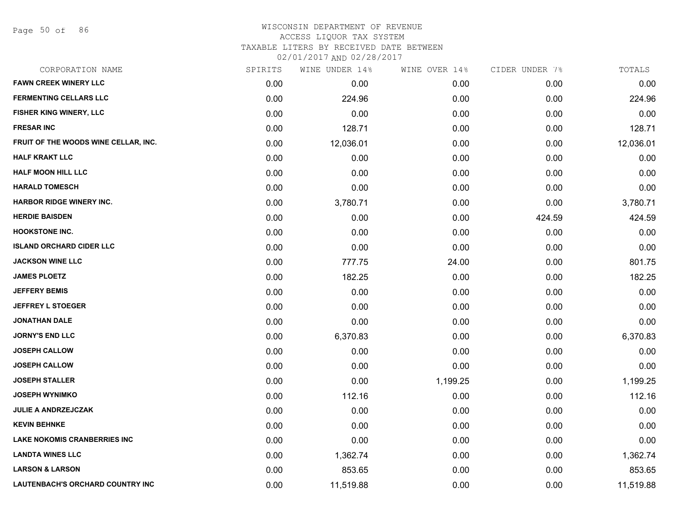Page 50 of 86

#### WISCONSIN DEPARTMENT OF REVENUE ACCESS LIQUOR TAX SYSTEM

TAXABLE LITERS BY RECEIVED DATE BETWEEN

| CORPORATION NAME                     | SPIRITS | WINE UNDER 14% | WINE OVER 14% | CIDER UNDER 7% | TOTALS    |
|--------------------------------------|---------|----------------|---------------|----------------|-----------|
| <b>FAWN CREEK WINERY LLC</b>         | 0.00    | 0.00           | 0.00          | 0.00           | 0.00      |
| <b>FERMENTING CELLARS LLC</b>        | 0.00    | 224.96         | 0.00          | 0.00           | 224.96    |
| FISHER KING WINERY, LLC              | 0.00    | 0.00           | 0.00          | 0.00           | 0.00      |
| <b>FRESAR INC</b>                    | 0.00    | 128.71         | 0.00          | 0.00           | 128.71    |
| FRUIT OF THE WOODS WINE CELLAR, INC. | 0.00    | 12,036.01      | 0.00          | 0.00           | 12,036.01 |
| <b>HALF KRAKT LLC</b>                | 0.00    | 0.00           | 0.00          | 0.00           | 0.00      |
| <b>HALF MOON HILL LLC</b>            | 0.00    | 0.00           | 0.00          | 0.00           | 0.00      |
| <b>HARALD TOMESCH</b>                | 0.00    | 0.00           | 0.00          | 0.00           | 0.00      |
| <b>HARBOR RIDGE WINERY INC.</b>      | 0.00    | 3,780.71       | 0.00          | 0.00           | 3,780.71  |
| <b>HERDIE BAISDEN</b>                | 0.00    | 0.00           | 0.00          | 424.59         | 424.59    |
| <b>HOOKSTONE INC.</b>                | 0.00    | 0.00           | 0.00          | 0.00           | 0.00      |
| <b>ISLAND ORCHARD CIDER LLC</b>      | 0.00    | 0.00           | 0.00          | 0.00           | 0.00      |
| <b>JACKSON WINE LLC</b>              | 0.00    | 777.75         | 24.00         | 0.00           | 801.75    |
| <b>JAMES PLOETZ</b>                  | 0.00    | 182.25         | 0.00          | 0.00           | 182.25    |
| <b>JEFFERY BEMIS</b>                 | 0.00    | 0.00           | 0.00          | 0.00           | 0.00      |
| <b>JEFFREY L STOEGER</b>             | 0.00    | 0.00           | 0.00          | 0.00           | 0.00      |
| JONATHAN DALE                        | 0.00    | 0.00           | 0.00          | 0.00           | 0.00      |
| <b>JORNY'S END LLC</b>               | 0.00    | 6,370.83       | 0.00          | 0.00           | 6,370.83  |
| <b>JOSEPH CALLOW</b>                 | 0.00    | 0.00           | 0.00          | 0.00           | 0.00      |
| <b>JOSEPH CALLOW</b>                 | 0.00    | 0.00           | 0.00          | 0.00           | 0.00      |
| <b>JOSEPH STALLER</b>                | 0.00    | 0.00           | 1,199.25      | 0.00           | 1,199.25  |
| <b>JOSEPH WYNIMKO</b>                | 0.00    | 112.16         | 0.00          | 0.00           | 112.16    |
| <b>JULIE A ANDRZEJCZAK</b>           | 0.00    | 0.00           | 0.00          | 0.00           | 0.00      |
| <b>KEVIN BEHNKE</b>                  | 0.00    | 0.00           | 0.00          | 0.00           | 0.00      |
| <b>LAKE NOKOMIS CRANBERRIES INC</b>  | 0.00    | 0.00           | 0.00          | 0.00           | 0.00      |
| <b>LANDTA WINES LLC</b>              | 0.00    | 1,362.74       | 0.00          | 0.00           | 1,362.74  |
| <b>LARSON &amp; LARSON</b>           | 0.00    | 853.65         | 0.00          | 0.00           | 853.65    |
| LAUTENBACH'S ORCHARD COUNTRY INC     | 0.00    | 11,519.88      | 0.00          | 0.00           | 11,519.88 |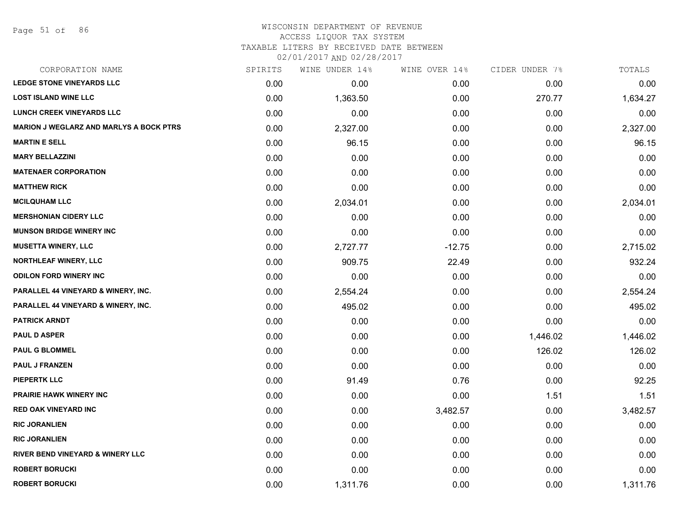#### WISCONSIN DEPARTMENT OF REVENUE ACCESS LIQUOR TAX SYSTEM

TAXABLE LITERS BY RECEIVED DATE BETWEEN

| CORPORATION NAME                               | SPIRITS | WINE UNDER 14% | WINE OVER 14% | CIDER UNDER 7% | TOTALS   |
|------------------------------------------------|---------|----------------|---------------|----------------|----------|
| <b>LEDGE STONE VINEYARDS LLC</b>               | 0.00    | 0.00           | 0.00          | 0.00           | 0.00     |
| <b>LOST ISLAND WINE LLC</b>                    | 0.00    | 1,363.50       | 0.00          | 270.77         | 1,634.27 |
| <b>LUNCH CREEK VINEYARDS LLC</b>               | 0.00    | 0.00           | 0.00          | 0.00           | 0.00     |
| <b>MARION J WEGLARZ AND MARLYS A BOCK PTRS</b> | 0.00    | 2,327.00       | 0.00          | 0.00           | 2,327.00 |
| <b>MARTIN E SELL</b>                           | 0.00    | 96.15          | 0.00          | 0.00           | 96.15    |
| <b>MARY BELLAZZINI</b>                         | 0.00    | 0.00           | 0.00          | 0.00           | 0.00     |
| <b>MATENAER CORPORATION</b>                    | 0.00    | 0.00           | 0.00          | 0.00           | 0.00     |
| <b>MATTHEW RICK</b>                            | 0.00    | 0.00           | 0.00          | 0.00           | 0.00     |
| <b>MCILQUHAM LLC</b>                           | 0.00    | 2,034.01       | 0.00          | 0.00           | 2,034.01 |
| <b>MERSHONIAN CIDERY LLC</b>                   | 0.00    | 0.00           | 0.00          | 0.00           | 0.00     |
| <b>MUNSON BRIDGE WINERY INC</b>                | 0.00    | 0.00           | 0.00          | 0.00           | 0.00     |
| <b>MUSETTA WINERY, LLC</b>                     | 0.00    | 2,727.77       | $-12.75$      | 0.00           | 2,715.02 |
| NORTHLEAF WINERY, LLC                          | 0.00    | 909.75         | 22.49         | 0.00           | 932.24   |
| <b>ODILON FORD WINERY INC</b>                  | 0.00    | 0.00           | 0.00          | 0.00           | 0.00     |
| PARALLEL 44 VINEYARD & WINERY, INC.            | 0.00    | 2,554.24       | 0.00          | 0.00           | 2,554.24 |
| PARALLEL 44 VINEYARD & WINERY, INC.            | 0.00    | 495.02         | 0.00          | 0.00           | 495.02   |
| <b>PATRICK ARNDT</b>                           | 0.00    | 0.00           | 0.00          | 0.00           | 0.00     |
| <b>PAUL D ASPER</b>                            | 0.00    | 0.00           | 0.00          | 1,446.02       | 1,446.02 |
| <b>PAUL G BLOMMEL</b>                          | 0.00    | 0.00           | 0.00          | 126.02         | 126.02   |
| <b>PAUL J FRANZEN</b>                          | 0.00    | 0.00           | 0.00          | 0.00           | 0.00     |
| <b>PIEPERTK LLC</b>                            | 0.00    | 91.49          | 0.76          | 0.00           | 92.25    |
| PRAIRIE HAWK WINERY INC                        | 0.00    | 0.00           | 0.00          | 1.51           | 1.51     |
| <b>RED OAK VINEYARD INC</b>                    | 0.00    | 0.00           | 3,482.57      | 0.00           | 3,482.57 |
| <b>RIC JORANLIEN</b>                           | 0.00    | 0.00           | 0.00          | 0.00           | 0.00     |
| <b>RIC JORANLIEN</b>                           | 0.00    | 0.00           | 0.00          | 0.00           | 0.00     |
| <b>RIVER BEND VINEYARD &amp; WINERY LLC</b>    | 0.00    | 0.00           | 0.00          | 0.00           | 0.00     |
| <b>ROBERT BORUCKI</b>                          | 0.00    | 0.00           | 0.00          | 0.00           | 0.00     |
| <b>ROBERT BORUCKI</b>                          | 0.00    | 1,311.76       | 0.00          | 0.00           | 1,311.76 |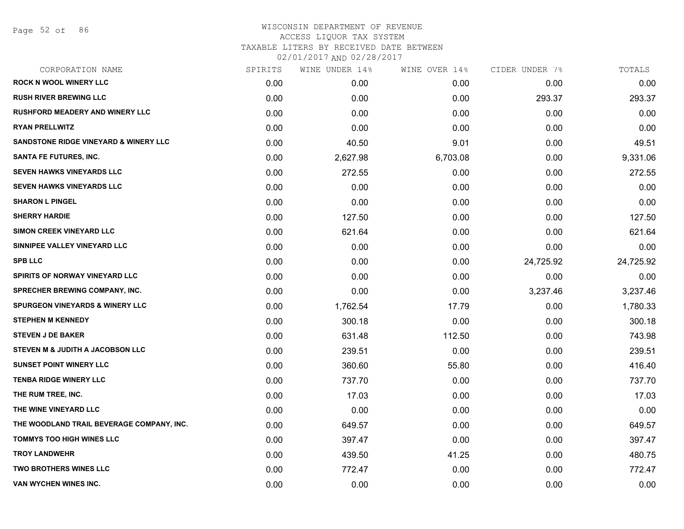Page 52 of 86

# WISCONSIN DEPARTMENT OF REVENUE ACCESS LIQUOR TAX SYSTEM TAXABLE LITERS BY RECEIVED DATE BETWEEN

| CORPORATION NAME                           | SPIRITS | WINE UNDER 14% | WINE OVER 14% | CIDER UNDER 7% | TOTALS    |
|--------------------------------------------|---------|----------------|---------------|----------------|-----------|
| <b>ROCK N WOOL WINERY LLC</b>              | 0.00    | 0.00           | 0.00          | 0.00           | 0.00      |
| <b>RUSH RIVER BREWING LLC</b>              | 0.00    | 0.00           | 0.00          | 293.37         | 293.37    |
| <b>RUSHFORD MEADERY AND WINERY LLC</b>     | 0.00    | 0.00           | 0.00          | 0.00           | 0.00      |
| <b>RYAN PRELLWITZ</b>                      | 0.00    | 0.00           | 0.00          | 0.00           | 0.00      |
| SANDSTONE RIDGE VINEYARD & WINERY LLC      | 0.00    | 40.50          | 9.01          | 0.00           | 49.51     |
| SANTA FE FUTURES, INC.                     | 0.00    | 2,627.98       | 6,703.08      | 0.00           | 9,331.06  |
| <b>SEVEN HAWKS VINEYARDS LLC</b>           | 0.00    | 272.55         | 0.00          | 0.00           | 272.55    |
| <b>SEVEN HAWKS VINEYARDS LLC</b>           | 0.00    | 0.00           | 0.00          | 0.00           | 0.00      |
| <b>SHARON L PINGEL</b>                     | 0.00    | 0.00           | 0.00          | 0.00           | 0.00      |
| <b>SHERRY HARDIE</b>                       | 0.00    | 127.50         | 0.00          | 0.00           | 127.50    |
| SIMON CREEK VINEYARD LLC                   | 0.00    | 621.64         | 0.00          | 0.00           | 621.64    |
| SINNIPEE VALLEY VINEYARD LLC               | 0.00    | 0.00           | 0.00          | 0.00           | 0.00      |
| <b>SPB LLC</b>                             | 0.00    | 0.00           | 0.00          | 24,725.92      | 24,725.92 |
| <b>SPIRITS OF NORWAY VINEYARD LLC</b>      | 0.00    | 0.00           | 0.00          | 0.00           | 0.00      |
| <b>SPRECHER BREWING COMPANY, INC.</b>      | 0.00    | 0.00           | 0.00          | 3,237.46       | 3,237.46  |
| <b>SPURGEON VINEYARDS &amp; WINERY LLC</b> | 0.00    | 1,762.54       | 17.79         | 0.00           | 1,780.33  |
| <b>STEPHEN M KENNEDY</b>                   | 0.00    | 300.18         | 0.00          | 0.00           | 300.18    |
| <b>STEVEN J DE BAKER</b>                   | 0.00    | 631.48         | 112.50        | 0.00           | 743.98    |
| STEVEN M & JUDITH A JACOBSON LLC           | 0.00    | 239.51         | 0.00          | 0.00           | 239.51    |
| <b>SUNSET POINT WINERY LLC</b>             | 0.00    | 360.60         | 55.80         | 0.00           | 416.40    |
| <b>TENBA RIDGE WINERY LLC</b>              | 0.00    | 737.70         | 0.00          | 0.00           | 737.70    |
| THE RUM TREE, INC.                         | 0.00    | 17.03          | 0.00          | 0.00           | 17.03     |
| THE WINE VINEYARD LLC                      | 0.00    | 0.00           | 0.00          | 0.00           | 0.00      |
| THE WOODLAND TRAIL BEVERAGE COMPANY, INC.  | 0.00    | 649.57         | 0.00          | 0.00           | 649.57    |
| <b>TOMMYS TOO HIGH WINES LLC</b>           | 0.00    | 397.47         | 0.00          | 0.00           | 397.47    |
| <b>TROY LANDWEHR</b>                       | 0.00    | 439.50         | 41.25         | 0.00           | 480.75    |
| <b>TWO BROTHERS WINES LLC</b>              | 0.00    | 772.47         | 0.00          | 0.00           | 772.47    |
| VAN WYCHEN WINES INC.                      | 0.00    | 0.00           | 0.00          | 0.00           | 0.00      |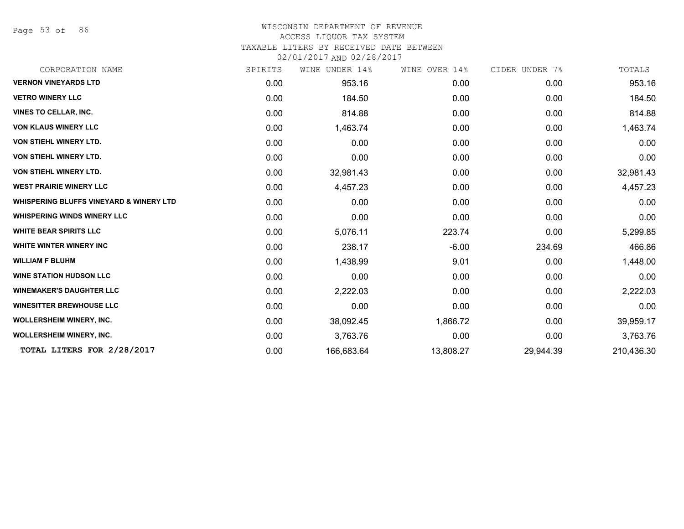Page 53 of 86

# WISCONSIN DEPARTMENT OF REVENUE

#### ACCESS LIQUOR TAX SYSTEM

TAXABLE LITERS BY RECEIVED DATE BETWEEN

| CORPORATION NAME                                   | SPIRITS | WINE UNDER 14% | WINE OVER 14% | CIDER UNDER 7% | TOTALS     |
|----------------------------------------------------|---------|----------------|---------------|----------------|------------|
| <b>VERNON VINEYARDS LTD</b>                        | 0.00    | 953.16         | 0.00          | 0.00           | 953.16     |
| <b>VETRO WINERY LLC</b>                            | 0.00    | 184.50         | 0.00          | 0.00           | 184.50     |
| <b>VINES TO CELLAR, INC.</b>                       | 0.00    | 814.88         | 0.00          | 0.00           | 814.88     |
| <b>VON KLAUS WINERY LLC</b>                        | 0.00    | 1,463.74       | 0.00          | 0.00           | 1,463.74   |
| <b>VON STIEHL WINERY LTD.</b>                      | 0.00    | 0.00           | 0.00          | 0.00           | 0.00       |
| VON STIEHL WINERY LTD.                             | 0.00    | 0.00           | 0.00          | 0.00           | 0.00       |
| VON STIEHL WINERY LTD.                             | 0.00    | 32,981.43      | 0.00          | 0.00           | 32,981.43  |
| <b>WEST PRAIRIE WINERY LLC</b>                     | 0.00    | 4,457.23       | 0.00          | 0.00           | 4,457.23   |
| <b>WHISPERING BLUFFS VINEYARD &amp; WINERY LTD</b> | 0.00    | 0.00           | 0.00          | 0.00           | 0.00       |
| <b>WHISPERING WINDS WINERY LLC</b>                 | 0.00    | 0.00           | 0.00          | 0.00           | 0.00       |
| <b>WHITE BEAR SPIRITS LLC</b>                      | 0.00    | 5,076.11       | 223.74        | 0.00           | 5,299.85   |
| WHITE WINTER WINERY INC                            | 0.00    | 238.17         | $-6.00$       | 234.69         | 466.86     |
| <b>WILLIAM F BLUHM</b>                             | 0.00    | 1,438.99       | 9.01          | 0.00           | 1,448.00   |
| <b>WINE STATION HUDSON LLC</b>                     | 0.00    | 0.00           | 0.00          | 0.00           | 0.00       |
| <b>WINEMAKER'S DAUGHTER LLC</b>                    | 0.00    | 2,222.03       | 0.00          | 0.00           | 2,222.03   |
| <b>WINESITTER BREWHOUSE LLC</b>                    | 0.00    | 0.00           | 0.00          | 0.00           | 0.00       |
| <b>WOLLERSHEIM WINERY, INC.</b>                    | 0.00    | 38,092.45      | 1,866.72      | 0.00           | 39,959.17  |
| <b>WOLLERSHEIM WINERY, INC.</b>                    | 0.00    | 3,763.76       | 0.00          | 0.00           | 3,763.76   |
| TOTAL LITERS FOR 2/28/2017                         | 0.00    | 166,683.64     | 13,808.27     | 29,944.39      | 210,436.30 |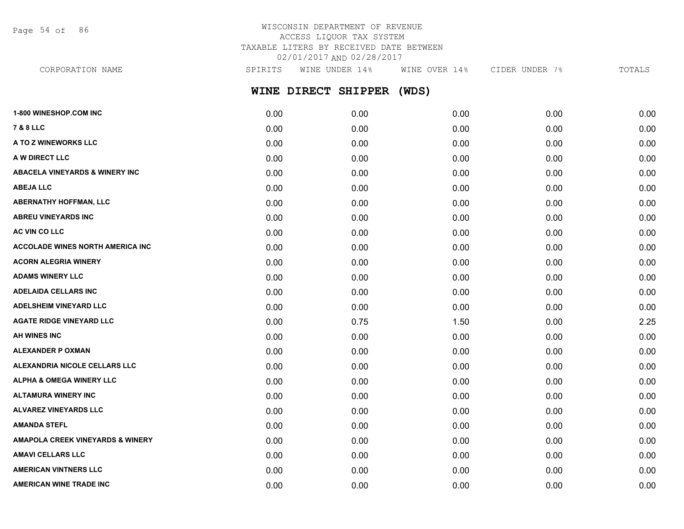Page 54 of 86

# WISCONSIN DEPARTMENT OF REVENUE ACCESS LIQUOR TAX SYSTEM TAXABLE LITERS BY RECEIVED DATE BETWEEN 02/01/2017 AND 02/28/2017

**WINE DIRECT SHIPPER (WDS) 1-800 WINESHOP.COM INC** 0.00 0.00 0.00 0.00 0.00 **7 & 8 LLC** 0.00 0.00 0.00 0.00 0.00 **A TO Z WINEWORKS LLC** 0.00 0.00 0.00 0.00 0.00 CORPORATION NAME SPIRITS WINE UNDER 14% WINE OVER 14% CIDER UNDER 7% TOTALS

**A W DIRECT LLC** 0.00 0.00 0.00 0.00 0.00 **ABACELA VINEYARDS & WINERY INC** 0.00 0.00 0.00 0.00 0.00 **ABEJA LLC** 0.00 0.00 0.00 0.00 0.00 **ABERNATHY HOFFMAN, LLC** 0.00 0.00 0.00 0.00 0.00 **ABREU VINEYARDS INC** 0.00 0.00 0.00 0.00 0.00 **AC VIN CO LLC** 0.00 0.00 0.00 0.00 0.00 **ACCOLADE WINES NORTH AMERICA INC**  $0.00$   $0.00$   $0.00$   $0.00$   $0.00$   $0.00$   $0.00$   $0.00$   $0.00$   $0.00$   $0.00$   $0.00$ **ACORN ALEGRIA WINERY** 0.00 0.00 0.00 0.00 0.00 **ADAMS WINERY LLC** 0.00 0.00 0.00 0.00 0.00 **ADELAIDA CELLARS INC** 0.00 0.00 0.00 0.00 0.00 **ADELSHEIM VINEYARD LLC** 0.00 0.00 0.00 0.00 0.00 **AGATE RIDGE VINEYARD LLC** 0.00 0.75 1.50 0.00 2.25 **AH WINES INC** 0.00 0.00 0.00 0.00 0.00 **ALEXANDER P OXMAN** 0.00 0.00 0.00 0.00 0.00 **ALEXANDRIA NICOLE CELLARS LLC** 0.00 0.00 0.00 0.00 0.00 **ALPHA & OMEGA WINERY LLC** 0.00 0.00 0.00 0.00 0.00 **ALTAMURA WINERY INC** 0.00 0.00 0.00 0.00 0.00 **ALVAREZ VINEYARDS LLC** 0.00 0.00 0.00 0.00 0.00

**AMANDA STEFL** 0.00 0.00 0.00 0.00 0.00 **AMAPOLA CREEK VINEYARDS & WINERY** 0.00 0.00 0.00 0.00 0.00 **AMAVI CELLARS LLC** 0.00 0.00 0.00 0.00 0.00 **AMERICAN VINTNERS LLC** 0.00 0.00 0.00 0.00 0.00 **AMERICAN WINE TRADE INC** 0.00 0.00 0.00 0.00 0.00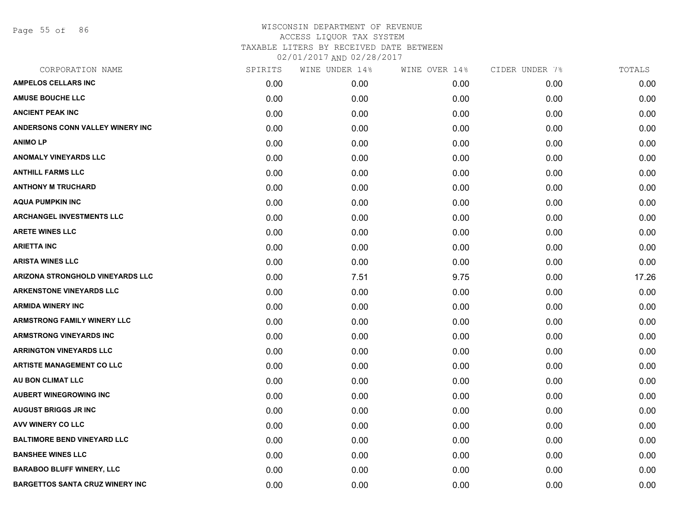Page 55 of 86

| CORPORATION NAME                        | SPIRITS | WINE UNDER 14% | WINE OVER 14% | CIDER UNDER 7% | TOTALS |
|-----------------------------------------|---------|----------------|---------------|----------------|--------|
| <b>AMPELOS CELLARS INC</b>              | 0.00    | 0.00           | 0.00          | 0.00           | 0.00   |
| <b>AMUSE BOUCHE LLC</b>                 | 0.00    | 0.00           | 0.00          | 0.00           | 0.00   |
| <b>ANCIENT PEAK INC</b>                 | 0.00    | 0.00           | 0.00          | 0.00           | 0.00   |
| ANDERSONS CONN VALLEY WINERY INC        | 0.00    | 0.00           | 0.00          | 0.00           | 0.00   |
| <b>ANIMOLP</b>                          | 0.00    | 0.00           | 0.00          | 0.00           | 0.00   |
| <b>ANOMALY VINEYARDS LLC</b>            | 0.00    | 0.00           | 0.00          | 0.00           | 0.00   |
| <b>ANTHILL FARMS LLC</b>                | 0.00    | 0.00           | 0.00          | 0.00           | 0.00   |
| <b>ANTHONY M TRUCHARD</b>               | 0.00    | 0.00           | 0.00          | 0.00           | 0.00   |
| <b>AQUA PUMPKIN INC</b>                 | 0.00    | 0.00           | 0.00          | 0.00           | 0.00   |
| <b>ARCHANGEL INVESTMENTS LLC</b>        | 0.00    | 0.00           | 0.00          | 0.00           | 0.00   |
| <b>ARETE WINES LLC</b>                  | 0.00    | 0.00           | 0.00          | 0.00           | 0.00   |
| <b>ARIETTA INC</b>                      | 0.00    | 0.00           | 0.00          | 0.00           | 0.00   |
| <b>ARISTA WINES LLC</b>                 | 0.00    | 0.00           | 0.00          | 0.00           | 0.00   |
| <b>ARIZONA STRONGHOLD VINEYARDS LLC</b> | 0.00    | 7.51           | 9.75          | 0.00           | 17.26  |
| <b>ARKENSTONE VINEYARDS LLC</b>         | 0.00    | 0.00           | 0.00          | 0.00           | 0.00   |
| <b>ARMIDA WINERY INC</b>                | 0.00    | 0.00           | 0.00          | 0.00           | 0.00   |
| <b>ARMSTRONG FAMILY WINERY LLC</b>      | 0.00    | 0.00           | 0.00          | 0.00           | 0.00   |
| <b>ARMSTRONG VINEYARDS INC</b>          | 0.00    | 0.00           | 0.00          | 0.00           | 0.00   |
| <b>ARRINGTON VINEYARDS LLC</b>          | 0.00    | 0.00           | 0.00          | 0.00           | 0.00   |
| <b>ARTISTE MANAGEMENT CO LLC</b>        | 0.00    | 0.00           | 0.00          | 0.00           | 0.00   |
| AU BON CLIMAT LLC                       | 0.00    | 0.00           | 0.00          | 0.00           | 0.00   |
| <b>AUBERT WINEGROWING INC</b>           | 0.00    | 0.00           | 0.00          | 0.00           | 0.00   |
| <b>AUGUST BRIGGS JR INC</b>             | 0.00    | 0.00           | 0.00          | 0.00           | 0.00   |
| AVV WINERY CO LLC                       | 0.00    | 0.00           | 0.00          | 0.00           | 0.00   |
| <b>BALTIMORE BEND VINEYARD LLC</b>      | 0.00    | 0.00           | 0.00          | 0.00           | 0.00   |
| <b>BANSHEE WINES LLC</b>                | 0.00    | 0.00           | 0.00          | 0.00           | 0.00   |
| <b>BARABOO BLUFF WINERY, LLC</b>        | 0.00    | 0.00           | 0.00          | 0.00           | 0.00   |
| <b>BARGETTOS SANTA CRUZ WINERY INC</b>  | 0.00    | 0.00           | 0.00          | 0.00           | 0.00   |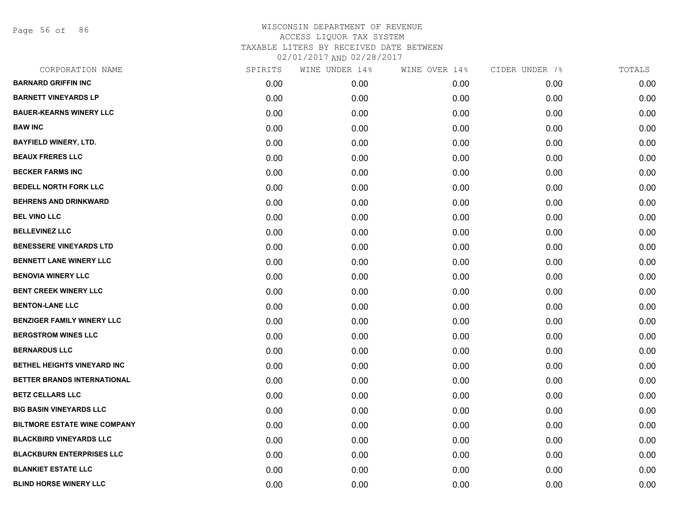Page 56 of 86

| CORPORATION NAME                    | SPIRITS | WINE UNDER 14% | WINE OVER 14% | CIDER UNDER 7% | TOTALS |
|-------------------------------------|---------|----------------|---------------|----------------|--------|
| <b>BARNARD GRIFFIN INC</b>          | 0.00    | 0.00           | 0.00          | 0.00           | 0.00   |
| <b>BARNETT VINEYARDS LP</b>         | 0.00    | 0.00           | 0.00          | 0.00           | 0.00   |
| <b>BAUER-KEARNS WINERY LLC</b>      | 0.00    | 0.00           | 0.00          | 0.00           | 0.00   |
| <b>BAW INC</b>                      | 0.00    | 0.00           | 0.00          | 0.00           | 0.00   |
| <b>BAYFIELD WINERY, LTD.</b>        | 0.00    | 0.00           | 0.00          | 0.00           | 0.00   |
| <b>BEAUX FRERES LLC</b>             | 0.00    | 0.00           | 0.00          | 0.00           | 0.00   |
| <b>BECKER FARMS INC</b>             | 0.00    | 0.00           | 0.00          | 0.00           | 0.00   |
| <b>BEDELL NORTH FORK LLC</b>        | 0.00    | 0.00           | 0.00          | 0.00           | 0.00   |
| <b>BEHRENS AND DRINKWARD</b>        | 0.00    | 0.00           | 0.00          | 0.00           | 0.00   |
| <b>BEL VINO LLC</b>                 | 0.00    | 0.00           | 0.00          | 0.00           | 0.00   |
| <b>BELLEVINEZ LLC</b>               | 0.00    | 0.00           | 0.00          | 0.00           | 0.00   |
| <b>BENESSERE VINEYARDS LTD</b>      | 0.00    | 0.00           | 0.00          | 0.00           | 0.00   |
| <b>BENNETT LANE WINERY LLC</b>      | 0.00    | 0.00           | 0.00          | 0.00           | 0.00   |
| <b>BENOVIA WINERY LLC</b>           | 0.00    | 0.00           | 0.00          | 0.00           | 0.00   |
| BENT CREEK WINERY LLC               | 0.00    | 0.00           | 0.00          | 0.00           | 0.00   |
| <b>BENTON-LANE LLC</b>              | 0.00    | 0.00           | 0.00          | 0.00           | 0.00   |
| <b>BENZIGER FAMILY WINERY LLC</b>   | 0.00    | 0.00           | 0.00          | 0.00           | 0.00   |
| <b>BERGSTROM WINES LLC</b>          | 0.00    | 0.00           | 0.00          | 0.00           | 0.00   |
| <b>BERNARDUS LLC</b>                | 0.00    | 0.00           | 0.00          | 0.00           | 0.00   |
| BETHEL HEIGHTS VINEYARD INC         | 0.00    | 0.00           | 0.00          | 0.00           | 0.00   |
| BETTER BRANDS INTERNATIONAL         | 0.00    | 0.00           | 0.00          | 0.00           | 0.00   |
| <b>BETZ CELLARS LLC</b>             | 0.00    | 0.00           | 0.00          | 0.00           | 0.00   |
| <b>BIG BASIN VINEYARDS LLC</b>      | 0.00    | 0.00           | 0.00          | 0.00           | 0.00   |
| <b>BILTMORE ESTATE WINE COMPANY</b> | 0.00    | 0.00           | 0.00          | 0.00           | 0.00   |
| <b>BLACKBIRD VINEYARDS LLC</b>      | 0.00    | 0.00           | 0.00          | 0.00           | 0.00   |
| <b>BLACKBURN ENTERPRISES LLC</b>    | 0.00    | 0.00           | 0.00          | 0.00           | 0.00   |
| <b>BLANKIET ESTATE LLC</b>          | 0.00    | 0.00           | 0.00          | 0.00           | 0.00   |
| <b>BLIND HORSE WINERY LLC</b>       | 0.00    | 0.00           | 0.00          | 0.00           | 0.00   |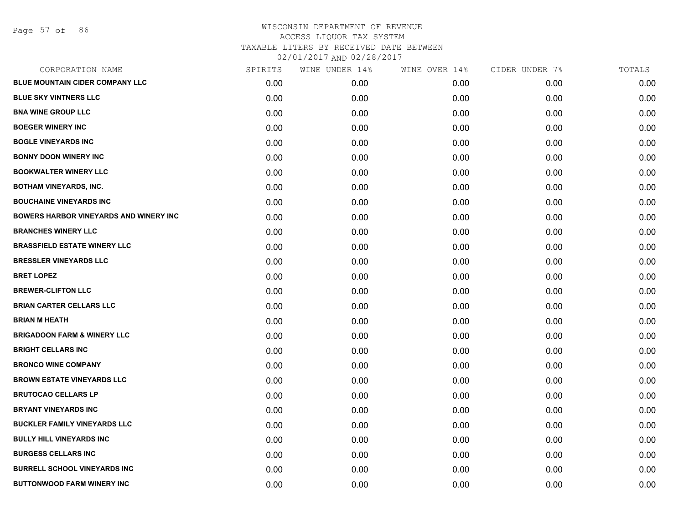Page 57 of 86

| CORPORATION NAME                              | SPIRITS | WINE UNDER 14% | WINE OVER 14% | CIDER UNDER 7% | TOTALS |
|-----------------------------------------------|---------|----------------|---------------|----------------|--------|
| <b>BLUE MOUNTAIN CIDER COMPANY LLC</b>        | 0.00    | 0.00           | 0.00          | 0.00           | 0.00   |
| <b>BLUE SKY VINTNERS LLC</b>                  | 0.00    | 0.00           | 0.00          | 0.00           | 0.00   |
| <b>BNA WINE GROUP LLC</b>                     | 0.00    | 0.00           | 0.00          | 0.00           | 0.00   |
| <b>BOEGER WINERY INC</b>                      | 0.00    | 0.00           | 0.00          | 0.00           | 0.00   |
| <b>BOGLE VINEYARDS INC</b>                    | 0.00    | 0.00           | 0.00          | 0.00           | 0.00   |
| <b>BONNY DOON WINERY INC</b>                  | 0.00    | 0.00           | 0.00          | 0.00           | 0.00   |
| <b>BOOKWALTER WINERY LLC</b>                  | 0.00    | 0.00           | 0.00          | 0.00           | 0.00   |
| <b>BOTHAM VINEYARDS, INC.</b>                 | 0.00    | 0.00           | 0.00          | 0.00           | 0.00   |
| <b>BOUCHAINE VINEYARDS INC</b>                | 0.00    | 0.00           | 0.00          | 0.00           | 0.00   |
| <b>BOWERS HARBOR VINEYARDS AND WINERY INC</b> | 0.00    | 0.00           | 0.00          | 0.00           | 0.00   |
| <b>BRANCHES WINERY LLC</b>                    | 0.00    | 0.00           | 0.00          | 0.00           | 0.00   |
| <b>BRASSFIELD ESTATE WINERY LLC</b>           | 0.00    | 0.00           | 0.00          | 0.00           | 0.00   |
| <b>BRESSLER VINEYARDS LLC</b>                 | 0.00    | 0.00           | 0.00          | 0.00           | 0.00   |
| <b>BRET LOPEZ</b>                             | 0.00    | 0.00           | 0.00          | 0.00           | 0.00   |
| <b>BREWER-CLIFTON LLC</b>                     | 0.00    | 0.00           | 0.00          | 0.00           | 0.00   |
| <b>BRIAN CARTER CELLARS LLC</b>               | 0.00    | 0.00           | 0.00          | 0.00           | 0.00   |
| <b>BRIAN M HEATH</b>                          | 0.00    | 0.00           | 0.00          | 0.00           | 0.00   |
| <b>BRIGADOON FARM &amp; WINERY LLC</b>        | 0.00    | 0.00           | 0.00          | 0.00           | 0.00   |
| <b>BRIGHT CELLARS INC</b>                     | 0.00    | 0.00           | 0.00          | 0.00           | 0.00   |
| <b>BRONCO WINE COMPANY</b>                    | 0.00    | 0.00           | 0.00          | 0.00           | 0.00   |
| <b>BROWN ESTATE VINEYARDS LLC</b>             | 0.00    | 0.00           | 0.00          | 0.00           | 0.00   |
| <b>BRUTOCAO CELLARS LP</b>                    | 0.00    | 0.00           | 0.00          | 0.00           | 0.00   |
| <b>BRYANT VINEYARDS INC</b>                   | 0.00    | 0.00           | 0.00          | 0.00           | 0.00   |
| <b>BUCKLER FAMILY VINEYARDS LLC</b>           | 0.00    | 0.00           | 0.00          | 0.00           | 0.00   |
| <b>BULLY HILL VINEYARDS INC</b>               | 0.00    | 0.00           | 0.00          | 0.00           | 0.00   |
| <b>BURGESS CELLARS INC</b>                    | 0.00    | 0.00           | 0.00          | 0.00           | 0.00   |
| <b>BURRELL SCHOOL VINEYARDS INC</b>           | 0.00    | 0.00           | 0.00          | 0.00           | 0.00   |
| <b>BUTTONWOOD FARM WINERY INC</b>             | 0.00    | 0.00           | 0.00          | 0.00           | 0.00   |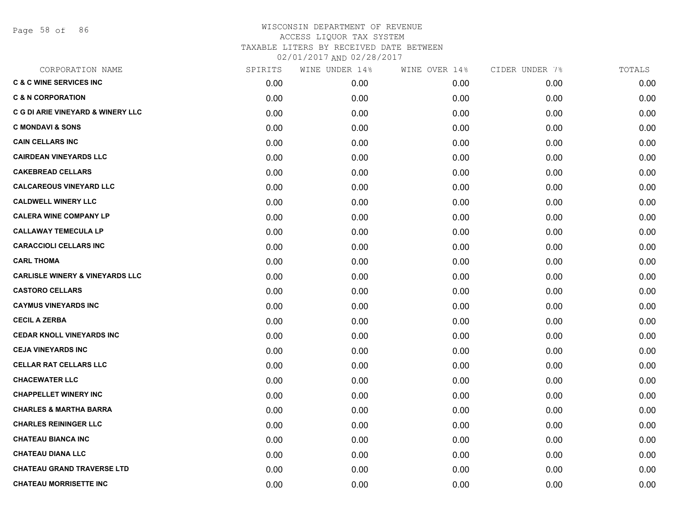Page 58 of 86

| CORPORATION NAME                           | SPIRITS | WINE UNDER 14% | WINE OVER 14% | CIDER UNDER 7% | TOTALS |
|--------------------------------------------|---------|----------------|---------------|----------------|--------|
| <b>C &amp; C WINE SERVICES INC</b>         | 0.00    | 0.00           | 0.00          | 0.00           | 0.00   |
| <b>C &amp; N CORPORATION</b>               | 0.00    | 0.00           | 0.00          | 0.00           | 0.00   |
| C G DI ARIE VINEYARD & WINERY LLC          | 0.00    | 0.00           | 0.00          | 0.00           | 0.00   |
| <b>C MONDAVI &amp; SONS</b>                | 0.00    | 0.00           | 0.00          | 0.00           | 0.00   |
| <b>CAIN CELLARS INC</b>                    | 0.00    | 0.00           | 0.00          | 0.00           | 0.00   |
| <b>CAIRDEAN VINEYARDS LLC</b>              | 0.00    | 0.00           | 0.00          | 0.00           | 0.00   |
| <b>CAKEBREAD CELLARS</b>                   | 0.00    | 0.00           | 0.00          | 0.00           | 0.00   |
| <b>CALCAREOUS VINEYARD LLC</b>             | 0.00    | 0.00           | 0.00          | 0.00           | 0.00   |
| <b>CALDWELL WINERY LLC</b>                 | 0.00    | 0.00           | 0.00          | 0.00           | 0.00   |
| <b>CALERA WINE COMPANY LP</b>              | 0.00    | 0.00           | 0.00          | 0.00           | 0.00   |
| <b>CALLAWAY TEMECULA LP</b>                | 0.00    | 0.00           | 0.00          | 0.00           | 0.00   |
| <b>CARACCIOLI CELLARS INC</b>              | 0.00    | 0.00           | 0.00          | 0.00           | 0.00   |
| <b>CARL THOMA</b>                          | 0.00    | 0.00           | 0.00          | 0.00           | 0.00   |
| <b>CARLISLE WINERY &amp; VINEYARDS LLC</b> | 0.00    | 0.00           | 0.00          | 0.00           | 0.00   |
| <b>CASTORO CELLARS</b>                     | 0.00    | 0.00           | 0.00          | 0.00           | 0.00   |
| <b>CAYMUS VINEYARDS INC</b>                | 0.00    | 0.00           | 0.00          | 0.00           | 0.00   |
| <b>CECIL A ZERBA</b>                       | 0.00    | 0.00           | 0.00          | 0.00           | 0.00   |
| <b>CEDAR KNOLL VINEYARDS INC</b>           | 0.00    | 0.00           | 0.00          | 0.00           | 0.00   |
| <b>CEJA VINEYARDS INC</b>                  | 0.00    | 0.00           | 0.00          | 0.00           | 0.00   |
| <b>CELLAR RAT CELLARS LLC</b>              | 0.00    | 0.00           | 0.00          | 0.00           | 0.00   |
| <b>CHACEWATER LLC</b>                      | 0.00    | 0.00           | 0.00          | 0.00           | 0.00   |
| <b>CHAPPELLET WINERY INC</b>               | 0.00    | 0.00           | 0.00          | 0.00           | 0.00   |
| <b>CHARLES &amp; MARTHA BARRA</b>          | 0.00    | 0.00           | 0.00          | 0.00           | 0.00   |
| <b>CHARLES REININGER LLC</b>               | 0.00    | 0.00           | 0.00          | 0.00           | 0.00   |
| <b>CHATEAU BIANCA INC</b>                  | 0.00    | 0.00           | 0.00          | 0.00           | 0.00   |
| <b>CHATEAU DIANA LLC</b>                   | 0.00    | 0.00           | 0.00          | 0.00           | 0.00   |
| <b>CHATEAU GRAND TRAVERSE LTD</b>          | 0.00    | 0.00           | 0.00          | 0.00           | 0.00   |
| <b>CHATEAU MORRISETTE INC</b>              | 0.00    | 0.00           | 0.00          | 0.00           | 0.00   |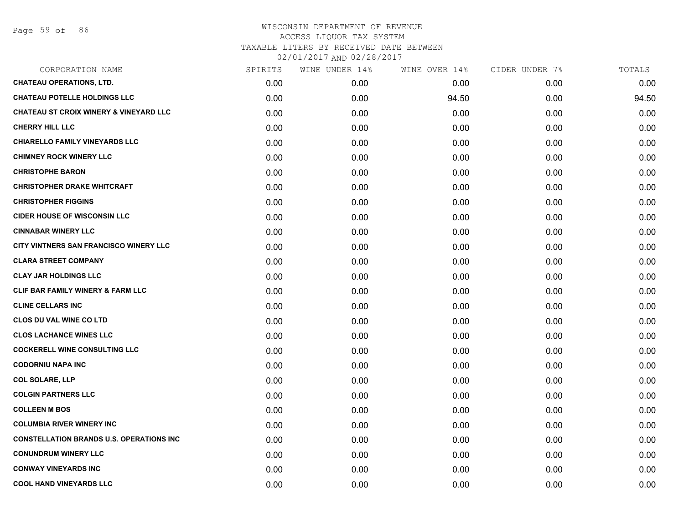| CORPORATION NAME                                  | SPIRITS | WINE UNDER 14% | WINE OVER 14% | CIDER UNDER 7% | TOTALS |
|---------------------------------------------------|---------|----------------|---------------|----------------|--------|
| <b>CHATEAU OPERATIONS, LTD.</b>                   | 0.00    | 0.00           | 0.00          | 0.00           | 0.00   |
| <b>CHATEAU POTELLE HOLDINGS LLC</b>               | 0.00    | 0.00           | 94.50         | 0.00           | 94.50  |
| <b>CHATEAU ST CROIX WINERY &amp; VINEYARD LLC</b> | 0.00    | 0.00           | 0.00          | 0.00           | 0.00   |
| <b>CHERRY HILL LLC</b>                            | 0.00    | 0.00           | 0.00          | 0.00           | 0.00   |
| <b>CHIARELLO FAMILY VINEYARDS LLC</b>             | 0.00    | 0.00           | 0.00          | 0.00           | 0.00   |
| <b>CHIMNEY ROCK WINERY LLC</b>                    | 0.00    | 0.00           | 0.00          | 0.00           | 0.00   |
| <b>CHRISTOPHE BARON</b>                           | 0.00    | 0.00           | 0.00          | 0.00           | 0.00   |
| <b>CHRISTOPHER DRAKE WHITCRAFT</b>                | 0.00    | 0.00           | 0.00          | 0.00           | 0.00   |
| <b>CHRISTOPHER FIGGINS</b>                        | 0.00    | 0.00           | 0.00          | 0.00           | 0.00   |
| <b>CIDER HOUSE OF WISCONSIN LLC</b>               | 0.00    | 0.00           | 0.00          | 0.00           | 0.00   |
| <b>CINNABAR WINERY LLC</b>                        | 0.00    | 0.00           | 0.00          | 0.00           | 0.00   |
| CITY VINTNERS SAN FRANCISCO WINERY LLC            | 0.00    | 0.00           | 0.00          | 0.00           | 0.00   |
| <b>CLARA STREET COMPANY</b>                       | 0.00    | 0.00           | 0.00          | 0.00           | 0.00   |
| <b>CLAY JAR HOLDINGS LLC</b>                      | 0.00    | 0.00           | 0.00          | 0.00           | 0.00   |
| <b>CLIF BAR FAMILY WINERY &amp; FARM LLC</b>      | 0.00    | 0.00           | 0.00          | 0.00           | 0.00   |
| <b>CLINE CELLARS INC</b>                          | 0.00    | 0.00           | 0.00          | 0.00           | 0.00   |
| <b>CLOS DU VAL WINE CO LTD</b>                    | 0.00    | 0.00           | 0.00          | 0.00           | 0.00   |
| <b>CLOS LACHANCE WINES LLC</b>                    | 0.00    | 0.00           | 0.00          | 0.00           | 0.00   |
| <b>COCKERELL WINE CONSULTING LLC</b>              | 0.00    | 0.00           | 0.00          | 0.00           | 0.00   |
| <b>CODORNIU NAPA INC</b>                          | 0.00    | 0.00           | 0.00          | 0.00           | 0.00   |
| <b>COL SOLARE, LLP</b>                            | 0.00    | 0.00           | 0.00          | 0.00           | 0.00   |
| <b>COLGIN PARTNERS LLC</b>                        | 0.00    | 0.00           | 0.00          | 0.00           | 0.00   |
| <b>COLLEEN M BOS</b>                              | 0.00    | 0.00           | 0.00          | 0.00           | 0.00   |
| <b>COLUMBIA RIVER WINERY INC</b>                  | 0.00    | 0.00           | 0.00          | 0.00           | 0.00   |
| <b>CONSTELLATION BRANDS U.S. OPERATIONS INC.</b>  | 0.00    | 0.00           | 0.00          | 0.00           | 0.00   |
| <b>CONUNDRUM WINERY LLC</b>                       | 0.00    | 0.00           | 0.00          | 0.00           | 0.00   |
| <b>CONWAY VINEYARDS INC</b>                       | 0.00    | 0.00           | 0.00          | 0.00           | 0.00   |
| <b>COOL HAND VINEYARDS LLC</b>                    | 0.00    | 0.00           | 0.00          | 0.00           | 0.00   |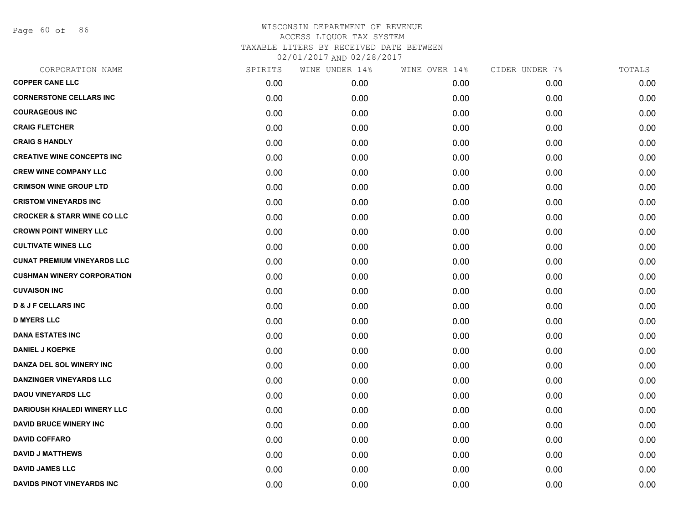Page 60 of 86

| CORPORATION NAME                       | SPIRITS | WINE UNDER 14% | WINE OVER 14% | CIDER UNDER 7% | TOTALS |
|----------------------------------------|---------|----------------|---------------|----------------|--------|
| <b>COPPER CANE LLC</b>                 | 0.00    | 0.00           | 0.00          | 0.00           | 0.00   |
| <b>CORNERSTONE CELLARS INC</b>         | 0.00    | 0.00           | 0.00          | 0.00           | 0.00   |
| <b>COURAGEOUS INC</b>                  | 0.00    | 0.00           | 0.00          | 0.00           | 0.00   |
| <b>CRAIG FLETCHER</b>                  | 0.00    | 0.00           | 0.00          | 0.00           | 0.00   |
| <b>CRAIG S HANDLY</b>                  | 0.00    | 0.00           | 0.00          | 0.00           | 0.00   |
| <b>CREATIVE WINE CONCEPTS INC</b>      | 0.00    | 0.00           | 0.00          | 0.00           | 0.00   |
| <b>CREW WINE COMPANY LLC</b>           | 0.00    | 0.00           | 0.00          | 0.00           | 0.00   |
| <b>CRIMSON WINE GROUP LTD</b>          | 0.00    | 0.00           | 0.00          | 0.00           | 0.00   |
| <b>CRISTOM VINEYARDS INC</b>           | 0.00    | 0.00           | 0.00          | 0.00           | 0.00   |
| <b>CROCKER &amp; STARR WINE CO LLC</b> | 0.00    | 0.00           | 0.00          | 0.00           | 0.00   |
| <b>CROWN POINT WINERY LLC</b>          | 0.00    | 0.00           | 0.00          | 0.00           | 0.00   |
| <b>CULTIVATE WINES LLC</b>             | 0.00    | 0.00           | 0.00          | 0.00           | 0.00   |
| <b>CUNAT PREMIUM VINEYARDS LLC</b>     | 0.00    | 0.00           | 0.00          | 0.00           | 0.00   |
| <b>CUSHMAN WINERY CORPORATION</b>      | 0.00    | 0.00           | 0.00          | 0.00           | 0.00   |
| <b>CUVAISON INC</b>                    | 0.00    | 0.00           | 0.00          | 0.00           | 0.00   |
| <b>D &amp; J F CELLARS INC</b>         | 0.00    | 0.00           | 0.00          | 0.00           | 0.00   |
| <b>D MYERS LLC</b>                     | 0.00    | 0.00           | 0.00          | 0.00           | 0.00   |
| <b>DANA ESTATES INC</b>                | 0.00    | 0.00           | 0.00          | 0.00           | 0.00   |
| <b>DANIEL J KOEPKE</b>                 | 0.00    | 0.00           | 0.00          | 0.00           | 0.00   |
| <b>DANZA DEL SOL WINERY INC</b>        | 0.00    | 0.00           | 0.00          | 0.00           | 0.00   |
| <b>DANZINGER VINEYARDS LLC</b>         | 0.00    | 0.00           | 0.00          | 0.00           | 0.00   |
| <b>DAOU VINEYARDS LLC</b>              | 0.00    | 0.00           | 0.00          | 0.00           | 0.00   |
| <b>DARIOUSH KHALEDI WINERY LLC</b>     | 0.00    | 0.00           | 0.00          | 0.00           | 0.00   |
| <b>DAVID BRUCE WINERY INC</b>          | 0.00    | 0.00           | 0.00          | 0.00           | 0.00   |
| <b>DAVID COFFARO</b>                   | 0.00    | 0.00           | 0.00          | 0.00           | 0.00   |
| <b>DAVID J MATTHEWS</b>                | 0.00    | 0.00           | 0.00          | 0.00           | 0.00   |
| <b>DAVID JAMES LLC</b>                 | 0.00    | 0.00           | 0.00          | 0.00           | 0.00   |
| DAVIDS PINOT VINEYARDS INC             | 0.00    | 0.00           | 0.00          | 0.00           | 0.00   |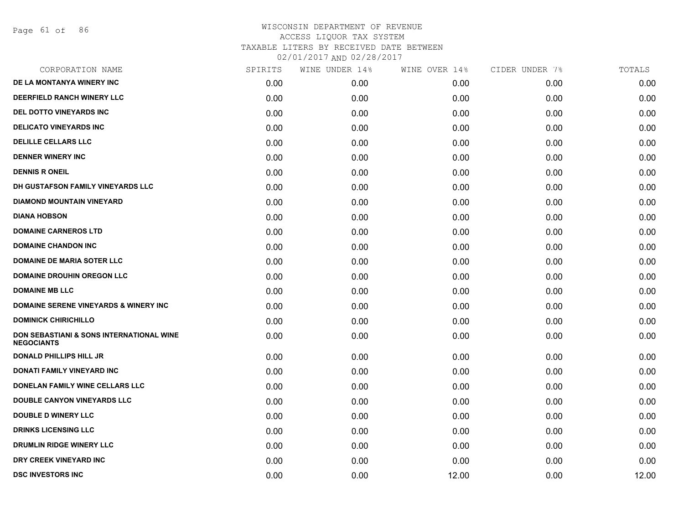Page 61 of 86

| CORPORATION NAME                                                         | SPIRITS | WINE UNDER 14% | WINE OVER 14% | CIDER UNDER 7% | TOTALS |
|--------------------------------------------------------------------------|---------|----------------|---------------|----------------|--------|
| DE LA MONTANYA WINERY INC                                                | 0.00    | 0.00           | 0.00          | 0.00           | 0.00   |
| DEERFIELD RANCH WINERY LLC                                               | 0.00    | 0.00           | 0.00          | 0.00           | 0.00   |
| DEL DOTTO VINEYARDS INC                                                  | 0.00    | 0.00           | 0.00          | 0.00           | 0.00   |
| DELICATO VINEYARDS INC                                                   | 0.00    | 0.00           | 0.00          | 0.00           | 0.00   |
| <b>DELILLE CELLARS LLC</b>                                               | 0.00    | 0.00           | 0.00          | 0.00           | 0.00   |
| <b>DENNER WINERY INC</b>                                                 | 0.00    | 0.00           | 0.00          | 0.00           | 0.00   |
| <b>DENNIS R ONEIL</b>                                                    | 0.00    | 0.00           | 0.00          | 0.00           | 0.00   |
| DH GUSTAFSON FAMILY VINEYARDS LLC                                        | 0.00    | 0.00           | 0.00          | 0.00           | 0.00   |
| <b>DIAMOND MOUNTAIN VINEYARD</b>                                         | 0.00    | 0.00           | 0.00          | 0.00           | 0.00   |
| <b>DIANA HOBSON</b>                                                      | 0.00    | 0.00           | 0.00          | 0.00           | 0.00   |
| <b>DOMAINE CARNEROS LTD</b>                                              | 0.00    | 0.00           | 0.00          | 0.00           | 0.00   |
| <b>DOMAINE CHANDON INC</b>                                               | 0.00    | 0.00           | 0.00          | 0.00           | 0.00   |
| <b>DOMAINE DE MARIA SOTER LLC</b>                                        | 0.00    | 0.00           | 0.00          | 0.00           | 0.00   |
| <b>DOMAINE DROUHIN OREGON LLC</b>                                        | 0.00    | 0.00           | 0.00          | 0.00           | 0.00   |
| <b>DOMAINE MB LLC</b>                                                    | 0.00    | 0.00           | 0.00          | 0.00           | 0.00   |
| <b>DOMAINE SERENE VINEYARDS &amp; WINERY INC</b>                         | 0.00    | 0.00           | 0.00          | 0.00           | 0.00   |
| <b>DOMINICK CHIRICHILLO</b>                                              | 0.00    | 0.00           | 0.00          | 0.00           | 0.00   |
| <b>DON SEBASTIANI &amp; SONS INTERNATIONAL WINE</b><br><b>NEGOCIANTS</b> | 0.00    | 0.00           | 0.00          | 0.00           | 0.00   |
| <b>DONALD PHILLIPS HILL JR</b>                                           | 0.00    | 0.00           | 0.00          | 0.00           | 0.00   |
| DONATI FAMILY VINEYARD INC                                               | 0.00    | 0.00           | 0.00          | 0.00           | 0.00   |
| DONELAN FAMILY WINE CELLARS LLC                                          | 0.00    | 0.00           | 0.00          | 0.00           | 0.00   |
| DOUBLE CANYON VINEYARDS LLC                                              | 0.00    | 0.00           | 0.00          | 0.00           | 0.00   |
| <b>DOUBLE D WINERY LLC</b>                                               | 0.00    | 0.00           | 0.00          | 0.00           | 0.00   |
| <b>DRINKS LICENSING LLC</b>                                              | 0.00    | 0.00           | 0.00          | 0.00           | 0.00   |
| DRUMLIN RIDGE WINERY LLC                                                 | 0.00    | 0.00           | 0.00          | 0.00           | 0.00   |
| DRY CREEK VINEYARD INC                                                   | 0.00    | 0.00           | 0.00          | 0.00           | 0.00   |
| <b>DSC INVESTORS INC</b>                                                 | 0.00    | 0.00           | 12.00         | 0.00           | 12.00  |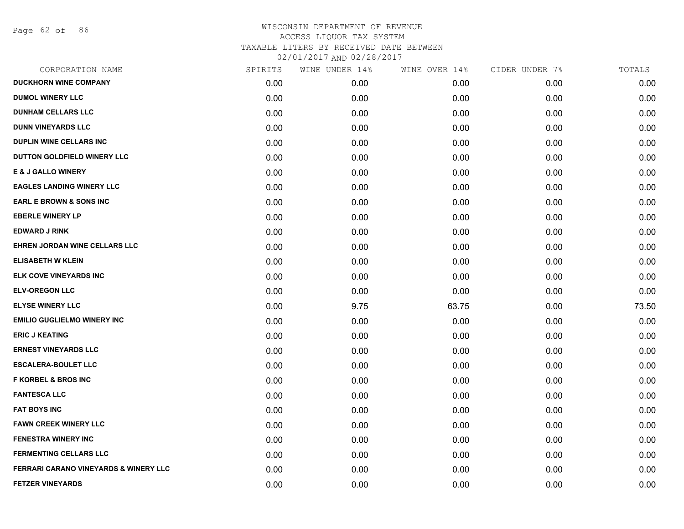Page 62 of 86

| CORPORATION NAME                                 | SPIRITS | WINE UNDER 14% | WINE OVER 14% | CIDER UNDER 7% | TOTALS |
|--------------------------------------------------|---------|----------------|---------------|----------------|--------|
| <b>DUCKHORN WINE COMPANY</b>                     | 0.00    | 0.00           | 0.00          | 0.00           | 0.00   |
| <b>DUMOL WINERY LLC</b>                          | 0.00    | 0.00           | 0.00          | 0.00           | 0.00   |
| <b>DUNHAM CELLARS LLC</b>                        | 0.00    | 0.00           | 0.00          | 0.00           | 0.00   |
| <b>DUNN VINEYARDS LLC</b>                        | 0.00    | 0.00           | 0.00          | 0.00           | 0.00   |
| <b>DUPLIN WINE CELLARS INC.</b>                  | 0.00    | 0.00           | 0.00          | 0.00           | 0.00   |
| DUTTON GOLDFIELD WINERY LLC                      | 0.00    | 0.00           | 0.00          | 0.00           | 0.00   |
| <b>E &amp; J GALLO WINERY</b>                    | 0.00    | 0.00           | 0.00          | 0.00           | 0.00   |
| <b>EAGLES LANDING WINERY LLC</b>                 | 0.00    | 0.00           | 0.00          | 0.00           | 0.00   |
| <b>EARL E BROWN &amp; SONS INC</b>               | 0.00    | 0.00           | 0.00          | 0.00           | 0.00   |
| <b>EBERLE WINERY LP</b>                          | 0.00    | 0.00           | 0.00          | 0.00           | 0.00   |
| <b>EDWARD J RINK</b>                             | 0.00    | 0.00           | 0.00          | 0.00           | 0.00   |
| <b>EHREN JORDAN WINE CELLARS LLC</b>             | 0.00    | 0.00           | 0.00          | 0.00           | 0.00   |
| <b>ELISABETH W KLEIN</b>                         | 0.00    | 0.00           | 0.00          | 0.00           | 0.00   |
| ELK COVE VINEYARDS INC                           | 0.00    | 0.00           | 0.00          | 0.00           | 0.00   |
| <b>ELV-OREGON LLC</b>                            | 0.00    | 0.00           | 0.00          | 0.00           | 0.00   |
| <b>ELYSE WINERY LLC</b>                          | 0.00    | 9.75           | 63.75         | 0.00           | 73.50  |
| <b>EMILIO GUGLIELMO WINERY INC</b>               | 0.00    | 0.00           | 0.00          | 0.00           | 0.00   |
| <b>ERIC J KEATING</b>                            | 0.00    | 0.00           | 0.00          | 0.00           | 0.00   |
| <b>ERNEST VINEYARDS LLC</b>                      | 0.00    | 0.00           | 0.00          | 0.00           | 0.00   |
| <b>ESCALERA-BOULET LLC</b>                       | 0.00    | 0.00           | 0.00          | 0.00           | 0.00   |
| <b>F KORBEL &amp; BROS INC</b>                   | 0.00    | 0.00           | 0.00          | 0.00           | 0.00   |
| <b>FANTESCA LLC</b>                              | 0.00    | 0.00           | 0.00          | 0.00           | 0.00   |
| <b>FAT BOYS INC</b>                              | 0.00    | 0.00           | 0.00          | 0.00           | 0.00   |
| <b>FAWN CREEK WINERY LLC</b>                     | 0.00    | 0.00           | 0.00          | 0.00           | 0.00   |
| <b>FENESTRA WINERY INC</b>                       | 0.00    | 0.00           | 0.00          | 0.00           | 0.00   |
| <b>FERMENTING CELLARS LLC</b>                    | 0.00    | 0.00           | 0.00          | 0.00           | 0.00   |
| <b>FERRARI CARANO VINEYARDS &amp; WINERY LLC</b> | 0.00    | 0.00           | 0.00          | 0.00           | 0.00   |
| <b>FETZER VINEYARDS</b>                          | 0.00    | 0.00           | 0.00          | 0.00           | 0.00   |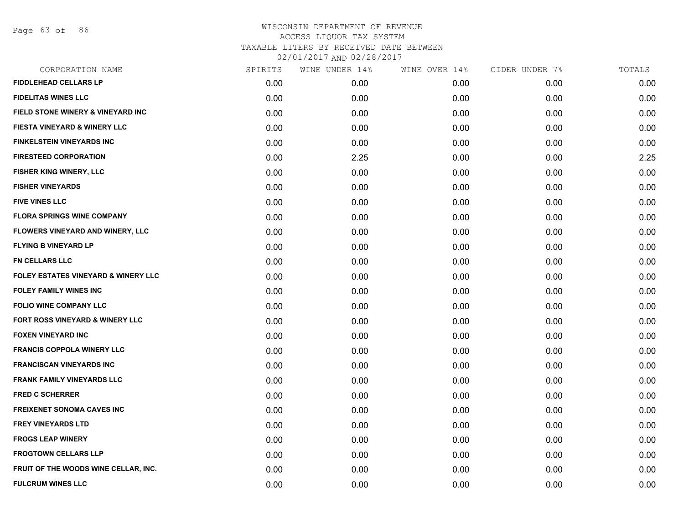Page 63 of 86

| SPIRITS | WINE UNDER 14% | WINE OVER 14% | CIDER UNDER 7% | TOTALS |
|---------|----------------|---------------|----------------|--------|
| 0.00    | 0.00           | 0.00          | 0.00           | 0.00   |
| 0.00    | 0.00           | 0.00          | 0.00           | 0.00   |
| 0.00    | 0.00           | 0.00          | 0.00           | 0.00   |
| 0.00    | 0.00           | 0.00          | 0.00           | 0.00   |
| 0.00    | 0.00           | 0.00          | 0.00           | 0.00   |
| 0.00    | 2.25           | 0.00          | 0.00           | 2.25   |
| 0.00    | 0.00           | 0.00          | 0.00           | 0.00   |
| 0.00    | 0.00           | 0.00          | 0.00           | 0.00   |
| 0.00    | 0.00           | 0.00          | 0.00           | 0.00   |
| 0.00    | 0.00           | 0.00          | 0.00           | 0.00   |
| 0.00    | 0.00           | 0.00          | 0.00           | 0.00   |
| 0.00    | 0.00           | 0.00          | 0.00           | 0.00   |
| 0.00    | 0.00           | 0.00          | 0.00           | 0.00   |
| 0.00    | 0.00           | 0.00          | 0.00           | 0.00   |
| 0.00    | 0.00           | 0.00          | 0.00           | 0.00   |
| 0.00    | 0.00           | 0.00          | 0.00           | 0.00   |
| 0.00    | 0.00           | 0.00          | 0.00           | 0.00   |
| 0.00    | 0.00           | 0.00          | 0.00           | 0.00   |
| 0.00    | 0.00           | 0.00          | 0.00           | 0.00   |
| 0.00    | 0.00           | 0.00          | 0.00           | 0.00   |
| 0.00    | 0.00           | 0.00          | 0.00           | 0.00   |
| 0.00    | 0.00           | 0.00          | 0.00           | 0.00   |
| 0.00    | 0.00           | 0.00          | 0.00           | 0.00   |
| 0.00    | 0.00           | 0.00          | 0.00           | 0.00   |
| 0.00    | 0.00           | 0.00          | 0.00           | 0.00   |
| 0.00    | 0.00           | 0.00          | 0.00           | 0.00   |
| 0.00    | 0.00           | 0.00          | 0.00           | 0.00   |
| 0.00    | 0.00           | 0.00          | 0.00           | 0.00   |
|         |                |               |                |        |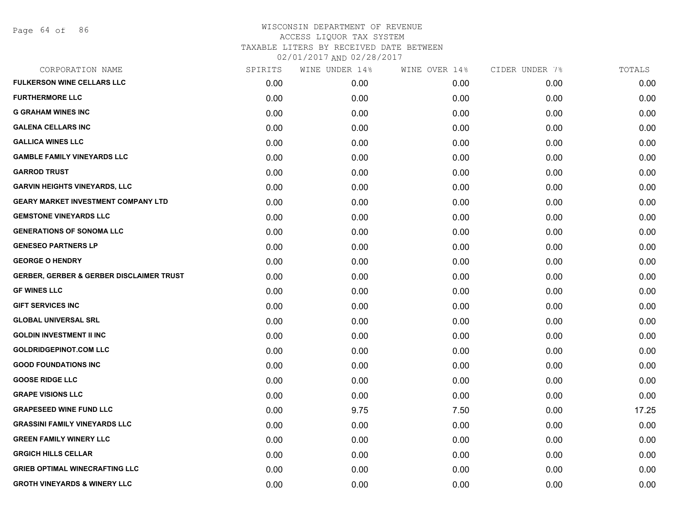Page 64 of 86

| CORPORATION NAME                                    | SPIRITS | WINE UNDER 14% | WINE OVER 14% | CIDER UNDER 7% | TOTALS |
|-----------------------------------------------------|---------|----------------|---------------|----------------|--------|
| <b>FULKERSON WINE CELLARS LLC</b>                   | 0.00    | 0.00           | 0.00          | 0.00           | 0.00   |
| <b>FURTHERMORE LLC</b>                              | 0.00    | 0.00           | 0.00          | 0.00           | 0.00   |
| <b>G GRAHAM WINES INC</b>                           | 0.00    | 0.00           | 0.00          | 0.00           | 0.00   |
| <b>GALENA CELLARS INC</b>                           | 0.00    | 0.00           | 0.00          | 0.00           | 0.00   |
| <b>GALLICA WINES LLC</b>                            | 0.00    | 0.00           | 0.00          | 0.00           | 0.00   |
| <b>GAMBLE FAMILY VINEYARDS LLC</b>                  | 0.00    | 0.00           | 0.00          | 0.00           | 0.00   |
| <b>GARROD TRUST</b>                                 | 0.00    | 0.00           | 0.00          | 0.00           | 0.00   |
| <b>GARVIN HEIGHTS VINEYARDS, LLC</b>                | 0.00    | 0.00           | 0.00          | 0.00           | 0.00   |
| <b>GEARY MARKET INVESTMENT COMPANY LTD</b>          | 0.00    | 0.00           | 0.00          | 0.00           | 0.00   |
| <b>GEMSTONE VINEYARDS LLC</b>                       | 0.00    | 0.00           | 0.00          | 0.00           | 0.00   |
| <b>GENERATIONS OF SONOMA LLC</b>                    | 0.00    | 0.00           | 0.00          | 0.00           | 0.00   |
| <b>GENESEO PARTNERS LP</b>                          | 0.00    | 0.00           | 0.00          | 0.00           | 0.00   |
| <b>GEORGE O HENDRY</b>                              | 0.00    | 0.00           | 0.00          | 0.00           | 0.00   |
| <b>GERBER, GERBER &amp; GERBER DISCLAIMER TRUST</b> | 0.00    | 0.00           | 0.00          | 0.00           | 0.00   |
| <b>GF WINES LLC</b>                                 | 0.00    | 0.00           | 0.00          | 0.00           | 0.00   |
| <b>GIFT SERVICES INC</b>                            | 0.00    | 0.00           | 0.00          | 0.00           | 0.00   |
| <b>GLOBAL UNIVERSAL SRL</b>                         | 0.00    | 0.00           | 0.00          | 0.00           | 0.00   |
| <b>GOLDIN INVESTMENT II INC</b>                     | 0.00    | 0.00           | 0.00          | 0.00           | 0.00   |
| <b>GOLDRIDGEPINOT.COM LLC</b>                       | 0.00    | 0.00           | 0.00          | 0.00           | 0.00   |
| <b>GOOD FOUNDATIONS INC</b>                         | 0.00    | 0.00           | 0.00          | 0.00           | 0.00   |
| <b>GOOSE RIDGE LLC</b>                              | 0.00    | 0.00           | 0.00          | 0.00           | 0.00   |
| <b>GRAPE VISIONS LLC</b>                            | 0.00    | 0.00           | 0.00          | 0.00           | 0.00   |
| <b>GRAPESEED WINE FUND LLC</b>                      | 0.00    | 9.75           | 7.50          | 0.00           | 17.25  |
| <b>GRASSINI FAMILY VINEYARDS LLC</b>                | 0.00    | 0.00           | 0.00          | 0.00           | 0.00   |
| <b>GREEN FAMILY WINERY LLC</b>                      | 0.00    | 0.00           | 0.00          | 0.00           | 0.00   |
| <b>GRGICH HILLS CELLAR</b>                          | 0.00    | 0.00           | 0.00          | 0.00           | 0.00   |
| <b>GRIEB OPTIMAL WINECRAFTING LLC</b>               | 0.00    | 0.00           | 0.00          | 0.00           | 0.00   |
| <b>GROTH VINEYARDS &amp; WINERY LLC</b>             | 0.00    | 0.00           | 0.00          | 0.00           | 0.00   |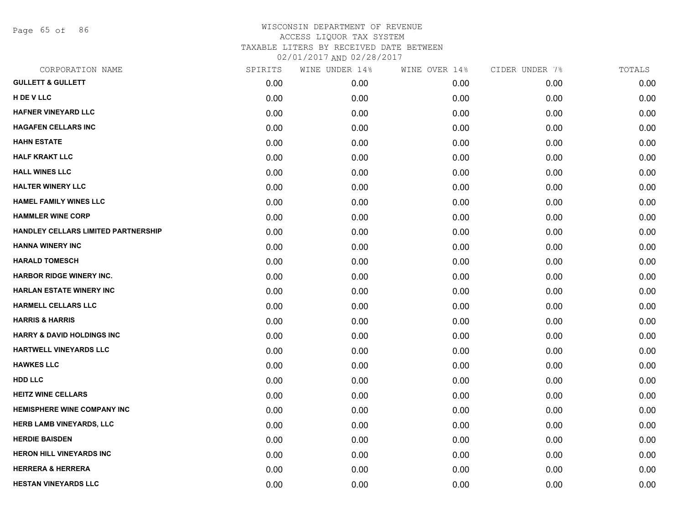Page 65 of 86

| CORPORATION NAME                      | SPIRITS | WINE UNDER 14% | WINE OVER 14% | CIDER UNDER 7% | TOTALS |
|---------------------------------------|---------|----------------|---------------|----------------|--------|
| <b>GULLETT &amp; GULLETT</b>          | 0.00    | 0.00           | 0.00          | 0.00           | 0.00   |
| H DE V LLC                            | 0.00    | 0.00           | 0.00          | 0.00           | 0.00   |
| HAFNER VINEYARD LLC                   | 0.00    | 0.00           | 0.00          | 0.00           | 0.00   |
| <b>HAGAFEN CELLARS INC</b>            | 0.00    | 0.00           | 0.00          | 0.00           | 0.00   |
| <b>HAHN ESTATE</b>                    | 0.00    | 0.00           | 0.00          | 0.00           | 0.00   |
| <b>HALF KRAKT LLC</b>                 | 0.00    | 0.00           | 0.00          | 0.00           | 0.00   |
| <b>HALL WINES LLC</b>                 | 0.00    | 0.00           | 0.00          | 0.00           | 0.00   |
| <b>HALTER WINERY LLC</b>              | 0.00    | 0.00           | 0.00          | 0.00           | 0.00   |
| <b>HAMEL FAMILY WINES LLC</b>         | 0.00    | 0.00           | 0.00          | 0.00           | 0.00   |
| <b>HAMMLER WINE CORP</b>              | 0.00    | 0.00           | 0.00          | 0.00           | 0.00   |
| HANDLEY CELLARS LIMITED PARTNERSHIP   | 0.00    | 0.00           | 0.00          | 0.00           | 0.00   |
| <b>HANNA WINERY INC</b>               | 0.00    | 0.00           | 0.00          | 0.00           | 0.00   |
| <b>HARALD TOMESCH</b>                 | 0.00    | 0.00           | 0.00          | 0.00           | 0.00   |
| <b>HARBOR RIDGE WINERY INC.</b>       | 0.00    | 0.00           | 0.00          | 0.00           | 0.00   |
| <b>HARLAN ESTATE WINERY INC</b>       | 0.00    | 0.00           | 0.00          | 0.00           | 0.00   |
| <b>HARMELL CELLARS LLC</b>            | 0.00    | 0.00           | 0.00          | 0.00           | 0.00   |
| <b>HARRIS &amp; HARRIS</b>            | 0.00    | 0.00           | 0.00          | 0.00           | 0.00   |
| <b>HARRY &amp; DAVID HOLDINGS INC</b> | 0.00    | 0.00           | 0.00          | 0.00           | 0.00   |
| <b>HARTWELL VINEYARDS LLC</b>         | 0.00    | 0.00           | 0.00          | 0.00           | 0.00   |
| <b>HAWKES LLC</b>                     | 0.00    | 0.00           | 0.00          | 0.00           | 0.00   |
| <b>HDD LLC</b>                        | 0.00    | 0.00           | 0.00          | 0.00           | 0.00   |
| <b>HEITZ WINE CELLARS</b>             | 0.00    | 0.00           | 0.00          | 0.00           | 0.00   |
| <b>HEMISPHERE WINE COMPANY INC</b>    | 0.00    | 0.00           | 0.00          | 0.00           | 0.00   |
| <b>HERB LAMB VINEYARDS, LLC</b>       | 0.00    | 0.00           | 0.00          | 0.00           | 0.00   |
| <b>HERDIE BAISDEN</b>                 | 0.00    | 0.00           | 0.00          | 0.00           | 0.00   |
| <b>HERON HILL VINEYARDS INC</b>       | 0.00    | 0.00           | 0.00          | 0.00           | 0.00   |
| <b>HERRERA &amp; HERRERA</b>          | 0.00    | 0.00           | 0.00          | 0.00           | 0.00   |
| <b>HESTAN VINEYARDS LLC</b>           | 0.00    | 0.00           | 0.00          | 0.00           | 0.00   |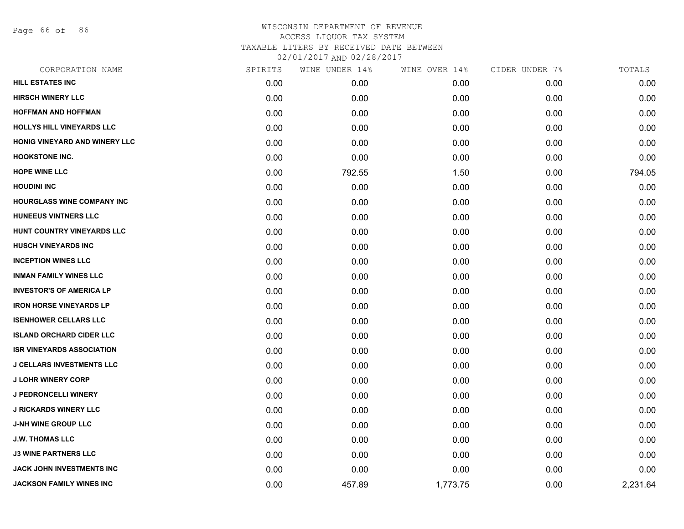Page 66 of 86

| CORPORATION NAME                     | SPIRITS | WINE UNDER 14% | WINE OVER 14% | CIDER UNDER 7% | TOTALS   |
|--------------------------------------|---------|----------------|---------------|----------------|----------|
| HILL ESTATES INC                     | 0.00    | 0.00           | 0.00          | 0.00           | 0.00     |
| <b>HIRSCH WINERY LLC</b>             | 0.00    | 0.00           | 0.00          | 0.00           | 0.00     |
| <b>HOFFMAN AND HOFFMAN</b>           | 0.00    | 0.00           | 0.00          | 0.00           | 0.00     |
| <b>HOLLYS HILL VINEYARDS LLC</b>     | 0.00    | 0.00           | 0.00          | 0.00           | 0.00     |
| <b>HONIG VINEYARD AND WINERY LLC</b> | 0.00    | 0.00           | 0.00          | 0.00           | 0.00     |
| <b>HOOKSTONE INC.</b>                | 0.00    | 0.00           | 0.00          | 0.00           | 0.00     |
| <b>HOPE WINE LLC</b>                 | 0.00    | 792.55         | 1.50          | 0.00           | 794.05   |
| <b>HOUDINI INC</b>                   | 0.00    | 0.00           | 0.00          | 0.00           | 0.00     |
| <b>HOURGLASS WINE COMPANY INC</b>    | 0.00    | 0.00           | 0.00          | 0.00           | 0.00     |
| <b>HUNEEUS VINTNERS LLC</b>          | 0.00    | 0.00           | 0.00          | 0.00           | 0.00     |
| HUNT COUNTRY VINEYARDS LLC           | 0.00    | 0.00           | 0.00          | 0.00           | 0.00     |
| <b>HUSCH VINEYARDS INC</b>           | 0.00    | 0.00           | 0.00          | 0.00           | 0.00     |
| <b>INCEPTION WINES LLC</b>           | 0.00    | 0.00           | 0.00          | 0.00           | 0.00     |
| <b>INMAN FAMILY WINES LLC</b>        | 0.00    | 0.00           | 0.00          | 0.00           | 0.00     |
| <b>INVESTOR'S OF AMERICA LP</b>      | 0.00    | 0.00           | 0.00          | 0.00           | 0.00     |
| <b>IRON HORSE VINEYARDS LP</b>       | 0.00    | 0.00           | 0.00          | 0.00           | 0.00     |
| <b>ISENHOWER CELLARS LLC</b>         | 0.00    | 0.00           | 0.00          | 0.00           | 0.00     |
| <b>ISLAND ORCHARD CIDER LLC</b>      | 0.00    | 0.00           | 0.00          | 0.00           | 0.00     |
| <b>ISR VINEYARDS ASSOCIATION</b>     | 0.00    | 0.00           | 0.00          | 0.00           | 0.00     |
| <b>J CELLARS INVESTMENTS LLC</b>     | 0.00    | 0.00           | 0.00          | 0.00           | 0.00     |
| <b>J LOHR WINERY CORP</b>            | 0.00    | 0.00           | 0.00          | 0.00           | 0.00     |
| J PEDRONCELLI WINERY                 | 0.00    | 0.00           | 0.00          | 0.00           | 0.00     |
| <b>J RICKARDS WINERY LLC</b>         | 0.00    | 0.00           | 0.00          | 0.00           | 0.00     |
| <b>J-NH WINE GROUP LLC</b>           | 0.00    | 0.00           | 0.00          | 0.00           | 0.00     |
| <b>J.W. THOMAS LLC</b>               | 0.00    | 0.00           | 0.00          | 0.00           | 0.00     |
| <b>J3 WINE PARTNERS LLC</b>          | 0.00    | 0.00           | 0.00          | 0.00           | 0.00     |
| JACK JOHN INVESTMENTS INC            | 0.00    | 0.00           | 0.00          | 0.00           | 0.00     |
| JACKSON FAMILY WINES INC             | 0.00    | 457.89         | 1,773.75      | 0.00           | 2,231.64 |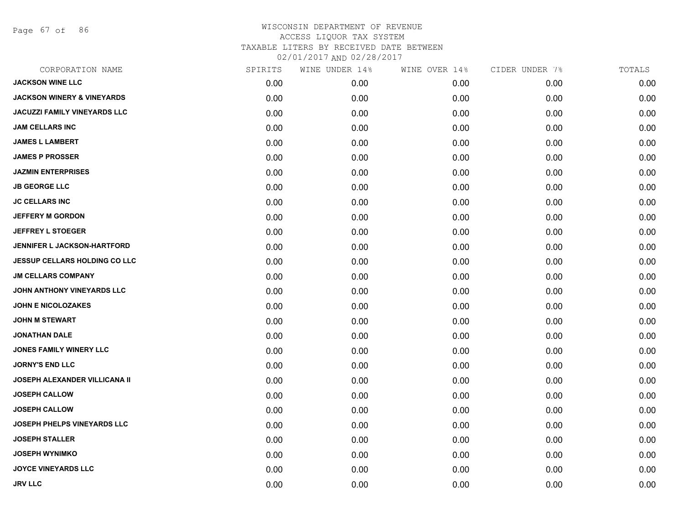Page 67 of 86

| CORPORATION NAME                      | SPIRITS | WINE UNDER 14% | WINE OVER 14% | CIDER UNDER 7% | TOTALS |
|---------------------------------------|---------|----------------|---------------|----------------|--------|
| <b>JACKSON WINE LLC</b>               | 0.00    | 0.00           | 0.00          | 0.00           | 0.00   |
| <b>JACKSON WINERY &amp; VINEYARDS</b> | 0.00    | 0.00           | 0.00          | 0.00           | 0.00   |
| <b>JACUZZI FAMILY VINEYARDS LLC</b>   | 0.00    | 0.00           | 0.00          | 0.00           | 0.00   |
| <b>JAM CELLARS INC</b>                | 0.00    | 0.00           | 0.00          | 0.00           | 0.00   |
| <b>JAMES L LAMBERT</b>                | 0.00    | 0.00           | 0.00          | 0.00           | 0.00   |
| <b>JAMES P PROSSER</b>                | 0.00    | 0.00           | 0.00          | 0.00           | 0.00   |
| <b>JAZMIN ENTERPRISES</b>             | 0.00    | 0.00           | 0.00          | 0.00           | 0.00   |
| <b>JB GEORGE LLC</b>                  | 0.00    | 0.00           | 0.00          | 0.00           | 0.00   |
| <b>JC CELLARS INC</b>                 | 0.00    | 0.00           | 0.00          | 0.00           | 0.00   |
| <b>JEFFERY M GORDON</b>               | 0.00    | 0.00           | 0.00          | 0.00           | 0.00   |
| <b>JEFFREY L STOEGER</b>              | 0.00    | 0.00           | 0.00          | 0.00           | 0.00   |
| JENNIFER L JACKSON-HARTFORD           | 0.00    | 0.00           | 0.00          | 0.00           | 0.00   |
| <b>JESSUP CELLARS HOLDING CO LLC</b>  | 0.00    | 0.00           | 0.00          | 0.00           | 0.00   |
| <b>JM CELLARS COMPANY</b>             | 0.00    | 0.00           | 0.00          | 0.00           | 0.00   |
| JOHN ANTHONY VINEYARDS LLC            | 0.00    | 0.00           | 0.00          | 0.00           | 0.00   |
| <b>JOHN E NICOLOZAKES</b>             | 0.00    | 0.00           | 0.00          | 0.00           | 0.00   |
| <b>JOHN M STEWART</b>                 | 0.00    | 0.00           | 0.00          | 0.00           | 0.00   |
| <b>JONATHAN DALE</b>                  | 0.00    | 0.00           | 0.00          | 0.00           | 0.00   |
| JONES FAMILY WINERY LLC               | 0.00    | 0.00           | 0.00          | 0.00           | 0.00   |
| <b>JORNY'S END LLC</b>                | 0.00    | 0.00           | 0.00          | 0.00           | 0.00   |
| <b>JOSEPH ALEXANDER VILLICANA II</b>  | 0.00    | 0.00           | 0.00          | 0.00           | 0.00   |
| <b>JOSEPH CALLOW</b>                  | 0.00    | 0.00           | 0.00          | 0.00           | 0.00   |
| <b>JOSEPH CALLOW</b>                  | 0.00    | 0.00           | 0.00          | 0.00           | 0.00   |
| JOSEPH PHELPS VINEYARDS LLC           | 0.00    | 0.00           | 0.00          | 0.00           | 0.00   |
| <b>JOSEPH STALLER</b>                 | 0.00    | 0.00           | 0.00          | 0.00           | 0.00   |
| <b>JOSEPH WYNIMKO</b>                 | 0.00    | 0.00           | 0.00          | 0.00           | 0.00   |
| <b>JOYCE VINEYARDS LLC</b>            | 0.00    | 0.00           | 0.00          | 0.00           | 0.00   |
| <b>JRV LLC</b>                        | 0.00    | 0.00           | 0.00          | 0.00           | 0.00   |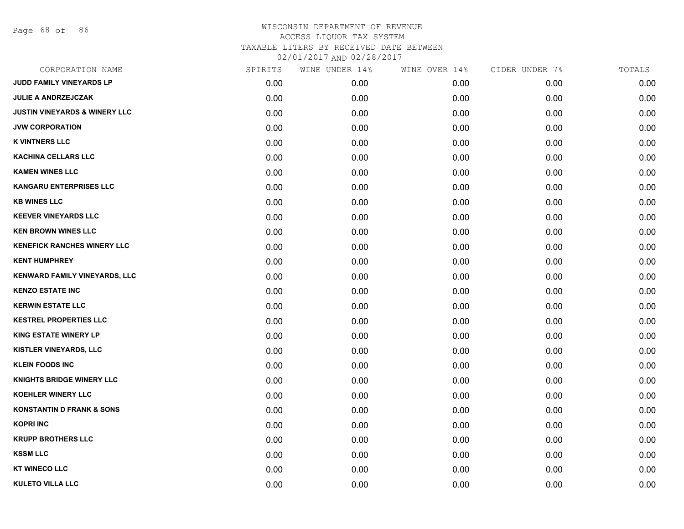Page 68 of 86

| CORPORATION NAME                         | SPIRITS | WINE UNDER 14% | WINE OVER 14% | CIDER UNDER 7% | TOTALS |
|------------------------------------------|---------|----------------|---------------|----------------|--------|
| JUDD FAMILY VINEYARDS LP                 | 0.00    | 0.00           | 0.00          | 0.00           | 0.00   |
| <b>JULIE A ANDRZEJCZAK</b>               | 0.00    | 0.00           | 0.00          | 0.00           | 0.00   |
| <b>JUSTIN VINEYARDS &amp; WINERY LLC</b> | 0.00    | 0.00           | 0.00          | 0.00           | 0.00   |
| <b>JVW CORPORATION</b>                   | 0.00    | 0.00           | 0.00          | 0.00           | 0.00   |
| <b>K VINTNERS LLC</b>                    | 0.00    | 0.00           | 0.00          | 0.00           | 0.00   |
| <b>KACHINA CELLARS LLC</b>               | 0.00    | 0.00           | 0.00          | 0.00           | 0.00   |
| <b>KAMEN WINES LLC</b>                   | 0.00    | 0.00           | 0.00          | 0.00           | 0.00   |
| <b>KANGARU ENTERPRISES LLC</b>           | 0.00    | 0.00           | 0.00          | 0.00           | 0.00   |
| <b>KB WINES LLC</b>                      | 0.00    | 0.00           | 0.00          | 0.00           | 0.00   |
| <b>KEEVER VINEYARDS LLC</b>              | 0.00    | 0.00           | 0.00          | 0.00           | 0.00   |
| <b>KEN BROWN WINES LLC</b>               | 0.00    | 0.00           | 0.00          | 0.00           | 0.00   |
| <b>KENEFICK RANCHES WINERY LLC</b>       | 0.00    | 0.00           | 0.00          | 0.00           | 0.00   |
| <b>KENT HUMPHREY</b>                     | 0.00    | 0.00           | 0.00          | 0.00           | 0.00   |
| KENWARD FAMILY VINEYARDS, LLC            | 0.00    | 0.00           | 0.00          | 0.00           | 0.00   |
| <b>KENZO ESTATE INC</b>                  | 0.00    | 0.00           | 0.00          | 0.00           | 0.00   |
| <b>KERWIN ESTATE LLC</b>                 | 0.00    | 0.00           | 0.00          | 0.00           | 0.00   |
| <b>KESTREL PROPERTIES LLC</b>            | 0.00    | 0.00           | 0.00          | 0.00           | 0.00   |
| <b>KING ESTATE WINERY LP</b>             | 0.00    | 0.00           | 0.00          | 0.00           | 0.00   |
| KISTLER VINEYARDS, LLC                   | 0.00    | 0.00           | 0.00          | 0.00           | 0.00   |
| <b>KLEIN FOODS INC</b>                   | 0.00    | 0.00           | 0.00          | 0.00           | 0.00   |
| <b>KNIGHTS BRIDGE WINERY LLC</b>         | 0.00    | 0.00           | 0.00          | 0.00           | 0.00   |
| <b>KOEHLER WINERY LLC</b>                | 0.00    | 0.00           | 0.00          | 0.00           | 0.00   |
| <b>KONSTANTIN D FRANK &amp; SONS</b>     | 0.00    | 0.00           | 0.00          | 0.00           | 0.00   |
| <b>KOPRI INC</b>                         | 0.00    | 0.00           | 0.00          | 0.00           | 0.00   |
| <b>KRUPP BROTHERS LLC</b>                | 0.00    | 0.00           | 0.00          | 0.00           | 0.00   |
| <b>KSSM LLC</b>                          | 0.00    | 0.00           | 0.00          | 0.00           | 0.00   |
| <b>KT WINECO LLC</b>                     | 0.00    | 0.00           | 0.00          | 0.00           | 0.00   |
| <b>KULETO VILLA LLC</b>                  | 0.00    | 0.00           | 0.00          | 0.00           | 0.00   |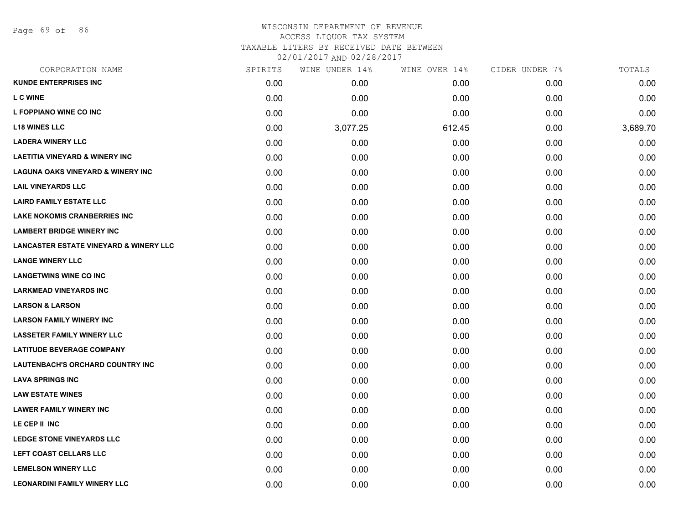Page 69 of 86

| CORPORATION NAME                                  | SPIRITS | WINE UNDER 14% | WINE OVER 14% | CIDER UNDER 7% | TOTALS   |
|---------------------------------------------------|---------|----------------|---------------|----------------|----------|
| <b>KUNDE ENTERPRISES INC</b>                      | 0.00    | 0.00           | 0.00          | 0.00           | 0.00     |
| L C WINE                                          | 0.00    | 0.00           | 0.00          | 0.00           | 0.00     |
| L FOPPIANO WINE CO INC                            | 0.00    | 0.00           | 0.00          | 0.00           | 0.00     |
| <b>L18 WINES LLC</b>                              | 0.00    | 3,077.25       | 612.45        | 0.00           | 3,689.70 |
| <b>LADERA WINERY LLC</b>                          | 0.00    | 0.00           | 0.00          | 0.00           | 0.00     |
| <b>LAETITIA VINEYARD &amp; WINERY INC</b>         | 0.00    | 0.00           | 0.00          | 0.00           | 0.00     |
| <b>LAGUNA OAKS VINEYARD &amp; WINERY INC</b>      | 0.00    | 0.00           | 0.00          | 0.00           | 0.00     |
| <b>LAIL VINEYARDS LLC</b>                         | 0.00    | 0.00           | 0.00          | 0.00           | 0.00     |
| <b>LAIRD FAMILY ESTATE LLC</b>                    | 0.00    | 0.00           | 0.00          | 0.00           | 0.00     |
| <b>LAKE NOKOMIS CRANBERRIES INC</b>               | 0.00    | 0.00           | 0.00          | 0.00           | 0.00     |
| <b>LAMBERT BRIDGE WINERY INC</b>                  | 0.00    | 0.00           | 0.00          | 0.00           | 0.00     |
| <b>LANCASTER ESTATE VINEYARD &amp; WINERY LLC</b> | 0.00    | 0.00           | 0.00          | 0.00           | 0.00     |
| <b>LANGE WINERY LLC</b>                           | 0.00    | 0.00           | 0.00          | 0.00           | 0.00     |
| <b>LANGETWINS WINE CO INC</b>                     | 0.00    | 0.00           | 0.00          | 0.00           | 0.00     |
| <b>LARKMEAD VINEYARDS INC</b>                     | 0.00    | 0.00           | 0.00          | 0.00           | 0.00     |
| <b>LARSON &amp; LARSON</b>                        | 0.00    | 0.00           | 0.00          | 0.00           | 0.00     |
| <b>LARSON FAMILY WINERY INC</b>                   | 0.00    | 0.00           | 0.00          | 0.00           | 0.00     |
| <b>LASSETER FAMILY WINERY LLC</b>                 | 0.00    | 0.00           | 0.00          | 0.00           | 0.00     |
| <b>LATITUDE BEVERAGE COMPANY</b>                  | 0.00    | 0.00           | 0.00          | 0.00           | 0.00     |
| <b>LAUTENBACH'S ORCHARD COUNTRY INC</b>           | 0.00    | 0.00           | 0.00          | 0.00           | 0.00     |
| <b>LAVA SPRINGS INC</b>                           | 0.00    | 0.00           | 0.00          | 0.00           | 0.00     |
| <b>LAW ESTATE WINES</b>                           | 0.00    | 0.00           | 0.00          | 0.00           | 0.00     |
| <b>LAWER FAMILY WINERY INC</b>                    | 0.00    | 0.00           | 0.00          | 0.00           | 0.00     |
| LE CEP II INC                                     | 0.00    | 0.00           | 0.00          | 0.00           | 0.00     |
| LEDGE STONE VINEYARDS LLC                         | 0.00    | 0.00           | 0.00          | 0.00           | 0.00     |
| LEFT COAST CELLARS LLC                            | 0.00    | 0.00           | 0.00          | 0.00           | 0.00     |
| <b>LEMELSON WINERY LLC</b>                        | 0.00    | 0.00           | 0.00          | 0.00           | 0.00     |
| <b>LEONARDINI FAMILY WINERY LLC</b>               | 0.00    | 0.00           | 0.00          | 0.00           | 0.00     |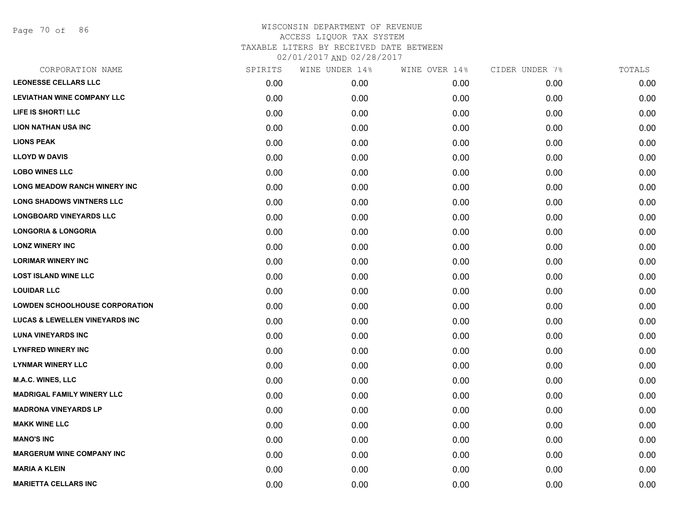Page 70 of 86

| <b>LEONESSE CELLARS LLC</b><br>0.00<br>0.00<br>0.00<br>0.00<br><b>LEVIATHAN WINE COMPANY LLC</b><br>0.00<br>0.00<br>0.00<br>0.00<br>LIFE IS SHORT! LLC<br>0.00<br>0.00<br>0.00<br>0.00<br><b>LION NATHAN USA INC</b><br>0.00<br>0.00<br>0.00<br>0.00<br><b>LIONS PEAK</b><br>0.00<br>0.00<br>0.00<br>0.00<br><b>LLOYD W DAVIS</b><br>0.00<br>0.00<br>0.00<br>0.00<br><b>LOBO WINES LLC</b><br>0.00<br>0.00<br>0.00<br>0.00<br><b>LONG MEADOW RANCH WINERY INC</b><br>0.00<br>0.00<br>0.00<br>0.00<br><b>LONG SHADOWS VINTNERS LLC</b><br>0.00<br>0.00<br>0.00<br>0.00<br><b>LONGBOARD VINEYARDS LLC</b><br>0.00<br>0.00<br>0.00<br>0.00<br><b>LONGORIA &amp; LONGORIA</b><br>0.00<br>0.00<br>0.00<br>0.00<br><b>LONZ WINERY INC</b><br>0.00<br>0.00<br>0.00<br>0.00<br><b>LORIMAR WINERY INC</b><br>0.00<br>0.00<br>0.00<br>0.00<br><b>LOST ISLAND WINE LLC</b><br>0.00<br>0.00<br>0.00<br>0.00<br><b>LOUIDAR LLC</b><br>0.00<br>0.00<br>0.00<br>0.00<br><b>LOWDEN SCHOOLHOUSE CORPORATION</b><br>0.00<br>0.00<br>0.00<br>0.00<br><b>LUCAS &amp; LEWELLEN VINEYARDS INC</b><br>0.00<br>0.00<br>0.00<br>0.00<br><b>LUNA VINEYARDS INC</b><br>0.00<br>0.00<br>0.00<br>0.00<br><b>LYNFRED WINERY INC</b><br>0.00<br>0.00<br>0.00<br>0.00<br><b>LYNMAR WINERY LLC</b><br>0.00<br>0.00<br>0.00<br>0.00<br><b>M.A.C. WINES, LLC</b><br>0.00<br>0.00<br>0.00<br>0.00<br><b>MADRIGAL FAMILY WINERY LLC</b><br>0.00<br>0.00<br>0.00<br>0.00<br><b>MADRONA VINEYARDS LP</b><br>0.00<br>0.00<br>0.00<br>0.00<br><b>MAKK WINE LLC</b><br>0.00<br>0.00<br>0.00<br>0.00<br><b>MANO'S INC</b><br>0.00<br>0.00<br>0.00<br>0.00<br><b>MARGERUM WINE COMPANY INC</b><br>0.00<br>0.00<br>0.00<br>0.00<br><b>MARIA A KLEIN</b><br>0.00<br>0.00<br>0.00<br>0.00<br><b>MARIETTA CELLARS INC</b><br>0.00<br>0.00<br>0.00<br>0.00 | CORPORATION NAME | SPIRITS | WINE UNDER 14% | WINE OVER 14% | CIDER UNDER 7% | TOTALS |
|-----------------------------------------------------------------------------------------------------------------------------------------------------------------------------------------------------------------------------------------------------------------------------------------------------------------------------------------------------------------------------------------------------------------------------------------------------------------------------------------------------------------------------------------------------------------------------------------------------------------------------------------------------------------------------------------------------------------------------------------------------------------------------------------------------------------------------------------------------------------------------------------------------------------------------------------------------------------------------------------------------------------------------------------------------------------------------------------------------------------------------------------------------------------------------------------------------------------------------------------------------------------------------------------------------------------------------------------------------------------------------------------------------------------------------------------------------------------------------------------------------------------------------------------------------------------------------------------------------------------------------------------------------------------------------------------------------------------------------------------------------------------------------------------------------------|------------------|---------|----------------|---------------|----------------|--------|
|                                                                                                                                                                                                                                                                                                                                                                                                                                                                                                                                                                                                                                                                                                                                                                                                                                                                                                                                                                                                                                                                                                                                                                                                                                                                                                                                                                                                                                                                                                                                                                                                                                                                                                                                                                                                           |                  |         |                |               |                | 0.00   |
|                                                                                                                                                                                                                                                                                                                                                                                                                                                                                                                                                                                                                                                                                                                                                                                                                                                                                                                                                                                                                                                                                                                                                                                                                                                                                                                                                                                                                                                                                                                                                                                                                                                                                                                                                                                                           |                  |         |                |               |                | 0.00   |
|                                                                                                                                                                                                                                                                                                                                                                                                                                                                                                                                                                                                                                                                                                                                                                                                                                                                                                                                                                                                                                                                                                                                                                                                                                                                                                                                                                                                                                                                                                                                                                                                                                                                                                                                                                                                           |                  |         |                |               |                | 0.00   |
|                                                                                                                                                                                                                                                                                                                                                                                                                                                                                                                                                                                                                                                                                                                                                                                                                                                                                                                                                                                                                                                                                                                                                                                                                                                                                                                                                                                                                                                                                                                                                                                                                                                                                                                                                                                                           |                  |         |                |               |                | 0.00   |
|                                                                                                                                                                                                                                                                                                                                                                                                                                                                                                                                                                                                                                                                                                                                                                                                                                                                                                                                                                                                                                                                                                                                                                                                                                                                                                                                                                                                                                                                                                                                                                                                                                                                                                                                                                                                           |                  |         |                |               |                | 0.00   |
|                                                                                                                                                                                                                                                                                                                                                                                                                                                                                                                                                                                                                                                                                                                                                                                                                                                                                                                                                                                                                                                                                                                                                                                                                                                                                                                                                                                                                                                                                                                                                                                                                                                                                                                                                                                                           |                  |         |                |               |                | 0.00   |
|                                                                                                                                                                                                                                                                                                                                                                                                                                                                                                                                                                                                                                                                                                                                                                                                                                                                                                                                                                                                                                                                                                                                                                                                                                                                                                                                                                                                                                                                                                                                                                                                                                                                                                                                                                                                           |                  |         |                |               |                | 0.00   |
|                                                                                                                                                                                                                                                                                                                                                                                                                                                                                                                                                                                                                                                                                                                                                                                                                                                                                                                                                                                                                                                                                                                                                                                                                                                                                                                                                                                                                                                                                                                                                                                                                                                                                                                                                                                                           |                  |         |                |               |                | 0.00   |
|                                                                                                                                                                                                                                                                                                                                                                                                                                                                                                                                                                                                                                                                                                                                                                                                                                                                                                                                                                                                                                                                                                                                                                                                                                                                                                                                                                                                                                                                                                                                                                                                                                                                                                                                                                                                           |                  |         |                |               |                | 0.00   |
|                                                                                                                                                                                                                                                                                                                                                                                                                                                                                                                                                                                                                                                                                                                                                                                                                                                                                                                                                                                                                                                                                                                                                                                                                                                                                                                                                                                                                                                                                                                                                                                                                                                                                                                                                                                                           |                  |         |                |               |                | 0.00   |
|                                                                                                                                                                                                                                                                                                                                                                                                                                                                                                                                                                                                                                                                                                                                                                                                                                                                                                                                                                                                                                                                                                                                                                                                                                                                                                                                                                                                                                                                                                                                                                                                                                                                                                                                                                                                           |                  |         |                |               |                | 0.00   |
|                                                                                                                                                                                                                                                                                                                                                                                                                                                                                                                                                                                                                                                                                                                                                                                                                                                                                                                                                                                                                                                                                                                                                                                                                                                                                                                                                                                                                                                                                                                                                                                                                                                                                                                                                                                                           |                  |         |                |               |                | 0.00   |
|                                                                                                                                                                                                                                                                                                                                                                                                                                                                                                                                                                                                                                                                                                                                                                                                                                                                                                                                                                                                                                                                                                                                                                                                                                                                                                                                                                                                                                                                                                                                                                                                                                                                                                                                                                                                           |                  |         |                |               |                | 0.00   |
|                                                                                                                                                                                                                                                                                                                                                                                                                                                                                                                                                                                                                                                                                                                                                                                                                                                                                                                                                                                                                                                                                                                                                                                                                                                                                                                                                                                                                                                                                                                                                                                                                                                                                                                                                                                                           |                  |         |                |               |                | 0.00   |
|                                                                                                                                                                                                                                                                                                                                                                                                                                                                                                                                                                                                                                                                                                                                                                                                                                                                                                                                                                                                                                                                                                                                                                                                                                                                                                                                                                                                                                                                                                                                                                                                                                                                                                                                                                                                           |                  |         |                |               |                | 0.00   |
|                                                                                                                                                                                                                                                                                                                                                                                                                                                                                                                                                                                                                                                                                                                                                                                                                                                                                                                                                                                                                                                                                                                                                                                                                                                                                                                                                                                                                                                                                                                                                                                                                                                                                                                                                                                                           |                  |         |                |               |                | 0.00   |
|                                                                                                                                                                                                                                                                                                                                                                                                                                                                                                                                                                                                                                                                                                                                                                                                                                                                                                                                                                                                                                                                                                                                                                                                                                                                                                                                                                                                                                                                                                                                                                                                                                                                                                                                                                                                           |                  |         |                |               |                | 0.00   |
|                                                                                                                                                                                                                                                                                                                                                                                                                                                                                                                                                                                                                                                                                                                                                                                                                                                                                                                                                                                                                                                                                                                                                                                                                                                                                                                                                                                                                                                                                                                                                                                                                                                                                                                                                                                                           |                  |         |                |               |                | 0.00   |
|                                                                                                                                                                                                                                                                                                                                                                                                                                                                                                                                                                                                                                                                                                                                                                                                                                                                                                                                                                                                                                                                                                                                                                                                                                                                                                                                                                                                                                                                                                                                                                                                                                                                                                                                                                                                           |                  |         |                |               |                | 0.00   |
|                                                                                                                                                                                                                                                                                                                                                                                                                                                                                                                                                                                                                                                                                                                                                                                                                                                                                                                                                                                                                                                                                                                                                                                                                                                                                                                                                                                                                                                                                                                                                                                                                                                                                                                                                                                                           |                  |         |                |               |                | 0.00   |
|                                                                                                                                                                                                                                                                                                                                                                                                                                                                                                                                                                                                                                                                                                                                                                                                                                                                                                                                                                                                                                                                                                                                                                                                                                                                                                                                                                                                                                                                                                                                                                                                                                                                                                                                                                                                           |                  |         |                |               |                | 0.00   |
|                                                                                                                                                                                                                                                                                                                                                                                                                                                                                                                                                                                                                                                                                                                                                                                                                                                                                                                                                                                                                                                                                                                                                                                                                                                                                                                                                                                                                                                                                                                                                                                                                                                                                                                                                                                                           |                  |         |                |               |                | 0.00   |
|                                                                                                                                                                                                                                                                                                                                                                                                                                                                                                                                                                                                                                                                                                                                                                                                                                                                                                                                                                                                                                                                                                                                                                                                                                                                                                                                                                                                                                                                                                                                                                                                                                                                                                                                                                                                           |                  |         |                |               |                | 0.00   |
|                                                                                                                                                                                                                                                                                                                                                                                                                                                                                                                                                                                                                                                                                                                                                                                                                                                                                                                                                                                                                                                                                                                                                                                                                                                                                                                                                                                                                                                                                                                                                                                                                                                                                                                                                                                                           |                  |         |                |               |                | 0.00   |
|                                                                                                                                                                                                                                                                                                                                                                                                                                                                                                                                                                                                                                                                                                                                                                                                                                                                                                                                                                                                                                                                                                                                                                                                                                                                                                                                                                                                                                                                                                                                                                                                                                                                                                                                                                                                           |                  |         |                |               |                | 0.00   |
|                                                                                                                                                                                                                                                                                                                                                                                                                                                                                                                                                                                                                                                                                                                                                                                                                                                                                                                                                                                                                                                                                                                                                                                                                                                                                                                                                                                                                                                                                                                                                                                                                                                                                                                                                                                                           |                  |         |                |               |                | 0.00   |
|                                                                                                                                                                                                                                                                                                                                                                                                                                                                                                                                                                                                                                                                                                                                                                                                                                                                                                                                                                                                                                                                                                                                                                                                                                                                                                                                                                                                                                                                                                                                                                                                                                                                                                                                                                                                           |                  |         |                |               |                | 0.00   |
|                                                                                                                                                                                                                                                                                                                                                                                                                                                                                                                                                                                                                                                                                                                                                                                                                                                                                                                                                                                                                                                                                                                                                                                                                                                                                                                                                                                                                                                                                                                                                                                                                                                                                                                                                                                                           |                  |         |                |               |                | 0.00   |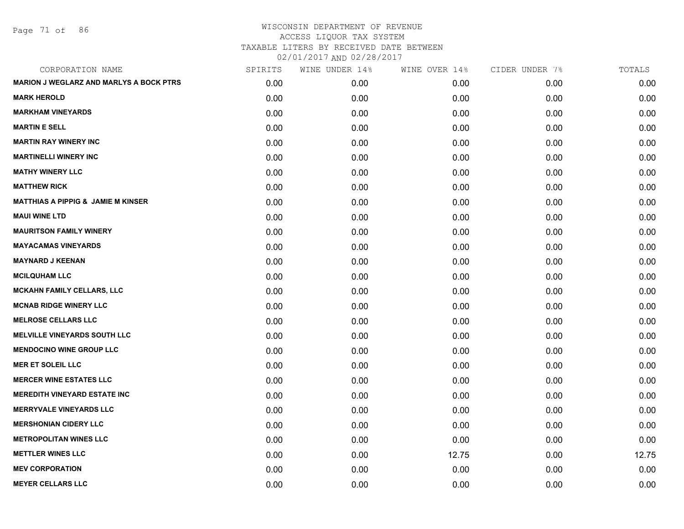Page 71 of 86

| CORPORATION NAME                               | SPIRITS | WINE UNDER 14% | WINE OVER 14% | CIDER UNDER 7% | TOTALS |
|------------------------------------------------|---------|----------------|---------------|----------------|--------|
| <b>MARION J WEGLARZ AND MARLYS A BOCK PTRS</b> | 0.00    | 0.00           | 0.00          | 0.00           | 0.00   |
| <b>MARK HEROLD</b>                             | 0.00    | 0.00           | 0.00          | 0.00           | 0.00   |
| <b>MARKHAM VINEYARDS</b>                       | 0.00    | 0.00           | 0.00          | 0.00           | 0.00   |
| <b>MARTIN E SELL</b>                           | 0.00    | 0.00           | 0.00          | 0.00           | 0.00   |
| <b>MARTIN RAY WINERY INC</b>                   | 0.00    | 0.00           | 0.00          | 0.00           | 0.00   |
| <b>MARTINELLI WINERY INC</b>                   | 0.00    | 0.00           | 0.00          | 0.00           | 0.00   |
| <b>MATHY WINERY LLC</b>                        | 0.00    | 0.00           | 0.00          | 0.00           | 0.00   |
| <b>MATTHEW RICK</b>                            | 0.00    | 0.00           | 0.00          | 0.00           | 0.00   |
| <b>MATTHIAS A PIPPIG &amp; JAMIE M KINSER</b>  | 0.00    | 0.00           | 0.00          | 0.00           | 0.00   |
| <b>MAUI WINE LTD</b>                           | 0.00    | 0.00           | 0.00          | 0.00           | 0.00   |
| <b>MAURITSON FAMILY WINERY</b>                 | 0.00    | 0.00           | 0.00          | 0.00           | 0.00   |
| <b>MAYACAMAS VINEYARDS</b>                     | 0.00    | 0.00           | 0.00          | 0.00           | 0.00   |
| <b>MAYNARD J KEENAN</b>                        | 0.00    | 0.00           | 0.00          | 0.00           | 0.00   |
| <b>MCILQUHAM LLC</b>                           | 0.00    | 0.00           | 0.00          | 0.00           | 0.00   |
| <b>MCKAHN FAMILY CELLARS, LLC</b>              | 0.00    | 0.00           | 0.00          | 0.00           | 0.00   |
| <b>MCNAB RIDGE WINERY LLC</b>                  | 0.00    | 0.00           | 0.00          | 0.00           | 0.00   |
| <b>MELROSE CELLARS LLC</b>                     | 0.00    | 0.00           | 0.00          | 0.00           | 0.00   |
| <b>MELVILLE VINEYARDS SOUTH LLC</b>            | 0.00    | 0.00           | 0.00          | 0.00           | 0.00   |
| <b>MENDOCINO WINE GROUP LLC</b>                | 0.00    | 0.00           | 0.00          | 0.00           | 0.00   |
| <b>MER ET SOLEIL LLC</b>                       | 0.00    | 0.00           | 0.00          | 0.00           | 0.00   |
| <b>MERCER WINE ESTATES LLC</b>                 | 0.00    | 0.00           | 0.00          | 0.00           | 0.00   |
| <b>MEREDITH VINEYARD ESTATE INC</b>            | 0.00    | 0.00           | 0.00          | 0.00           | 0.00   |
| <b>MERRYVALE VINEYARDS LLC</b>                 | 0.00    | 0.00           | 0.00          | 0.00           | 0.00   |
| <b>MERSHONIAN CIDERY LLC</b>                   | 0.00    | 0.00           | 0.00          | 0.00           | 0.00   |
| <b>METROPOLITAN WINES LLC</b>                  | 0.00    | 0.00           | 0.00          | 0.00           | 0.00   |
| <b>METTLER WINES LLC</b>                       | 0.00    | 0.00           | 12.75         | 0.00           | 12.75  |
| <b>MEV CORPORATION</b>                         | 0.00    | 0.00           | 0.00          | 0.00           | 0.00   |
| <b>MEYER CELLARS LLC</b>                       | 0.00    | 0.00           | 0.00          | 0.00           | 0.00   |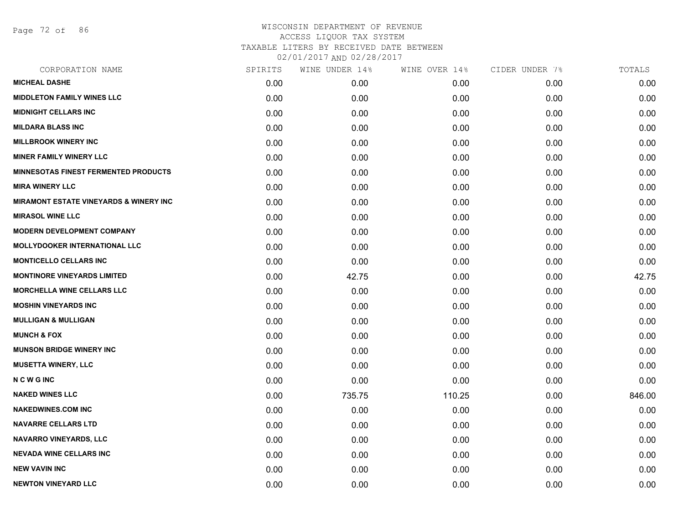Page 72 of 86

| CORPORATION NAME                                  | SPIRITS | WINE UNDER 14% | WINE OVER 14% | CIDER UNDER 7% | TOTALS |
|---------------------------------------------------|---------|----------------|---------------|----------------|--------|
| <b>MICHEAL DASHE</b>                              | 0.00    | 0.00           | 0.00          | 0.00           | 0.00   |
| <b>MIDDLETON FAMILY WINES LLC</b>                 | 0.00    | 0.00           | 0.00          | 0.00           | 0.00   |
| <b>MIDNIGHT CELLARS INC</b>                       | 0.00    | 0.00           | 0.00          | 0.00           | 0.00   |
| <b>MILDARA BLASS INC</b>                          | 0.00    | 0.00           | 0.00          | 0.00           | 0.00   |
| <b>MILLBROOK WINERY INC</b>                       | 0.00    | 0.00           | 0.00          | 0.00           | 0.00   |
| <b>MINER FAMILY WINERY LLC</b>                    | 0.00    | 0.00           | 0.00          | 0.00           | 0.00   |
| <b>MINNESOTAS FINEST FERMENTED PRODUCTS</b>       | 0.00    | 0.00           | 0.00          | 0.00           | 0.00   |
| <b>MIRA WINERY LLC</b>                            | 0.00    | 0.00           | 0.00          | 0.00           | 0.00   |
| <b>MIRAMONT ESTATE VINEYARDS &amp; WINERY INC</b> | 0.00    | 0.00           | 0.00          | 0.00           | 0.00   |
| <b>MIRASOL WINE LLC</b>                           | 0.00    | 0.00           | 0.00          | 0.00           | 0.00   |
| <b>MODERN DEVELOPMENT COMPANY</b>                 | 0.00    | 0.00           | 0.00          | 0.00           | 0.00   |
| <b>MOLLYDOOKER INTERNATIONAL LLC</b>              | 0.00    | 0.00           | 0.00          | 0.00           | 0.00   |
| <b>MONTICELLO CELLARS INC</b>                     | 0.00    | 0.00           | 0.00          | 0.00           | 0.00   |
| <b>MONTINORE VINEYARDS LIMITED</b>                | 0.00    | 42.75          | 0.00          | 0.00           | 42.75  |
| <b>MORCHELLA WINE CELLARS LLC</b>                 | 0.00    | 0.00           | 0.00          | 0.00           | 0.00   |
| <b>MOSHIN VINEYARDS INC</b>                       | 0.00    | 0.00           | 0.00          | 0.00           | 0.00   |
| <b>MULLIGAN &amp; MULLIGAN</b>                    | 0.00    | 0.00           | 0.00          | 0.00           | 0.00   |
| <b>MUNCH &amp; FOX</b>                            | 0.00    | 0.00           | 0.00          | 0.00           | 0.00   |
| <b>MUNSON BRIDGE WINERY INC</b>                   | 0.00    | 0.00           | 0.00          | 0.00           | 0.00   |
| <b>MUSETTA WINERY, LLC</b>                        | 0.00    | 0.00           | 0.00          | 0.00           | 0.00   |
| <b>NCWGINC</b>                                    | 0.00    | 0.00           | 0.00          | 0.00           | 0.00   |
| <b>NAKED WINES LLC</b>                            | 0.00    | 735.75         | 110.25        | 0.00           | 846.00 |
| <b>NAKEDWINES.COM INC</b>                         | 0.00    | 0.00           | 0.00          | 0.00           | 0.00   |
| <b>NAVARRE CELLARS LTD</b>                        | 0.00    | 0.00           | 0.00          | 0.00           | 0.00   |
| <b>NAVARRO VINEYARDS, LLC</b>                     | 0.00    | 0.00           | 0.00          | 0.00           | 0.00   |
| <b>NEVADA WINE CELLARS INC</b>                    | 0.00    | 0.00           | 0.00          | 0.00           | 0.00   |
| <b>NEW VAVIN INC</b>                              | 0.00    | 0.00           | 0.00          | 0.00           | 0.00   |
| <b>NEWTON VINEYARD LLC</b>                        | 0.00    | 0.00           | 0.00          | 0.00           | 0.00   |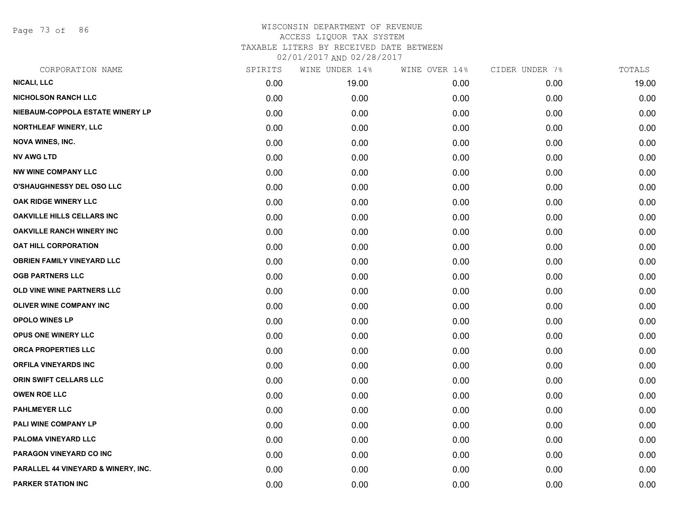Page 73 of 86

| CORPORATION NAME                               | SPIRITS | WINE UNDER 14% | WINE OVER 14% | CIDER UNDER 7% | TOTALS |
|------------------------------------------------|---------|----------------|---------------|----------------|--------|
| <b>NICALI, LLC</b>                             | 0.00    | 19.00          | 0.00          | 0.00           | 19.00  |
| <b>NICHOLSON RANCH LLC</b>                     | 0.00    | 0.00           | 0.00          | 0.00           | 0.00   |
| NIEBAUM-COPPOLA ESTATE WINERY LP               | 0.00    | 0.00           | 0.00          | 0.00           | 0.00   |
| NORTHLEAF WINERY, LLC                          | 0.00    | 0.00           | 0.00          | 0.00           | 0.00   |
| <b>NOVA WINES, INC.</b>                        | 0.00    | 0.00           | 0.00          | 0.00           | 0.00   |
| <b>NV AWG LTD</b>                              | 0.00    | 0.00           | 0.00          | 0.00           | 0.00   |
| <b>NW WINE COMPANY LLC</b>                     | 0.00    | 0.00           | 0.00          | 0.00           | 0.00   |
| O'SHAUGHNESSY DEL OSO LLC                      | 0.00    | 0.00           | 0.00          | 0.00           | 0.00   |
| OAK RIDGE WINERY LLC                           | 0.00    | 0.00           | 0.00          | 0.00           | 0.00   |
| <b>OAKVILLE HILLS CELLARS INC</b>              | 0.00    | 0.00           | 0.00          | 0.00           | 0.00   |
| <b>OAKVILLE RANCH WINERY INC</b>               | 0.00    | 0.00           | 0.00          | 0.00           | 0.00   |
| <b>OAT HILL CORPORATION</b>                    | 0.00    | 0.00           | 0.00          | 0.00           | 0.00   |
| <b>OBRIEN FAMILY VINEYARD LLC</b>              | 0.00    | 0.00           | 0.00          | 0.00           | 0.00   |
| <b>OGB PARTNERS LLC</b>                        | 0.00    | 0.00           | 0.00          | 0.00           | 0.00   |
| OLD VINE WINE PARTNERS LLC                     | 0.00    | 0.00           | 0.00          | 0.00           | 0.00   |
| <b>OLIVER WINE COMPANY INC</b>                 | 0.00    | 0.00           | 0.00          | 0.00           | 0.00   |
| OPOLO WINES LP                                 | 0.00    | 0.00           | 0.00          | 0.00           | 0.00   |
| <b>OPUS ONE WINERY LLC</b>                     | 0.00    | 0.00           | 0.00          | 0.00           | 0.00   |
| ORCA PROPERTIES LLC                            | 0.00    | 0.00           | 0.00          | 0.00           | 0.00   |
| <b>ORFILA VINEYARDS INC</b>                    | 0.00    | 0.00           | 0.00          | 0.00           | 0.00   |
| ORIN SWIFT CELLARS LLC                         | 0.00    | 0.00           | 0.00          | 0.00           | 0.00   |
| <b>OWEN ROE LLC</b>                            | 0.00    | 0.00           | 0.00          | 0.00           | 0.00   |
| <b>PAHLMEYER LLC</b>                           | 0.00    | 0.00           | 0.00          | 0.00           | 0.00   |
| PALI WINE COMPANY LP                           | 0.00    | 0.00           | 0.00          | 0.00           | 0.00   |
| PALOMA VINEYARD LLC                            | 0.00    | 0.00           | 0.00          | 0.00           | 0.00   |
| PARAGON VINEYARD CO INC                        | 0.00    | 0.00           | 0.00          | 0.00           | 0.00   |
| <b>PARALLEL 44 VINEYARD &amp; WINERY, INC.</b> | 0.00    | 0.00           | 0.00          | 0.00           | 0.00   |
| <b>PARKER STATION INC</b>                      | 0.00    | 0.00           | 0.00          | 0.00           | 0.00   |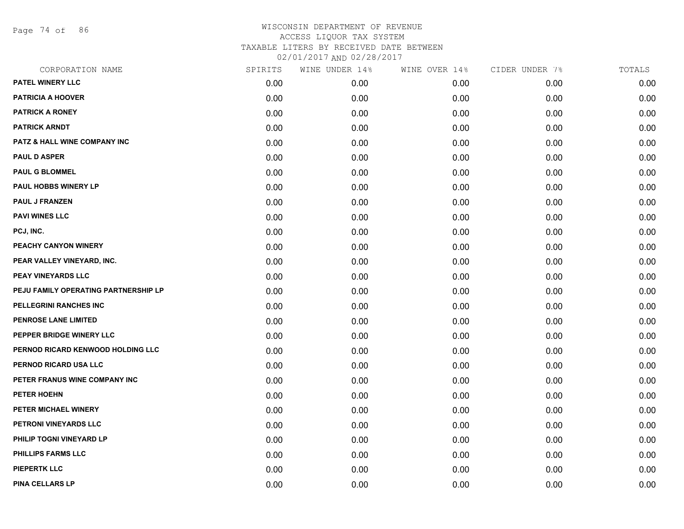Page 74 of 86

| CORPORATION NAME                        | SPIRITS | WINE UNDER 14% | WINE OVER 14% | CIDER UNDER 7% | TOTALS |
|-----------------------------------------|---------|----------------|---------------|----------------|--------|
| PATEL WINERY LLC                        | 0.00    | 0.00           | 0.00          | 0.00           | 0.00   |
| <b>PATRICIA A HOOVER</b>                | 0.00    | 0.00           | 0.00          | 0.00           | 0.00   |
| <b>PATRICK A RONEY</b>                  | 0.00    | 0.00           | 0.00          | 0.00           | 0.00   |
| <b>PATRICK ARNDT</b>                    | 0.00    | 0.00           | 0.00          | 0.00           | 0.00   |
| <b>PATZ &amp; HALL WINE COMPANY INC</b> | 0.00    | 0.00           | 0.00          | 0.00           | 0.00   |
| <b>PAUL D ASPER</b>                     | 0.00    | 0.00           | 0.00          | 0.00           | 0.00   |
| <b>PAUL G BLOMMEL</b>                   | 0.00    | 0.00           | 0.00          | 0.00           | 0.00   |
| <b>PAUL HOBBS WINERY LP</b>             | 0.00    | 0.00           | 0.00          | 0.00           | 0.00   |
| <b>PAUL J FRANZEN</b>                   | 0.00    | 0.00           | 0.00          | 0.00           | 0.00   |
| <b>PAVI WINES LLC</b>                   | 0.00    | 0.00           | 0.00          | 0.00           | 0.00   |
| PCJ, INC.                               | 0.00    | 0.00           | 0.00          | 0.00           | 0.00   |
| PEACHY CANYON WINERY                    | 0.00    | 0.00           | 0.00          | 0.00           | 0.00   |
| PEAR VALLEY VINEYARD, INC.              | 0.00    | 0.00           | 0.00          | 0.00           | 0.00   |
| <b>PEAY VINEYARDS LLC</b>               | 0.00    | 0.00           | 0.00          | 0.00           | 0.00   |
| PEJU FAMILY OPERATING PARTNERSHIP LP    | 0.00    | 0.00           | 0.00          | 0.00           | 0.00   |
| PELLEGRINI RANCHES INC                  | 0.00    | 0.00           | 0.00          | 0.00           | 0.00   |
| <b>PENROSE LANE LIMITED</b>             | 0.00    | 0.00           | 0.00          | 0.00           | 0.00   |
| PEPPER BRIDGE WINERY LLC                | 0.00    | 0.00           | 0.00          | 0.00           | 0.00   |
| PERNOD RICARD KENWOOD HOLDING LLC       | 0.00    | 0.00           | 0.00          | 0.00           | 0.00   |
| PERNOD RICARD USA LLC                   | 0.00    | 0.00           | 0.00          | 0.00           | 0.00   |
| PETER FRANUS WINE COMPANY INC           | 0.00    | 0.00           | 0.00          | 0.00           | 0.00   |
| <b>PETER HOEHN</b>                      | 0.00    | 0.00           | 0.00          | 0.00           | 0.00   |
| PETER MICHAEL WINERY                    | 0.00    | 0.00           | 0.00          | 0.00           | 0.00   |
| PETRONI VINEYARDS LLC                   | 0.00    | 0.00           | 0.00          | 0.00           | 0.00   |
| PHILIP TOGNI VINEYARD LP                | 0.00    | 0.00           | 0.00          | 0.00           | 0.00   |
| PHILLIPS FARMS LLC                      | 0.00    | 0.00           | 0.00          | 0.00           | 0.00   |
| <b>PIEPERTK LLC</b>                     | 0.00    | 0.00           | 0.00          | 0.00           | 0.00   |
| <b>PINA CELLARS LP</b>                  | 0.00    | 0.00           | 0.00          | 0.00           | 0.00   |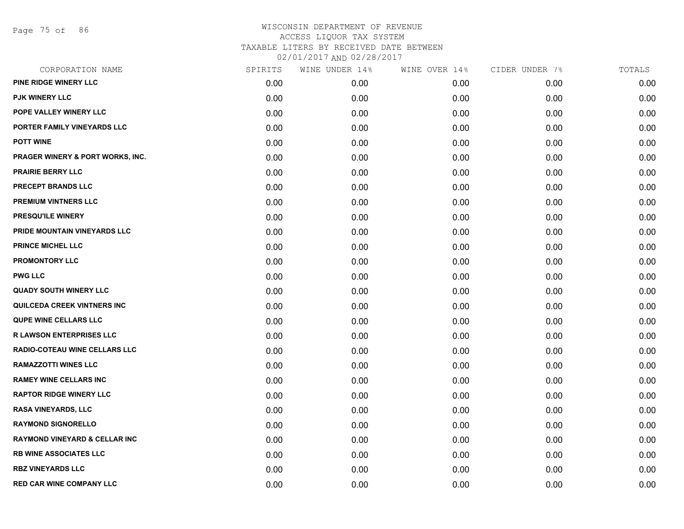Page 75 of 86

| CORPORATION NAME                         | SPIRITS | WINE UNDER 14% | WINE OVER 14% | CIDER UNDER 7% | TOTALS |
|------------------------------------------|---------|----------------|---------------|----------------|--------|
| PINE RIDGE WINERY LLC                    | 0.00    | 0.00           | 0.00          | 0.00           | 0.00   |
| <b>PJK WINERY LLC</b>                    | 0.00    | 0.00           | 0.00          | 0.00           | 0.00   |
| POPE VALLEY WINERY LLC                   | 0.00    | 0.00           | 0.00          | 0.00           | 0.00   |
| PORTER FAMILY VINEYARDS LLC              | 0.00    | 0.00           | 0.00          | 0.00           | 0.00   |
| <b>POTT WINE</b>                         | 0.00    | 0.00           | 0.00          | 0.00           | 0.00   |
| PRAGER WINERY & PORT WORKS, INC.         | 0.00    | 0.00           | 0.00          | 0.00           | 0.00   |
| <b>PRAIRIE BERRY LLC</b>                 | 0.00    | 0.00           | 0.00          | 0.00           | 0.00   |
| <b>PRECEPT BRANDS LLC</b>                | 0.00    | 0.00           | 0.00          | 0.00           | 0.00   |
| <b>PREMIUM VINTNERS LLC</b>              | 0.00    | 0.00           | 0.00          | 0.00           | 0.00   |
| PRESQU'ILE WINERY                        | 0.00    | 0.00           | 0.00          | 0.00           | 0.00   |
| PRIDE MOUNTAIN VINEYARDS LLC             | 0.00    | 0.00           | 0.00          | 0.00           | 0.00   |
| <b>PRINCE MICHEL LLC</b>                 | 0.00    | 0.00           | 0.00          | 0.00           | 0.00   |
| <b>PROMONTORY LLC</b>                    | 0.00    | 0.00           | 0.00          | 0.00           | 0.00   |
| <b>PWG LLC</b>                           | 0.00    | 0.00           | 0.00          | 0.00           | 0.00   |
| <b>QUADY SOUTH WINERY LLC</b>            | 0.00    | 0.00           | 0.00          | 0.00           | 0.00   |
| QUILCEDA CREEK VINTNERS INC              | 0.00    | 0.00           | 0.00          | 0.00           | 0.00   |
| <b>QUPE WINE CELLARS LLC</b>             | 0.00    | 0.00           | 0.00          | 0.00           | 0.00   |
| <b>R LAWSON ENTERPRISES LLC</b>          | 0.00    | 0.00           | 0.00          | 0.00           | 0.00   |
| RADIO-COTEAU WINE CELLARS LLC            | 0.00    | 0.00           | 0.00          | 0.00           | 0.00   |
| <b>RAMAZZOTTI WINES LLC</b>              | 0.00    | 0.00           | 0.00          | 0.00           | 0.00   |
| <b>RAMEY WINE CELLARS INC</b>            | 0.00    | 0.00           | 0.00          | 0.00           | 0.00   |
| <b>RAPTOR RIDGE WINERY LLC</b>           | 0.00    | 0.00           | 0.00          | 0.00           | 0.00   |
| <b>RASA VINEYARDS, LLC</b>               | 0.00    | 0.00           | 0.00          | 0.00           | 0.00   |
| <b>RAYMOND SIGNORELLO</b>                | 0.00    | 0.00           | 0.00          | 0.00           | 0.00   |
| <b>RAYMOND VINEYARD &amp; CELLAR INC</b> | 0.00    | 0.00           | 0.00          | 0.00           | 0.00   |
| <b>RB WINE ASSOCIATES LLC</b>            | 0.00    | 0.00           | 0.00          | 0.00           | 0.00   |
| <b>RBZ VINEYARDS LLC</b>                 | 0.00    | 0.00           | 0.00          | 0.00           | 0.00   |
| <b>RED CAR WINE COMPANY LLC</b>          | 0.00    | 0.00           | 0.00          | 0.00           | 0.00   |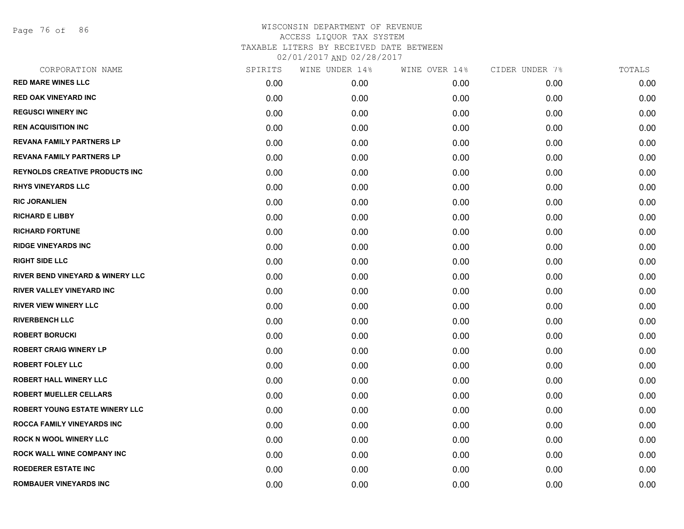Page 76 of 86

| CORPORATION NAME                      | SPIRITS | WINE UNDER 14% | WINE OVER 14% | CIDER UNDER 7% | TOTALS |
|---------------------------------------|---------|----------------|---------------|----------------|--------|
| <b>RED MARE WINES LLC</b>             | 0.00    | 0.00           | 0.00          | 0.00           | 0.00   |
| <b>RED OAK VINEYARD INC</b>           | 0.00    | 0.00           | 0.00          | 0.00           | 0.00   |
| <b>REGUSCI WINERY INC</b>             | 0.00    | 0.00           | 0.00          | 0.00           | 0.00   |
| <b>REN ACQUISITION INC</b>            | 0.00    | 0.00           | 0.00          | 0.00           | 0.00   |
| <b>REVANA FAMILY PARTNERS LP</b>      | 0.00    | 0.00           | 0.00          | 0.00           | 0.00   |
| <b>REVANA FAMILY PARTNERS LP</b>      | 0.00    | 0.00           | 0.00          | 0.00           | 0.00   |
| <b>REYNOLDS CREATIVE PRODUCTS INC</b> | 0.00    | 0.00           | 0.00          | 0.00           | 0.00   |
| <b>RHYS VINEYARDS LLC</b>             | 0.00    | 0.00           | 0.00          | 0.00           | 0.00   |
| <b>RIC JORANLIEN</b>                  | 0.00    | 0.00           | 0.00          | 0.00           | 0.00   |
| <b>RICHARD E LIBBY</b>                | 0.00    | 0.00           | 0.00          | 0.00           | 0.00   |
| <b>RICHARD FORTUNE</b>                | 0.00    | 0.00           | 0.00          | 0.00           | 0.00   |
| <b>RIDGE VINEYARDS INC</b>            | 0.00    | 0.00           | 0.00          | 0.00           | 0.00   |
| <b>RIGHT SIDE LLC</b>                 | 0.00    | 0.00           | 0.00          | 0.00           | 0.00   |
| RIVER BEND VINEYARD & WINERY LLC      | 0.00    | 0.00           | 0.00          | 0.00           | 0.00   |
| <b>RIVER VALLEY VINEYARD INC</b>      | 0.00    | 0.00           | 0.00          | 0.00           | 0.00   |
| <b>RIVER VIEW WINERY LLC</b>          | 0.00    | 0.00           | 0.00          | 0.00           | 0.00   |
| <b>RIVERBENCH LLC</b>                 | 0.00    | 0.00           | 0.00          | 0.00           | 0.00   |
| <b>ROBERT BORUCKI</b>                 | 0.00    | 0.00           | 0.00          | 0.00           | 0.00   |
| <b>ROBERT CRAIG WINERY LP</b>         | 0.00    | 0.00           | 0.00          | 0.00           | 0.00   |
| <b>ROBERT FOLEY LLC</b>               | 0.00    | 0.00           | 0.00          | 0.00           | 0.00   |
| <b>ROBERT HALL WINERY LLC</b>         | 0.00    | 0.00           | 0.00          | 0.00           | 0.00   |
| <b>ROBERT MUELLER CELLARS</b>         | 0.00    | 0.00           | 0.00          | 0.00           | 0.00   |
| <b>ROBERT YOUNG ESTATE WINERY LLC</b> | 0.00    | 0.00           | 0.00          | 0.00           | 0.00   |
| <b>ROCCA FAMILY VINEYARDS INC</b>     | 0.00    | 0.00           | 0.00          | 0.00           | 0.00   |
| <b>ROCK N WOOL WINERY LLC</b>         | 0.00    | 0.00           | 0.00          | 0.00           | 0.00   |
| <b>ROCK WALL WINE COMPANY INC</b>     | 0.00    | 0.00           | 0.00          | 0.00           | 0.00   |
| <b>ROEDERER ESTATE INC</b>            | 0.00    | 0.00           | 0.00          | 0.00           | 0.00   |
| <b>ROMBAUER VINEYARDS INC</b>         | 0.00    | 0.00           | 0.00          | 0.00           | 0.00   |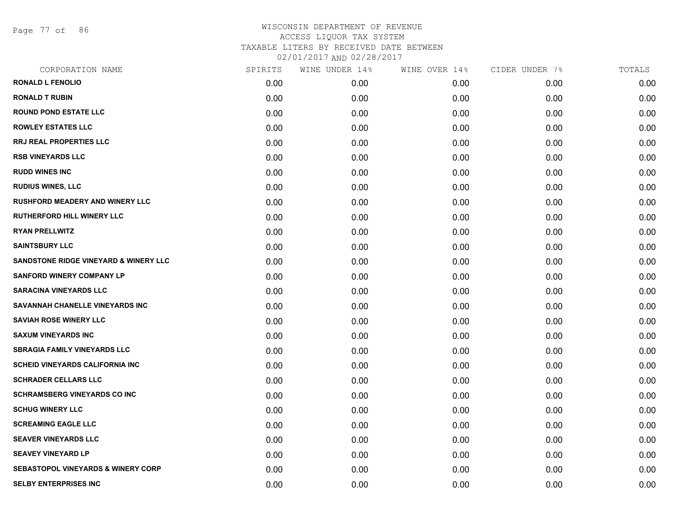Page 77 of 86

| CORPORATION NAME                              | SPIRITS | WINE UNDER 14% | WINE OVER 14% | CIDER UNDER 7% | TOTALS |
|-----------------------------------------------|---------|----------------|---------------|----------------|--------|
| <b>RONALD L FENOLIO</b>                       | 0.00    | 0.00           | 0.00          | 0.00           | 0.00   |
| <b>RONALD T RUBIN</b>                         | 0.00    | 0.00           | 0.00          | 0.00           | 0.00   |
| <b>ROUND POND ESTATE LLC</b>                  | 0.00    | 0.00           | 0.00          | 0.00           | 0.00   |
| <b>ROWLEY ESTATES LLC</b>                     | 0.00    | 0.00           | 0.00          | 0.00           | 0.00   |
| <b>RRJ REAL PROPERTIES LLC</b>                | 0.00    | 0.00           | 0.00          | 0.00           | 0.00   |
| <b>RSB VINEYARDS LLC</b>                      | 0.00    | 0.00           | 0.00          | 0.00           | 0.00   |
| <b>RUDD WINES INC</b>                         | 0.00    | 0.00           | 0.00          | 0.00           | 0.00   |
| <b>RUDIUS WINES, LLC</b>                      | 0.00    | 0.00           | 0.00          | 0.00           | 0.00   |
| <b>RUSHFORD MEADERY AND WINERY LLC</b>        | 0.00    | 0.00           | 0.00          | 0.00           | 0.00   |
| <b>RUTHERFORD HILL WINERY LLC</b>             | 0.00    | 0.00           | 0.00          | 0.00           | 0.00   |
| <b>RYAN PRELLWITZ</b>                         | 0.00    | 0.00           | 0.00          | 0.00           | 0.00   |
| <b>SAINTSBURY LLC</b>                         | 0.00    | 0.00           | 0.00          | 0.00           | 0.00   |
| SANDSTONE RIDGE VINEYARD & WINERY LLC         | 0.00    | 0.00           | 0.00          | 0.00           | 0.00   |
| <b>SANFORD WINERY COMPANY LP</b>              | 0.00    | 0.00           | 0.00          | 0.00           | 0.00   |
| <b>SARACINA VINEYARDS LLC</b>                 | 0.00    | 0.00           | 0.00          | 0.00           | 0.00   |
| SAVANNAH CHANELLE VINEYARDS INC               | 0.00    | 0.00           | 0.00          | 0.00           | 0.00   |
| <b>SAVIAH ROSE WINERY LLC</b>                 | 0.00    | 0.00           | 0.00          | 0.00           | 0.00   |
| <b>SAXUM VINEYARDS INC</b>                    | 0.00    | 0.00           | 0.00          | 0.00           | 0.00   |
| <b>SBRAGIA FAMILY VINEYARDS LLC</b>           | 0.00    | 0.00           | 0.00          | 0.00           | 0.00   |
| <b>SCHEID VINEYARDS CALIFORNIA INC</b>        | 0.00    | 0.00           | 0.00          | 0.00           | 0.00   |
| <b>SCHRADER CELLARS LLC</b>                   | 0.00    | 0.00           | 0.00          | 0.00           | 0.00   |
| <b>SCHRAMSBERG VINEYARDS CO INC</b>           | 0.00    | 0.00           | 0.00          | 0.00           | 0.00   |
| <b>SCHUG WINERY LLC</b>                       | 0.00    | 0.00           | 0.00          | 0.00           | 0.00   |
| <b>SCREAMING EAGLE LLC</b>                    | 0.00    | 0.00           | 0.00          | 0.00           | 0.00   |
| <b>SEAVER VINEYARDS LLC</b>                   | 0.00    | 0.00           | 0.00          | 0.00           | 0.00   |
| <b>SEAVEY VINEYARD LP</b>                     | 0.00    | 0.00           | 0.00          | 0.00           | 0.00   |
| <b>SEBASTOPOL VINEYARDS &amp; WINERY CORP</b> | 0.00    | 0.00           | 0.00          | 0.00           | 0.00   |
| <b>SELBY ENTERPRISES INC</b>                  | 0.00    | 0.00           | 0.00          | 0.00           | 0.00   |
|                                               |         |                |               |                |        |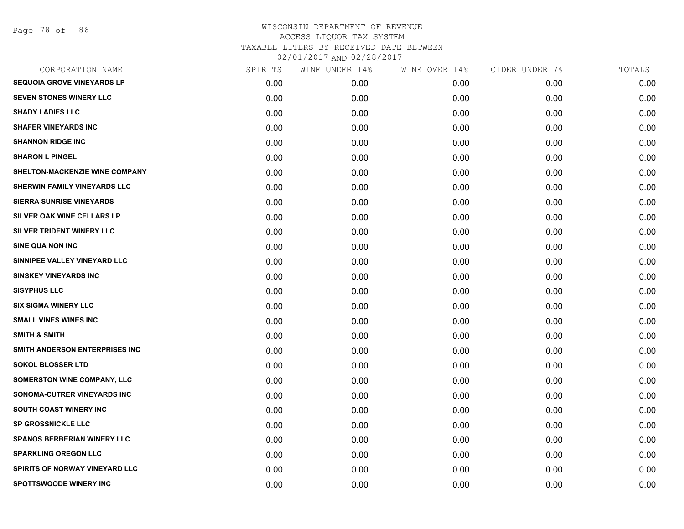Page 78 of 86

| CORPORATION NAME                   | SPIRITS | WINE UNDER 14% | WINE OVER 14% | CIDER UNDER 7% | TOTALS |
|------------------------------------|---------|----------------|---------------|----------------|--------|
| <b>SEQUOIA GROVE VINEYARDS LP</b>  | 0.00    | 0.00           | 0.00          | 0.00           | 0.00   |
| <b>SEVEN STONES WINERY LLC</b>     | 0.00    | 0.00           | 0.00          | 0.00           | 0.00   |
| <b>SHADY LADIES LLC</b>            | 0.00    | 0.00           | 0.00          | 0.00           | 0.00   |
| <b>SHAFER VINEYARDS INC</b>        | 0.00    | 0.00           | 0.00          | 0.00           | 0.00   |
| <b>SHANNON RIDGE INC</b>           | 0.00    | 0.00           | 0.00          | 0.00           | 0.00   |
| <b>SHARON L PINGEL</b>             | 0.00    | 0.00           | 0.00          | 0.00           | 0.00   |
| SHELTON-MACKENZIE WINE COMPANY     | 0.00    | 0.00           | 0.00          | 0.00           | 0.00   |
| SHERWIN FAMILY VINEYARDS LLC       | 0.00    | 0.00           | 0.00          | 0.00           | 0.00   |
| <b>SIERRA SUNRISE VINEYARDS</b>    | 0.00    | 0.00           | 0.00          | 0.00           | 0.00   |
| SILVER OAK WINE CELLARS LP         | 0.00    | 0.00           | 0.00          | 0.00           | 0.00   |
| SILVER TRIDENT WINERY LLC          | 0.00    | 0.00           | 0.00          | 0.00           | 0.00   |
| SINE QUA NON INC                   | 0.00    | 0.00           | 0.00          | 0.00           | 0.00   |
| SINNIPEE VALLEY VINEYARD LLC       | 0.00    | 0.00           | 0.00          | 0.00           | 0.00   |
| <b>SINSKEY VINEYARDS INC</b>       | 0.00    | 0.00           | 0.00          | 0.00           | 0.00   |
| <b>SISYPHUS LLC</b>                | 0.00    | 0.00           | 0.00          | 0.00           | 0.00   |
| <b>SIX SIGMA WINERY LLC</b>        | 0.00    | 0.00           | 0.00          | 0.00           | 0.00   |
| <b>SMALL VINES WINES INC</b>       | 0.00    | 0.00           | 0.00          | 0.00           | 0.00   |
| <b>SMITH &amp; SMITH</b>           | 0.00    | 0.00           | 0.00          | 0.00           | 0.00   |
| SMITH ANDERSON ENTERPRISES INC     | 0.00    | 0.00           | 0.00          | 0.00           | 0.00   |
| <b>SOKOL BLOSSER LTD</b>           | 0.00    | 0.00           | 0.00          | 0.00           | 0.00   |
| <b>SOMERSTON WINE COMPANY, LLC</b> | 0.00    | 0.00           | 0.00          | 0.00           | 0.00   |
| SONOMA-CUTRER VINEYARDS INC        | 0.00    | 0.00           | 0.00          | 0.00           | 0.00   |
| <b>SOUTH COAST WINERY INC</b>      | 0.00    | 0.00           | 0.00          | 0.00           | 0.00   |
| <b>SP GROSSNICKLE LLC</b>          | 0.00    | 0.00           | 0.00          | 0.00           | 0.00   |
| <b>SPANOS BERBERIAN WINERY LLC</b> | 0.00    | 0.00           | 0.00          | 0.00           | 0.00   |
| <b>SPARKLING OREGON LLC</b>        | 0.00    | 0.00           | 0.00          | 0.00           | 0.00   |
| SPIRITS OF NORWAY VINEYARD LLC     | 0.00    | 0.00           | 0.00          | 0.00           | 0.00   |
| SPOTTSWOODE WINERY INC             | 0.00    | 0.00           | 0.00          | 0.00           | 0.00   |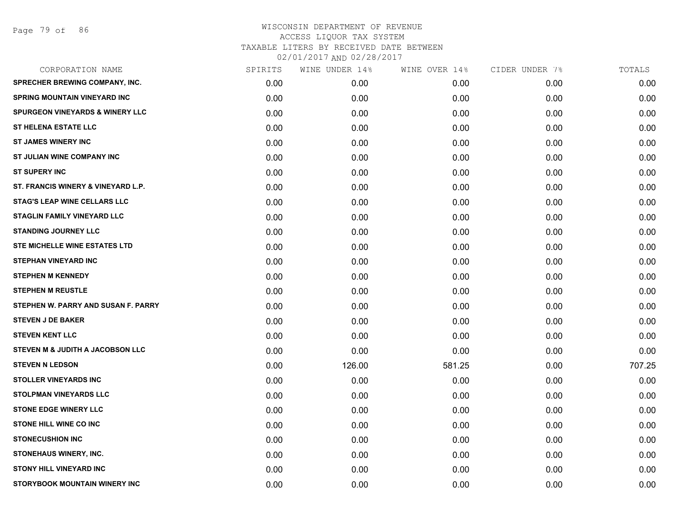Page 79 of 86

| CORPORATION NAME                           | SPIRITS | WINE UNDER 14% | WINE OVER 14% | CIDER UNDER 7% | TOTALS |
|--------------------------------------------|---------|----------------|---------------|----------------|--------|
| SPRECHER BREWING COMPANY, INC.             | 0.00    | 0.00           | 0.00          | 0.00           | 0.00   |
| <b>SPRING MOUNTAIN VINEYARD INC</b>        | 0.00    | 0.00           | 0.00          | 0.00           | 0.00   |
| <b>SPURGEON VINEYARDS &amp; WINERY LLC</b> | 0.00    | 0.00           | 0.00          | 0.00           | 0.00   |
| <b>ST HELENA ESTATE LLC</b>                | 0.00    | 0.00           | 0.00          | 0.00           | 0.00   |
| <b>ST JAMES WINERY INC</b>                 | 0.00    | 0.00           | 0.00          | 0.00           | 0.00   |
| ST JULIAN WINE COMPANY INC                 | 0.00    | 0.00           | 0.00          | 0.00           | 0.00   |
| <b>ST SUPERY INC</b>                       | 0.00    | 0.00           | 0.00          | 0.00           | 0.00   |
| ST. FRANCIS WINERY & VINEYARD L.P.         | 0.00    | 0.00           | 0.00          | 0.00           | 0.00   |
| <b>STAG'S LEAP WINE CELLARS LLC</b>        | 0.00    | 0.00           | 0.00          | 0.00           | 0.00   |
| STAGLIN FAMILY VINEYARD LLC                | 0.00    | 0.00           | 0.00          | 0.00           | 0.00   |
| <b>STANDING JOURNEY LLC</b>                | 0.00    | 0.00           | 0.00          | 0.00           | 0.00   |
| STE MICHELLE WINE ESTATES LTD              | 0.00    | 0.00           | 0.00          | 0.00           | 0.00   |
| <b>STEPHAN VINEYARD INC</b>                | 0.00    | 0.00           | 0.00          | 0.00           | 0.00   |
| <b>STEPHEN M KENNEDY</b>                   | 0.00    | 0.00           | 0.00          | 0.00           | 0.00   |
| <b>STEPHEN M REUSTLE</b>                   | 0.00    | 0.00           | 0.00          | 0.00           | 0.00   |
| STEPHEN W. PARRY AND SUSAN F. PARRY        | 0.00    | 0.00           | 0.00          | 0.00           | 0.00   |
| <b>STEVEN J DE BAKER</b>                   | 0.00    | 0.00           | 0.00          | 0.00           | 0.00   |
| <b>STEVEN KENT LLC</b>                     | 0.00    | 0.00           | 0.00          | 0.00           | 0.00   |
| STEVEN M & JUDITH A JACOBSON LLC           | 0.00    | 0.00           | 0.00          | 0.00           | 0.00   |
| <b>STEVEN N LEDSON</b>                     | 0.00    | 126.00         | 581.25        | 0.00           | 707.25 |
| <b>STOLLER VINEYARDS INC</b>               | 0.00    | 0.00           | 0.00          | 0.00           | 0.00   |
| <b>STOLPMAN VINEYARDS LLC</b>              | 0.00    | 0.00           | 0.00          | 0.00           | 0.00   |
| <b>STONE EDGE WINERY LLC</b>               | 0.00    | 0.00           | 0.00          | 0.00           | 0.00   |
| <b>STONE HILL WINE CO INC.</b>             | 0.00    | 0.00           | 0.00          | 0.00           | 0.00   |
| <b>STONECUSHION INC</b>                    | 0.00    | 0.00           | 0.00          | 0.00           | 0.00   |
| STONEHAUS WINERY, INC.                     | 0.00    | 0.00           | 0.00          | 0.00           | 0.00   |
| <b>STONY HILL VINEYARD INC</b>             | 0.00    | 0.00           | 0.00          | 0.00           | 0.00   |
| STORYBOOK MOUNTAIN WINERY INC              | 0.00    | 0.00           | 0.00          | 0.00           | 0.00   |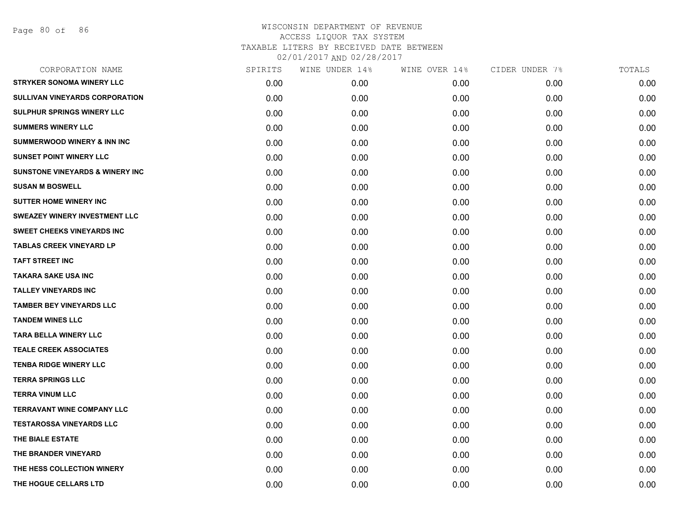Page 80 of 86

| CORPORATION NAME                            | SPIRITS | WINE UNDER 14% | WINE OVER 14% | CIDER UNDER 7% | TOTALS |
|---------------------------------------------|---------|----------------|---------------|----------------|--------|
| <b>STRYKER SONOMA WINERY LLC</b>            | 0.00    | 0.00           | 0.00          | 0.00           | 0.00   |
| SULLIVAN VINEYARDS CORPORATION              | 0.00    | 0.00           | 0.00          | 0.00           | 0.00   |
| <b>SULPHUR SPRINGS WINERY LLC</b>           | 0.00    | 0.00           | 0.00          | 0.00           | 0.00   |
| <b>SUMMERS WINERY LLC</b>                   | 0.00    | 0.00           | 0.00          | 0.00           | 0.00   |
| <b>SUMMERWOOD WINERY &amp; INN INC</b>      | 0.00    | 0.00           | 0.00          | 0.00           | 0.00   |
| <b>SUNSET POINT WINERY LLC</b>              | 0.00    | 0.00           | 0.00          | 0.00           | 0.00   |
| <b>SUNSTONE VINEYARDS &amp; WINERY INC.</b> | 0.00    | 0.00           | 0.00          | 0.00           | 0.00   |
| <b>SUSAN M BOSWELL</b>                      | 0.00    | 0.00           | 0.00          | 0.00           | 0.00   |
| <b>SUTTER HOME WINERY INC</b>               | 0.00    | 0.00           | 0.00          | 0.00           | 0.00   |
| <b>SWEAZEY WINERY INVESTMENT LLC</b>        | 0.00    | 0.00           | 0.00          | 0.00           | 0.00   |
| <b>SWEET CHEEKS VINEYARDS INC</b>           | 0.00    | 0.00           | 0.00          | 0.00           | 0.00   |
| <b>TABLAS CREEK VINEYARD LP</b>             | 0.00    | 0.00           | 0.00          | 0.00           | 0.00   |
| <b>TAFT STREET INC</b>                      | 0.00    | 0.00           | 0.00          | 0.00           | 0.00   |
| <b>TAKARA SAKE USA INC</b>                  | 0.00    | 0.00           | 0.00          | 0.00           | 0.00   |
| <b>TALLEY VINEYARDS INC</b>                 | 0.00    | 0.00           | 0.00          | 0.00           | 0.00   |
| <b>TAMBER BEY VINEYARDS LLC</b>             | 0.00    | 0.00           | 0.00          | 0.00           | 0.00   |
| <b>TANDEM WINES LLC</b>                     | 0.00    | 0.00           | 0.00          | 0.00           | 0.00   |
| TARA BELLA WINERY LLC                       | 0.00    | 0.00           | 0.00          | 0.00           | 0.00   |
| <b>TEALE CREEK ASSOCIATES</b>               | 0.00    | 0.00           | 0.00          | 0.00           | 0.00   |
| <b>TENBA RIDGE WINERY LLC</b>               | 0.00    | 0.00           | 0.00          | 0.00           | 0.00   |
| <b>TERRA SPRINGS LLC</b>                    | 0.00    | 0.00           | 0.00          | 0.00           | 0.00   |
| <b>TERRA VINUM LLC</b>                      | 0.00    | 0.00           | 0.00          | 0.00           | 0.00   |
| <b>TERRAVANT WINE COMPANY LLC</b>           | 0.00    | 0.00           | 0.00          | 0.00           | 0.00   |
| <b>TESTAROSSA VINEYARDS LLC</b>             | 0.00    | 0.00           | 0.00          | 0.00           | 0.00   |
| THE BIALE ESTATE                            | 0.00    | 0.00           | 0.00          | 0.00           | 0.00   |
| THE BRANDER VINEYARD                        | 0.00    | 0.00           | 0.00          | 0.00           | 0.00   |
| THE HESS COLLECTION WINERY                  | 0.00    | 0.00           | 0.00          | 0.00           | 0.00   |
| THE HOGUE CELLARS LTD                       | 0.00    | 0.00           | 0.00          | 0.00           | 0.00   |
|                                             |         |                |               |                |        |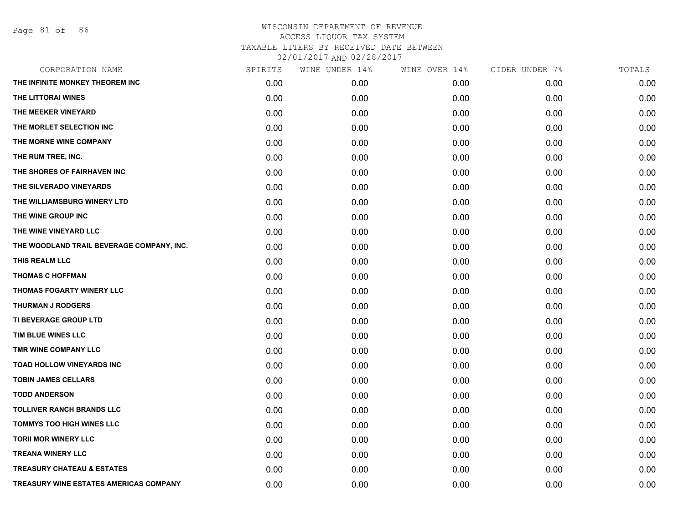Page 81 of 86

| CORPORATION NAME                          | SPIRITS | WINE UNDER 14% | WINE OVER 14% | CIDER UNDER 7% | TOTALS |
|-------------------------------------------|---------|----------------|---------------|----------------|--------|
| THE INFINITE MONKEY THEOREM INC           | 0.00    | 0.00           | 0.00          | 0.00           | 0.00   |
| THE LITTORAI WINES                        | 0.00    | 0.00           | 0.00          | 0.00           | 0.00   |
| THE MEEKER VINEYARD                       | 0.00    | 0.00           | 0.00          | 0.00           | 0.00   |
| THE MORLET SELECTION INC                  | 0.00    | 0.00           | 0.00          | 0.00           | 0.00   |
| THE MORNE WINE COMPANY                    | 0.00    | 0.00           | 0.00          | 0.00           | 0.00   |
| THE RUM TREE, INC.                        | 0.00    | 0.00           | 0.00          | 0.00           | 0.00   |
| THE SHORES OF FAIRHAVEN INC               | 0.00    | 0.00           | 0.00          | 0.00           | 0.00   |
| THE SILVERADO VINEYARDS                   | 0.00    | 0.00           | 0.00          | 0.00           | 0.00   |
| THE WILLIAMSBURG WINERY LTD               | 0.00    | 0.00           | 0.00          | 0.00           | 0.00   |
| THE WINE GROUP INC                        | 0.00    | 0.00           | 0.00          | 0.00           | 0.00   |
| THE WINE VINEYARD LLC                     | 0.00    | 0.00           | 0.00          | 0.00           | 0.00   |
| THE WOODLAND TRAIL BEVERAGE COMPANY, INC. | 0.00    | 0.00           | 0.00          | 0.00           | 0.00   |
| THIS REALM LLC                            | 0.00    | 0.00           | 0.00          | 0.00           | 0.00   |
| <b>THOMAS C HOFFMAN</b>                   | 0.00    | 0.00           | 0.00          | 0.00           | 0.00   |
| <b>THOMAS FOGARTY WINERY LLC</b>          | 0.00    | 0.00           | 0.00          | 0.00           | 0.00   |
| <b>THURMAN J RODGERS</b>                  | 0.00    | 0.00           | 0.00          | 0.00           | 0.00   |
| TI BEVERAGE GROUP LTD                     | 0.00    | 0.00           | 0.00          | 0.00           | 0.00   |
| TIM BLUE WINES LLC                        | 0.00    | 0.00           | 0.00          | 0.00           | 0.00   |
| TMR WINE COMPANY LLC                      | 0.00    | 0.00           | 0.00          | 0.00           | 0.00   |
| TOAD HOLLOW VINEYARDS INC                 | 0.00    | 0.00           | 0.00          | 0.00           | 0.00   |
| <b>TOBIN JAMES CELLARS</b>                | 0.00    | 0.00           | 0.00          | 0.00           | 0.00   |
| <b>TODD ANDERSON</b>                      | 0.00    | 0.00           | 0.00          | 0.00           | 0.00   |
| <b>TOLLIVER RANCH BRANDS LLC</b>          | 0.00    | 0.00           | 0.00          | 0.00           | 0.00   |
| <b>TOMMYS TOO HIGH WINES LLC</b>          | 0.00    | 0.00           | 0.00          | 0.00           | 0.00   |
| <b>TORII MOR WINERY LLC</b>               | 0.00    | 0.00           | 0.00          | 0.00           | 0.00   |
| <b>TREANA WINERY LLC</b>                  | 0.00    | 0.00           | 0.00          | 0.00           | 0.00   |
| <b>TREASURY CHATEAU &amp; ESTATES</b>     | 0.00    | 0.00           | 0.00          | 0.00           | 0.00   |
| TREASURY WINE ESTATES AMERICAS COMPANY    | 0.00    | 0.00           | 0.00          | 0.00           | 0.00   |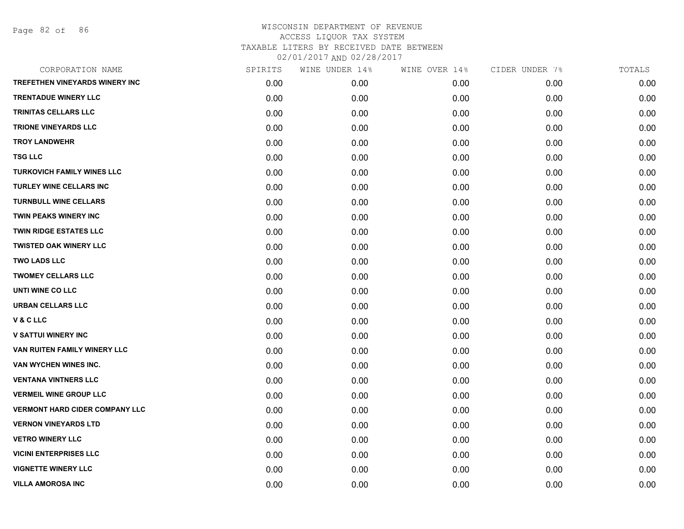Page 82 of 86

| CORPORATION NAME                      | SPIRITS | WINE UNDER 14% | WINE OVER 14% | CIDER UNDER 7% | TOTALS |
|---------------------------------------|---------|----------------|---------------|----------------|--------|
| <b>TREFETHEN VINEYARDS WINERY INC</b> | 0.00    | 0.00           | 0.00          | 0.00           | 0.00   |
| <b>TRENTADUE WINERY LLC</b>           | 0.00    | 0.00           | 0.00          | 0.00           | 0.00   |
| TRINITAS CELLARS LLC                  | 0.00    | 0.00           | 0.00          | 0.00           | 0.00   |
| <b>TRIONE VINEYARDS LLC</b>           | 0.00    | 0.00           | 0.00          | 0.00           | 0.00   |
| <b>TROY LANDWEHR</b>                  | 0.00    | 0.00           | 0.00          | 0.00           | 0.00   |
| <b>TSG LLC</b>                        | 0.00    | 0.00           | 0.00          | 0.00           | 0.00   |
| <b>TURKOVICH FAMILY WINES LLC</b>     | 0.00    | 0.00           | 0.00          | 0.00           | 0.00   |
| <b>TURLEY WINE CELLARS INC</b>        | 0.00    | 0.00           | 0.00          | 0.00           | 0.00   |
| <b>TURNBULL WINE CELLARS</b>          | 0.00    | 0.00           | 0.00          | 0.00           | 0.00   |
| TWIN PEAKS WINERY INC                 | 0.00    | 0.00           | 0.00          | 0.00           | 0.00   |
| <b>TWIN RIDGE ESTATES LLC</b>         | 0.00    | 0.00           | 0.00          | 0.00           | 0.00   |
| <b>TWISTED OAK WINERY LLC</b>         | 0.00    | 0.00           | 0.00          | 0.00           | 0.00   |
| <b>TWO LADS LLC</b>                   | 0.00    | 0.00           | 0.00          | 0.00           | 0.00   |
| <b>TWOMEY CELLARS LLC</b>             | 0.00    | 0.00           | 0.00          | 0.00           | 0.00   |
| UNTI WINE CO LLC                      | 0.00    | 0.00           | 0.00          | 0.00           | 0.00   |
| <b>URBAN CELLARS LLC</b>              | 0.00    | 0.00           | 0.00          | 0.00           | 0.00   |
| V & C LLC                             | 0.00    | 0.00           | 0.00          | 0.00           | 0.00   |
| <b>V SATTUI WINERY INC</b>            | 0.00    | 0.00           | 0.00          | 0.00           | 0.00   |
| VAN RUITEN FAMILY WINERY LLC          | 0.00    | 0.00           | 0.00          | 0.00           | 0.00   |
| VAN WYCHEN WINES INC.                 | 0.00    | 0.00           | 0.00          | 0.00           | 0.00   |
| <b>VENTANA VINTNERS LLC</b>           | 0.00    | 0.00           | 0.00          | 0.00           | 0.00   |
| <b>VERMEIL WINE GROUP LLC</b>         | 0.00    | 0.00           | 0.00          | 0.00           | 0.00   |
| <b>VERMONT HARD CIDER COMPANY LLC</b> | 0.00    | 0.00           | 0.00          | 0.00           | 0.00   |
| <b>VERNON VINEYARDS LTD</b>           | 0.00    | 0.00           | 0.00          | 0.00           | 0.00   |
| <b>VETRO WINERY LLC</b>               | 0.00    | 0.00           | 0.00          | 0.00           | 0.00   |
| <b>VICINI ENTERPRISES LLC</b>         | 0.00    | 0.00           | 0.00          | 0.00           | 0.00   |
| <b>VIGNETTE WINERY LLC</b>            | 0.00    | 0.00           | 0.00          | 0.00           | 0.00   |
| <b>VILLA AMOROSA INC</b>              | 0.00    | 0.00           | 0.00          | 0.00           | 0.00   |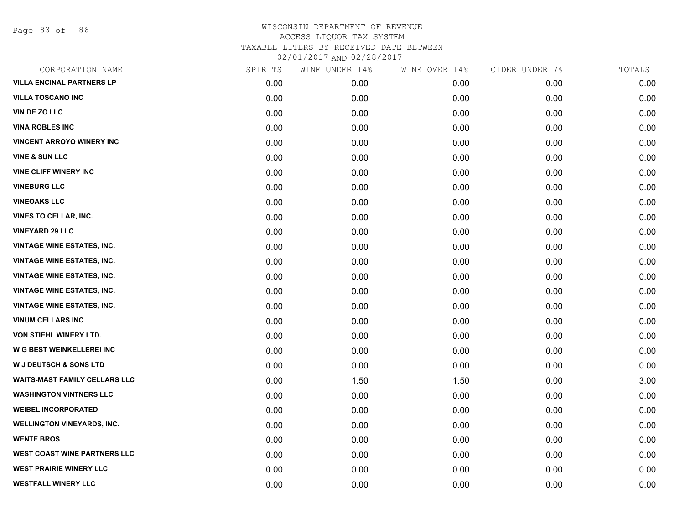Page 83 of 86

| CORPORATION NAME                     | SPIRITS | WINE UNDER 14% | WINE OVER 14% | CIDER UNDER 7% | TOTALS |
|--------------------------------------|---------|----------------|---------------|----------------|--------|
| <b>VILLA ENCINAL PARTNERS LP</b>     | 0.00    | 0.00           | 0.00          | 0.00           | 0.00   |
| <b>VILLA TOSCANO INC</b>             | 0.00    | 0.00           | 0.00          | 0.00           | 0.00   |
| <b>VIN DE ZO LLC</b>                 | 0.00    | 0.00           | 0.00          | 0.00           | 0.00   |
| <b>VINA ROBLES INC</b>               | 0.00    | 0.00           | 0.00          | 0.00           | 0.00   |
| <b>VINCENT ARROYO WINERY INC</b>     | 0.00    | 0.00           | 0.00          | 0.00           | 0.00   |
| <b>VINE &amp; SUN LLC</b>            | 0.00    | 0.00           | 0.00          | 0.00           | 0.00   |
| <b>VINE CLIFF WINERY INC</b>         | 0.00    | 0.00           | 0.00          | 0.00           | 0.00   |
| <b>VINEBURG LLC</b>                  | 0.00    | 0.00           | 0.00          | 0.00           | 0.00   |
| <b>VINEOAKS LLC</b>                  | 0.00    | 0.00           | 0.00          | 0.00           | 0.00   |
| <b>VINES TO CELLAR, INC.</b>         | 0.00    | 0.00           | 0.00          | 0.00           | 0.00   |
| <b>VINEYARD 29 LLC</b>               | 0.00    | 0.00           | 0.00          | 0.00           | 0.00   |
| <b>VINTAGE WINE ESTATES, INC.</b>    | 0.00    | 0.00           | 0.00          | 0.00           | 0.00   |
| <b>VINTAGE WINE ESTATES, INC.</b>    | 0.00    | 0.00           | 0.00          | 0.00           | 0.00   |
| <b>VINTAGE WINE ESTATES, INC.</b>    | 0.00    | 0.00           | 0.00          | 0.00           | 0.00   |
| <b>VINTAGE WINE ESTATES, INC.</b>    | 0.00    | 0.00           | 0.00          | 0.00           | 0.00   |
| <b>VINTAGE WINE ESTATES, INC.</b>    | 0.00    | 0.00           | 0.00          | 0.00           | 0.00   |
| <b>VINUM CELLARS INC</b>             | 0.00    | 0.00           | 0.00          | 0.00           | 0.00   |
| <b>VON STIEHL WINERY LTD.</b>        | 0.00    | 0.00           | 0.00          | 0.00           | 0.00   |
| W G BEST WEINKELLEREI INC            | 0.00    | 0.00           | 0.00          | 0.00           | 0.00   |
| <b>W J DEUTSCH &amp; SONS LTD</b>    | 0.00    | 0.00           | 0.00          | 0.00           | 0.00   |
| <b>WAITS-MAST FAMILY CELLARS LLC</b> | 0.00    | 1.50           | 1.50          | 0.00           | 3.00   |
| <b>WASHINGTON VINTNERS LLC</b>       | 0.00    | 0.00           | 0.00          | 0.00           | 0.00   |
| <b>WEIBEL INCORPORATED</b>           | 0.00    | 0.00           | 0.00          | 0.00           | 0.00   |
| <b>WELLINGTON VINEYARDS, INC.</b>    | 0.00    | 0.00           | 0.00          | 0.00           | 0.00   |
| <b>WENTE BROS</b>                    | 0.00    | 0.00           | 0.00          | 0.00           | 0.00   |
| <b>WEST COAST WINE PARTNERS LLC</b>  | 0.00    | 0.00           | 0.00          | 0.00           | 0.00   |
| <b>WEST PRAIRIE WINERY LLC</b>       | 0.00    | 0.00           | 0.00          | 0.00           | 0.00   |
| <b>WESTFALL WINERY LLC</b>           | 0.00    | 0.00           | 0.00          | 0.00           | 0.00   |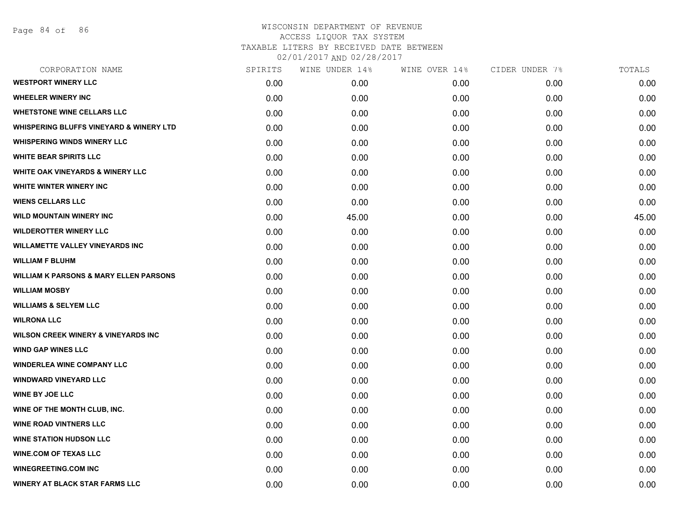| CORPORATION NAME                                   | SPIRITS | WINE UNDER 14% | WINE OVER 14% | CIDER UNDER 7% | TOTALS |
|----------------------------------------------------|---------|----------------|---------------|----------------|--------|
| <b>WESTPORT WINERY LLC</b>                         | 0.00    | 0.00           | 0.00          | 0.00           | 0.00   |
| <b>WHEELER WINERY INC</b>                          | 0.00    | 0.00           | 0.00          | 0.00           | 0.00   |
| <b>WHETSTONE WINE CELLARS LLC</b>                  | 0.00    | 0.00           | 0.00          | 0.00           | 0.00   |
| <b>WHISPERING BLUFFS VINEYARD &amp; WINERY LTD</b> | 0.00    | 0.00           | 0.00          | 0.00           | 0.00   |
| <b>WHISPERING WINDS WINERY LLC</b>                 | 0.00    | 0.00           | 0.00          | 0.00           | 0.00   |
| <b>WHITE BEAR SPIRITS LLC</b>                      | 0.00    | 0.00           | 0.00          | 0.00           | 0.00   |
| <b>WHITE OAK VINEYARDS &amp; WINERY LLC</b>        | 0.00    | 0.00           | 0.00          | 0.00           | 0.00   |
| <b>WHITE WINTER WINERY INC</b>                     | 0.00    | 0.00           | 0.00          | 0.00           | 0.00   |
| <b>WIENS CELLARS LLC</b>                           | 0.00    | 0.00           | 0.00          | 0.00           | 0.00   |
| <b>WILD MOUNTAIN WINERY INC</b>                    | 0.00    | 45.00          | 0.00          | 0.00           | 45.00  |
| <b>WILDEROTTER WINERY LLC</b>                      | 0.00    | 0.00           | 0.00          | 0.00           | 0.00   |
| <b>WILLAMETTE VALLEY VINEYARDS INC</b>             | 0.00    | 0.00           | 0.00          | 0.00           | 0.00   |
| <b>WILLIAM F BLUHM</b>                             | 0.00    | 0.00           | 0.00          | 0.00           | 0.00   |
| <b>WILLIAM K PARSONS &amp; MARY ELLEN PARSONS</b>  | 0.00    | 0.00           | 0.00          | 0.00           | 0.00   |
| <b>WILLIAM MOSBY</b>                               | 0.00    | 0.00           | 0.00          | 0.00           | 0.00   |
| <b>WILLIAMS &amp; SELYEM LLC</b>                   | 0.00    | 0.00           | 0.00          | 0.00           | 0.00   |
| <b>WILRONA LLC</b>                                 | 0.00    | 0.00           | 0.00          | 0.00           | 0.00   |
| <b>WILSON CREEK WINERY &amp; VINEYARDS INC</b>     | 0.00    | 0.00           | 0.00          | 0.00           | 0.00   |
| <b>WIND GAP WINES LLC</b>                          | 0.00    | 0.00           | 0.00          | 0.00           | 0.00   |
| <b>WINDERLEA WINE COMPANY LLC</b>                  | 0.00    | 0.00           | 0.00          | 0.00           | 0.00   |
| <b>WINDWARD VINEYARD LLC</b>                       | 0.00    | 0.00           | 0.00          | 0.00           | 0.00   |
| <b>WINE BY JOE LLC</b>                             | 0.00    | 0.00           | 0.00          | 0.00           | 0.00   |
| WINE OF THE MONTH CLUB, INC.                       | 0.00    | 0.00           | 0.00          | 0.00           | 0.00   |
| <b>WINE ROAD VINTNERS LLC</b>                      | 0.00    | 0.00           | 0.00          | 0.00           | 0.00   |
| <b>WINE STATION HUDSON LLC</b>                     | 0.00    | 0.00           | 0.00          | 0.00           | 0.00   |
| <b>WINE.COM OF TEXAS LLC</b>                       | 0.00    | 0.00           | 0.00          | 0.00           | 0.00   |
| <b>WINEGREETING.COM INC</b>                        | 0.00    | 0.00           | 0.00          | 0.00           | 0.00   |
| <b>WINERY AT BLACK STAR FARMS LLC</b>              | 0.00    | 0.00           | 0.00          | 0.00           | 0.00   |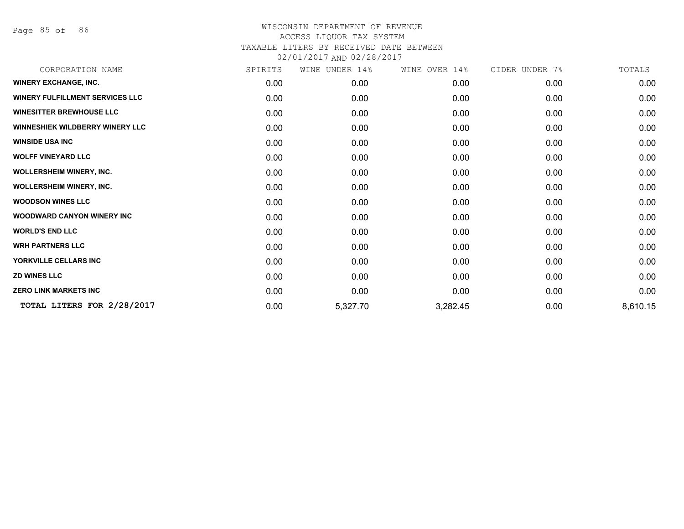Page 85 of 86

| CORPORATION NAME                       | SPIRITS | WINE UNDER 14% | WINE OVER 14% | CIDER UNDER 7% | TOTALS   |
|----------------------------------------|---------|----------------|---------------|----------------|----------|
| <b>WINERY EXCHANGE, INC.</b>           | 0.00    | 0.00           | 0.00          | 0.00           | 0.00     |
| <b>WINERY FULFILLMENT SERVICES LLC</b> | 0.00    | 0.00           | 0.00          | 0.00           | 0.00     |
| <b>WINESITTER BREWHOUSE LLC</b>        | 0.00    | 0.00           | 0.00          | 0.00           | 0.00     |
| <b>WINNESHIEK WILDBERRY WINERY LLC</b> | 0.00    | 0.00           | 0.00          | 0.00           | 0.00     |
| <b>WINSIDE USA INC</b>                 | 0.00    | 0.00           | 0.00          | 0.00           | 0.00     |
| <b>WOLFF VINEYARD LLC</b>              | 0.00    | 0.00           | 0.00          | 0.00           | 0.00     |
| <b>WOLLERSHEIM WINERY, INC.</b>        | 0.00    | 0.00           | 0.00          | 0.00           | 0.00     |
| <b>WOLLERSHEIM WINERY, INC.</b>        | 0.00    | 0.00           | 0.00          | 0.00           | 0.00     |
| <b>WOODSON WINES LLC</b>               | 0.00    | 0.00           | 0.00          | 0.00           | 0.00     |
| <b>WOODWARD CANYON WINERY INC</b>      | 0.00    | 0.00           | 0.00          | 0.00           | 0.00     |
| <b>WORLD'S END LLC</b>                 | 0.00    | 0.00           | 0.00          | 0.00           | 0.00     |
| <b>WRH PARTNERS LLC</b>                | 0.00    | 0.00           | 0.00          | 0.00           | 0.00     |
| YORKVILLE CELLARS INC                  | 0.00    | 0.00           | 0.00          | 0.00           | 0.00     |
| <b>ZD WINES LLC</b>                    | 0.00    | 0.00           | 0.00          | 0.00           | 0.00     |
| <b>ZERO LINK MARKETS INC</b>           | 0.00    | 0.00           | 0.00          | 0.00           | 0.00     |
| TOTAL LITERS FOR 2/28/2017             | 0.00    | 5,327.70       | 3,282.45      | 0.00           | 8,610.15 |